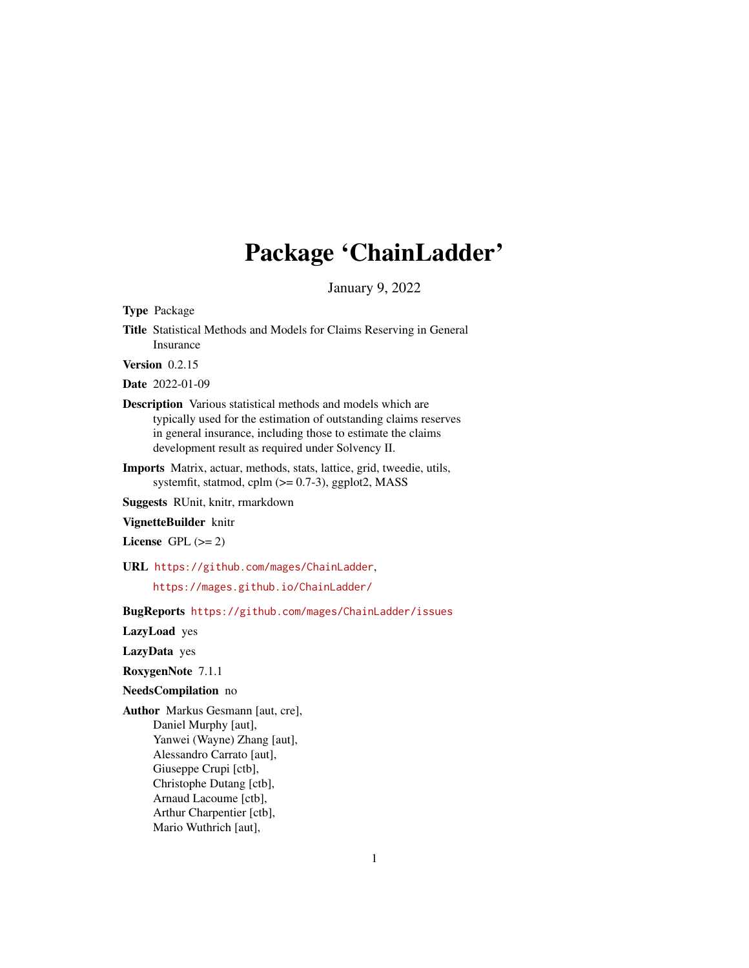# Package 'ChainLadder'

January 9, 2022

<span id="page-0-0"></span>Type Package

Title Statistical Methods and Models for Claims Reserving in General Insurance

Version 0.2.15

Date 2022-01-09

- Description Various statistical methods and models which are typically used for the estimation of outstanding claims reserves in general insurance, including those to estimate the claims development result as required under Solvency II.
- Imports Matrix, actuar, methods, stats, lattice, grid, tweedie, utils, systemfit, statmod, cplm  $(>= 0.7-3)$ , ggplot2, MASS

Suggests RUnit, knitr, rmarkdown

VignetteBuilder knitr

License GPL  $(>= 2)$ 

URL <https://github.com/mages/ChainLadder>,

<https://mages.github.io/ChainLadder/>

BugReports <https://github.com/mages/ChainLadder/issues>

LazyLoad yes

LazyData yes

RoxygenNote 7.1.1

NeedsCompilation no

Author Markus Gesmann [aut, cre], Daniel Murphy [aut], Yanwei (Wayne) Zhang [aut], Alessandro Carrato [aut], Giuseppe Crupi [ctb], Christophe Dutang [ctb], Arnaud Lacoume [ctb], Arthur Charpentier [ctb], Mario Wuthrich [aut],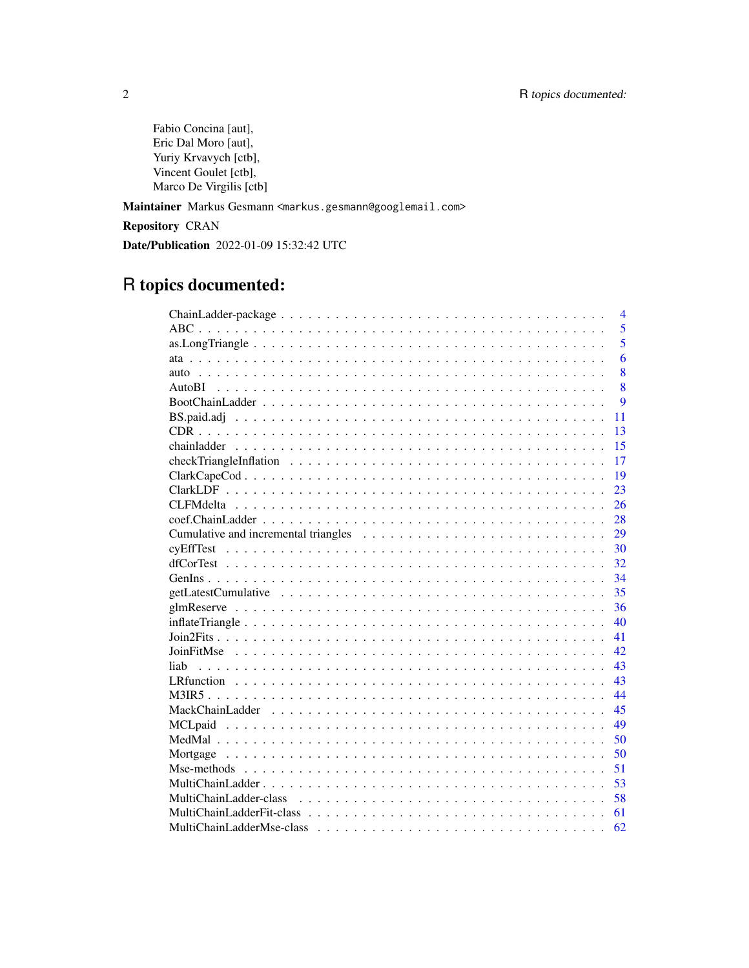Fabio Concina [aut], Eric Dal Moro [aut], Yuriy Krvavych [ctb], Vincent Goulet [ctb], Marco De Virgilis [ctb]

Maintainer Markus Gesmann <markus.gesmann@googlemail.com>

Repository CRAN

Date/Publication 2022-01-09 15:32:42 UTC

# R topics documented:

| $\overline{4}$ |
|----------------|
| 5              |
| 5              |
| 6              |
| 8              |
| 8              |
| $\mathbf Q$    |
| 11             |
| 13             |
| 15             |
| 17             |
| 19             |
| 23             |
| 26             |
| 28             |
| 29             |
| 30             |
| 32             |
| 34             |
| 35             |
| 36             |
| 40             |
| 41             |
| 42             |
| 43<br>liah     |
| 43             |
| 44             |
| 45             |
| 49             |
| 50             |
| 50             |
| 51             |
| 53             |
| 58             |
| 61             |
| 62             |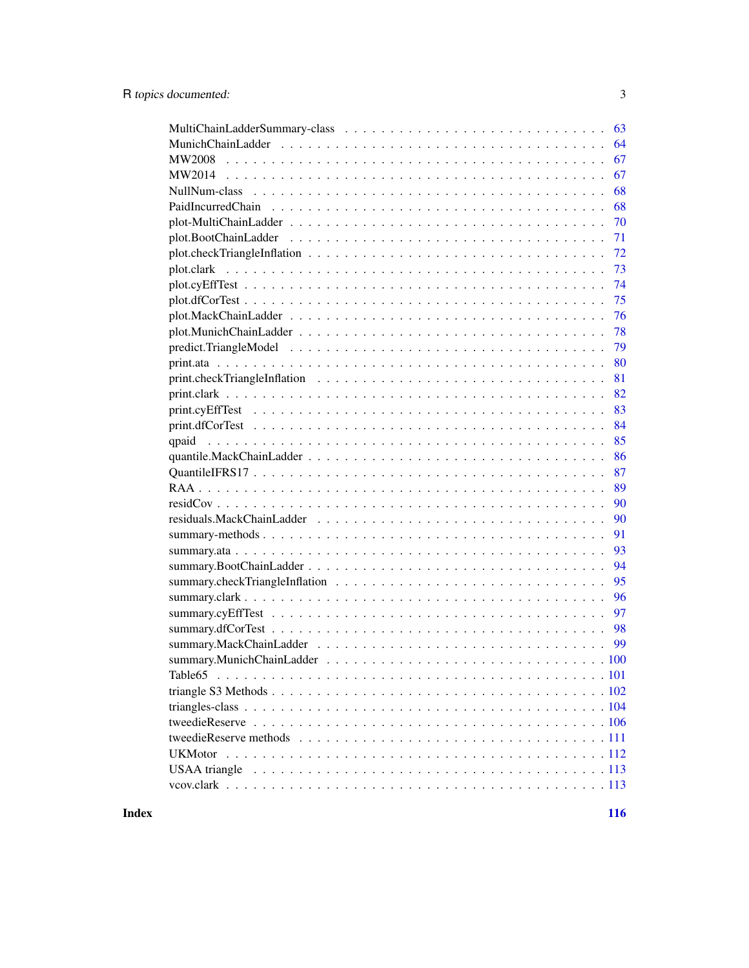| 63      |
|---------|
| 64      |
| 67      |
| 67      |
| 68      |
| 68      |
| 70      |
| 71      |
| 72      |
| 73      |
| 74      |
| 75      |
| 76      |
| 78      |
| 79      |
| 80      |
| 81      |
| 82      |
| 83      |
| 84      |
| 85      |
| 86      |
| 87      |
| 89      |
| 90      |
| 90      |
| 91      |
| 93      |
| 94      |
| 95      |
| 96      |
| 97      |
| 98      |
| 99      |
|         |
| Table65 |
|         |
|         |
|         |
|         |
|         |
|         |
|         |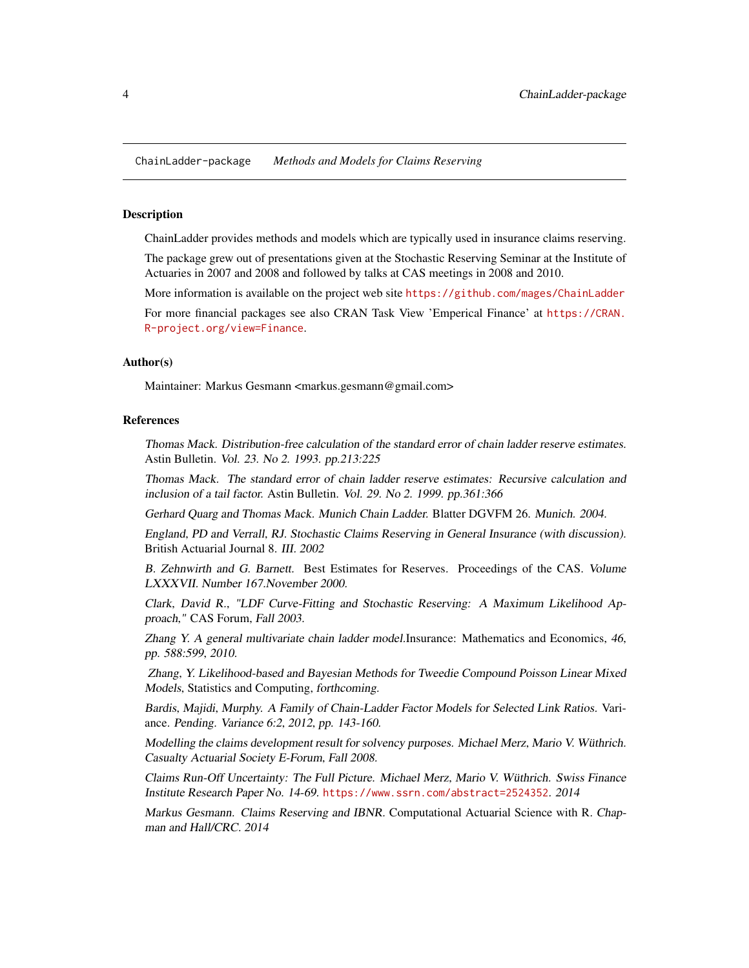<span id="page-3-0"></span>ChainLadder-package *Methods and Models for Claims Reserving*

# Description

ChainLadder provides methods and models which are typically used in insurance claims reserving.

The package grew out of presentations given at the Stochastic Reserving Seminar at the Institute of Actuaries in 2007 and 2008 and followed by talks at CAS meetings in 2008 and 2010.

More information is available on the project web site <https://github.com/mages/ChainLadder>

For more financial packages see also CRAN Task View 'Emperical Finance' at [https://CRAN.](https://CRAN.R-project.org/view=Finance) [R-project.org/view=Finance](https://CRAN.R-project.org/view=Finance).

### Author(s)

Maintainer: Markus Gesmann <markus.gesmann@gmail.com>

# References

Thomas Mack. Distribution-free calculation of the standard error of chain ladder reserve estimates. Astin Bulletin. Vol. 23. No 2. 1993. pp.213:225

Thomas Mack. The standard error of chain ladder reserve estimates: Recursive calculation and inclusion of a tail factor. Astin Bulletin. Vol. 29. No 2. 1999. pp.361:366

Gerhard Quarg and Thomas Mack. Munich Chain Ladder. Blatter DGVFM 26. Munich. 2004.

England, PD and Verrall, RJ. Stochastic Claims Reserving in General Insurance (with discussion). British Actuarial Journal 8. III. 2002

B. Zehnwirth and G. Barnett. Best Estimates for Reserves. Proceedings of the CAS. Volume LXXXVII. Number 167.November 2000.

Clark, David R., "LDF Curve-Fitting and Stochastic Reserving: A Maximum Likelihood Approach," CAS Forum, Fall 2003.

Zhang Y. A general multivariate chain ladder model.Insurance: Mathematics and Economics, 46, pp. 588:599, 2010.

Zhang, Y. Likelihood-based and Bayesian Methods for Tweedie Compound Poisson Linear Mixed Models, Statistics and Computing, forthcoming.

Bardis, Majidi, Murphy. A Family of Chain-Ladder Factor Models for Selected Link Ratios. Variance. Pending. Variance 6:2, 2012, pp. 143-160.

Modelling the claims development result for solvency purposes. Michael Merz, Mario V. Wüthrich. Casualty Actuarial Society E-Forum, Fall 2008.

Claims Run-Off Uncertainty: The Full Picture. Michael Merz, Mario V. Wüthrich. Swiss Finance Institute Research Paper No. 14-69. <https://www.ssrn.com/abstract=2524352>. 2014

Markus Gesmann. Claims Reserving and IBNR. Computational Actuarial Science with R. Chapman and Hall/CRC. 2014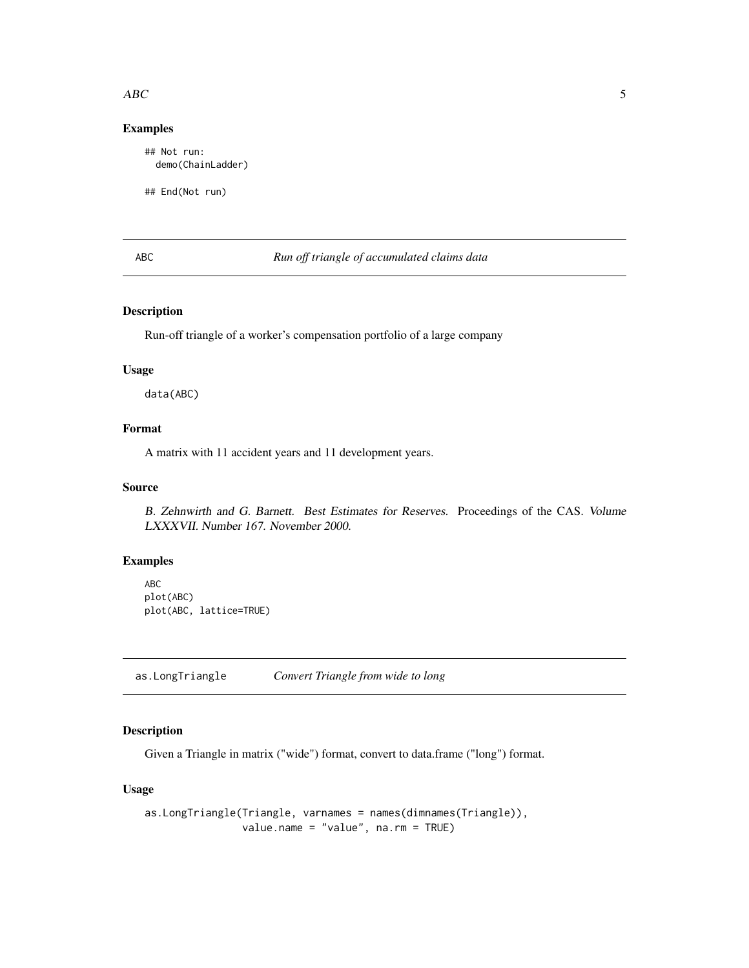### <span id="page-4-0"></span> $\triangle$ ABC 5

# Examples

## Not run: demo(ChainLadder)

## End(Not run)

# ABC *Run off triangle of accumulated claims data*

# Description

Run-off triangle of a worker's compensation portfolio of a large company

# Usage

data(ABC)

# Format

A matrix with 11 accident years and 11 development years.

# Source

B. Zehnwirth and G. Barnett. Best Estimates for Reserves. Proceedings of the CAS. Volume LXXXVII. Number 167. November 2000.

## Examples

ABC plot(ABC) plot(ABC, lattice=TRUE)

as.LongTriangle *Convert Triangle from wide to long*

# Description

Given a Triangle in matrix ("wide") format, convert to data.frame ("long") format.

# Usage

```
as.LongTriangle(Triangle, varnames = names(dimnames(Triangle)),
               value.name = "value", na.rm = TRUE)
```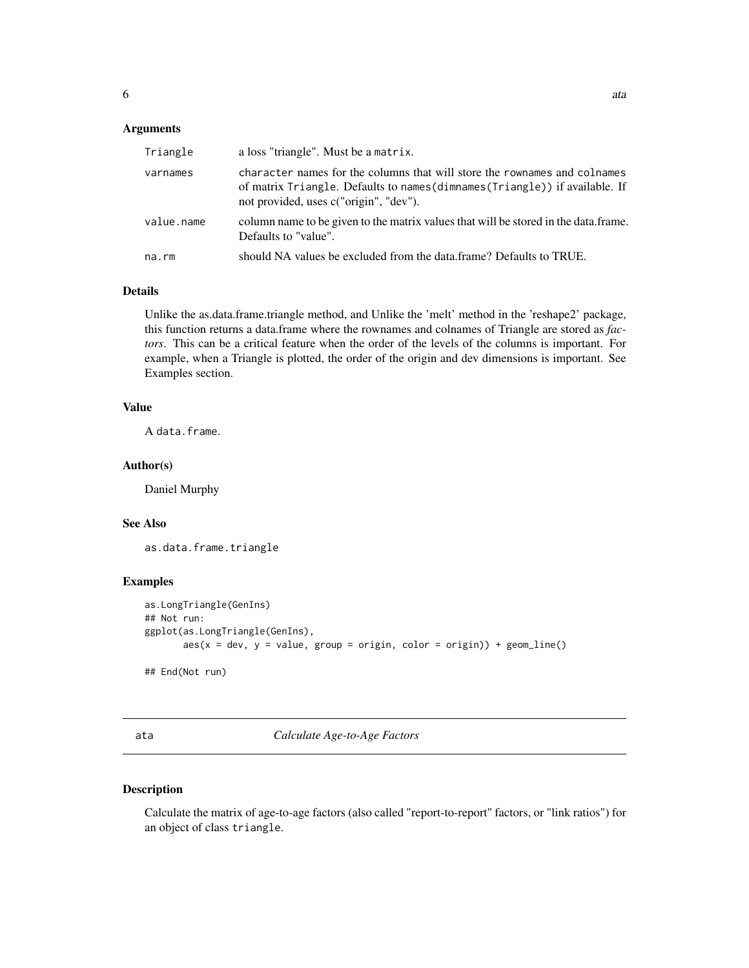# <span id="page-5-0"></span>Arguments

| Triangle   | a loss "triangle". Must be a matrix.                                                                                                                                                                |
|------------|-----------------------------------------------------------------------------------------------------------------------------------------------------------------------------------------------------|
| varnames   | character names for the columns that will store the rownames and colnames<br>of matrix Triangle. Defaults to names (dimnames (Triangle)) if available. If<br>not provided, uses c("origin", "dev"). |
| value.name | column name to be given to the matrix values that will be stored in the data.frame.<br>Defaults to "value".                                                                                         |
| na.rm      | should NA values be excluded from the data.frame? Defaults to TRUE.                                                                                                                                 |

# Details

Unlike the as.data.frame.triangle method, and Unlike the 'melt' method in the 'reshape2' package, this function returns a data.frame where the rownames and colnames of Triangle are stored as *factors*. This can be a critical feature when the order of the levels of the columns is important. For example, when a Triangle is plotted, the order of the origin and dev dimensions is important. See Examples section.

# Value

A data.frame.

# Author(s)

Daniel Murphy

# See Also

as.data.frame.triangle

### Examples

```
as.LongTriangle(GenIns)
## Not run:
ggplot(as.LongTriangle(GenIns),
      aes(x = dev, y = value, group = origin, color = origin)) + geom\_line()
```
## End(Not run)

### <span id="page-5-1"></span>ata *Calculate Age-to-Age Factors*

# Description

Calculate the matrix of age-to-age factors (also called "report-to-report" factors, or "link ratios") for an object of class triangle.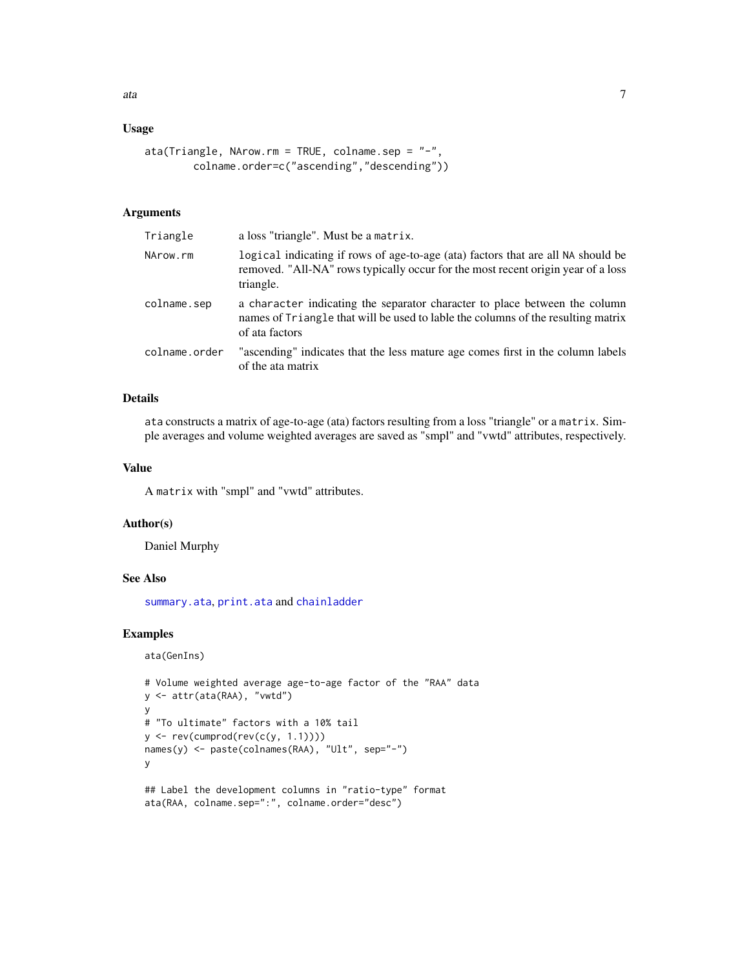# Usage

```
ata(Triangle, NArow.rm = TRUE, colname.sep = "-",
       colname.order=c("ascending","descending"))
```
# Arguments

| Triangle      | a loss "triangle". Must be a matrix.                                                                                                                                              |
|---------------|-----------------------------------------------------------------------------------------------------------------------------------------------------------------------------------|
| NArow.rm      | logical indicating if rows of age-to-age (ata) factors that are all NA should be<br>removed. "All-NA" rows typically occur for the most recent origin year of a loss<br>triangle. |
| colname.sep   | a character indicating the separator character to place between the column<br>names of Triangle that will be used to lable the columns of the resulting matrix<br>of ata factors  |
| colname.order | "ascending" indicates that the less mature age comes first in the column labels<br>of the ata matrix                                                                              |

# Details

ata constructs a matrix of age-to-age (ata) factors resulting from a loss "triangle" or a matrix. Simple averages and volume weighted averages are saved as "smpl" and "vwtd" attributes, respectively.

# Value

A matrix with "smpl" and "vwtd" attributes.

# Author(s)

Daniel Murphy

# See Also

[summary.ata](#page-92-1), [print.ata](#page-79-1) and [chainladder](#page-14-1)

# Examples

```
ata(GenIns)
```

```
# Volume weighted average age-to-age factor of the "RAA" data
y <- attr(ata(RAA), "vwtd")
y
# "To ultimate" factors with a 10% tail
y \leftarrow rev(cumprod(rev(c(y, 1.1))))names(y) <- paste(colnames(RAA), "Ult", sep="-")
y
## Label the development columns in "ratio-type" format
ata(RAA, colname.sep=":", colname.order="desc")
```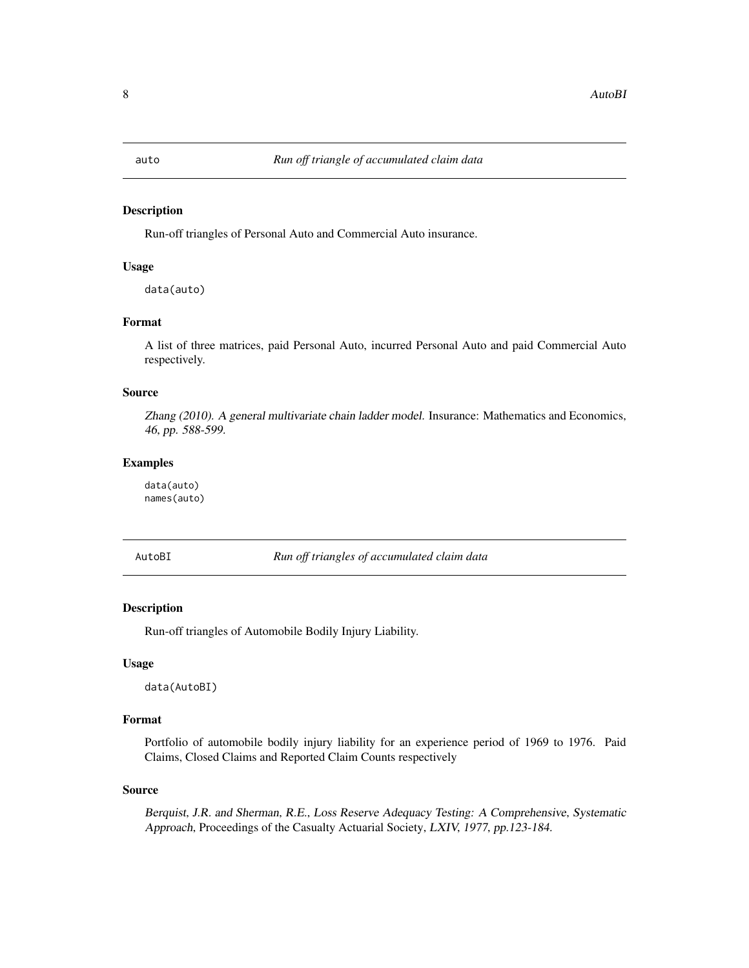<span id="page-7-0"></span>

# Description

Run-off triangles of Personal Auto and Commercial Auto insurance.

# Usage

data(auto)

# Format

A list of three matrices, paid Personal Auto, incurred Personal Auto and paid Commercial Auto respectively.

# Source

Zhang (2010). A general multivariate chain ladder model. Insurance: Mathematics and Economics, 46, pp. 588-599.

# Examples

data(auto) names(auto)

AutoBI *Run off triangles of accumulated claim data*

### Description

Run-off triangles of Automobile Bodily Injury Liability.

# Usage

data(AutoBI)

# Format

Portfolio of automobile bodily injury liability for an experience period of 1969 to 1976. Paid Claims, Closed Claims and Reported Claim Counts respectively

#### Source

Berquist, J.R. and Sherman, R.E., Loss Reserve Adequacy Testing: A Comprehensive, Systematic Approach, Proceedings of the Casualty Actuarial Society, LXIV, 1977, pp.123-184.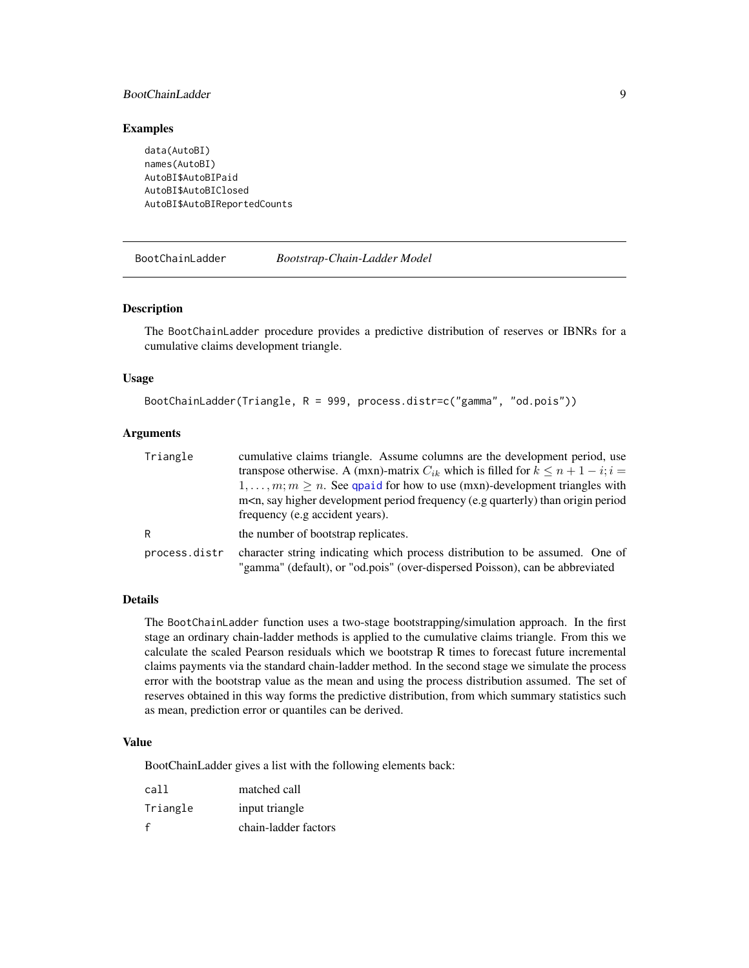# <span id="page-8-0"></span>BootChainLadder 9

# Examples

```
data(AutoBI)
names(AutoBI)
AutoBI$AutoBIPaid
AutoBI$AutoBIClosed
AutoBI$AutoBIReportedCounts
```
<span id="page-8-1"></span>BootChainLadder *Bootstrap-Chain-Ladder Model*

### Description

The BootChainLadder procedure provides a predictive distribution of reserves or IBNRs for a cumulative claims development triangle.

### Usage

BootChainLadder(Triangle, R = 999, process.distr=c("gamma", "od.pois"))

# Arguments

| Triangle      | cumulative claims triangle. Assume columns are the development period, use                                                                                   |
|---------------|--------------------------------------------------------------------------------------------------------------------------------------------------------------|
|               | transpose otherwise. A (mxn)-matrix $C_{ik}$ which is filled for $k \le n + 1 - i$ ; $i =$                                                                   |
|               | $1, \ldots, m; m \geq n$ . See quasid for how to use (mxn)-development triangles with                                                                        |
|               | m <n, (e.g="" development="" frequency="" higher="" origin="" period="" period<="" quarterly)="" say="" td="" than=""></n,>                                  |
|               | frequency (e.g accident years).                                                                                                                              |
| R             | the number of bootstrap replicates.                                                                                                                          |
| process.distr | character string indicating which process distribution to be assumed. One of<br>"gamma" (default), or "od.pois" (over-dispersed Poisson), can be abbreviated |

### Details

The BootChainLadder function uses a two-stage bootstrapping/simulation approach. In the first stage an ordinary chain-ladder methods is applied to the cumulative claims triangle. From this we calculate the scaled Pearson residuals which we bootstrap R times to forecast future incremental claims payments via the standard chain-ladder method. In the second stage we simulate the process error with the bootstrap value as the mean and using the process distribution assumed. The set of reserves obtained in this way forms the predictive distribution, from which summary statistics such as mean, prediction error or quantiles can be derived.

### Value

BootChainLadder gives a list with the following elements back:

| call     | matched call         |
|----------|----------------------|
| Triangle | input triangle       |
| f        | chain-ladder factors |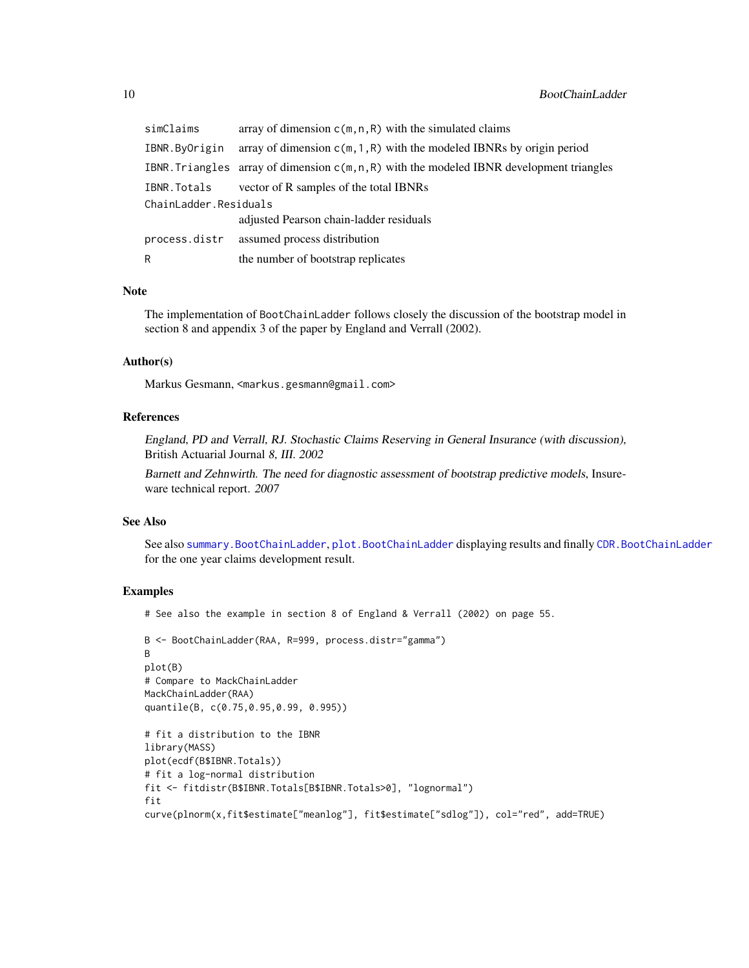| simClaims             | array of dimension $c(m, n, R)$ with the simulated claims                                   |
|-----------------------|---------------------------------------------------------------------------------------------|
| IBNR.ByOrigin         | array of dimension $c(m, 1, R)$ with the modeled IBNRs by origin period                     |
|                       | IBNR. Triangles array of dimension $c(m, n, R)$ with the modeled IBNR development triangles |
| IBNR.Totals           | vector of R samples of the total IBNRs                                                      |
| ChainLadder.Residuals |                                                                                             |
|                       | adjusted Pearson chain-ladder residuals                                                     |
| process.distr         | assumed process distribution                                                                |
| R                     | the number of bootstrap replicates                                                          |

# Note

The implementation of BootChainLadder follows closely the discussion of the bootstrap model in section 8 and appendix 3 of the paper by England and Verrall (2002).

# Author(s)

Markus Gesmann, <markus.gesmann@gmail.com>

# References

England, PD and Verrall, RJ. Stochastic Claims Reserving in General Insurance (with discussion), British Actuarial Journal 8, III. 2002

Barnett and Zehnwirth. The need for diagnostic assessment of bootstrap predictive models, Insureware technical report. 2007

# See Also

See also [summary.BootChainLadder](#page-93-1), [plot.BootChainLadder](#page-70-1) displaying results and finally [CDR.BootChainLadder](#page-12-1) for the one year claims development result.

## Examples

# See also the example in section 8 of England & Verrall (2002) on page 55.

```
B <- BootChainLadder(RAA, R=999, process.distr="gamma")
B
plot(B)
# Compare to MackChainLadder
MackChainLadder(RAA)
quantile(B, c(0.75,0.95,0.99, 0.995))
# fit a distribution to the IBNR
```

```
library(MASS)
plot(ecdf(B$IBNR.Totals))
# fit a log-normal distribution
fit <- fitdistr(B$IBNR.Totals[B$IBNR.Totals>0], "lognormal")
fit
curve(plnorm(x,fit$estimate["meanlog"], fit$estimate["sdlog"]), col="red", add=TRUE)
```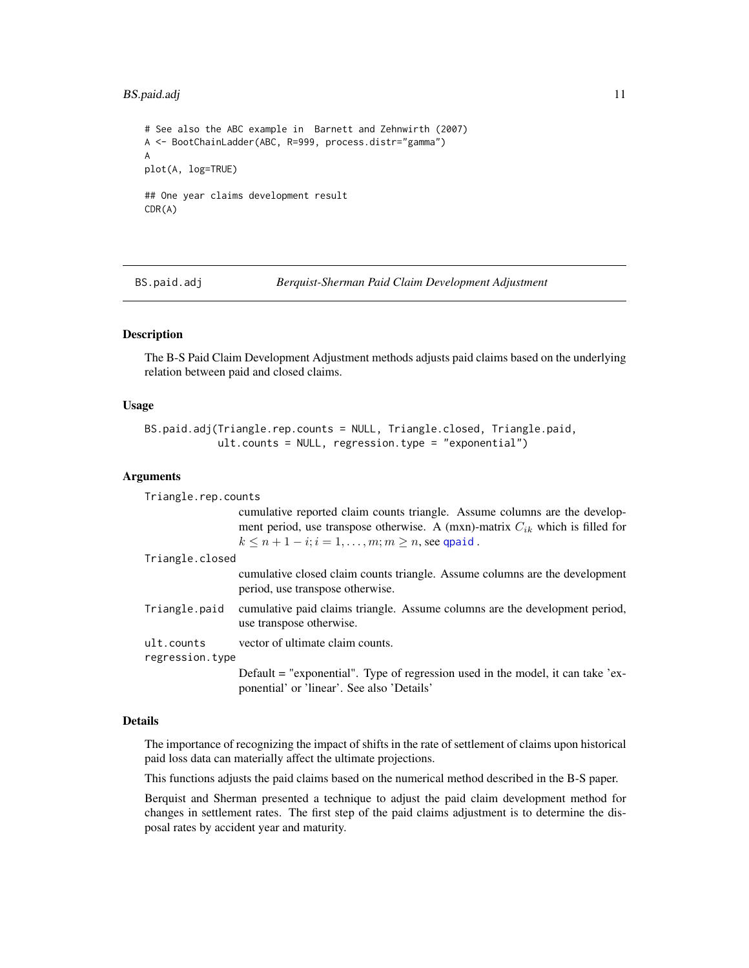# <span id="page-10-0"></span>BS.paid.adj 11

```
# See also the ABC example in Barnett and Zehnwirth (2007)
A <- BootChainLadder(ABC, R=999, process.distr="gamma")
A
plot(A, log=TRUE)
## One year claims development result
CDR(A)
```
BS.paid.adj *Berquist-Sherman Paid Claim Development Adjustment*

# Description

The B-S Paid Claim Development Adjustment methods adjusts paid claims based on the underlying relation between paid and closed claims.

# Usage

```
BS.paid.adj(Triangle.rep.counts = NULL, Triangle.closed, Triangle.paid,
            ult.counts = NULL, regression.type = "exponential")
```
### Arguments

| Triangle.rep.counts           |                                                                                                                                                                                                                              |
|-------------------------------|------------------------------------------------------------------------------------------------------------------------------------------------------------------------------------------------------------------------------|
|                               | cumulative reported claim counts triangle. Assume columns are the develop-<br>ment period, use transpose otherwise. A (mxn)-matrix $C_{ik}$ which is filled for<br>$k \leq n+1-i$ ; $i=1,\ldots,m$ ; $m \geq n$ , see qpaid. |
| Triangle.closed               |                                                                                                                                                                                                                              |
|                               | cumulative closed claim counts triangle. Assume columns are the development<br>period, use transpose otherwise.                                                                                                              |
| Triangle.paid                 | cumulative paid claims triangle. Assume columns are the development period,<br>use transpose otherwise.                                                                                                                      |
| ult.counts<br>regression.type | vector of ultimate claim counts.                                                                                                                                                                                             |
|                               | Default $=$ "exponential". Type of regression used in the model, it can take 'ex-<br>ponential' or 'linear'. See also 'Details'                                                                                              |

### Details

The importance of recognizing the impact of shifts in the rate of settlement of claims upon historical paid loss data can materially affect the ultimate projections.

This functions adjusts the paid claims based on the numerical method described in the B-S paper.

Berquist and Sherman presented a technique to adjust the paid claim development method for changes in settlement rates. The first step of the paid claims adjustment is to determine the disposal rates by accident year and maturity.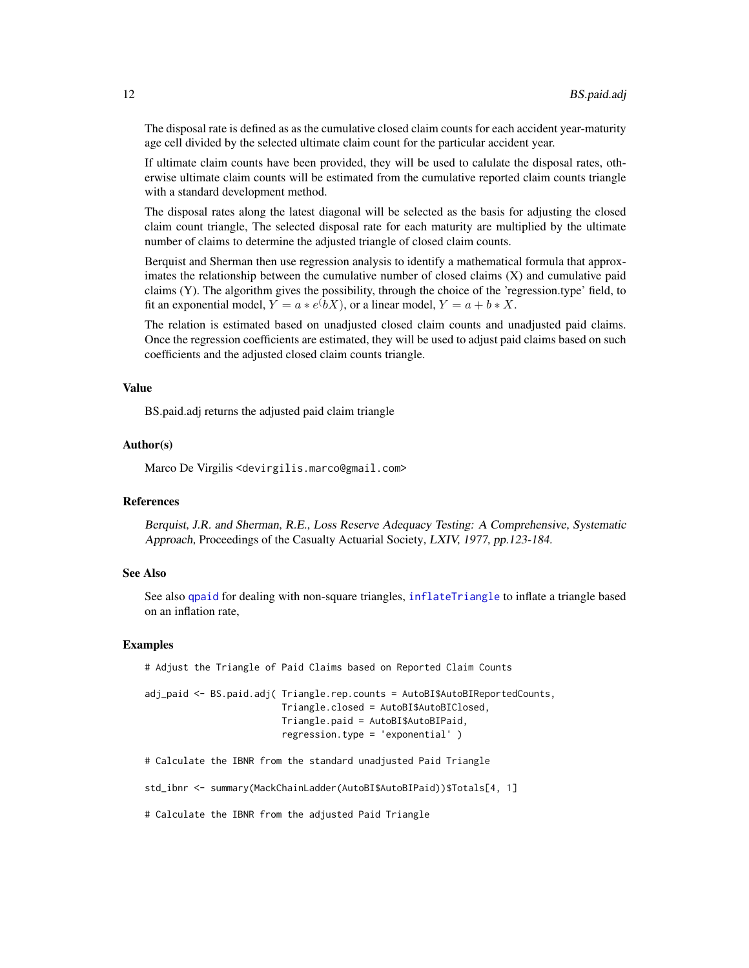The disposal rate is defined as as the cumulative closed claim counts for each accident year-maturity age cell divided by the selected ultimate claim count for the particular accident year.

If ultimate claim counts have been provided, they will be used to calulate the disposal rates, otherwise ultimate claim counts will be estimated from the cumulative reported claim counts triangle with a standard development method.

The disposal rates along the latest diagonal will be selected as the basis for adjusting the closed claim count triangle, The selected disposal rate for each maturity are multiplied by the ultimate number of claims to determine the adjusted triangle of closed claim counts.

Berquist and Sherman then use regression analysis to identify a mathematical formula that approximates the relationship between the cumulative number of closed claims (X) and cumulative paid claims (Y). The algorithm gives the possibility, through the choice of the 'regression.type' field, to fit an exponential model,  $Y = a * e^{t}bX$ , or a linear model,  $Y = a + b * X$ .

The relation is estimated based on unadjusted closed claim counts and unadjusted paid claims. Once the regression coefficients are estimated, they will be used to adjust paid claims based on such coefficients and the adjusted closed claim counts triangle.

# Value

BS.paid.adj returns the adjusted paid claim triangle

### Author(s)

Marco De Virgilis <devirgilis.marco@gmail.com>

# References

Berquist, J.R. and Sherman, R.E., Loss Reserve Adequacy Testing: A Comprehensive, Systematic Approach, Proceedings of the Casualty Actuarial Society, LXIV, 1977, pp.123-184.

# See Also

See also [qpaid](#page-84-1) for dealing with non-square triangles, [inflateTriangle](#page-39-1) to inflate a triangle based on an inflation rate,

# Examples

# Adjust the Triangle of Paid Claims based on Reported Claim Counts adj\_paid <- BS.paid.adj( Triangle.rep.counts = AutoBI\$AutoBIReportedCounts, Triangle.closed = AutoBI\$AutoBIClosed, Triangle.paid = AutoBI\$AutoBIPaid, regression.type = 'exponential' ) # Calculate the IBNR from the standard unadjusted Paid Triangle

std\_ibnr <- summary(MackChainLadder(AutoBI\$AutoBIPaid))\$Totals[4, 1]

# Calculate the IBNR from the adjusted Paid Triangle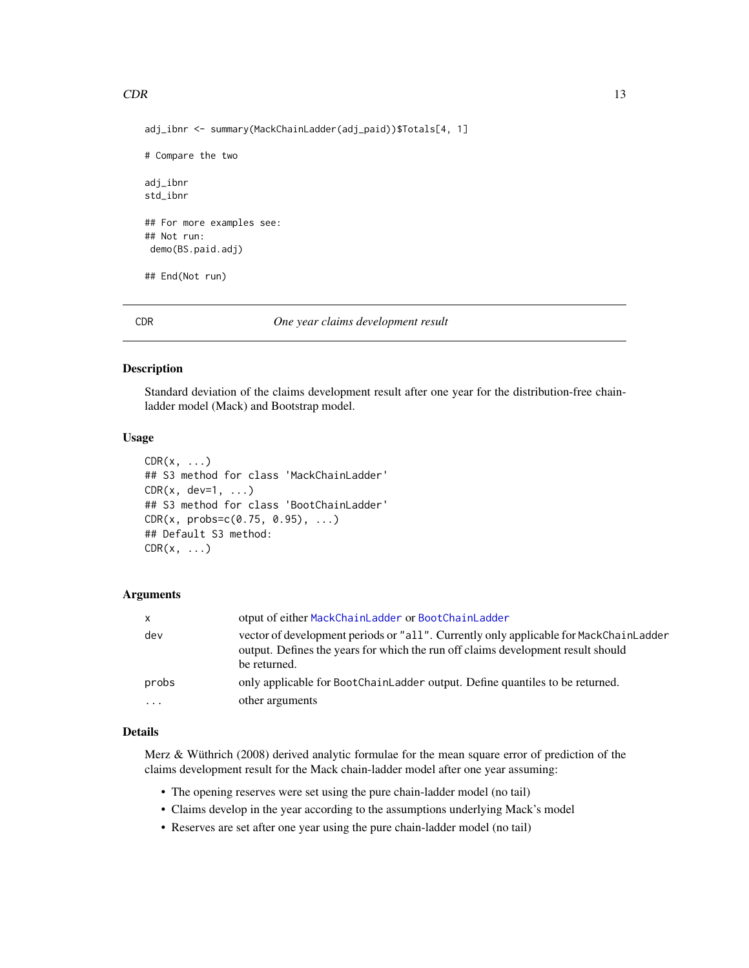# <span id="page-12-0"></span> $CDR$  13

```
# Compare the two
adj_ibnr
std_ibnr
## For more examples see:
## Not run:
demo(BS.paid.adj)
## End(Not run)
```
# CDR *One year claims development result*

# <span id="page-12-1"></span>Description

Standard deviation of the claims development result after one year for the distribution-free chainladder model (Mack) and Bootstrap model.

### Usage

```
CDR(x, \ldots)## S3 method for class 'MackChainLadder'
CDR(x, dev=1, ...)## S3 method for class 'BootChainLadder'
CDR(x, probs=c(0.75, 0.95), ...)## Default S3 method:
CDR(x, \ldots)
```
# Arguments

| $\mathsf{x}$            | otput of either MackChainLadder or BootChainLadder                                                                                                                                        |
|-------------------------|-------------------------------------------------------------------------------------------------------------------------------------------------------------------------------------------|
| dev                     | vector of development periods or "all". Currently only applicable for MackChainLadder<br>output. Defines the years for which the run off claims development result should<br>be returned. |
| probs                   | only applicable for BootChainLadder output. Define quantiles to be returned.                                                                                                              |
| $\cdot$ $\cdot$ $\cdot$ | other arguments                                                                                                                                                                           |

# Details

Merz & Wüthrich (2008) derived analytic formulae for the mean square error of prediction of the claims development result for the Mack chain-ladder model after one year assuming:

- The opening reserves were set using the pure chain-ladder model (no tail)
- Claims develop in the year according to the assumptions underlying Mack's model
- Reserves are set after one year using the pure chain-ladder model (no tail)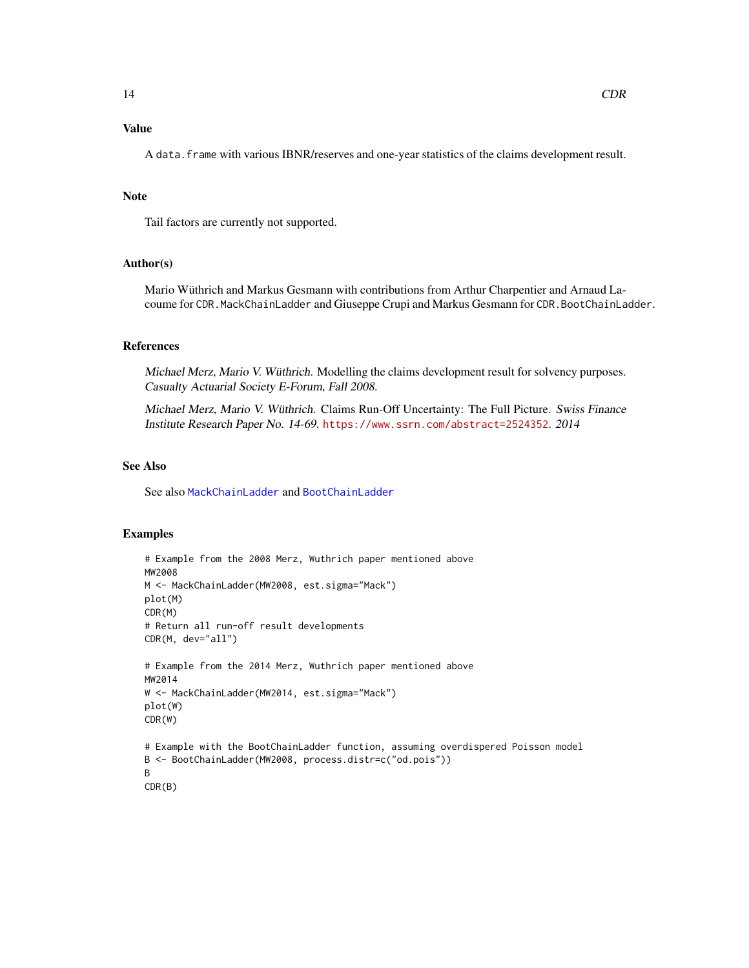A data.frame with various IBNR/reserves and one-year statistics of the claims development result.

### Note

Tail factors are currently not supported.

### Author(s)

Mario Wüthrich and Markus Gesmann with contributions from Arthur Charpentier and Arnaud Lacoume for CDR. MackChainLadder and Giuseppe Crupi and Markus Gesmann for CDR. BootChainLadder.

# References

Michael Merz, Mario V. Wüthrich. Modelling the claims development result for solvency purposes. Casualty Actuarial Society E-Forum, Fall 2008.

Michael Merz, Mario V. Wüthrich. Claims Run-Off Uncertainty: The Full Picture. Swiss Finance Institute Research Paper No. 14-69. <https://www.ssrn.com/abstract=2524352>. 2014

# See Also

See also [MackChainLadder](#page-44-1) and [BootChainLadder](#page-8-1)

# Examples

```
# Example from the 2008 Merz, Wuthrich paper mentioned above
MW2008
M <- MackChainLadder(MW2008, est.sigma="Mack")
plot(M)
CDR(M)
# Return all run-off result developments
CDR(M, dev="all")
# Example from the 2014 Merz, Wuthrich paper mentioned above
MW2014
W <- MackChainLadder(MW2014, est.sigma="Mack")
plot(W)
CDR(W)
# Example with the BootChainLadder function, assuming overdispered Poisson model
B <- BootChainLadder(MW2008, process.distr=c("od.pois"))
B
CDR(B)
```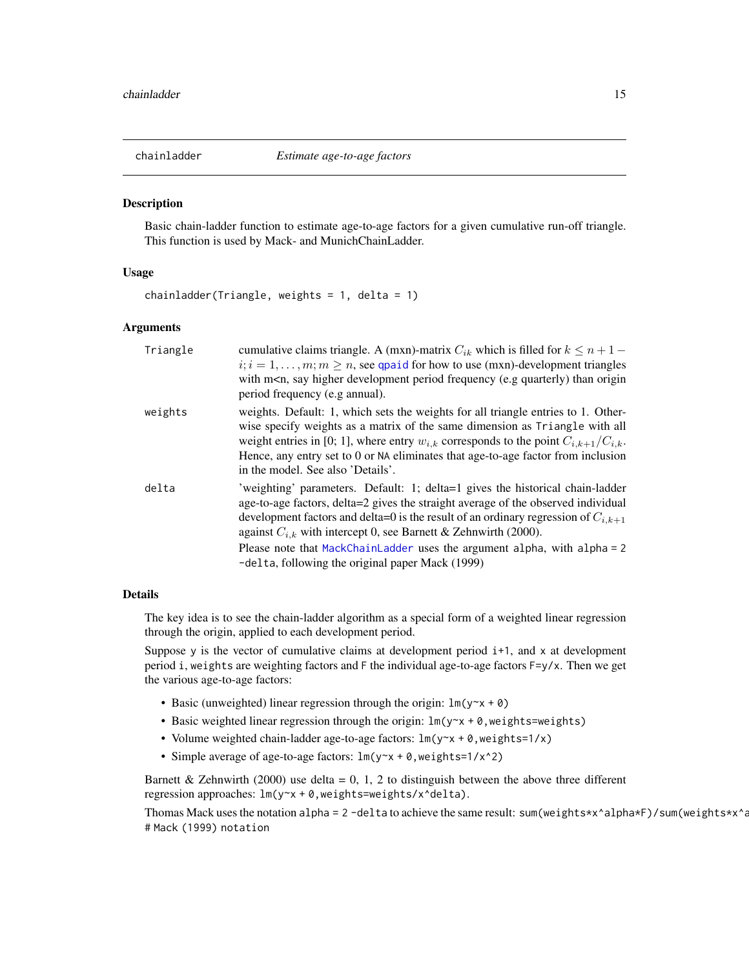<span id="page-14-1"></span><span id="page-14-0"></span>

### **Description**

Basic chain-ladder function to estimate age-to-age factors for a given cumulative run-off triangle. This function is used by Mack- and MunichChainLadder.

### Usage

chainladder(Triangle, weights =  $1$ , delta =  $1$ )

# Arguments

| Triangle | cumulative claims triangle. A (mxn)-matrix $C_{ik}$ which is filled for $k \leq n+1$ –                                                                                                                                                                                                                                                                                                                                                                              |
|----------|---------------------------------------------------------------------------------------------------------------------------------------------------------------------------------------------------------------------------------------------------------------------------------------------------------------------------------------------------------------------------------------------------------------------------------------------------------------------|
|          | $i; i = 1, \ldots, m; m \geq n$ , see qpaid for how to use (mxn)-development triangles                                                                                                                                                                                                                                                                                                                                                                              |
|          | with m <n, (e.g="" development="" frequency="" higher="" origin<="" period="" quarterly)="" say="" td="" than=""></n,>                                                                                                                                                                                                                                                                                                                                              |
|          | period frequency (e.g annual).                                                                                                                                                                                                                                                                                                                                                                                                                                      |
| weights  | weights. Default: 1, which sets the weights for all triangle entries to 1. Other-<br>wise specify weights as a matrix of the same dimension as Triangle with all<br>weight entries in [0; 1], where entry $w_{i,k}$ corresponds to the point $C_{i,k+1}/C_{i,k}$ .<br>Hence, any entry set to 0 or NA eliminates that age-to-age factor from inclusion<br>in the model. See also 'Details'.                                                                         |
| delta    | 'weighting' parameters. Default: 1; delta=1 gives the historical chain-ladder<br>age-to-age factors, delta=2 gives the straight average of the observed individual<br>development factors and delta=0 is the result of an ordinary regression of $C_{i,k+1}$<br>against $C_{i,k}$ with intercept 0, see Barnett & Zehnwirth (2000).<br>Please note that MackChainLadder uses the argument alpha, with alpha = 2<br>-delta, following the original paper Mack (1999) |
|          |                                                                                                                                                                                                                                                                                                                                                                                                                                                                     |

# **Details**

The key idea is to see the chain-ladder algorithm as a special form of a weighted linear regression through the origin, applied to each development period.

Suppose y is the vector of cumulative claims at development period  $i+1$ , and x at development period i, weights are weighting factors and F the individual age-to-age factors F=y/x. Then we get the various age-to-age factors:

- Basic (unweighted) linear regression through the origin:  $lm(y \sim x + \theta)$
- Basic weighted linear regression through the origin:  $lm(y-x + 0, weights=weights)$
- Volume weighted chain-ladder age-to-age factors:  $lm(y \sim x + \theta, weight s = 1/x)$
- Simple average of age-to-age factors: lm(y~x + 0,weights=1/x^2)

Barnett & Zehnwirth (2000) use delta = 0, 1, 2 to distinguish between the above three different regression approaches:  $lm(y \sim x + 0, weight s = weight s / x \cdot delta)$ .

Thomas Mack uses the notation alpha =  $2$  -delta to achieve the same result: sum(weights\*x^alpha\*F)/sum(weights\*x^a # Mack (1999) notation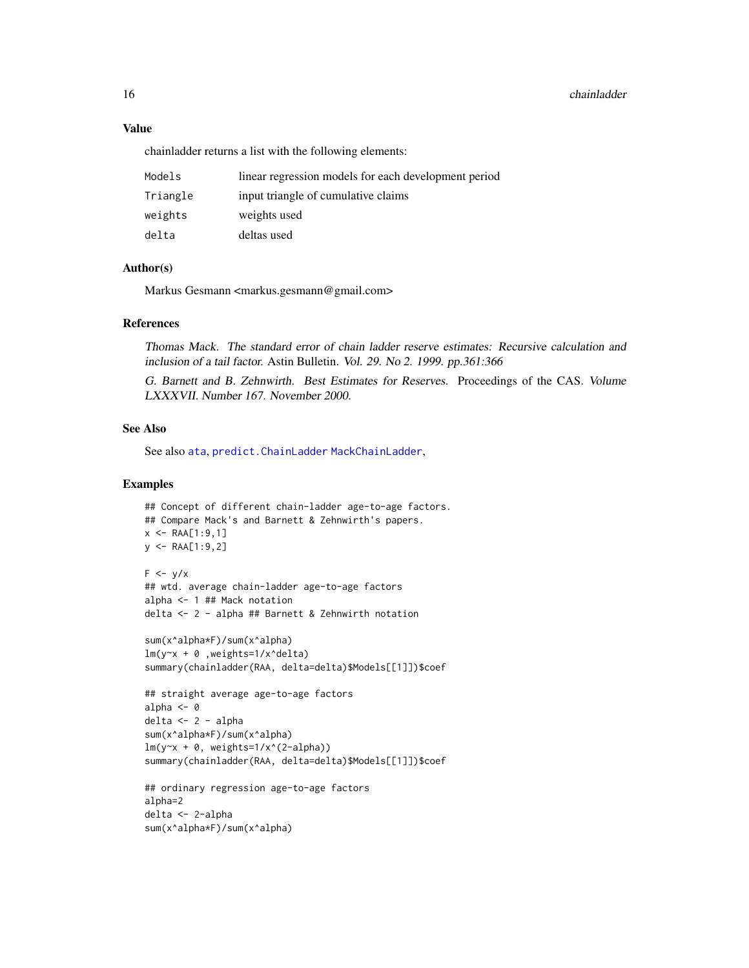# Value

chainladder returns a list with the following elements:

| Models   | linear regression models for each development period |
|----------|------------------------------------------------------|
| Triangle | input triangle of cumulative claims                  |
| weights  | weights used                                         |
| delta    | deltas used                                          |

# Author(s)

Markus Gesmann <markus.gesmann@gmail.com>

# References

Thomas Mack. The standard error of chain ladder reserve estimates: Recursive calculation and inclusion of a tail factor. Astin Bulletin. Vol. 29. No 2. 1999. pp.361:366

G. Barnett and B. Zehnwirth. Best Estimates for Reserves. Proceedings of the CAS. Volume LXXXVII. Number 167. November 2000.

# See Also

See also [ata](#page-5-1), [predict.ChainLadder](#page-78-1) [MackChainLadder](#page-44-1),

### Examples

```
## Concept of different chain-ladder age-to-age factors.
## Compare Mack's and Barnett & Zehnwirth's papers.
x <- RAA[1:9,1]
y \leq - RAA[1:9,2]
F \leftarrow y/x## wtd. average chain-ladder age-to-age factors
alpha <- 1 ## Mack notation
delta <- 2 - alpha ## Barnett & Zehnwirth notation
sum(x^alpha*F)/sum(x^alpha)
lm(y~x + 0 ,weights=1/x^delta)
summary(chainladder(RAA, delta=delta)$Models[[1]])$coef
## straight average age-to-age factors
alpha <- 0
delta <- 2 - alpha
sum(x^alpha*F)/sum(x^alpha)
lm(y-x + 0, weights=1/x^(2-\alpha)summary(chainladder(RAA, delta=delta)$Models[[1]])$coef
## ordinary regression age-to-age factors
alpha=2
```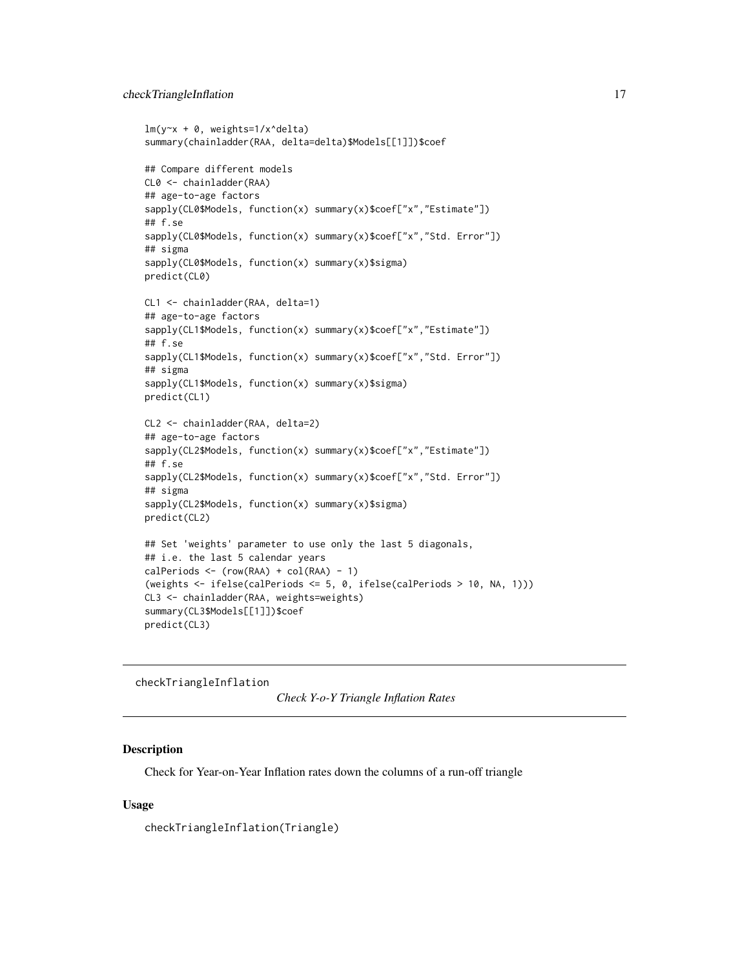```
lm(y~x + 0, weights=1/x^delta)
summary(chainladder(RAA, delta=delta)$Models[[1]])$coef
## Compare different models
CL0 <- chainladder(RAA)
## age-to-age factors
sapply(CL0$Models, function(x) summary(x)$coef["x","Estimate"])
## f.se
sapply(CL0$Models, function(x) summary(x)$coef["x","Std. Error"])
## sigma
sapply(CL0$Models, function(x) summary(x)$sigma)
predict(CL0)
CL1 <- chainladder(RAA, delta=1)
## age-to-age factors
sapply(CL1$Models, function(x) summary(x)$coef["x","Estimate"])
## f.se
sapply(CL1$Models, function(x) summary(x)$coef["x","Std. Error"])
## sigma
sapply(CL1$Models, function(x) summary(x)$sigma)
predict(CL1)
CL2 <- chainladder(RAA, delta=2)
## age-to-age factors
sapply(CL2$Models, function(x) summary(x)$coef["x","Estimate"])
## f.se
sapply(CL2$Models, function(x) summary(x)$coef["x","Std. Error"])
## sigma
sapply(CL2$Models, function(x) summary(x)$sigma)
predict(CL2)
## Set 'weights' parameter to use only the last 5 diagonals,
## i.e. the last 5 calendar years
calPeriods \leftarrow (row(RAA) + col(RAA) - 1)(weights <- ifelse(calPeriods <= 5, 0, ifelse(calPeriods > 10, NA, 1)))
CL3 <- chainladder(RAA, weights=weights)
summary(CL3$Models[[1]])$coef
predict(CL3)
```
checkTriangleInflation

```
Check Y-o-Y Triangle Inflation Rates
```
# Description

Check for Year-on-Year Inflation rates down the columns of a run-off triangle

# Usage

checkTriangleInflation(Triangle)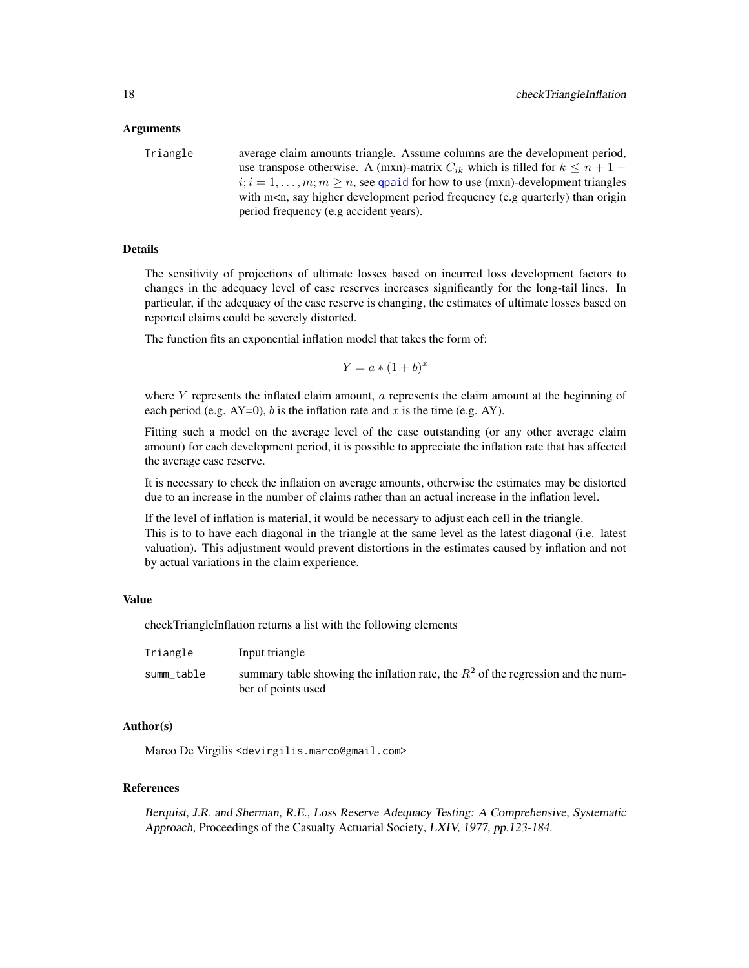### Arguments

Triangle average claim amounts triangle. Assume columns are the development period, use transpose otherwise. A (mxn)-matrix  $C_{ik}$  which is filled for  $k \leq n+1$  –  $i; i = 1, \ldots, m; m \ge n$ , see [qpaid](#page-84-1) for how to use (mxn)-development triangles with m<n, say higher development period frequency (e.g quarterly) than origin period frequency (e.g accident years).

# Details

The sensitivity of projections of ultimate losses based on incurred loss development factors to changes in the adequacy level of case reserves increases significantly for the long-tail lines. In particular, if the adequacy of the case reserve is changing, the estimates of ultimate losses based on reported claims could be severely distorted.

The function fits an exponential inflation model that takes the form of:

 $Y = a * (1 + b)^x$ 

where  $Y$  represents the inflated claim amount,  $\alpha$  represents the claim amount at the beginning of each period (e.g.  $AY=0$ ), b is the inflation rate and x is the time (e.g. AY).

Fitting such a model on the average level of the case outstanding (or any other average claim amount) for each development period, it is possible to appreciate the inflation rate that has affected the average case reserve.

It is necessary to check the inflation on average amounts, otherwise the estimates may be distorted due to an increase in the number of claims rather than an actual increase in the inflation level.

If the level of inflation is material, it would be necessary to adjust each cell in the triangle. This is to to have each diagonal in the triangle at the same level as the latest diagonal (i.e. latest valuation). This adjustment would prevent distortions in the estimates caused by inflation and not by actual variations in the claim experience.

### Value

checkTriangleInflation returns a list with the following elements

| Triangle   | Input triangle                                                                                           |
|------------|----------------------------------------------------------------------------------------------------------|
| summ_table | summary table showing the inflation rate, the $R^2$ of the regression and the num-<br>ber of points used |

### Author(s)

Marco De Virgilis <devirgilis.marco@gmail.com>

## References

Berquist, J.R. and Sherman, R.E., Loss Reserve Adequacy Testing: A Comprehensive, Systematic Approach, Proceedings of the Casualty Actuarial Society, LXIV, 1977, pp.123-184.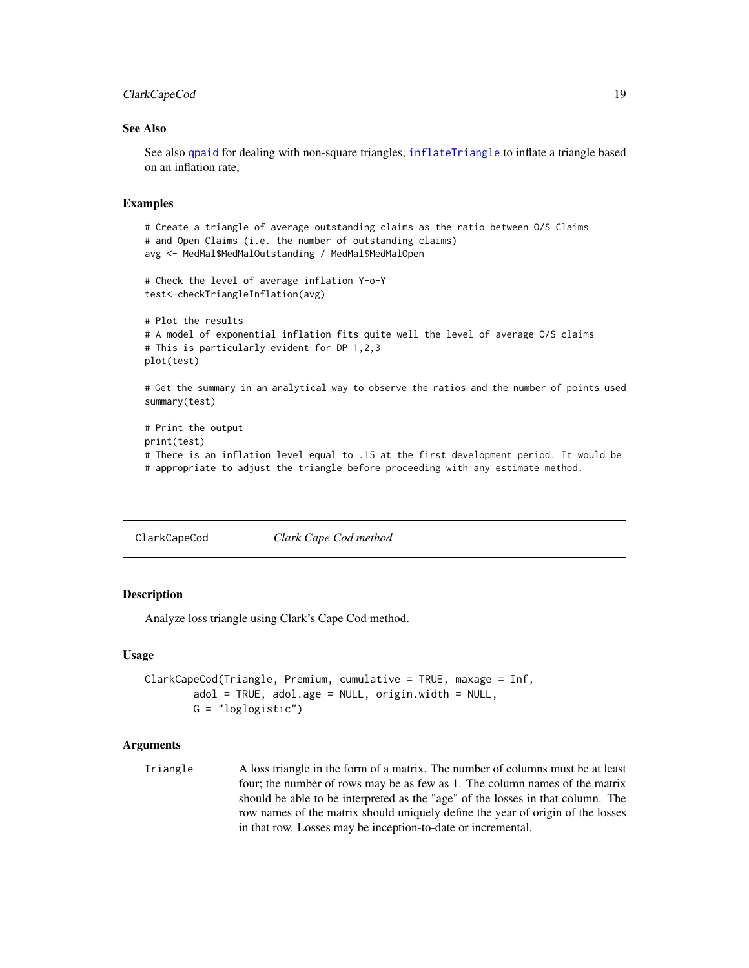# <span id="page-18-0"></span>ClarkCapeCod 19

### See Also

See also [qpaid](#page-84-1) for dealing with non-square triangles, [inflateTriangle](#page-39-1) to inflate a triangle based on an inflation rate,

### Examples

```
# Create a triangle of average outstanding claims as the ratio between O/S Claims
# and Open Claims (i.e. the number of outstanding claims)
avg <- MedMal$MedMalOutstanding / MedMal$MedMalOpen
# Check the level of average inflation Y-o-Y
test<-checkTriangleInflation(avg)
# Plot the results
# A model of exponential inflation fits quite well the level of average O/S claims
# This is particularly evident for DP 1,2,3
plot(test)
```
# Get the summary in an analytical way to observe the ratios and the number of points used summary(test)

```
# Print the output
print(test)
# There is an inflation level equal to .15 at the first development period. It would be
# appropriate to adjust the triangle before proceeding with any estimate method.
```
<span id="page-18-1"></span>ClarkCapeCod *Clark Cape Cod method*

# Description

Analyze loss triangle using Clark's Cape Cod method.

### Usage

```
ClarkCapeCod(Triangle, Premium, cumulative = TRUE, maxage = Inf,
       adol = TRUE, adol.age = NULL, original = NULL,
       G = "loglogistic")
```
### Arguments

Triangle A loss triangle in the form of a matrix. The number of columns must be at least four; the number of rows may be as few as 1. The column names of the matrix should be able to be interpreted as the "age" of the losses in that column. The row names of the matrix should uniquely define the year of origin of the losses in that row. Losses may be inception-to-date or incremental.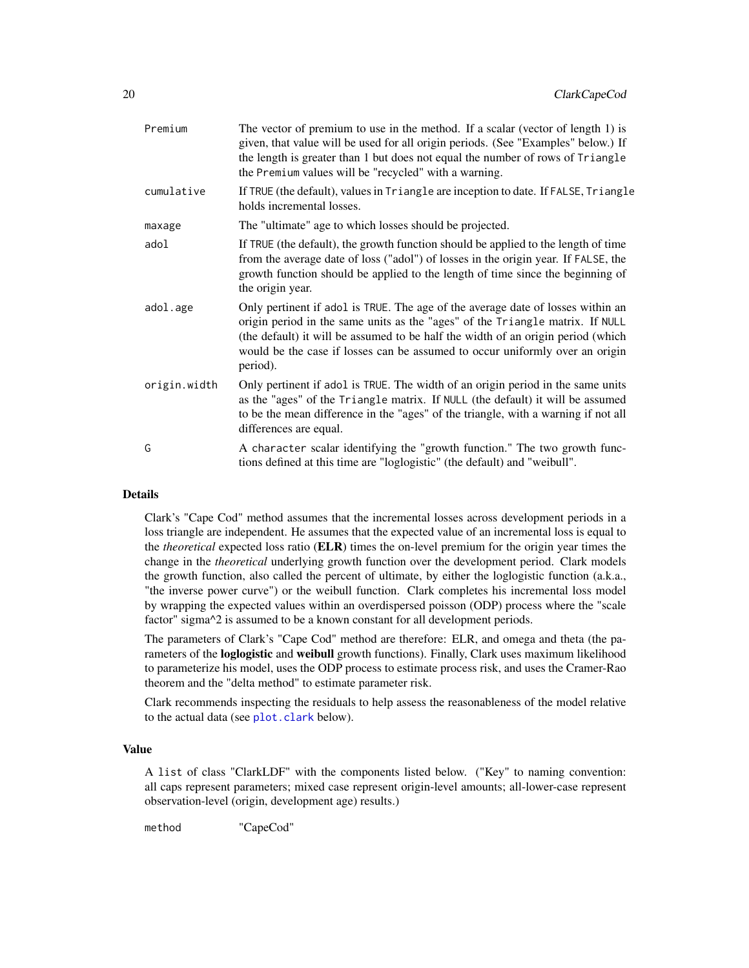| Premium      | The vector of premium to use in the method. If a scalar (vector of length 1) is<br>given, that value will be used for all origin periods. (See "Examples" below.) If<br>the length is greater than 1 but does not equal the number of rows of Triangle<br>the Premium values will be "recycled" with a warning.                                  |
|--------------|--------------------------------------------------------------------------------------------------------------------------------------------------------------------------------------------------------------------------------------------------------------------------------------------------------------------------------------------------|
| cumulative   | If TRUE (the default), values in Triangle are inception to date. If FALSE, Triangle<br>holds incremental losses.                                                                                                                                                                                                                                 |
| maxage       | The "ultimate" age to which losses should be projected.                                                                                                                                                                                                                                                                                          |
| adol         | If TRUE (the default), the growth function should be applied to the length of time<br>from the average date of loss ("adol") of losses in the origin year. If FALSE, the<br>growth function should be applied to the length of time since the beginning of<br>the origin year.                                                                   |
| adol.age     | Only pertinent if adol is TRUE. The age of the average date of losses within an<br>origin period in the same units as the "ages" of the Triangle matrix. If NULL<br>(the default) it will be assumed to be half the width of an origin period (which<br>would be the case if losses can be assumed to occur uniformly over an origin<br>period). |
| origin.width | Only pertinent if adol is TRUE. The width of an origin period in the same units<br>as the "ages" of the Triangle matrix. If NULL (the default) it will be assumed<br>to be the mean difference in the "ages" of the triangle, with a warning if not all<br>differences are equal.                                                                |
| Ġ            |                                                                                                                                                                                                                                                                                                                                                  |

# Details

Clark's "Cape Cod" method assumes that the incremental losses across development periods in a loss triangle are independent. He assumes that the expected value of an incremental loss is equal to the *theoretical* expected loss ratio (ELR) times the on-level premium for the origin year times the change in the *theoretical* underlying growth function over the development period. Clark models the growth function, also called the percent of ultimate, by either the loglogistic function (a.k.a., "the inverse power curve") or the weibull function. Clark completes his incremental loss model by wrapping the expected values within an overdispersed poisson (ODP) process where the "scale factor" sigma<sup> $\lambda$ </sup> is assumed to be a known constant for all development periods.

The parameters of Clark's "Cape Cod" method are therefore: ELR, and omega and theta (the parameters of the **loglogistic** and weibull growth functions). Finally, Clark uses maximum likelihood to parameterize his model, uses the ODP process to estimate process risk, and uses the Cramer-Rao theorem and the "delta method" to estimate parameter risk.

Clark recommends inspecting the residuals to help assess the reasonableness of the model relative to the actual data (see [plot.clark](#page-72-1) below).

# Value

A list of class "ClarkLDF" with the components listed below. ("Key" to naming convention: all caps represent parameters; mixed case represent origin-level amounts; all-lower-case represent observation-level (origin, development age) results.)

method "CapeCod"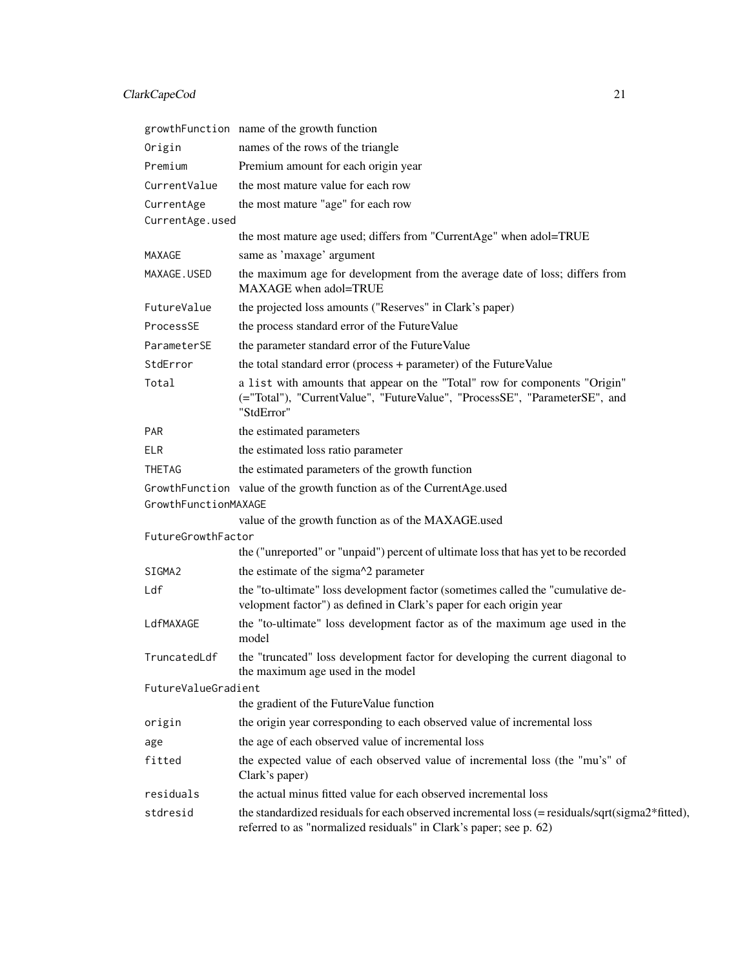# ClarkCapeCod 21

|                      | growthFunction name of the growth function                                                                                                                             |
|----------------------|------------------------------------------------------------------------------------------------------------------------------------------------------------------------|
| Origin               | names of the rows of the triangle                                                                                                                                      |
| Premium              | Premium amount for each origin year                                                                                                                                    |
| CurrentValue         | the most mature value for each row                                                                                                                                     |
| CurrentAge           | the most mature "age" for each row                                                                                                                                     |
| CurrentAge.used      |                                                                                                                                                                        |
|                      | the most mature age used; differs from "CurrentAge" when adol=TRUE                                                                                                     |
| MAXAGE               | same as 'maxage' argument                                                                                                                                              |
| MAXAGE.USED          | the maximum age for development from the average date of loss; differs from<br>MAXAGE when adol=TRUE                                                                   |
| FutureValue          | the projected loss amounts ("Reserves" in Clark's paper)                                                                                                               |
| ProcessSE            | the process standard error of the FutureValue                                                                                                                          |
| ParameterSE          | the parameter standard error of the FutureValue                                                                                                                        |
| StdError             | the total standard error (process + parameter) of the FutureValue                                                                                                      |
| Total                | a list with amounts that appear on the "Total" row for components "Origin"<br>(="Total"), "CurrentValue", "FutureValue", "ProcessSE", "ParameterSE", and<br>"StdError" |
| <b>PAR</b>           | the estimated parameters                                                                                                                                               |
| <b>ELR</b>           | the estimated loss ratio parameter                                                                                                                                     |
| <b>THETAG</b>        | the estimated parameters of the growth function                                                                                                                        |
| GrowthFunctionMAXAGE | GrowthFunction value of the growth function as of the CurrentAge.used                                                                                                  |
|                      | value of the growth function as of the MAXAGE.used                                                                                                                     |
| FutureGrowthFactor   |                                                                                                                                                                        |
|                      | the ("unreported" or "unpaid") percent of ultimate loss that has yet to be recorded                                                                                    |
| SIGMA2               | the estimate of the sigma^2 parameter                                                                                                                                  |
| Ldf                  | the "to-ultimate" loss development factor (sometimes called the "cumulative de-<br>velopment factor") as defined in Clark's paper for each origin year                 |
| LdfMAXAGE            | the "to-ultimate" loss development factor as of the maximum age used in the<br>model                                                                                   |
| TruncatedLdf         | the "truncated" loss development factor for developing the current diagonal to<br>the maximum age used in the model                                                    |
| FutureValueGradient  |                                                                                                                                                                        |
|                      | the gradient of the FutureValue function                                                                                                                               |
| origin               | the origin year corresponding to each observed value of incremental loss                                                                                               |
| age                  | the age of each observed value of incremental loss                                                                                                                     |
| fitted               | the expected value of each observed value of incremental loss (the "mu's" of<br>Clark's paper)                                                                         |
| residuals            | the actual minus fitted value for each observed incremental loss                                                                                                       |
| stdresid             | the standardized residuals for each observed incremental loss (= residuals/sqrt(sigma2*fitted),<br>referred to as "normalized residuals" in Clark's paper; see p. 62)  |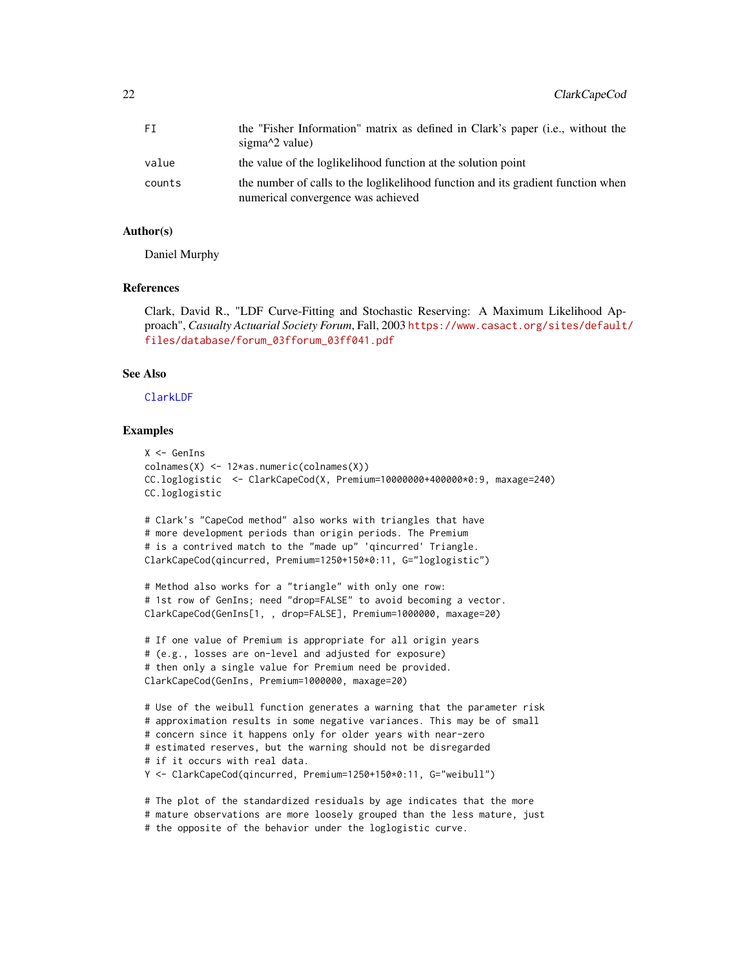| FT     | the "Fisher Information" matrix as defined in Clark's paper (i.e., without the<br>sigma $\frac{2}{2}$ value)           |
|--------|------------------------------------------------------------------------------------------------------------------------|
| value  | the value of the loglikelihood function at the solution point                                                          |
| counts | the number of calls to the loglikelihood function and its gradient function when<br>numerical convergence was achieved |

# Author(s)

Daniel Murphy

### References

Clark, David R., "LDF Curve-Fitting and Stochastic Reserving: A Maximum Likelihood Approach", *Casualty Actuarial Society Forum*, Fall, 2003 [https://www.casact.org/sites/default](https://www.casact.org/sites/default/files/database/forum_03fforum_03ff041.pdf)/ [files/database/forum\\_03fforum\\_03ff041.pdf](https://www.casact.org/sites/default/files/database/forum_03fforum_03ff041.pdf)

### See Also

### [ClarkLDF](#page-22-1)

# Examples

```
X <- GenIns
colnames(X) <- 12*as.numeric(colnames(X))
CC.loglogistic <- ClarkCapeCod(X, Premium=10000000+400000*0:9, maxage=240)
CC.loglogistic
# Clark's "CapeCod method" also works with triangles that have
# more development periods than origin periods. The Premium
# is a contrived match to the "made up" 'qincurred' Triangle.
ClarkCapeCod(qincurred, Premium=1250+150*0:11, G="loglogistic")
```

```
# Method also works for a "triangle" with only one row:
# 1st row of GenIns; need "drop=FALSE" to avoid becoming a vector.
ClarkCapeCod(GenIns[1, , drop=FALSE], Premium=1000000, maxage=20)
```

```
# If one value of Premium is appropriate for all origin years
# (e.g., losses are on-level and adjusted for exposure)
# then only a single value for Premium need be provided.
ClarkCapeCod(GenIns, Premium=1000000, maxage=20)
```

```
# Use of the weibull function generates a warning that the parameter risk
# approximation results in some negative variances. This may be of small
# concern since it happens only for older years with near-zero
# estimated reserves, but the warning should not be disregarded
# if it occurs with real data.
Y <- ClarkCapeCod(qincurred, Premium=1250+150*0:11, G="weibull")
```

```
# The plot of the standardized residuals by age indicates that the more
# mature observations are more loosely grouped than the less mature, just
# the opposite of the behavior under the loglogistic curve.
```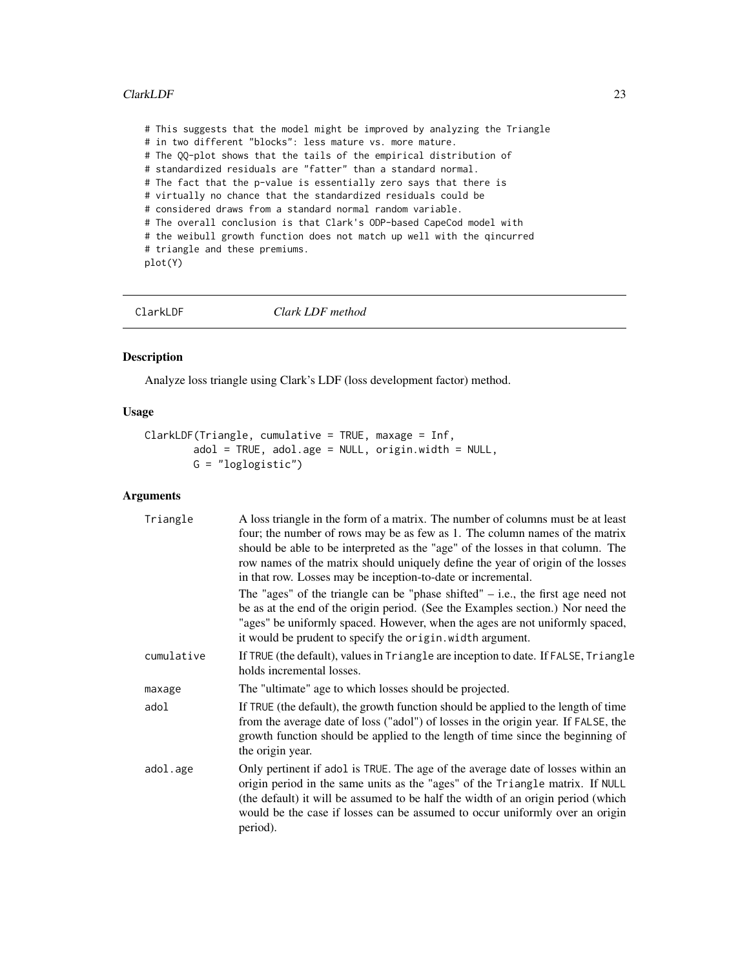# <span id="page-22-0"></span>ClarkLDF 23

# This suggests that the model might be improved by analyzing the Triangle # in two different "blocks": less mature vs. more mature. # The QQ-plot shows that the tails of the empirical distribution of # standardized residuals are "fatter" than a standard normal. # The fact that the p-value is essentially zero says that there is # virtually no chance that the standardized residuals could be # considered draws from a standard normal random variable. # The overall conclusion is that Clark's ODP-based CapeCod model with # the weibull growth function does not match up well with the qincurred # triangle and these premiums. plot(Y)

<span id="page-22-1"></span>

ClarkLDF *Clark LDF method*

# Description

Analyze loss triangle using Clark's LDF (loss development factor) method.

### Usage

```
ClarkLDF(Triangle, cumulative = TRUE, maxage = Inf,
       adol = TRUE, adol.age = NULL, origin.width = NULL,
       G = "loglogistic")
```
### Arguments

| Triangle   | A loss triangle in the form of a matrix. The number of columns must be at least<br>four; the number of rows may be as few as 1. The column names of the matrix<br>should be able to be interpreted as the "age" of the losses in that column. The<br>row names of the matrix should uniquely define the year of origin of the losses<br>in that row. Losses may be inception-to-date or incremental. |
|------------|------------------------------------------------------------------------------------------------------------------------------------------------------------------------------------------------------------------------------------------------------------------------------------------------------------------------------------------------------------------------------------------------------|
|            | The "ages" of the triangle can be "phase shifted" $-$ i.e., the first age need not<br>be as at the end of the origin period. (See the Examples section.) Nor need the<br>"ages" be uniformly spaced. However, when the ages are not uniformly spaced,<br>it would be prudent to specify the origin. width argument.                                                                                  |
| cumulative | If TRUE (the default), values in Triangle are inception to date. If FALSE, Triangle<br>holds incremental losses.                                                                                                                                                                                                                                                                                     |
| maxage     | The "ultimate" age to which losses should be projected.                                                                                                                                                                                                                                                                                                                                              |
| adol       | If TRUE (the default), the growth function should be applied to the length of time<br>from the average date of loss ("adol") of losses in the origin year. If FALSE, the<br>growth function should be applied to the length of time since the beginning of<br>the origin year.                                                                                                                       |
| adol.age   | Only pertinent if adol is TRUE. The age of the average date of losses within an<br>origin period in the same units as the "ages" of the Triangle matrix. If NULL<br>(the default) it will be assumed to be half the width of an origin period (which<br>would be the case if losses can be assumed to occur uniformly over an origin<br>period).                                                     |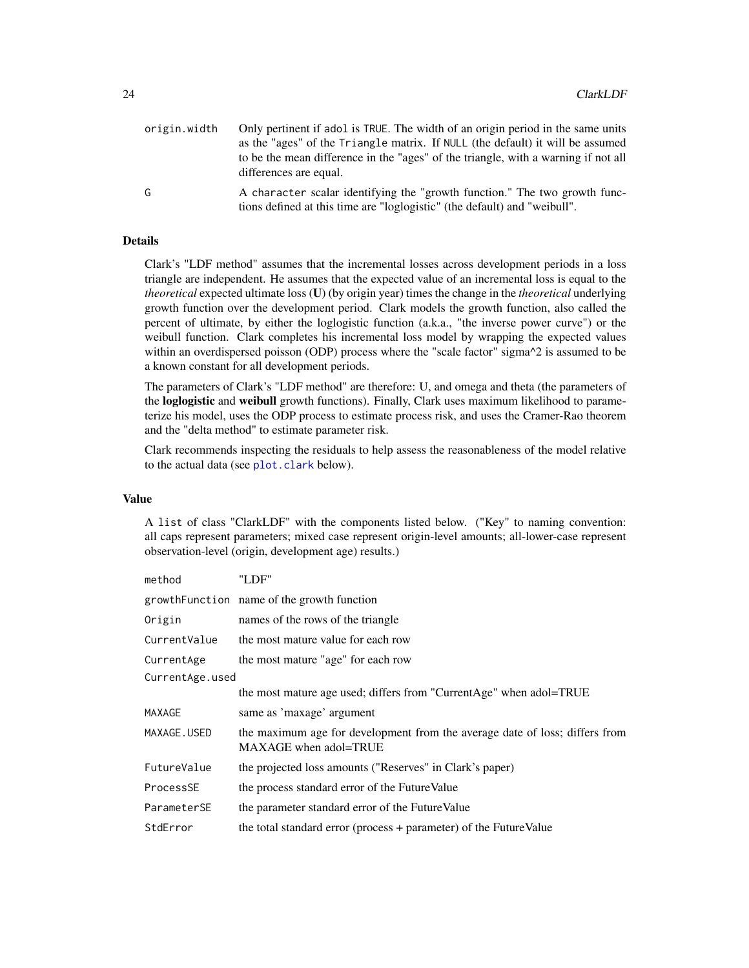| origin.width | Only pertinent if adol is TRUE. The width of an origin period in the same units                                                                         |
|--------------|---------------------------------------------------------------------------------------------------------------------------------------------------------|
|              | as the "ages" of the Triangle matrix. If NULL (the default) it will be assumed                                                                          |
|              | to be the mean difference in the "ages" of the triangle, with a warning if not all<br>differences are equal.                                            |
| G            | A character scalar identifying the "growth function." The two growth func-<br>tions defined at this time are "loglogistic" (the default) and "weibull". |

# Details

Clark's "LDF method" assumes that the incremental losses across development periods in a loss triangle are independent. He assumes that the expected value of an incremental loss is equal to the *theoretical* expected ultimate loss (U) (by origin year) times the change in the *theoretical* underlying growth function over the development period. Clark models the growth function, also called the percent of ultimate, by either the loglogistic function (a.k.a., "the inverse power curve") or the weibull function. Clark completes his incremental loss model by wrapping the expected values within an overdispersed poisson (ODP) process where the "scale factor" sigma<sup> $\wedge$ 2</sup> is assumed to be a known constant for all development periods.

The parameters of Clark's "LDF method" are therefore: U, and omega and theta (the parameters of the loglogistic and weibull growth functions). Finally, Clark uses maximum likelihood to parameterize his model, uses the ODP process to estimate process risk, and uses the Cramer-Rao theorem and the "delta method" to estimate parameter risk.

Clark recommends inspecting the residuals to help assess the reasonableness of the model relative to the actual data (see [plot.clark](#page-72-1) below).

# Value

A list of class "ClarkLDF" with the components listed below. ("Key" to naming convention: all caps represent parameters; mixed case represent origin-level amounts; all-lower-case represent observation-level (origin, development age) results.)

| method          | "LDF"                                                                                                |
|-----------------|------------------------------------------------------------------------------------------------------|
|                 | growth Function name of the growth function                                                          |
| Origin          | names of the rows of the triangle                                                                    |
| CurrentValue    | the most mature value for each row                                                                   |
| CurrentAge      | the most mature "age" for each row                                                                   |
| CurrentAge.used |                                                                                                      |
|                 | the most mature age used; differs from "CurrentAge" when adol=TRUE                                   |
| MAXAGE          | same as 'maxage' argument                                                                            |
| MAXAGE.USED     | the maximum age for development from the average date of loss; differs from<br>MAXAGE when adol=TRUE |
| FutureValue     | the projected loss amounts ("Reserves" in Clark's paper)                                             |
| ProcessSE       | the process standard error of the Future Value                                                       |
| ParameterSE     | the parameter standard error of the Future Value                                                     |
| StdError        | the total standard error (process + parameter) of the FutureValue                                    |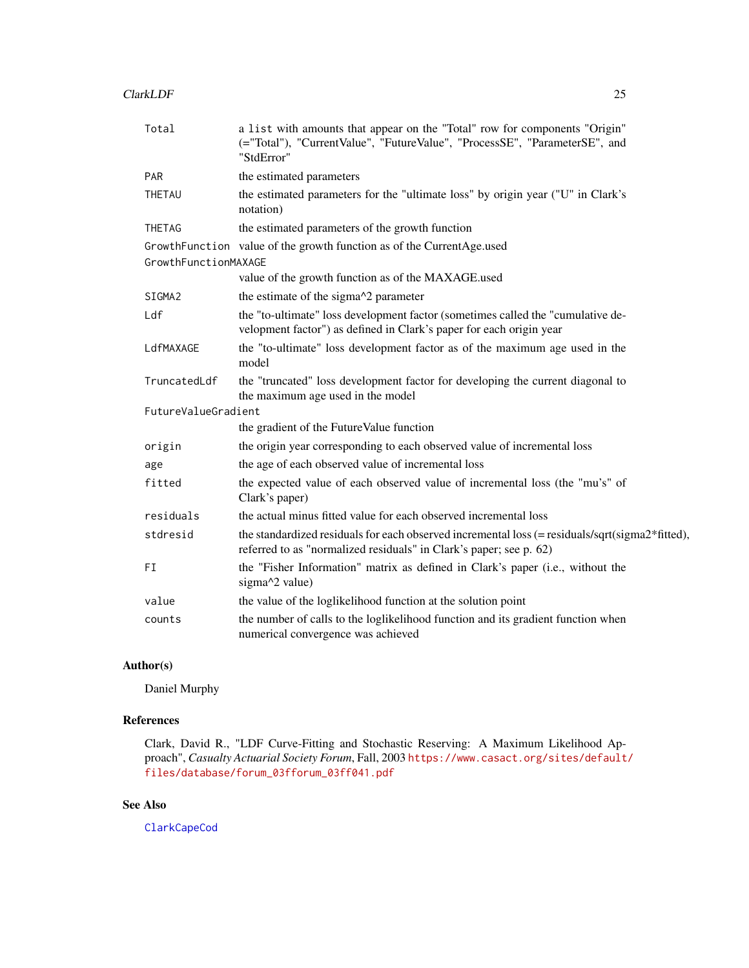| Total                | a list with amounts that appear on the "Total" row for components "Origin"<br>(="Total"), "CurrentValue", "FutureValue", "ProcessSE", "ParameterSE", and<br>"StdError" |
|----------------------|------------------------------------------------------------------------------------------------------------------------------------------------------------------------|
| <b>PAR</b>           | the estimated parameters                                                                                                                                               |
| THETAU               | the estimated parameters for the "ultimate loss" by origin year ("U" in Clark's<br>notation)                                                                           |
| <b>THETAG</b>        | the estimated parameters of the growth function                                                                                                                        |
|                      | GrowthFunction value of the growth function as of the CurrentAge.used                                                                                                  |
| GrowthFunctionMAXAGE |                                                                                                                                                                        |
|                      | value of the growth function as of the MAXAGE.used                                                                                                                     |
| SIGMA2               | the estimate of the sigma^2 parameter                                                                                                                                  |
| Ldf                  | the "to-ultimate" loss development factor (sometimes called the "cumulative de-<br>velopment factor") as defined in Clark's paper for each origin year                 |
| LdfMAXAGE            | the "to-ultimate" loss development factor as of the maximum age used in the<br>model                                                                                   |
| TruncatedLdf         | the "truncated" loss development factor for developing the current diagonal to<br>the maximum age used in the model                                                    |
| FutureValueGradient  |                                                                                                                                                                        |
|                      | the gradient of the FutureValue function                                                                                                                               |
| origin               | the origin year corresponding to each observed value of incremental loss                                                                                               |
| age                  | the age of each observed value of incremental loss                                                                                                                     |
| fitted               | the expected value of each observed value of incremental loss (the "mu's" of<br>Clark's paper)                                                                         |
| residuals            | the actual minus fitted value for each observed incremental loss                                                                                                       |
| stdresid             | the standardized residuals for each observed incremental loss (= residuals/sqrt(sigma2*fitted),<br>referred to as "normalized residuals" in Clark's paper; see p. 62)  |
| FI                   | the "Fisher Information" matrix as defined in Clark's paper (i.e., without the<br>sigma^2 value)                                                                       |
| value                | the value of the loglikelihood function at the solution point                                                                                                          |
| counts               | the number of calls to the loglikelihood function and its gradient function when<br>numerical convergence was achieved                                                 |

# Author(s)

Daniel Murphy

# References

Clark, David R., "LDF Curve-Fitting and Stochastic Reserving: A Maximum Likelihood Approach", *Casualty Actuarial Society Forum*, Fall, 2003 [https://www.casact.org/sites/default](https://www.casact.org/sites/default/files/database/forum_03fforum_03ff041.pdf)/ [files/database/forum\\_03fforum\\_03ff041.pdf](https://www.casact.org/sites/default/files/database/forum_03fforum_03ff041.pdf)

# See Also

[ClarkCapeCod](#page-18-1)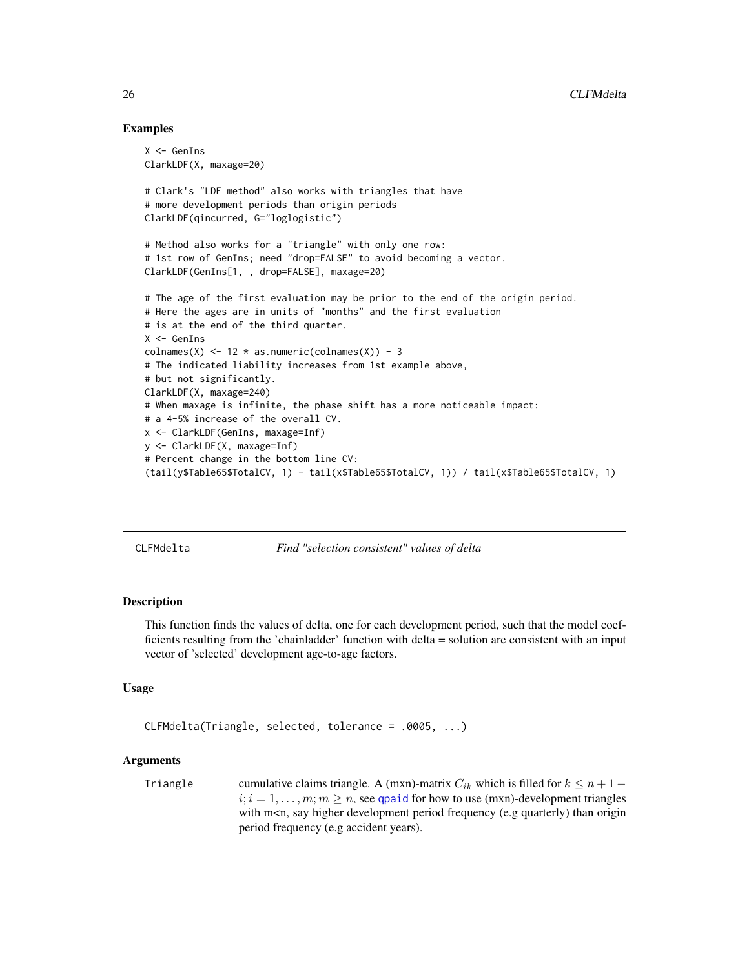# Examples

```
X <- GenIns
ClarkLDF(X, maxage=20)
# Clark's "LDF method" also works with triangles that have
# more development periods than origin periods
ClarkLDF(qincurred, G="loglogistic")
# Method also works for a "triangle" with only one row:
# 1st row of GenIns; need "drop=FALSE" to avoid becoming a vector.
ClarkLDF(GenIns[1, , drop=FALSE], maxage=20)
# The age of the first evaluation may be prior to the end of the origin period.
# Here the ages are in units of "months" and the first evaluation
# is at the end of the third quarter.
X <- GenIns
colnames(X) \leq -12 \times \text{as.numeric}(\text{columns}(X)) - 3# The indicated liability increases from 1st example above,
# but not significantly.
ClarkLDF(X, maxage=240)
# When maxage is infinite, the phase shift has a more noticeable impact:
# a 4-5% increase of the overall CV.
x <- ClarkLDF(GenIns, maxage=Inf)
y <- ClarkLDF(X, maxage=Inf)
# Percent change in the bottom line CV:
(tail(y$Table65$TotalCV, 1) - tail(x$Table65$TotalCV, 1)) / tail(x$Table65$TotalCV, 1)
```
CLFMdelta *Find "selection consistent" values of delta*

### Description

This function finds the values of delta, one for each development period, such that the model coefficients resulting from the 'chainladder' function with delta = solution are consistent with an input vector of 'selected' development age-to-age factors.

# Usage

```
CLFMdelta(Triangle, selected, tolerance = .0005, ...)
```
# Arguments

Triangle cumulative claims triangle. A (mxn)-matrix  $C_{ik}$  which is filled for  $k \leq n+1$  –  $i; i = 1, \ldots, m; m \ge n$ , see [qpaid](#page-84-1) for how to use (mxn)-development triangles with m<n, say higher development period frequency (e.g quarterly) than origin period frequency (e.g accident years).

<span id="page-25-0"></span>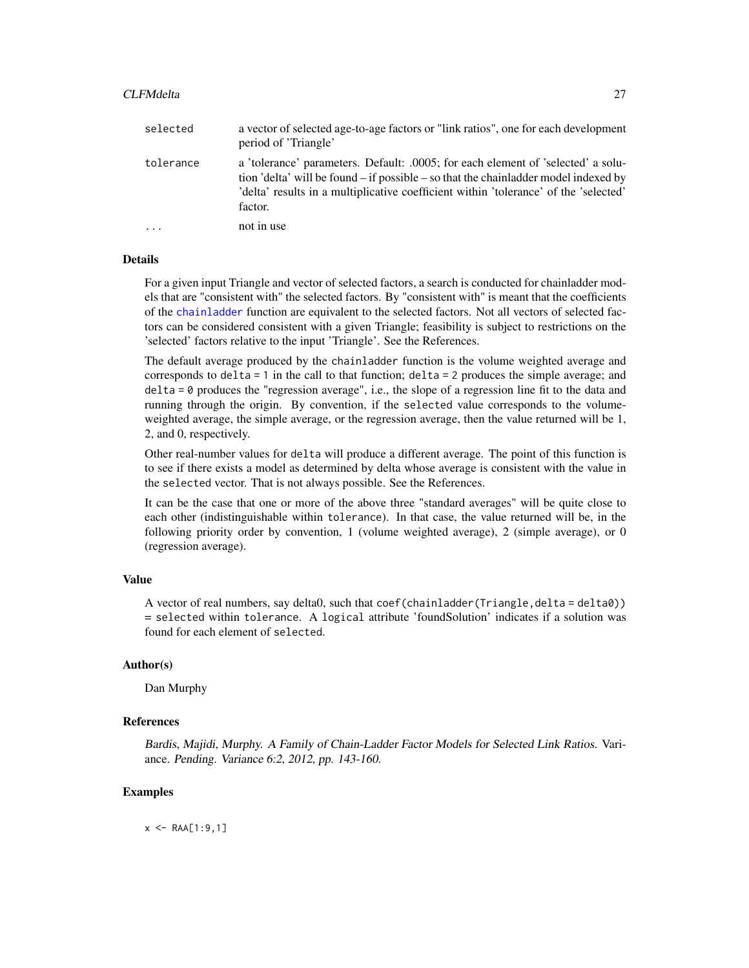### CLFMdelta 27

| selected  | a vector of selected age-to-age factors or "link ratios", one for each development<br>period of 'Triangle'                                                                                                                                                                            |
|-----------|---------------------------------------------------------------------------------------------------------------------------------------------------------------------------------------------------------------------------------------------------------------------------------------|
| tolerance | a 'tolerance' parameters. Default: .0005; for each element of 'selected' a solu-<br>tion 'delta' will be found $-$ if possible $-$ so that the chain and $\alpha$ model indexed by<br>'delta' results in a multiplicative coefficient within 'tolerance' of the 'selected'<br>factor. |
| $\cdots$  | not in use                                                                                                                                                                                                                                                                            |

### **Details**

For a given input Triangle and vector of selected factors, a search is conducted for chainladder models that are "consistent with" the selected factors. By "consistent with" is meant that the coefficients of the [chainladder](#page-14-1) function are equivalent to the selected factors. Not all vectors of selected factors can be considered consistent with a given Triangle; feasibility is subject to restrictions on the 'selected' factors relative to the input 'Triangle'. See the References.

The default average produced by the chainladder function is the volume weighted average and corresponds to delta = 1 in the call to that function; delta = 2 produces the simple average; and delta = 0 produces the "regression average", i.e., the slope of a regression line fit to the data and running through the origin. By convention, if the selected value corresponds to the volumeweighted average, the simple average, or the regression average, then the value returned will be 1, 2, and 0, respectively.

Other real-number values for delta will produce a different average. The point of this function is to see if there exists a model as determined by delta whose average is consistent with the value in the selected vector. That is not always possible. See the References.

It can be the case that one or more of the above three "standard averages" will be quite close to each other (indistinguishable within tolerance). In that case, the value returned will be, in the following priority order by convention, 1 (volume weighted average), 2 (simple average), or 0 (regression average).

### Value

A vector of real numbers, say delta0, such that  $\text{coef}(\text{chainladder}(Triangle, delta = delta0))$ = selected within tolerance. A logical attribute 'foundSolution' indicates if a solution was found for each element of selected.

# Author(s)

Dan Murphy

# References

Bardis, Majidi, Murphy. A Family of Chain-Ladder Factor Models for Selected Link Ratios. Variance. Pending. Variance 6:2, 2012, pp. 143-160.

# Examples

 $x$  <- RAA[1:9,1]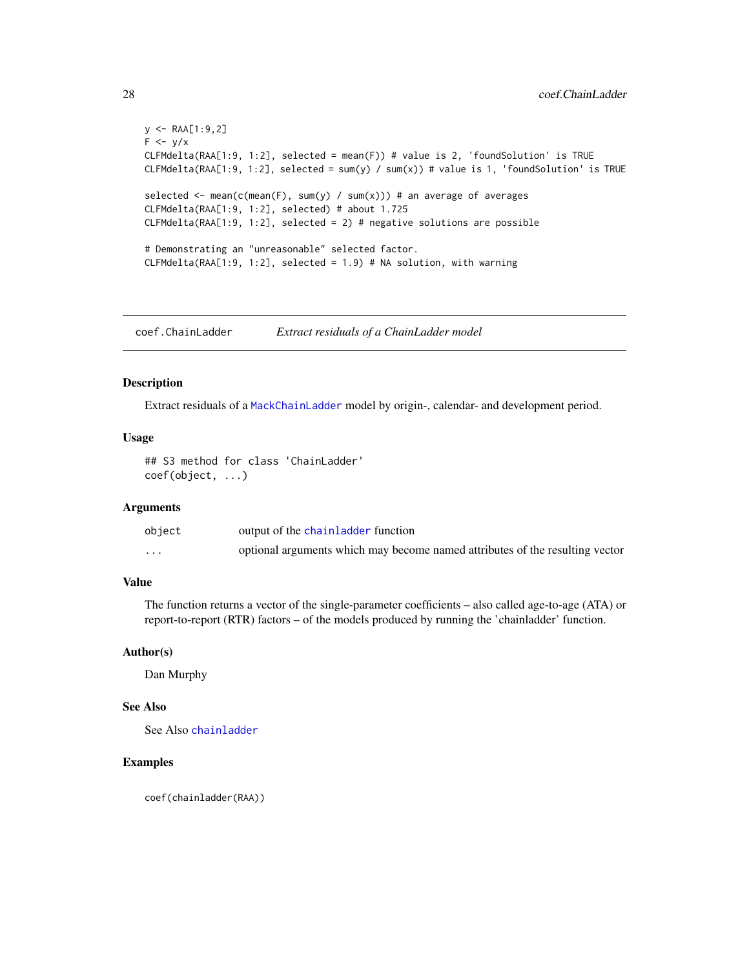```
y \leq - RAA[1:9,2]
F \leftarrow y/xCLFMdelta(RAA[1:9, 1:2], selected = mean(F)) # value is 2, 'foundSolution' is TRUE
CLFMdelta(RAA[1:9, 1:2], selected = sum(y) / sum(x)) # value is 1, 'found solution' is TRUEselected \le mean(c(mean(F), sum(y) / sum(x))) # an average of averages
CLFMdelta(RAA[1:9, 1:2], selected) # about 1.725
CLFMdelta(RAA[1:9, 1:2], selected = 2) # negative solutions are possible
# Demonstrating an "unreasonable" selected factor.
CLFMdelta(RAA[1:9, 1:2], selected = 1.9) # NA solution, with warning
```
coef.ChainLadder *Extract residuals of a ChainLadder model*

# Description

Extract residuals of a [MackChainLadder](#page-44-1) model by origin-, calendar- and development period.

### Usage

```
## S3 method for class 'ChainLadder'
coef(object, ...)
```
# Arguments

| object   | output of the chainladder function                                           |
|----------|------------------------------------------------------------------------------|
| $\cdots$ | optional arguments which may become named attributes of the resulting vector |

# Value

The function returns a vector of the single-parameter coefficients – also called age-to-age (ATA) or report-to-report (RTR) factors – of the models produced by running the 'chainladder' function.

# Author(s)

Dan Murphy

# See Also

See Also [chainladder](#page-14-1)

# Examples

coef(chainladder(RAA))

<span id="page-27-0"></span>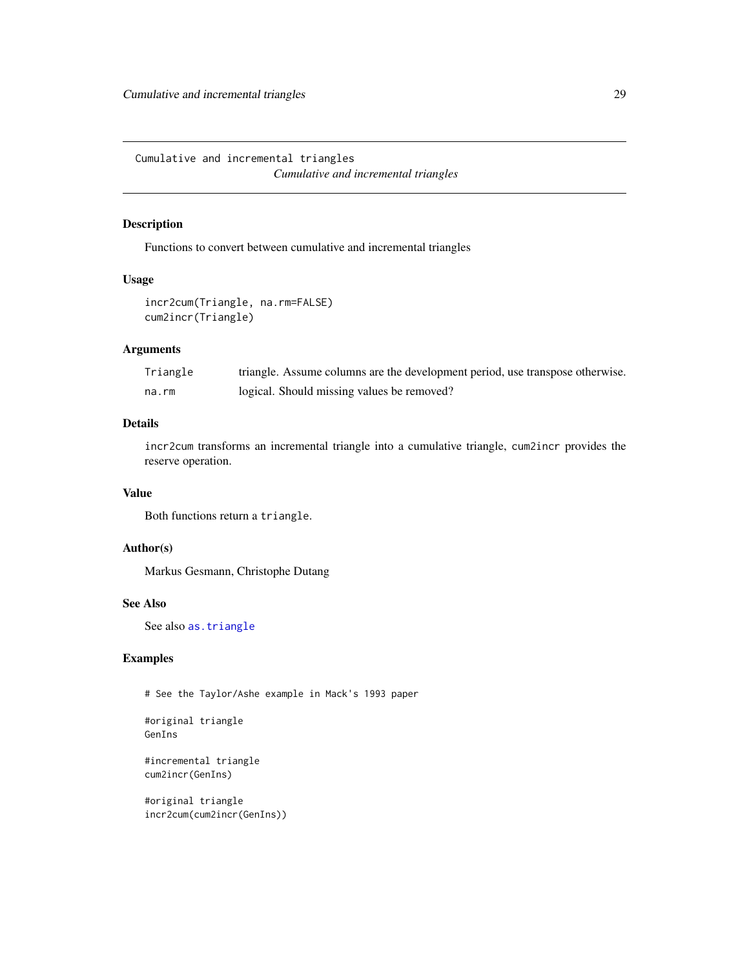<span id="page-28-0"></span>Cumulative and incremental triangles *Cumulative and incremental triangles*

# Description

Functions to convert between cumulative and incremental triangles

# Usage

```
incr2cum(Triangle, na.rm=FALSE)
cum2incr(Triangle)
```
# Arguments

| Triangle | triangle. Assume columns are the development period, use transpose otherwise. |
|----------|-------------------------------------------------------------------------------|
| na.rm    | logical. Should missing values be removed?                                    |

# Details

incr2cum transforms an incremental triangle into a cumulative triangle, cum2incr provides the reserve operation.

### Value

Both functions return a triangle.

# Author(s)

Markus Gesmann, Christophe Dutang

# See Also

See also [as.triangle](#page-101-1)

# Examples

# See the Taylor/Ashe example in Mack's 1993 paper

#original triangle GenIns

#incremental triangle cum2incr(GenIns)

#original triangle incr2cum(cum2incr(GenIns))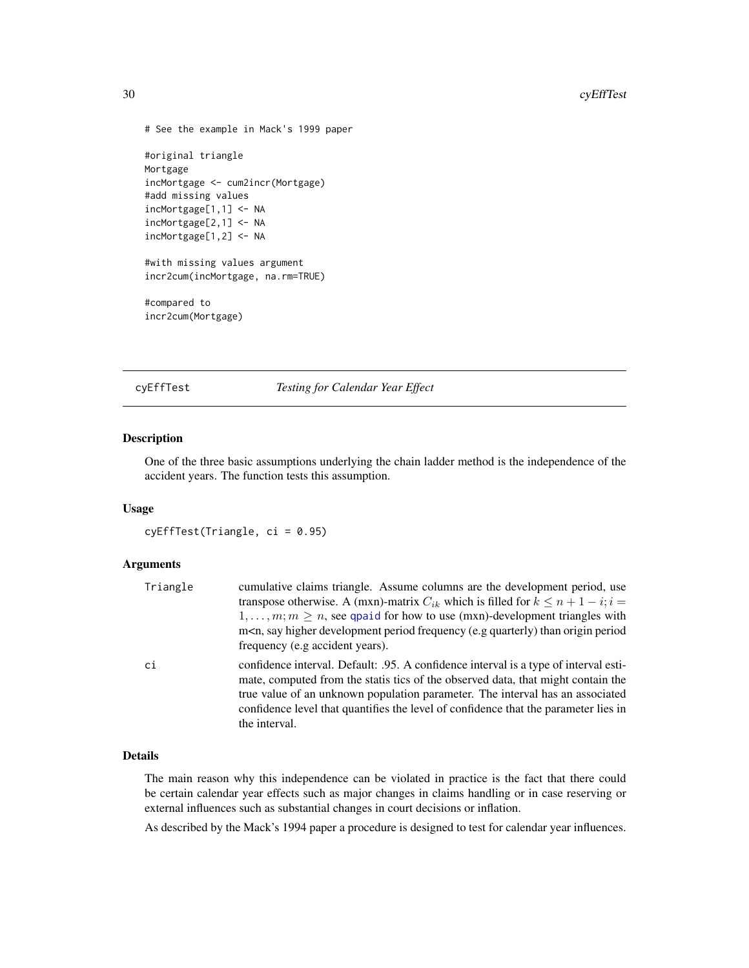```
# See the example in Mack's 1999 paper
#original triangle
Mortgage
incMortgage <- cum2incr(Mortgage)
#add missing values
incMortgage[1,1] <- NA
incMortgage[2,1] <- NA
incMortgage[1,2] <- NA
#with missing values argument
incr2cum(incMortgage, na.rm=TRUE)
#compared to
incr2cum(Mortgage)
```
<span id="page-29-1"></span>cyEffTest *Testing for Calendar Year Effect*

### Description

One of the three basic assumptions underlying the chain ladder method is the independence of the accident years. The function tests this assumption.

### Usage

cyEffTest(Triangle, ci = 0.95)

# Arguments

| Triangle | cumulative claims triangle. Assume columns are the development period, use<br>transpose otherwise. A (mxn)-matrix $C_{ik}$ which is filled for $k \le n + 1 - i$ ; $i =$<br>$1, \ldots, m; m \geq n$ , see qpaid for how to use (mxn)-development triangles with<br>m <n, (e.g="" development="" frequency="" higher="" origin="" period="" period<br="" quarterly)="" say="" than="">frequency (e.g accident years).</n,> |
|----------|----------------------------------------------------------------------------------------------------------------------------------------------------------------------------------------------------------------------------------------------------------------------------------------------------------------------------------------------------------------------------------------------------------------------------|
| сi       | confidence interval. Default: 0.95. A confidence interval is a type of interval esti-<br>mate, computed from the statis tics of the observed data, that might contain the<br>true value of an unknown population parameter. The interval has an associated<br>confidence level that quantifies the level of confidence that the parameter lies in<br>the interval.                                                         |

# Details

The main reason why this independence can be violated in practice is the fact that there could be certain calendar year effects such as major changes in claims handling or in case reserving or external influences such as substantial changes in court decisions or inflation.

As described by the Mack's 1994 paper a procedure is designed to test for calendar year influences.

<span id="page-29-0"></span>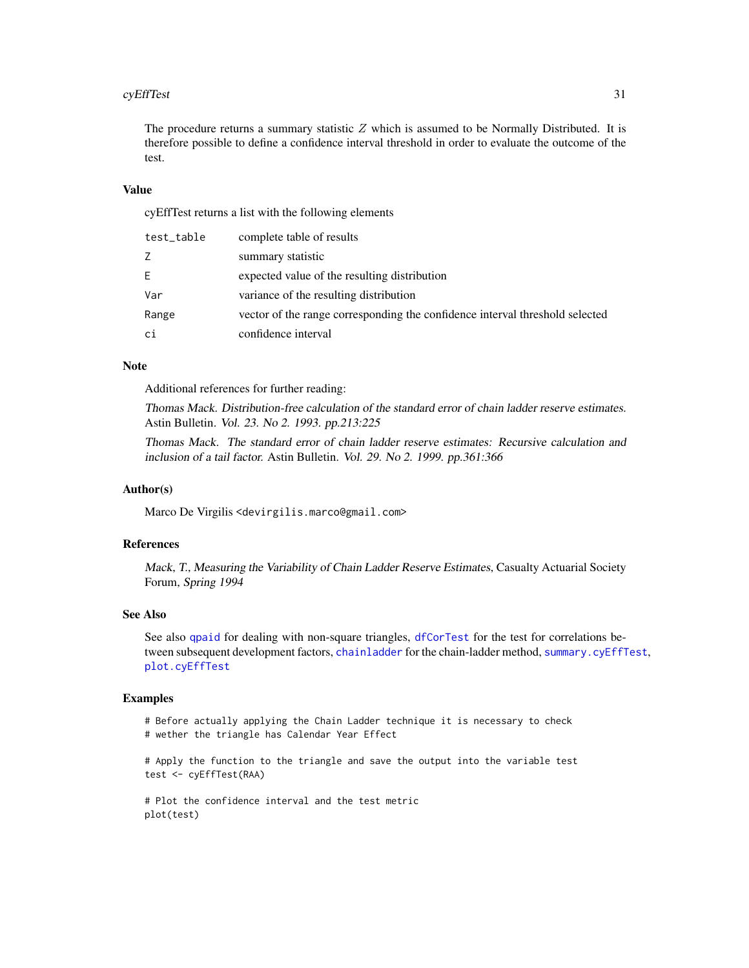### cyEffTest 31

The procedure returns a summary statistic  $Z$  which is assumed to be Normally Distributed. It is therefore possible to define a confidence interval threshold in order to evaluate the outcome of the test.

## Value

cyEffTest returns a list with the following elements

| test_table | complete table of results                                                    |
|------------|------------------------------------------------------------------------------|
|            | summary statistic                                                            |
| E.         | expected value of the resulting distribution                                 |
| Var        | variance of the resulting distribution                                       |
| Range      | vector of the range corresponding the confidence interval threshold selected |
| сi         | confidence interval                                                          |

### Note

Additional references for further reading:

Thomas Mack. Distribution-free calculation of the standard error of chain ladder reserve estimates. Astin Bulletin. Vol. 23. No 2. 1993. pp.213:225

Thomas Mack. The standard error of chain ladder reserve estimates: Recursive calculation and inclusion of a tail factor. Astin Bulletin. Vol. 29. No 2. 1999. pp.361:366

# Author(s)

Marco De Virgilis <devirgilis.marco@gmail.com>

# References

Mack, T., Measuring the Variability of Chain Ladder Reserve Estimates, Casualty Actuarial Society Forum, Spring 1994

### See Also

See also [qpaid](#page-84-1) for dealing with non-square triangles, [dfCorTest](#page-31-1) for the test for correlations between subsequent development factors, [chainladder](#page-14-1) for the chain-ladder method, [summary.cyEffTest](#page-96-1), [plot.cyEffTest](#page-73-1)

# Examples

# Before actually applying the Chain Ladder technique it is necessary to check # wether the triangle has Calendar Year Effect

# Apply the function to the triangle and save the output into the variable test test <- cyEffTest(RAA)

# Plot the confidence interval and the test metric plot(test)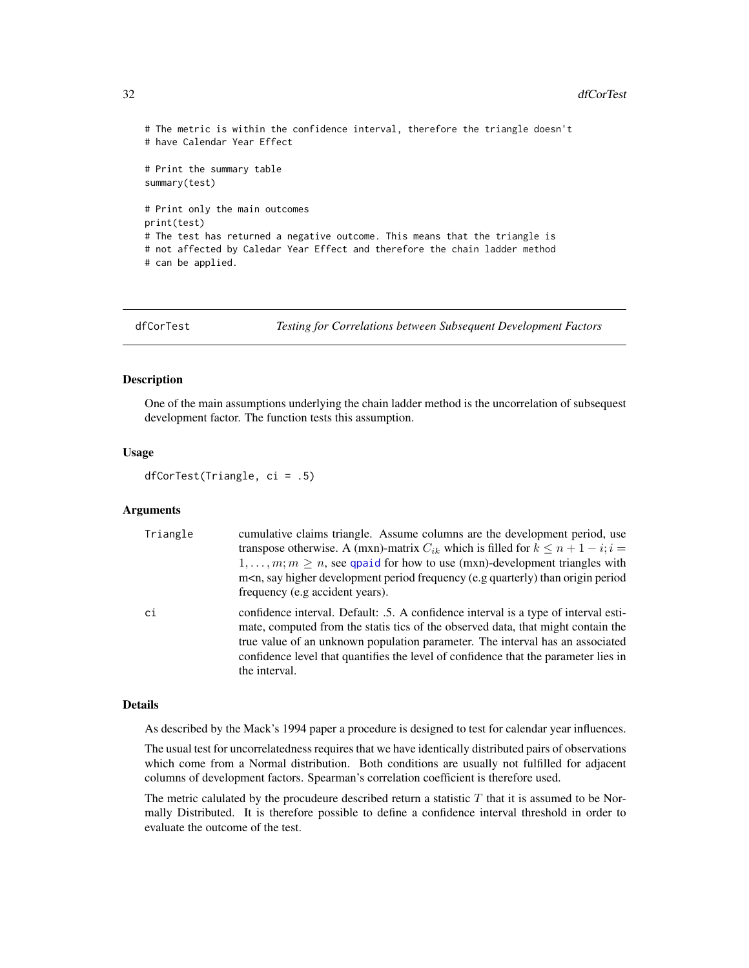```
# The metric is within the confidence interval, therefore the triangle doesn't
# have Calendar Year Effect
# Print the summary table
summary(test)
# Print only the main outcomes
print(test)
# The test has returned a negative outcome. This means that the triangle is
# not affected by Caledar Year Effect and therefore the chain ladder method
# can be applied.
```
<span id="page-31-1"></span>dfCorTest *Testing for Correlations between Subsequent Development Factors*

## Description

One of the main assumptions underlying the chain ladder method is the uncorrelation of subsequest development factor. The function tests this assumption.

### Usage

```
dfCorTest(Triangle, ci = .5)
```
# Arguments

| Triangle | cumulative claims triangle. Assume columns are the development period, use<br>transpose otherwise. A (mxn)-matrix $C_{ik}$ which is filled for $k \leq n+1-i$ ; $i =$<br>$1, \ldots, m; m \ge n$ , see quaid for how to use (mxn)-development triangles with<br>m <n, (e.g="" development="" frequency="" higher="" origin="" period="" period<br="" quarterly)="" say="" than="">frequency (e.g accident years).</n,> |
|----------|------------------------------------------------------------------------------------------------------------------------------------------------------------------------------------------------------------------------------------------------------------------------------------------------------------------------------------------------------------------------------------------------------------------------|
| ci       | confidence interval. Default: .5. A confidence interval is a type of interval esti-<br>mate, computed from the statis tics of the observed data, that might contain the<br>true value of an unknown population parameter. The interval has an associated<br>confidence level that quantifies the level of confidence that the parameter lies in<br>the interval.                                                       |

# Details

As described by the Mack's 1994 paper a procedure is designed to test for calendar year influences.

The usual test for uncorrelatedness requires that we have identically distributed pairs of observations which come from a Normal distribution. Both conditions are usually not fulfilled for adjacent columns of development factors. Spearman's correlation coefficient is therefore used.

The metric calulated by the procudeure described return a statistic  $T$  that it is assumed to be Normally Distributed. It is therefore possible to define a confidence interval threshold in order to evaluate the outcome of the test.

<span id="page-31-0"></span>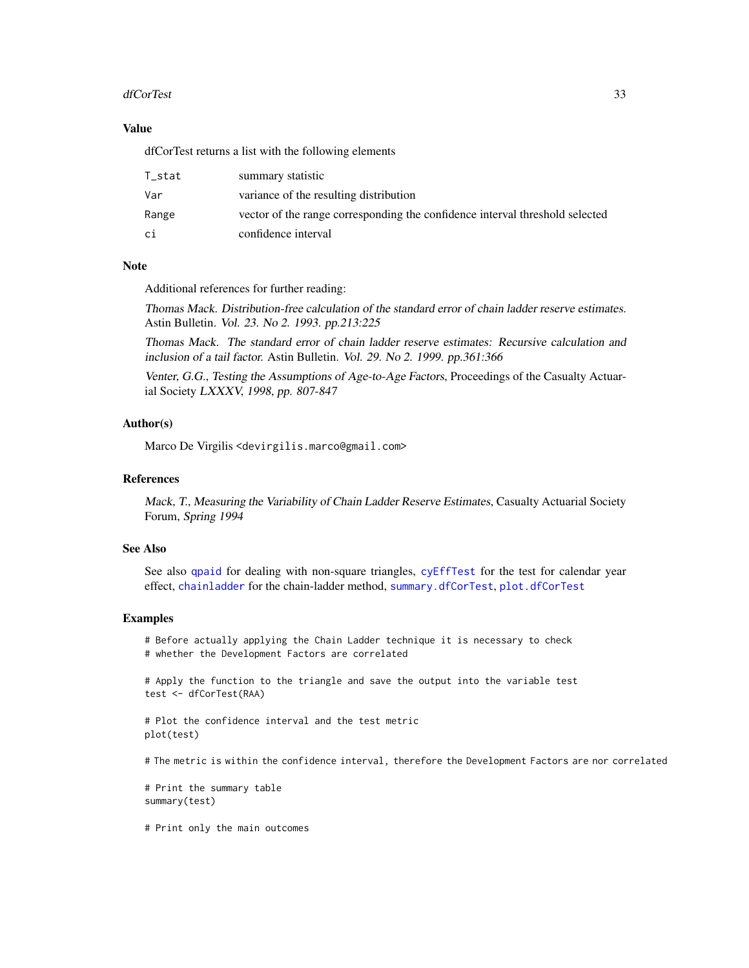# dfCorTest 33

# Value

dfCorTest returns a list with the following elements

| T_stat | summary statistic                                                            |
|--------|------------------------------------------------------------------------------|
| Var    | variance of the resulting distribution                                       |
| Range  | vector of the range corresponding the confidence interval threshold selected |
| сi     | confidence interval                                                          |

# Note

Additional references for further reading:

Thomas Mack. Distribution-free calculation of the standard error of chain ladder reserve estimates. Astin Bulletin. Vol. 23. No 2. 1993. pp.213:225

Thomas Mack. The standard error of chain ladder reserve estimates: Recursive calculation and inclusion of a tail factor. Astin Bulletin. Vol. 29. No 2. 1999. pp.361:366

Venter, G.G., Testing the Assumptions of Age-to-Age Factors, Proceedings of the Casualty Actuarial Society LXXXV, 1998, pp. 807-847

# Author(s)

Marco De Virgilis <devirgilis.marco@gmail.com>

# References

Mack, T., Measuring the Variability of Chain Ladder Reserve Estimates, Casualty Actuarial Society Forum, Spring 1994

# See Also

See also [qpaid](#page-84-1) for dealing with non-square triangles, [cyEffTest](#page-29-1) for the test for calendar year effect, [chainladder](#page-14-1) for the chain-ladder method, [summary.dfCorTest](#page-97-1), [plot.dfCorTest](#page-74-1)

### Examples

# Before actually applying the Chain Ladder technique it is necessary to check # whether the Development Factors are correlated

# Apply the function to the triangle and save the output into the variable test test <- dfCorTest(RAA)

# Plot the confidence interval and the test metric plot(test)

# The metric is within the confidence interval, therefore the Development Factors are nor correlated

# Print the summary table summary(test)

# Print only the main outcomes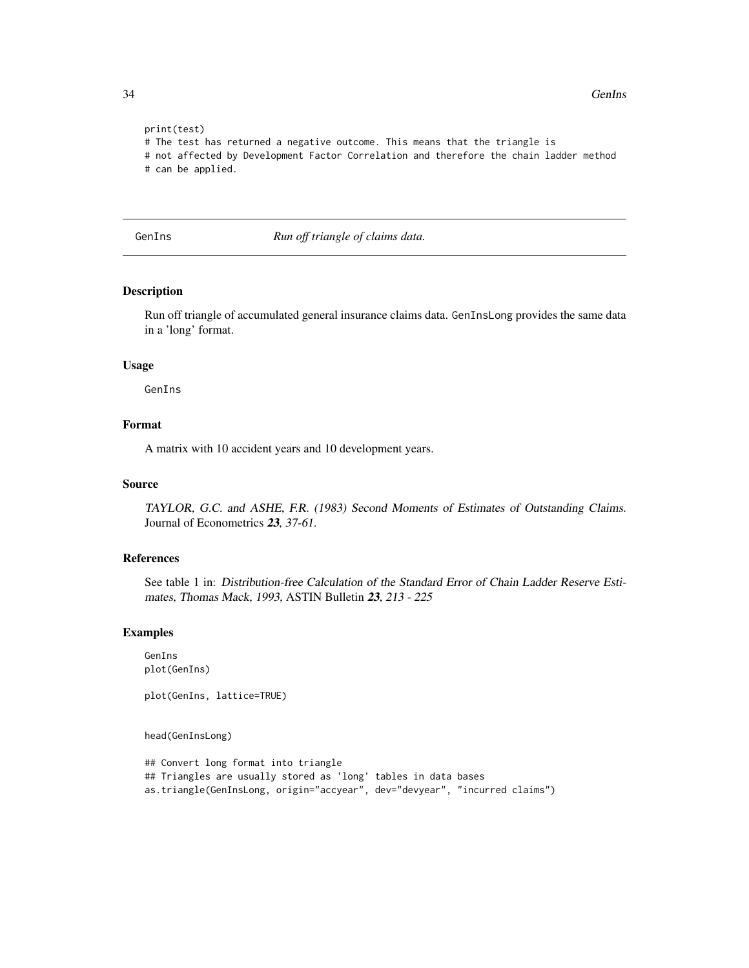```
print(test)
# The test has returned a negative outcome. This means that the triangle is
# not affected by Development Factor Correlation and therefore the chain ladder method
# can be applied.
```
GenIns *Run off triangle of claims data.*

# Description

Run off triangle of accumulated general insurance claims data. GenInsLong provides the same data in a 'long' format.

### Usage

GenIns

# Format

A matrix with 10 accident years and 10 development years.

# Source

TAYLOR, G.C. and ASHE, F.R. (1983) Second Moments of Estimates of Outstanding Claims. Journal of Econometrics 23, 37-61.

# References

See table 1 in: Distribution-free Calculation of the Standard Error of Chain Ladder Reserve Estimates, Thomas Mack, 1993, ASTIN Bulletin 23, 213 - 225

# Examples

GenIns plot(GenIns)

plot(GenIns, lattice=TRUE)

head(GenInsLong)

```
## Convert long format into triangle
## Triangles are usually stored as 'long' tables in data bases
as.triangle(GenInsLong, origin="accyear", dev="devyear", "incurred claims")
```
<span id="page-33-0"></span>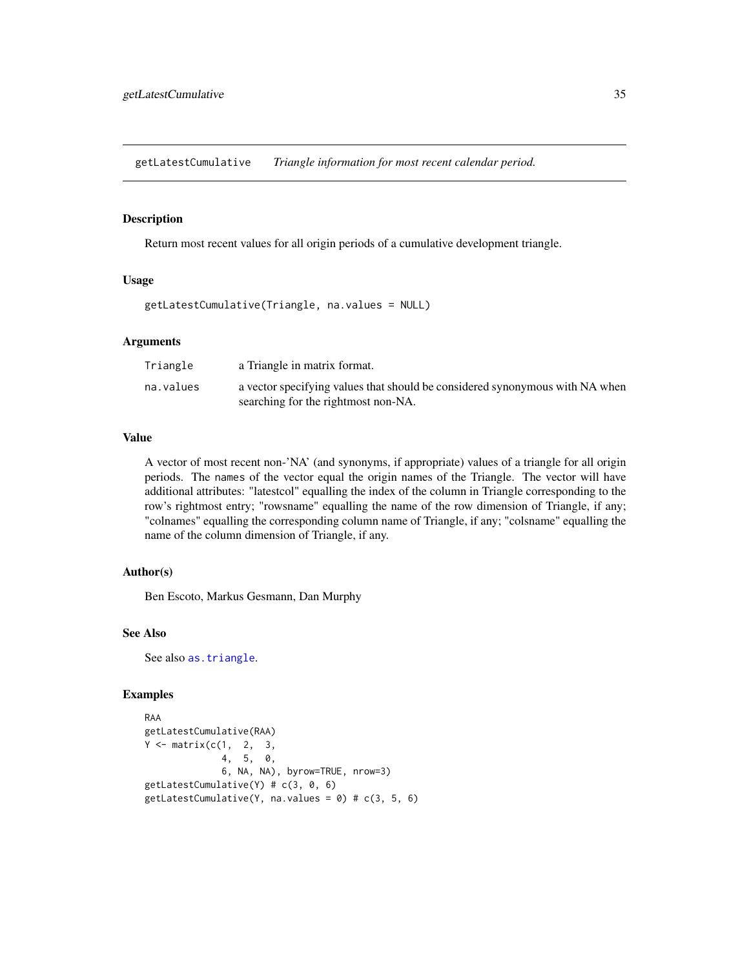<span id="page-34-0"></span>getLatestCumulative *Triangle information for most recent calendar period.*

# Description

Return most recent values for all origin periods of a cumulative development triangle.

# Usage

```
getLatestCumulative(Triangle, na.values = NULL)
```
## Arguments

| Triangle  | a Triangle in matrix format.                                                                                        |
|-----------|---------------------------------------------------------------------------------------------------------------------|
| na.values | a vector specifying values that should be considered synonymous with NA when<br>searching for the rightmost non-NA. |

### Value

A vector of most recent non-'NA' (and synonyms, if appropriate) values of a triangle for all origin periods. The names of the vector equal the origin names of the Triangle. The vector will have additional attributes: "latestcol" equalling the index of the column in Triangle corresponding to the row's rightmost entry; "rowsname" equalling the name of the row dimension of Triangle, if any; "colnames" equalling the corresponding column name of Triangle, if any; "colsname" equalling the name of the column dimension of Triangle, if any.

# Author(s)

Ben Escoto, Markus Gesmann, Dan Murphy

# See Also

See also [as.triangle](#page-101-1).

# Examples

```
RAA
getLatestCumulative(RAA)
Y \leftarrow matrix(c(1, 2, 3,4, 5, 0,
              6, NA, NA), byrow=TRUE, nrow=3)
getLatestCumulative(Y) # c(3, 0, 6)
getLatestCumulative(Y, na.values = 0) # c(3, 5, 6)
```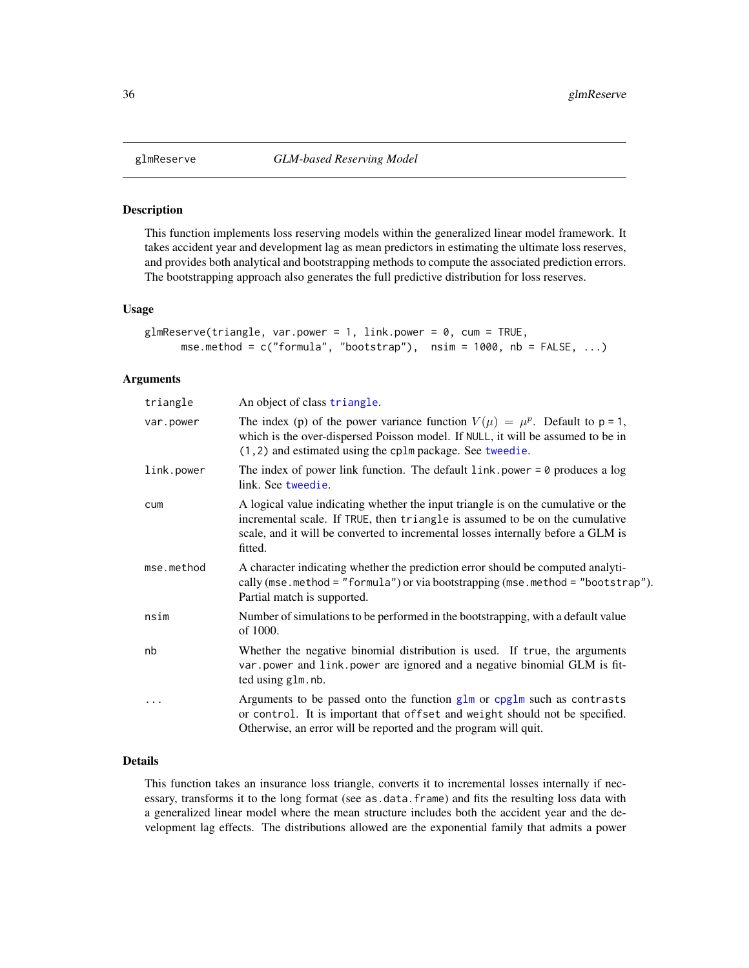<span id="page-35-0"></span>

### Description

This function implements loss reserving models within the generalized linear model framework. It takes accident year and development lag as mean predictors in estimating the ultimate loss reserves, and provides both analytical and bootstrapping methods to compute the associated prediction errors. The bootstrapping approach also generates the full predictive distribution for loss reserves.

### Usage

```
glmReserve(triangle, var.power = 1, link.power = 0, cum = TRUE,
     mse.method = c("formula", "bootstrap"), nsim = 1000, nb = FALSE, ...)
```
### Arguments

| triangle   | An object of class triangle.                                                                                                                                                                                                                                     |
|------------|------------------------------------------------------------------------------------------------------------------------------------------------------------------------------------------------------------------------------------------------------------------|
| var.power  | The index (p) of the power variance function $V(\mu) = \mu^p$ . Default to p = 1,<br>which is the over-dispersed Poisson model. If NULL, it will be assumed to be in<br>$(1, 2)$ and estimated using the cplm package. See tweedie.                              |
| link.power | The index of power link function. The default $link$ , power = 0 produces a log<br>link. See tweedie.                                                                                                                                                            |
| cum        | A logical value indicating whether the input triangle is on the cumulative or the<br>incremental scale. If TRUE, then triangle is assumed to be on the cumulative<br>scale, and it will be converted to incremental losses internally before a GLM is<br>fitted. |
| mse.method | A character indicating whether the prediction error should be computed analyti-<br>cally (mse.method = "formula") or via bootstrapping (mse.method = "bootstrap").<br>Partial match is supported.                                                                |
| nsim       | Number of simulations to be performed in the bootstrapping, with a default value<br>of 1000.                                                                                                                                                                     |
| nb         | Whether the negative binomial distribution is used. If true, the arguments<br>var power and link power are ignored and a negative binomial GLM is fit-<br>ted using glm.nb.                                                                                      |
| .          | Arguments to be passed onto the function $g \ln$ or cpglm such as contrasts<br>or control. It is important that offset and weight should not be specified.<br>Otherwise, an error will be reported and the program will quit.                                    |

# Details

This function takes an insurance loss triangle, converts it to incremental losses internally if necessary, transforms it to the long format (see as.data.frame) and fits the resulting loss data with a generalized linear model where the mean structure includes both the accident year and the development lag effects. The distributions allowed are the exponential family that admits a power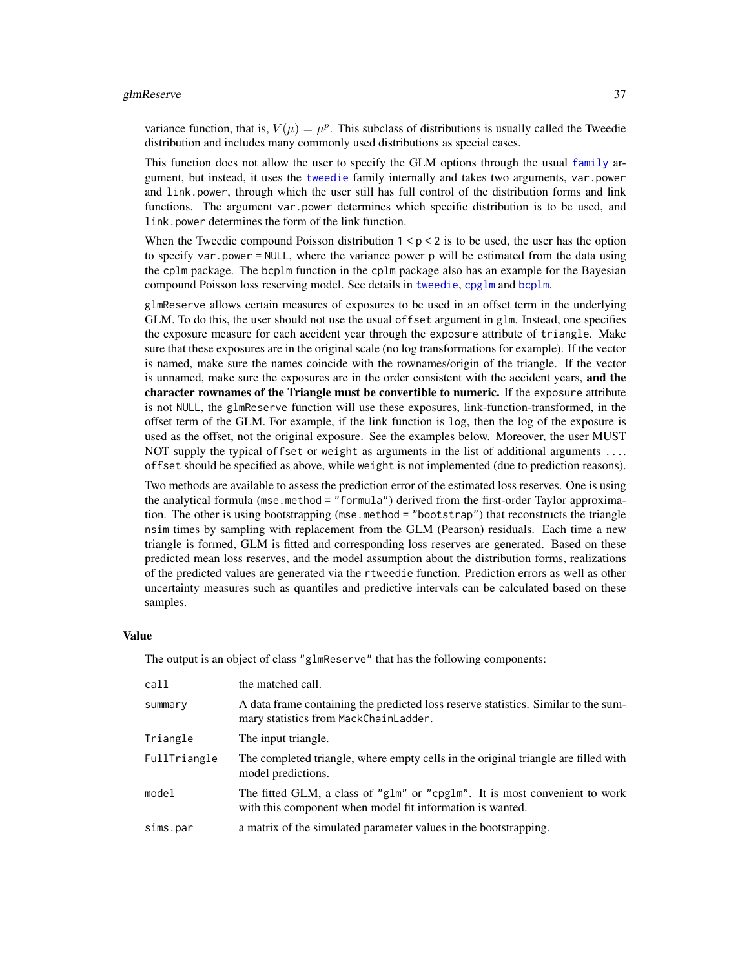variance function, that is,  $V(\mu) = \mu^p$ . This subclass of distributions is usually called the Tweedie distribution and includes many commonly used distributions as special cases.

This function does not allow the user to specify the GLM options through the usual [family](#page-0-0) argument, but instead, it uses the [tweedie](#page-0-0) family internally and takes two arguments, var.power and link.power, through which the user still has full control of the distribution forms and link functions. The argument var.power determines which specific distribution is to be used, and link.power determines the form of the link function.

When the Tweedie compound Poisson distribution  $1 < p < 2$  is to be used, the user has the option to specify var.power = NULL, where the variance power p will be estimated from the data using the cplm package. The bcplm function in the cplm package also has an example for the Bayesian compound Poisson loss reserving model. See details in [tweedie](#page-0-0), [cpglm](#page-0-0) and [bcplm](#page-0-0).

glmReserve allows certain measures of exposures to be used in an offset term in the underlying GLM. To do this, the user should not use the usual offset argument in glm. Instead, one specifies the exposure measure for each accident year through the exposure attribute of triangle. Make sure that these exposures are in the original scale (no log transformations for example). If the vector is named, make sure the names coincide with the rownames/origin of the triangle. If the vector is unnamed, make sure the exposures are in the order consistent with the accident years, and the character rownames of the Triangle must be convertible to numeric. If the exposure attribute is not NULL, the glmReserve function will use these exposures, link-function-transformed, in the offset term of the GLM. For example, if the link function is log, then the log of the exposure is used as the offset, not the original exposure. See the examples below. Moreover, the user MUST NOT supply the typical offset or weight as arguments in the list of additional arguments .... offset should be specified as above, while weight is not implemented (due to prediction reasons).

Two methods are available to assess the prediction error of the estimated loss reserves. One is using the analytical formula (mse.method = "formula") derived from the first-order Taylor approximation. The other is using bootstrapping (mse.method = "bootstrap") that reconstructs the triangle nsim times by sampling with replacement from the GLM (Pearson) residuals. Each time a new triangle is formed, GLM is fitted and corresponding loss reserves are generated. Based on these predicted mean loss reserves, and the model assumption about the distribution forms, realizations of the predicted values are generated via the rtweedie function. Prediction errors as well as other uncertainty measures such as quantiles and predictive intervals can be calculated based on these samples.

#### Value

The output is an object of class "glmReserve" that has the following components:

| call         | the matched call.                                                                                                                       |
|--------------|-----------------------------------------------------------------------------------------------------------------------------------------|
| summary      | A data frame containing the predicted loss reserve statistics. Similar to the sum-<br>mary statistics from MackChainLadder.             |
| Triangle     | The input triangle.                                                                                                                     |
| FullTriangle | The completed triangle, where empty cells in the original triangle are filled with<br>model predictions.                                |
| model        | The fitted GLM, a class of "glm" or "cpglm". It is most convenient to work<br>with this component when model fit information is wanted. |
| sims.par     | a matrix of the simulated parameter values in the bootstrapping.                                                                        |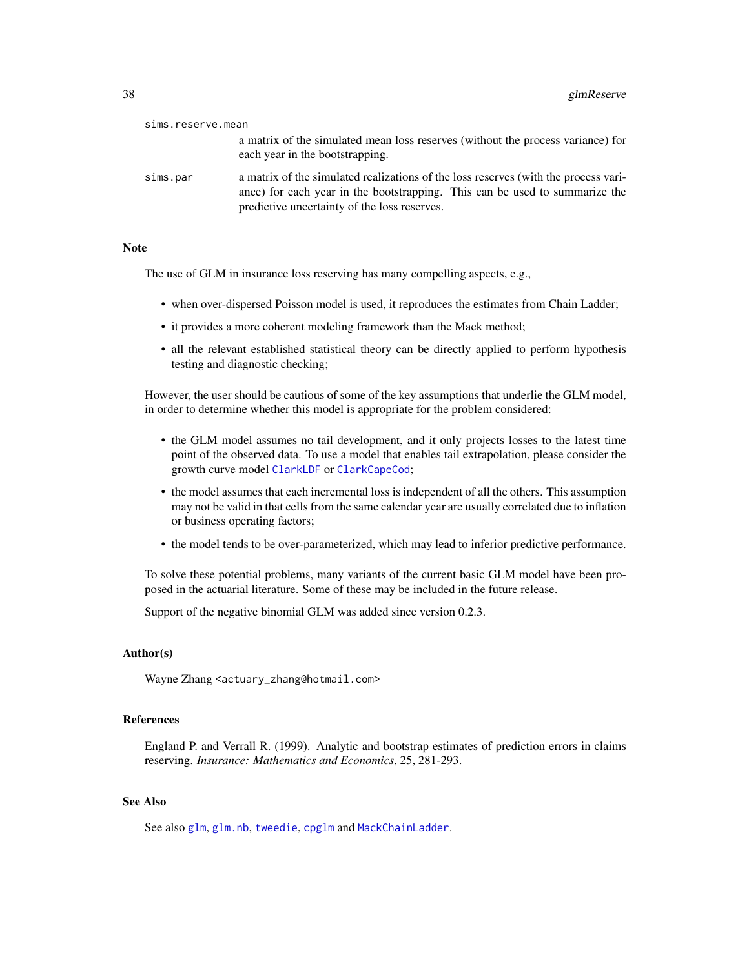| sims.reserve.mean |                                                                                                                                                                                                                    |
|-------------------|--------------------------------------------------------------------------------------------------------------------------------------------------------------------------------------------------------------------|
|                   | a matrix of the simulated mean loss reserves (without the process variance) for<br>each year in the bootstrapping.                                                                                                 |
| sims.par          | a matrix of the simulated realizations of the loss reserves (with the process vari-<br>ance) for each year in the bootstrapping. This can be used to summarize the<br>predictive uncertainty of the loss reserves. |

#### Note

The use of GLM in insurance loss reserving has many compelling aspects, e.g.,

- when over-dispersed Poisson model is used, it reproduces the estimates from Chain Ladder;
- it provides a more coherent modeling framework than the Mack method;
- all the relevant established statistical theory can be directly applied to perform hypothesis testing and diagnostic checking;

However, the user should be cautious of some of the key assumptions that underlie the GLM model, in order to determine whether this model is appropriate for the problem considered:

- the GLM model assumes no tail development, and it only projects losses to the latest time point of the observed data. To use a model that enables tail extrapolation, please consider the growth curve model [ClarkLDF](#page-22-0) or [ClarkCapeCod](#page-18-0);
- the model assumes that each incremental loss is independent of all the others. This assumption may not be valid in that cells from the same calendar year are usually correlated due to inflation or business operating factors;
- the model tends to be over-parameterized, which may lead to inferior predictive performance.

To solve these potential problems, many variants of the current basic GLM model have been proposed in the actuarial literature. Some of these may be included in the future release.

Support of the negative binomial GLM was added since version 0.2.3.

# Author(s)

Wayne Zhang <actuary\_zhang@hotmail.com>

## References

England P. and Verrall R. (1999). Analytic and bootstrap estimates of prediction errors in claims reserving. *Insurance: Mathematics and Economics*, 25, 281-293.

## See Also

See also [glm](#page-0-0), [glm.nb](#page-0-0), [tweedie](#page-0-0), [cpglm](#page-0-0) and [MackChainLadder](#page-44-0).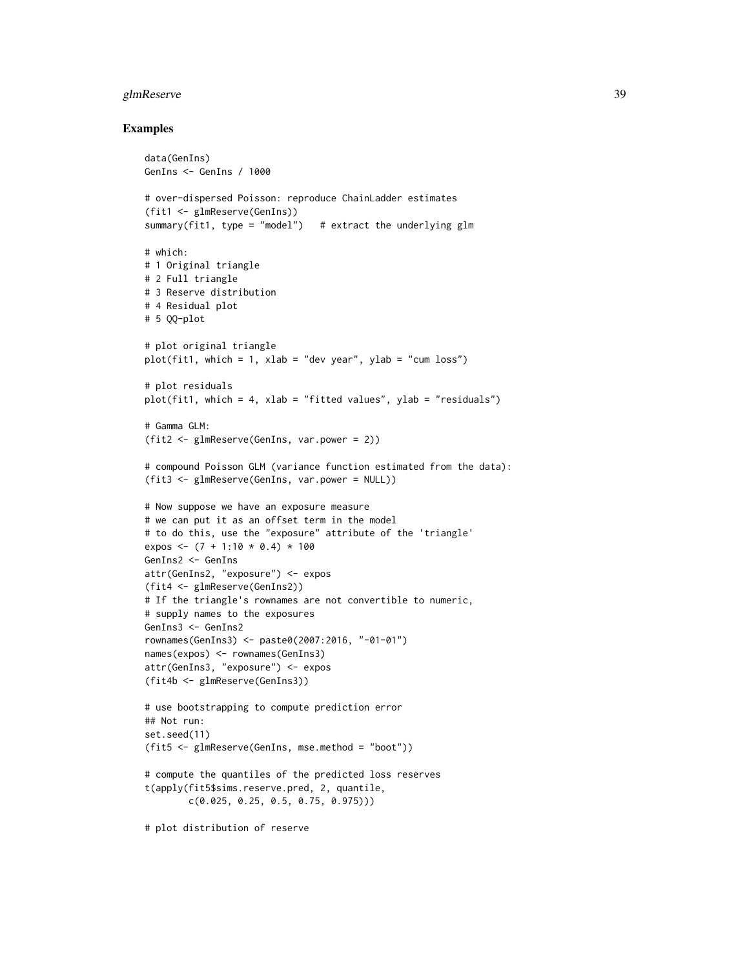# glmReserve 39

#### Examples

```
data(GenIns)
GenIns <- GenIns / 1000
# over-dispersed Poisson: reproduce ChainLadder estimates
(fit1 <- glmReserve(GenIns))
summary(fit1, type = "model") # extract the underlying g1m# which:
# 1 Original triangle
# 2 Full triangle
# 3 Reserve distribution
# 4 Residual plot
# 5 QQ-plot
# plot original triangle
plot(fit1, which = 1, xlab = "dev year", ylab = "cum loss")
# plot residuals
plot(fit1, which = 4, xlab = "fitted values", ylab = "residuals")
# Gamma GLM:
(fit2 <- glmReserve(GenIns, var.power = 2))
# compound Poisson GLM (variance function estimated from the data):
(fit3 <- glmReserve(GenIns, var.power = NULL))
# Now suppose we have an exposure measure
# we can put it as an offset term in the model
# to do this, use the "exposure" attribute of the 'triangle'
expos <- (7 + 1:10 * 0.4) * 100GenIns2 <- GenIns
attr(GenIns2, "exposure") <- expos
(fit4 <- glmReserve(GenIns2))
# If the triangle's rownames are not convertible to numeric,
# supply names to the exposures
GenIns3 <- GenIns2
rownames(GenIns3) <- paste0(2007:2016, "-01-01")
names(expos) <- rownames(GenIns3)
attr(GenIns3, "exposure") <- expos
(fit4b <- glmReserve(GenIns3))
# use bootstrapping to compute prediction error
## Not run:
set.seed(11)
(fit5 <- glmReserve(GenIns, mse.method = "boot"))
# compute the quantiles of the predicted loss reserves
t(apply(fit5$sims.reserve.pred, 2, quantile,
        c(0.025, 0.25, 0.5, 0.75, 0.975)))
```
# plot distribution of reserve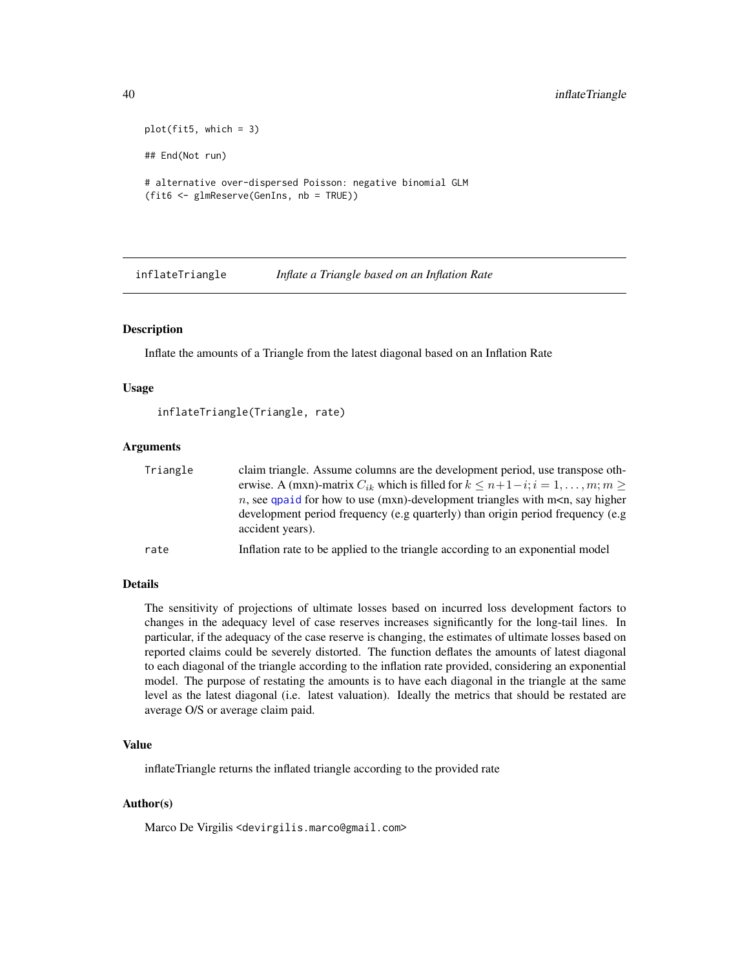```
plot(fit5, which = 3)
## End(Not run)
# alternative over-dispersed Poisson: negative binomial GLM
(fit6 <- glmReserve(GenIns, nb = TRUE))
```
inflateTriangle *Inflate a Triangle based on an Inflation Rate*

## Description

Inflate the amounts of a Triangle from the latest diagonal based on an Inflation Rate

#### Usage

```
inflateTriangle(Triangle, rate)
```
#### Arguments

| Triangle | claim triangle. Assume columns are the development period, use transpose oth-                             |
|----------|-----------------------------------------------------------------------------------------------------------|
|          | erwise. A (mxn)-matrix $C_{ik}$ which is filled for $k \leq n+1-i$ ; $i=1,\ldots,m$ ; $m >$               |
|          | <i>n</i> , see qualid for how to use (mxn)-development triangles with m <n, higher<="" say="" td=""></n,> |
|          | development period frequency (e.g quarterly) than origin period frequency (e.g                            |
|          | accident years).                                                                                          |
| rate     | Inflation rate to be applied to the triangle according to an exponential model                            |

## Details

The sensitivity of projections of ultimate losses based on incurred loss development factors to changes in the adequacy level of case reserves increases significantly for the long-tail lines. In particular, if the adequacy of the case reserve is changing, the estimates of ultimate losses based on reported claims could be severely distorted. The function deflates the amounts of latest diagonal to each diagonal of the triangle according to the inflation rate provided, considering an exponential model. The purpose of restating the amounts is to have each diagonal in the triangle at the same level as the latest diagonal (i.e. latest valuation). Ideally the metrics that should be restated are average O/S or average claim paid.

#### Value

inflateTriangle returns the inflated triangle according to the provided rate

## Author(s)

Marco De Virgilis <devirgilis.marco@gmail.com>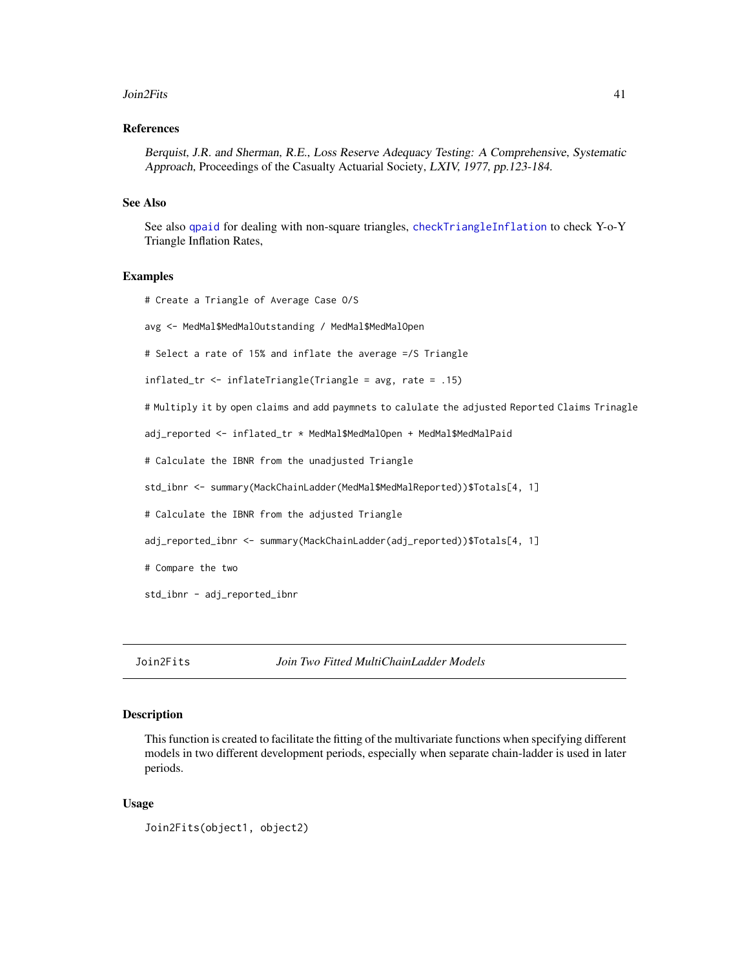#### Join2Fits 41

#### References

Berquist, J.R. and Sherman, R.E., Loss Reserve Adequacy Testing: A Comprehensive, Systematic Approach, Proceedings of the Casualty Actuarial Society, LXIV, 1977, pp.123-184.

#### See Also

See also [qpaid](#page-84-0) for dealing with non-square triangles, [checkTriangleInflation](#page-16-0) to check Y-o-Y Triangle Inflation Rates,

#### Examples

```
# Create a Triangle of Average Case O/S
avg <- MedMal$MedMalOutstanding / MedMal$MedMalOpen
# Select a rate of 15% and inflate the average =/S Triangle
inflated_tr <- inflateTriangle(Triangle = avg, rate = .15)
# Multiply it by open claims and add paymnets to calulate the adjusted Reported Claims Trinagle
adj_reported <- inflated_tr * MedMal$MedMalOpen + MedMal$MedMalPaid
# Calculate the IBNR from the unadjusted Triangle
std_ibnr <- summary(MackChainLadder(MedMal$MedMalReported))$Totals[4, 1]
# Calculate the IBNR from the adjusted Triangle
adj_reported_ibnr <- summary(MackChainLadder(adj_reported))$Totals[4, 1]
# Compare the two
std_ibnr - adj_reported_ibnr
```
Join2Fits *Join Two Fitted MultiChainLadder Models*

#### **Description**

This function is created to facilitate the fitting of the multivariate functions when specifying different models in two different development periods, especially when separate chain-ladder is used in later periods.

#### Usage

```
Join2Fits(object1, object2)
```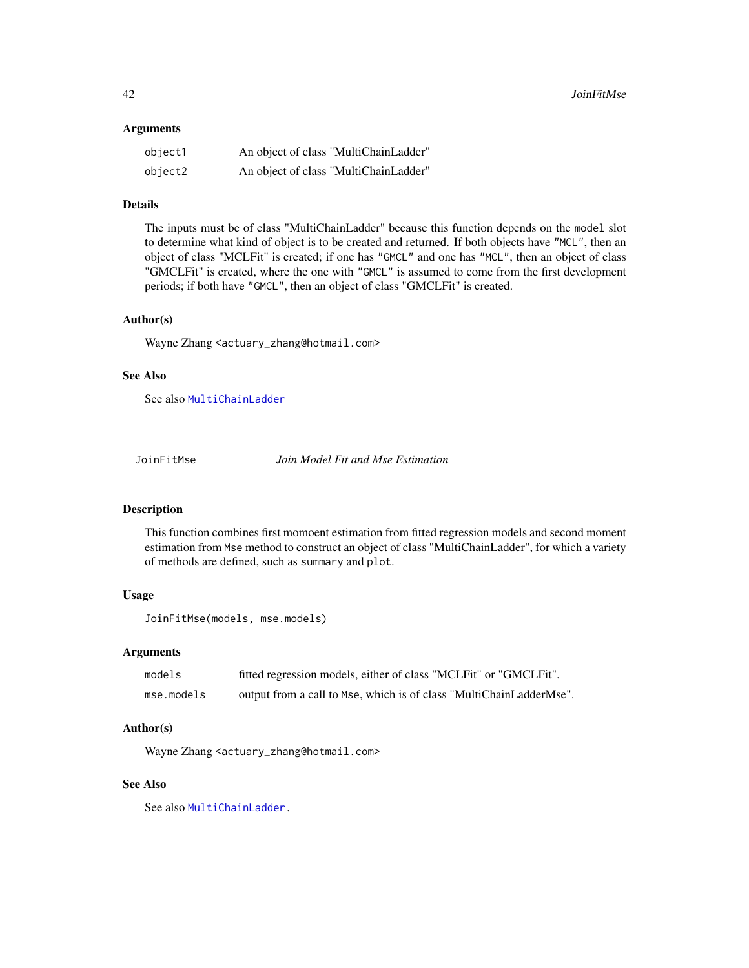#### **Arguments**

| object1 | An object of class "MultiChainLadder" |
|---------|---------------------------------------|
| object2 | An object of class "MultiChainLadder" |

## Details

The inputs must be of class "MultiChainLadder" because this function depends on the model slot to determine what kind of object is to be created and returned. If both objects have "MCL", then an object of class "MCLFit" is created; if one has "GMCL" and one has "MCL", then an object of class "GMCLFit" is created, where the one with "GMCL" is assumed to come from the first development periods; if both have "GMCL", then an object of class "GMCLFit" is created.

## Author(s)

Wayne Zhang <actuary\_zhang@hotmail.com>

## See Also

See also [MultiChainLadder](#page-52-0)

JoinFitMse *Join Model Fit and Mse Estimation*

#### Description

This function combines first momoent estimation from fitted regression models and second moment estimation from Mse method to construct an object of class "MultiChainLadder", for which a variety of methods are defined, such as summary and plot.

## Usage

```
JoinFitMse(models, mse.models)
```
## Arguments

| models     | fitted regression models, either of class "MCLFit" or "GMCLFit".    |
|------------|---------------------------------------------------------------------|
| mse.models | output from a call to Mse, which is of class "MultiChainLadderMse". |

#### Author(s)

Wayne Zhang <actuary\_zhang@hotmail.com>

## See Also

See also [MultiChainLadder.](#page-52-0)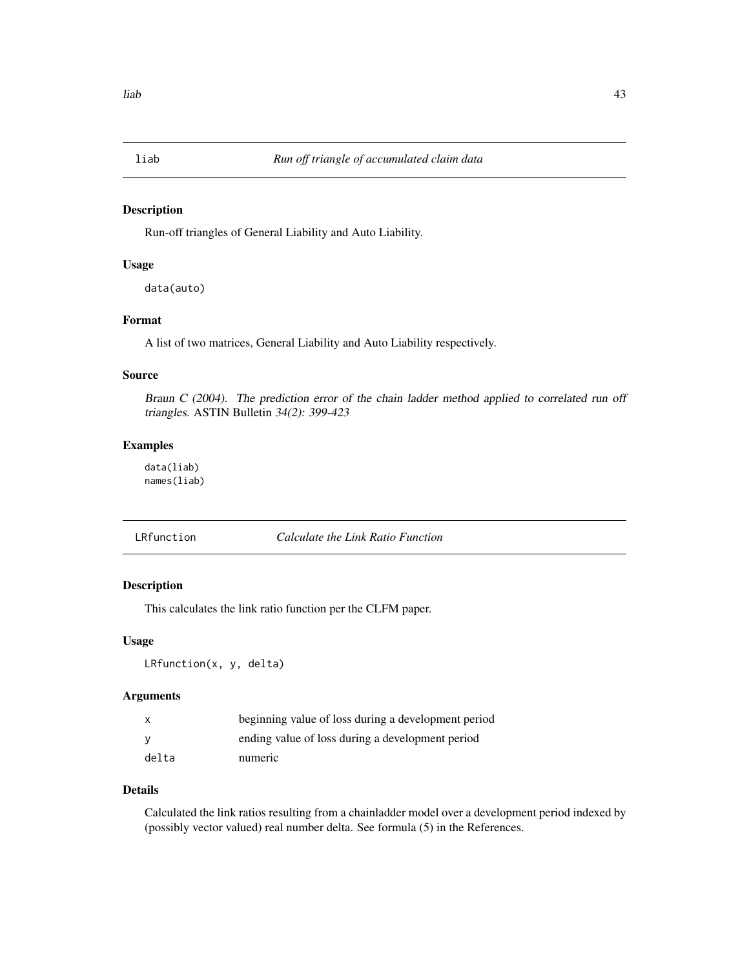#### Description

Run-off triangles of General Liability and Auto Liability.

#### Usage

data(auto)

## Format

A list of two matrices, General Liability and Auto Liability respectively.

## Source

Braun C (2004). The prediction error of the chain ladder method applied to correlated run off triangles. ASTIN Bulletin 34(2): 399-423

## Examples

data(liab) names(liab)

LRfunction *Calculate the Link Ratio Function*

## Description

This calculates the link ratio function per the CLFM paper.

#### Usage

LRfunction(x, y, delta)

#### Arguments

|       | beginning value of loss during a development period |
|-------|-----------------------------------------------------|
|       | ending value of loss during a development period    |
| delta | numeric                                             |

#### Details

Calculated the link ratios resulting from a chainladder model over a development period indexed by (possibly vector valued) real number delta. See formula (5) in the References.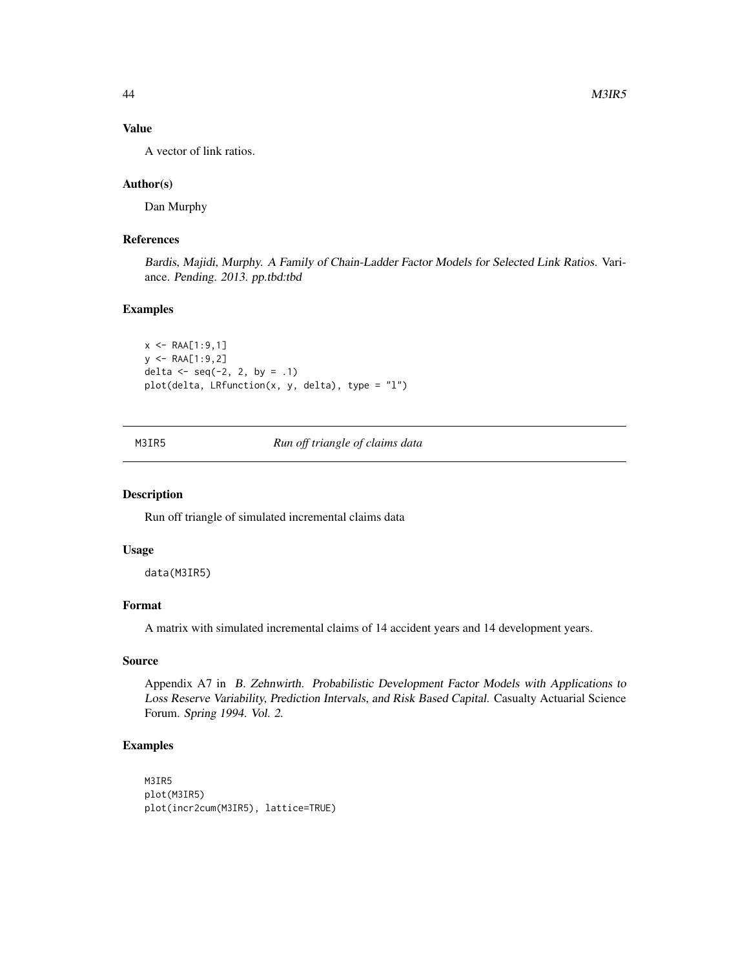## Value

A vector of link ratios.

### Author(s)

Dan Murphy

## References

Bardis, Majidi, Murphy. A Family of Chain-Ladder Factor Models for Selected Link Ratios. Variance. Pending. 2013. pp.tbd:tbd

# Examples

```
x \leq - RAA[1:9,1]y \leq - RAA[1:9,2]
delta <- seq(-2, 2, by = .1)plot(delta, LRfunction(x, y, delta), type = "l")
```
M3IR5 *Run off triangle of claims data*

#### Description

Run off triangle of simulated incremental claims data

## Usage

data(M3IR5)

## Format

A matrix with simulated incremental claims of 14 accident years and 14 development years.

### Source

Appendix A7 in B. Zehnwirth. Probabilistic Development Factor Models with Applications to Loss Reserve Variability, Prediction Intervals, and Risk Based Capital. Casualty Actuarial Science Forum. Spring 1994. Vol. 2.

## Examples

M3IR5 plot(M3IR5) plot(incr2cum(M3IR5), lattice=TRUE)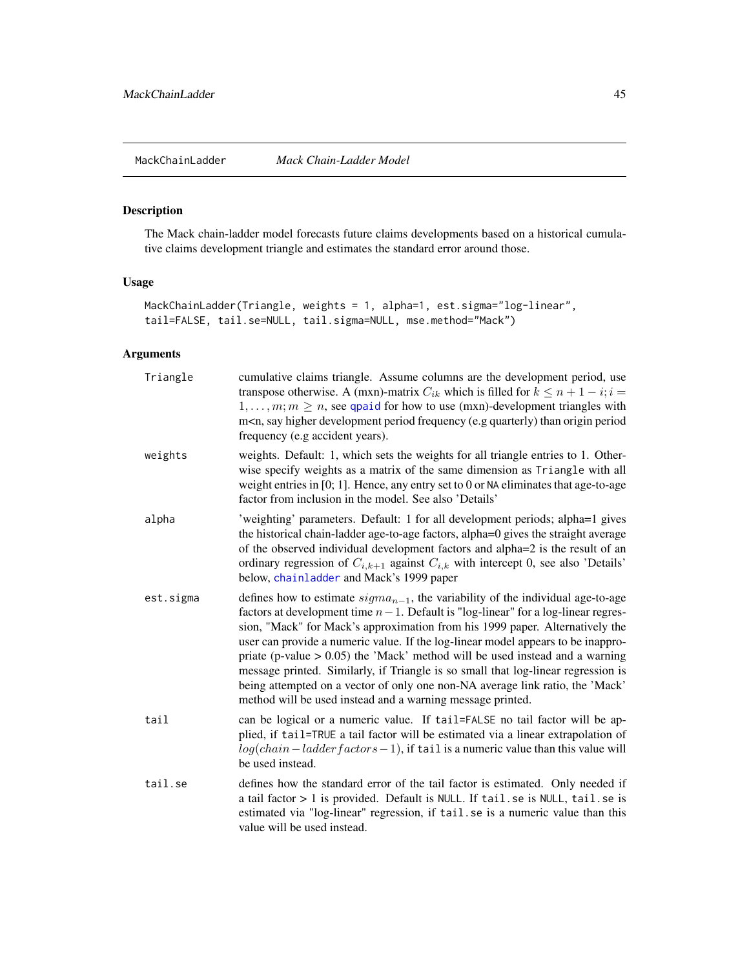<span id="page-44-0"></span>

## Description

The Mack chain-ladder model forecasts future claims developments based on a historical cumulative claims development triangle and estimates the standard error around those.

# Usage

```
MackChainLadder(Triangle, weights = 1, alpha=1, est.sigma="log-linear",
tail=FALSE, tail.se=NULL, tail.sigma=NULL, mse.method="Mack")
```
## Arguments

| Triangle  | cumulative claims triangle. Assume columns are the development period, use<br>transpose otherwise. A (mxn)-matrix $C_{ik}$ which is filled for $k \le n + 1 - i$ ; $i =$<br>$1, \ldots, m; m \geq n$ , see qpaid for how to use (mxn)-development triangles with<br>m <n, (e.g="" development="" frequency="" higher="" origin="" period="" period<br="" quarterly)="" say="" than="">frequency (e.g accident years).</n,>                                                                                                                                                                                                                                              |
|-----------|-------------------------------------------------------------------------------------------------------------------------------------------------------------------------------------------------------------------------------------------------------------------------------------------------------------------------------------------------------------------------------------------------------------------------------------------------------------------------------------------------------------------------------------------------------------------------------------------------------------------------------------------------------------------------|
| weights   | weights. Default: 1, which sets the weights for all triangle entries to 1. Other-<br>wise specify weights as a matrix of the same dimension as Triangle with all<br>weight entries in $[0; 1]$ . Hence, any entry set to 0 or NA eliminates that age-to-age<br>factor from inclusion in the model. See also 'Details'                                                                                                                                                                                                                                                                                                                                                   |
| alpha     | 'weighting' parameters. Default: 1 for all development periods; alpha=1 gives<br>the historical chain-ladder age-to-age factors, alpha=0 gives the straight average<br>of the observed individual development factors and alpha=2 is the result of an<br>ordinary regression of $C_{i,k+1}$ against $C_{i,k}$ with intercept 0, see also 'Details'<br>below, chainladder and Mack's 1999 paper                                                                                                                                                                                                                                                                          |
| est.sigma | defines how to estimate $sigma_{n-1}$ , the variability of the individual age-to-age<br>factors at development time $n-1$ . Default is "log-linear" for a log-linear regres-<br>sion, "Mack" for Mack's approximation from his 1999 paper. Alternatively the<br>user can provide a numeric value. If the log-linear model appears to be inappro-<br>priate (p-value $> 0.05$ ) the 'Mack' method will be used instead and a warning<br>message printed. Similarly, if Triangle is so small that log-linear regression is<br>being attempted on a vector of only one non-NA average link ratio, the 'Mack'<br>method will be used instead and a warning message printed. |
| tail      | can be logical or a numeric value. If tail=FALSE no tail factor will be ap-<br>plied, if tail=TRUE a tail factor will be estimated via a linear extrapolation of<br>$log(char - ladder factors - 1)$ , if tail is a numeric value than this value will<br>be used instead.                                                                                                                                                                                                                                                                                                                                                                                              |
| tail.se   | defines how the standard error of the tail factor is estimated. Only needed if<br>a tail factor > 1 is provided. Default is NULL. If tail. se is NULL, tail. se is<br>estimated via "log-linear" regression, if tail.se is a numeric value than this<br>value will be used instead.                                                                                                                                                                                                                                                                                                                                                                                     |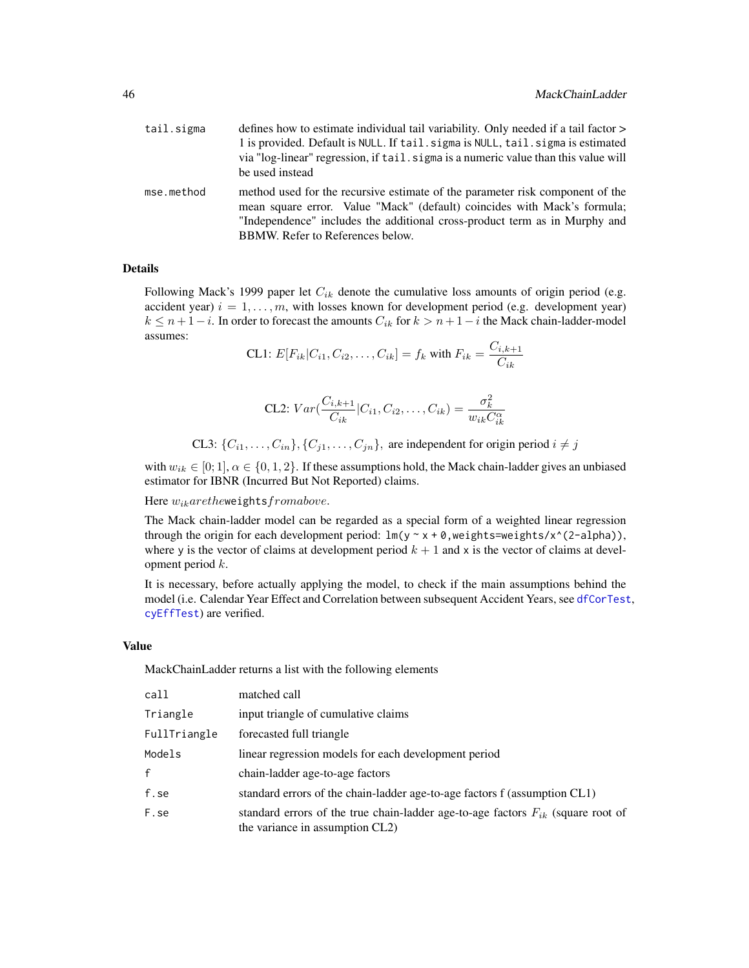| tail.sigma | defines how to estimate individual tail variability. Only needed if a tail factor ><br>1 is provided. Default is NULL. If tail. sigma is NULL, tail. sigma is estimated<br>via "log-linear" regression, if tail sigma is a numeric value than this value will<br>be used instead |
|------------|----------------------------------------------------------------------------------------------------------------------------------------------------------------------------------------------------------------------------------------------------------------------------------|
| mse.method | method used for the recursive estimate of the parameter risk component of the<br>mean square error. Value "Mack" (default) coincides with Mack's formula;<br>"Independence" includes the additional cross-product term as in Murphy and<br>BBMW. Refer to References below.      |

## Details

Following Mack's 1999 paper let  $C_{ik}$  denote the cumulative loss amounts of origin period (e.g. accident year)  $i = 1, \ldots, m$ , with losses known for development period (e.g. development year)  $k \leq n+1-i$ . In order to forecast the amounts  $C_{ik}$  for  $k > n+1-i$  the Mack chain-ladder-model assumes:

CL1: 
$$
E[F_{ik}|C_{i1}, C_{i2},..., C_{ik}] = f_k
$$
 with  $F_{ik} = \frac{C_{i,k+1}}{C_{ik}}$ 

CL2: 
$$
Var\left(\frac{C_{i,k+1}}{C_{ik}}|C_{i1}, C_{i2}, \ldots, C_{ik}\right) = \frac{\sigma_k^2}{w_{ik}C_{ik}^\alpha}
$$

CL3:  $\{C_{i1}, \ldots, C_{in}\}, \{C_{j1}, \ldots, C_{jn}\},$  are independent for origin period  $i \neq j$ 

with  $w_{ik} \in [0; 1], \alpha \in \{0, 1, 2\}$ . If these assumptions hold, the Mack chain-ladder gives an unbiased estimator for IBNR (Incurred But Not Reported) claims.

Here  $w_{ik} are the$ weights $from above.$ 

The Mack chain-ladder model can be regarded as a special form of a weighted linear regression through the origin for each development period:  $lm(y \sim x + \theta, weight \sim \text{weights}/x^{\wedge}(2-\text{alpha})),$ where y is the vector of claims at development period  $k + 1$  and x is the vector of claims at development period  $k$ .

It is necessary, before actually applying the model, to check if the main assumptions behind the model (i.e. Calendar Year Effect and Correlation between subsequent Accident Years, see [dfCorTest](#page-31-0), [cyEffTest](#page-29-0)) are verified.

## Value

MackChainLadder returns a list with the following elements

| call         | matched call                                                                                                            |
|--------------|-------------------------------------------------------------------------------------------------------------------------|
| Triangle     | input triangle of cumulative claims                                                                                     |
| FullTriangle | forecasted full triangle                                                                                                |
| Models       | linear regression models for each development period                                                                    |
| $\mathsf{f}$ | chain-ladder age-to-age factors                                                                                         |
| f.se         | standard errors of the chain-ladder age-to-age factors f (assumption CL1)                                               |
| F.se         | standard errors of the true chain-ladder age-to-age factors $F_{ik}$ (square root of<br>the variance in assumption CL2) |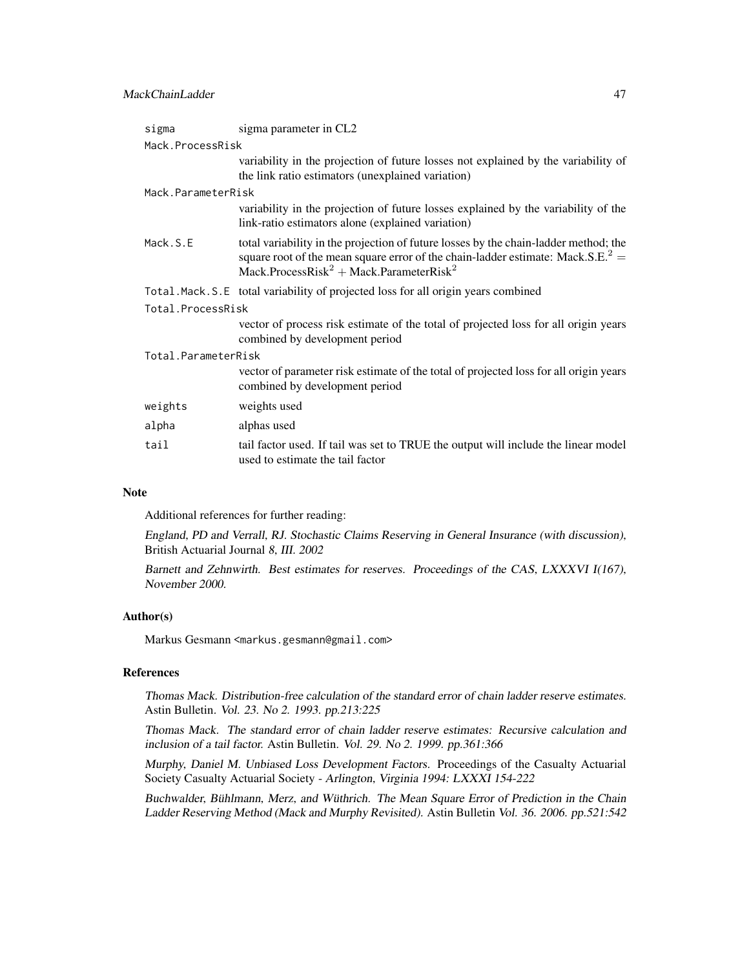## MackChainLadder 47

| sigma               | sigma parameter in CL2                                                                                                                                                                                                                                 |  |  |
|---------------------|--------------------------------------------------------------------------------------------------------------------------------------------------------------------------------------------------------------------------------------------------------|--|--|
|                     | Mack.ProcessRisk                                                                                                                                                                                                                                       |  |  |
|                     | variability in the projection of future losses not explained by the variability of<br>the link ratio estimators (unexplained variation)                                                                                                                |  |  |
| Mack.ParameterRisk  |                                                                                                                                                                                                                                                        |  |  |
|                     | variability in the projection of future losses explained by the variability of the<br>link-ratio estimators alone (explained variation)                                                                                                                |  |  |
| Mack.S.E            | total variability in the projection of future losses by the chain-ladder method; the<br>square root of the mean square error of the chain-ladder estimate: Mack.S.E. <sup>2</sup> =<br>Mack.ProcessRisk <sup>2</sup> + Mack.ParameterRisk <sup>2</sup> |  |  |
|                     | Total. Mack. S.E total variability of projected loss for all origin years combined                                                                                                                                                                     |  |  |
| Total.ProcessRisk   |                                                                                                                                                                                                                                                        |  |  |
|                     | vector of process risk estimate of the total of projected loss for all origin years<br>combined by development period                                                                                                                                  |  |  |
| Total.ParameterRisk |                                                                                                                                                                                                                                                        |  |  |
|                     | vector of parameter risk estimate of the total of projected loss for all origin years<br>combined by development period                                                                                                                                |  |  |
| weights             | weights used                                                                                                                                                                                                                                           |  |  |
| alpha               | alphas used                                                                                                                                                                                                                                            |  |  |
| tail                | tail factor used. If tail was set to TRUE the output will include the linear model<br>used to estimate the tail factor                                                                                                                                 |  |  |

#### Note

Additional references for further reading:

England, PD and Verrall, RJ. Stochastic Claims Reserving in General Insurance (with discussion), British Actuarial Journal 8, III. 2002

Barnett and Zehnwirth. Best estimates for reserves. Proceedings of the CAS, LXXXVI I(167), November 2000.

## Author(s)

Markus Gesmann <markus.gesmann@gmail.com>

# References

Thomas Mack. Distribution-free calculation of the standard error of chain ladder reserve estimates. Astin Bulletin. Vol. 23. No 2. 1993. pp.213:225

Thomas Mack. The standard error of chain ladder reserve estimates: Recursive calculation and inclusion of a tail factor. Astin Bulletin. Vol. 29. No 2. 1999. pp.361:366

Murphy, Daniel M. Unbiased Loss Development Factors. Proceedings of the Casualty Actuarial Society Casualty Actuarial Society - Arlington, Virginia 1994: LXXXI 154-222

Buchwalder, Bühlmann, Merz, and Wüthrich. The Mean Square Error of Prediction in the Chain Ladder Reserving Method (Mack and Murphy Revisited). Astin Bulletin Vol. 36. 2006. pp.521:542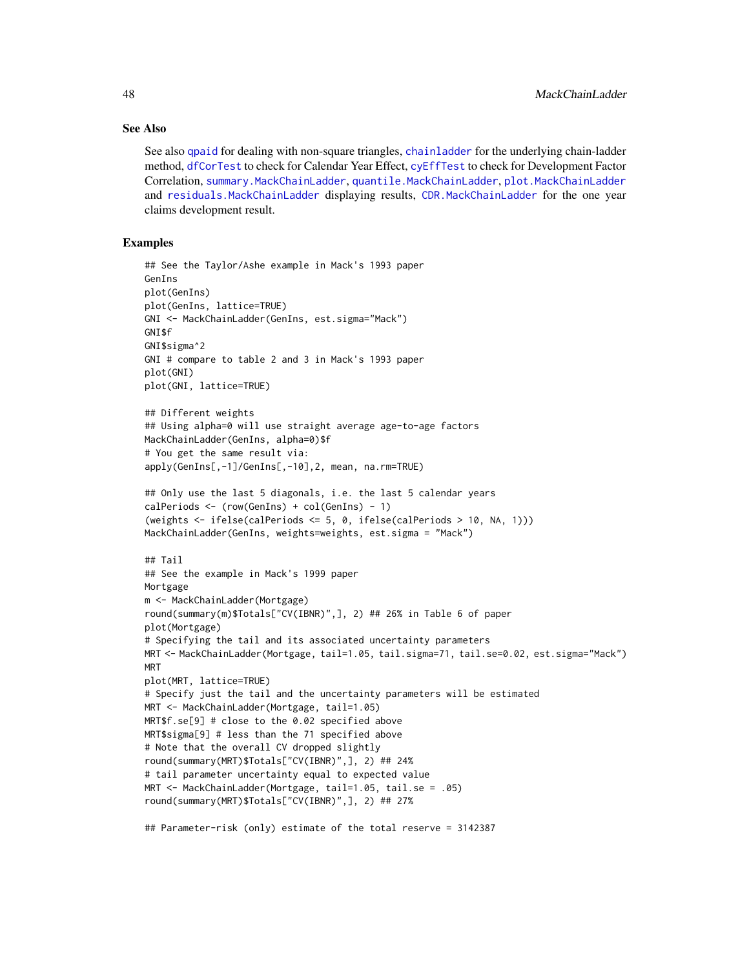### See Also

See also [qpaid](#page-84-0) for dealing with non-square triangles, [chainladder](#page-14-0) for the underlying chain-ladder method, [dfCorTest](#page-31-0) to check for Calendar Year Effect, [cyEffTest](#page-29-0) to check for Development Factor Correlation, [summary.MackChainLadder](#page-98-0), [quantile.MackChainLadder](#page-85-0), [plot.MackChainLadder](#page-75-0) and [residuals.MackChainLadder](#page-89-0) displaying results, [CDR.MackChainLadder](#page-12-0) for the one year claims development result.

## Examples

```
## See the Taylor/Ashe example in Mack's 1993 paper
GenIns
plot(GenIns)
plot(GenIns, lattice=TRUE)
GNI <- MackChainLadder(GenIns, est.sigma="Mack")
GNI$f
GNI$sigma^2
GNI # compare to table 2 and 3 in Mack's 1993 paper
plot(GNI)
plot(GNI, lattice=TRUE)
## Different weights
## Using alpha=0 will use straight average age-to-age factors
MackChainLadder(GenIns, alpha=0)$f
# You get the same result via:
apply(GenIns[,-1]/GenIns[,-10],2, mean, na.rm=TRUE)
## Only use the last 5 diagonals, i.e. the last 5 calendar years
calPeriods <- (row(GenIns) + col(GenIns) - 1)
(weights \le ifelse(calPeriods \le 5, 0, ifelse(calPeriods > 10, NA, 1)))
MackChainLadder(GenIns, weights=weights, est.sigma = "Mack")
## Tail
## See the example in Mack's 1999 paper
Mortgage
m <- MackChainLadder(Mortgage)
round(summary(m)$Totals["CV(IBNR)",], 2) ## 26% in Table 6 of paper
plot(Mortgage)
# Specifying the tail and its associated uncertainty parameters
MRT <- MackChainLadder(Mortgage, tail=1.05, tail.sigma=71, tail.se=0.02, est.sigma="Mack")
MRT
plot(MRT, lattice=TRUE)
# Specify just the tail and the uncertainty parameters will be estimated
MRT <- MackChainLadder(Mortgage, tail=1.05)
MRT$f.se[9] # close to the 0.02 specified above
MRT$sigma[9] # less than the 71 specified above
# Note that the overall CV dropped slightly
round(summary(MRT)$Totals["CV(IBNR)",], 2) ## 24%
# tail parameter uncertainty equal to expected value
MRT <- MackChainLadder(Mortgage, tail=1.05, tail.se = .05)
round(summary(MRT)$Totals["CV(IBNR)",], 2) ## 27%
## Parameter-risk (only) estimate of the total reserve = 3142387
```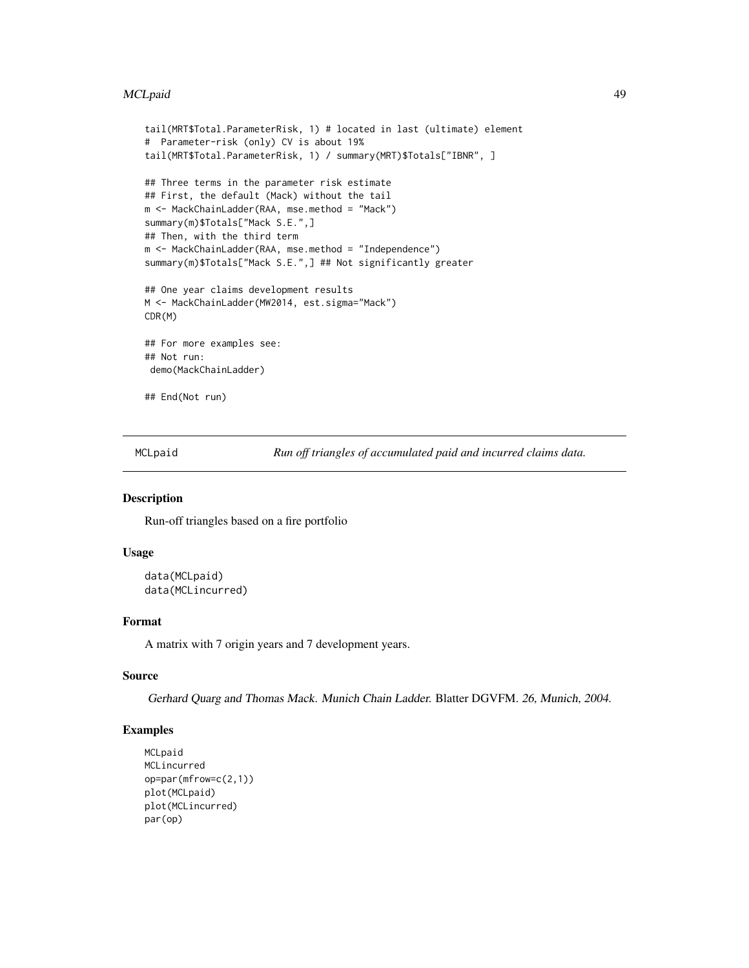#### MCLpaid 49

```
tail(MRT$Total.ParameterRisk, 1) # located in last (ultimate) element
# Parameter-risk (only) CV is about 19%
tail(MRT$Total.ParameterRisk, 1) / summary(MRT)$Totals["IBNR", ]
## Three terms in the parameter risk estimate
## First, the default (Mack) without the tail
m <- MackChainLadder(RAA, mse.method = "Mack")
summary(m)$Totals["Mack S.E.",]
## Then, with the third term
m <- MackChainLadder(RAA, mse.method = "Independence")
summary(m)$Totals["Mack S.E.",] ## Not significantly greater
## One year claims development results
M <- MackChainLadder(MW2014, est.sigma="Mack")
CDR(M)
## For more examples see:
## Not run:
demo(MackChainLadder)
## End(Not run)
```
MCLpaid *Run off triangles of accumulated paid and incurred claims data.*

## Description

Run-off triangles based on a fire portfolio

## Usage

```
data(MCLpaid)
data(MCLincurred)
```
## Format

A matrix with 7 origin years and 7 development years.

## Source

Gerhard Quarg and Thomas Mack. Munich Chain Ladder. Blatter DGVFM. 26, Munich, 2004.

## Examples

```
MCLpaid
MCLincurred
op=par(mfrow=c(2,1))
plot(MCLpaid)
plot(MCLincurred)
par(op)
```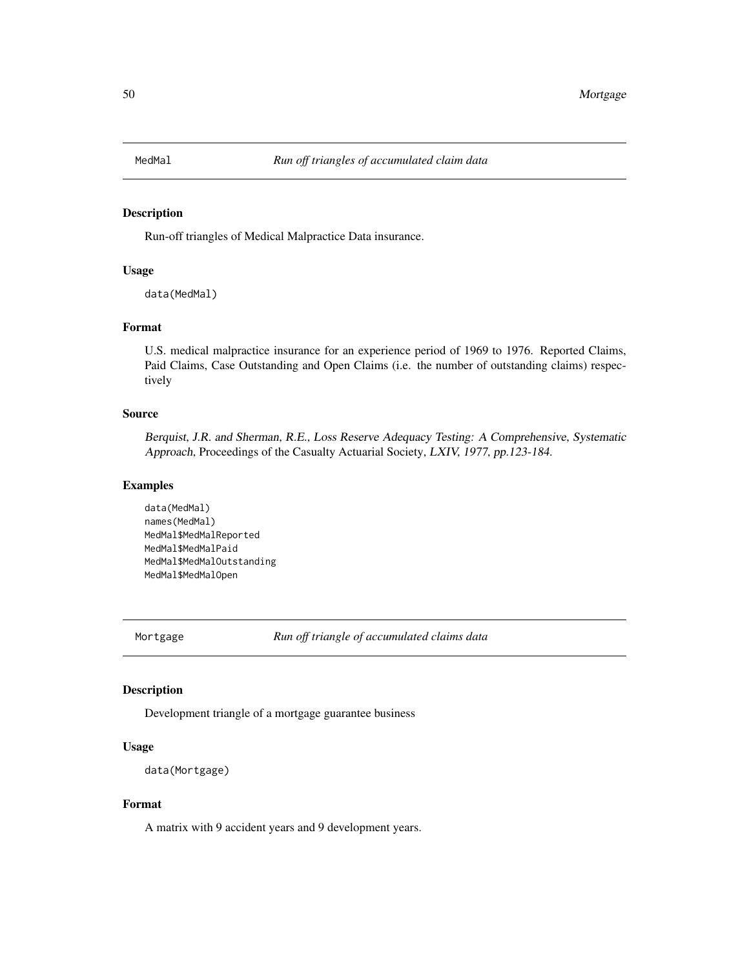#### Description

Run-off triangles of Medical Malpractice Data insurance.

## Usage

data(MedMal)

## Format

U.S. medical malpractice insurance for an experience period of 1969 to 1976. Reported Claims, Paid Claims, Case Outstanding and Open Claims (i.e. the number of outstanding claims) respectively

#### Source

Berquist, J.R. and Sherman, R.E., Loss Reserve Adequacy Testing: A Comprehensive, Systematic Approach, Proceedings of the Casualty Actuarial Society, LXIV, 1977, pp.123-184.

## Examples

data(MedMal) names(MedMal) MedMal\$MedMalReported MedMal\$MedMalPaid MedMal\$MedMalOutstanding MedMal\$MedMalOpen

Mortgage *Run off triangle of accumulated claims data*

### Description

Development triangle of a mortgage guarantee business

## Usage

```
data(Mortgage)
```
## Format

A matrix with 9 accident years and 9 development years.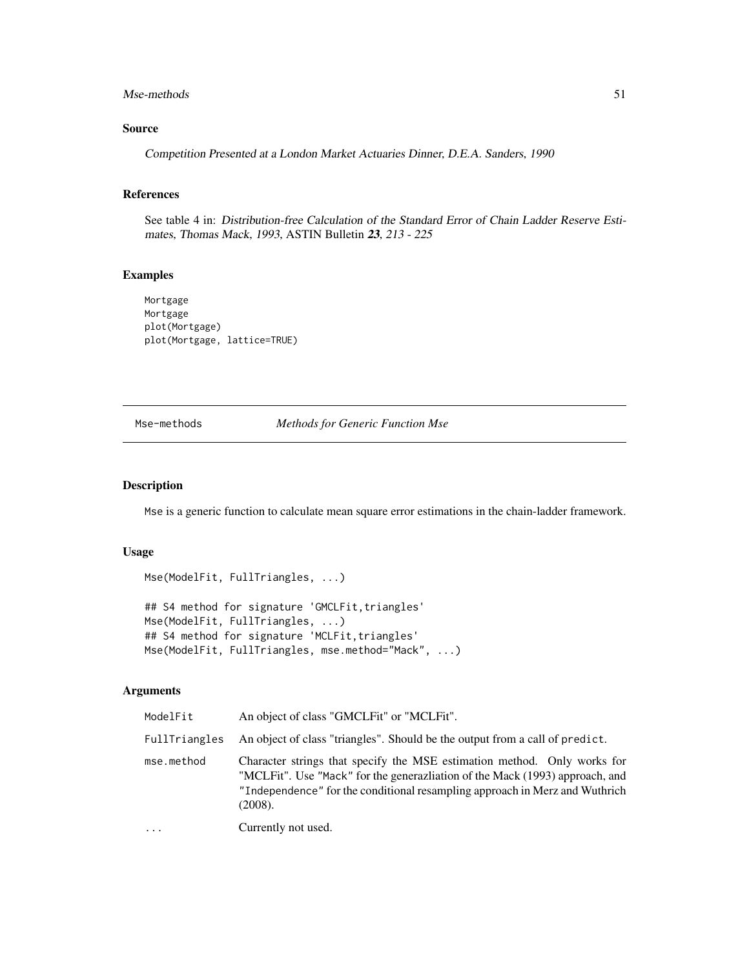## Mse-methods 51

## Source

Competition Presented at a London Market Actuaries Dinner, D.E.A. Sanders, 1990

## References

See table 4 in: Distribution-free Calculation of the Standard Error of Chain Ladder Reserve Estimates, Thomas Mack, 1993, ASTIN Bulletin 23, 213 - 225

## Examples

Mortgage Mortgage plot(Mortgage) plot(Mortgage, lattice=TRUE)

Mse-methods *Methods for Generic Function Mse*

#### <span id="page-50-0"></span>Description

Mse is a generic function to calculate mean square error estimations in the chain-ladder framework.

## Usage

```
Mse(ModelFit, FullTriangles, ...)
## S4 method for signature 'GMCLFit, triangles'
Mse(ModelFit, FullTriangles, ...)
## S4 method for signature 'MCLFit, triangles'
Mse(ModelFit, FullTriangles, mse.method="Mack", ...)
```
### Arguments

| ModelFit      | An object of class "GMCLFit" or "MCLFit".                                                                                                                                                                                                          |
|---------------|----------------------------------------------------------------------------------------------------------------------------------------------------------------------------------------------------------------------------------------------------|
| FullTriangles | An object of class "triangles". Should be the output from a call of predict.                                                                                                                                                                       |
| mse.method    | Character strings that specify the MSE estimation method. Only works for<br>"MCLFit". Use "Mack" for the generazliation of the Mack (1993) approach, and<br>"Independence" for the conditional resampling approach in Merz and Wuthrich<br>(2008). |
| $\ddotsc$     | Currently not used.                                                                                                                                                                                                                                |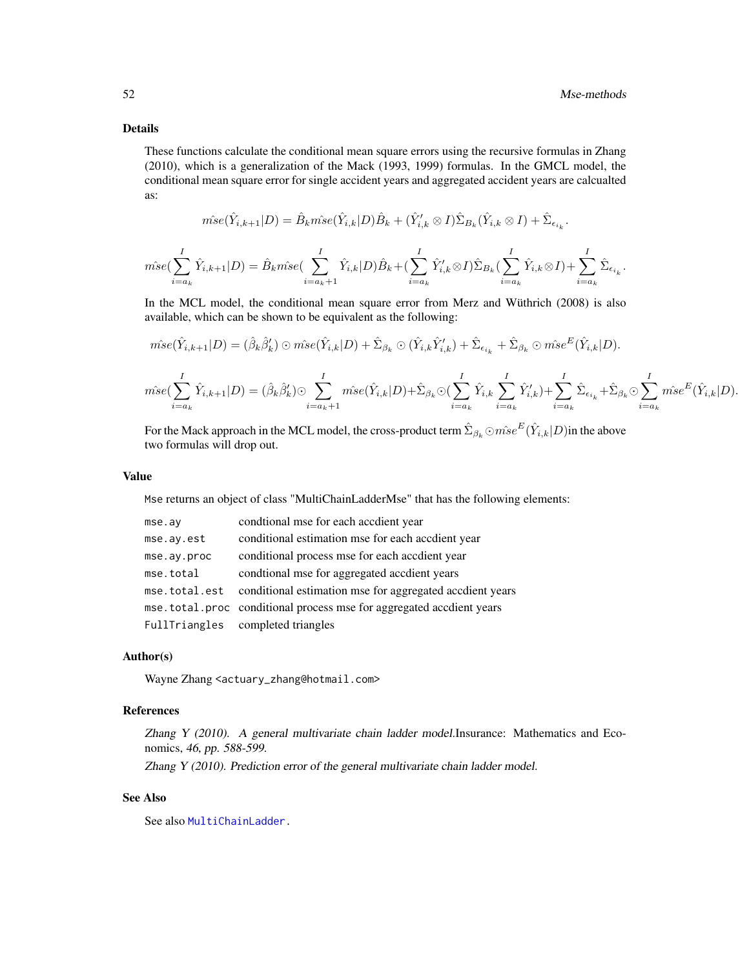.

## Details

These functions calculate the conditional mean square errors using the recursive formulas in Zhang (2010), which is a generalization of the Mack (1993, 1999) formulas. In the GMCL model, the conditional mean square error for single accident years and aggregated accident years are calcualted as:

$$
\hat{mse}(\hat{Y}_{i,k+1}|D) = \hat{B}_{k}\hat{mse}(\hat{Y}_{i,k}|D)\hat{B}_{k} + (\hat{Y}'_{i,k}\otimes I)\hat{\Sigma}_{B_{k}}(\hat{Y}_{i,k}\otimes I) + \hat{\Sigma}_{\epsilon_{i,k}}.
$$

$$
\hat{mse}(\sum_{i=a_k}^{I}\hat{Y}_{i,k+1}|D) = \hat{B}_km\hat{se}(\sum_{i=a_k+1}^{I}\hat{Y}_{i,k}|D)\hat{B}_k + (\sum_{i=a_k}^{I}\hat{Y}'_{i,k}\otimes I)\hat{\Sigma}_{B_k}(\sum_{i=a_k}^{I}\hat{Y}_{i,k}\otimes I) + \sum_{i=a_k}^{I}\hat{\Sigma}_{\epsilon_{i_k}}
$$

In the MCL model, the conditional mean square error from Merz and Wüthrich (2008) is also available, which can be shown to be equivalent as the following:

$$
\hat{mse}(\hat{Y}_{i,k+1}|D) = (\hat{\beta}_k \hat{\beta}'_k) \odot \hat{mse}(\hat{Y}_{i,k}|D) + \hat{\Sigma}_{\beta_k} \odot (\hat{Y}_{i,k}\hat{Y}'_{i,k}) + \hat{\Sigma}_{\epsilon_{i_k}} + \hat{\Sigma}_{\beta_k} \odot \hat{mse}^E(\hat{Y}_{i,k}|D).
$$
\n
$$
\hat{mse}(\sum_{i=a_k}^{I} \hat{Y}_{i,k+1}|D) = (\hat{\beta}_k \hat{\beta}'_k) \odot \sum_{i=a_k+1}^{I} \hat{mse}(\hat{Y}_{i,k}|D) + \hat{\Sigma}_{\beta_k} \odot (\sum_{i=a_k}^{I} \hat{Y}_{i,k}\sum_{i=a_k}^{I} \hat{Y}'_{i,k}) + \sum_{i=a_k}^{I} \hat{\Sigma}_{\epsilon_{i_k}} + \hat{\Sigma}_{\beta_k} \odot \sum_{i=a_k}^{I} \hat{mse}^E(\hat{Y}_{i,k}|D).
$$

For the Mack approach in the MCL model, the cross-product term  $\hat{\Sigma}_{\beta_k}\odot\hat{mse}^E(\hat{Y}_{i,k}|D)$ in the above two formulas will drop out.

#### Value

Mse returns an object of class "MultiChainLadderMse" that has the following elements:

| mse.ay      | condtional mse for each accdient year                                  |
|-------------|------------------------------------------------------------------------|
| mse.ay.est  | conditional estimation mse for each accdient year                      |
| mse.ay.proc | conditional process mse for each accdient year                         |
| mse.total   | condtional mse for aggregated accdient years                           |
|             | mse.total.est conditional estimation mse for aggregated accdient years |
|             | mse.total.proc conditional process mse for aggregated accdient years   |
|             | FullTriangles completed triangles                                      |

#### Author(s)

Wayne Zhang <actuary\_zhang@hotmail.com>

#### References

Zhang Y (2010). A general multivariate chain ladder model.Insurance: Mathematics and Economics, 46, pp. 588-599.

Zhang Y (2010). Prediction error of the general multivariate chain ladder model.

#### See Also

See also [MultiChainLadder.](#page-52-0)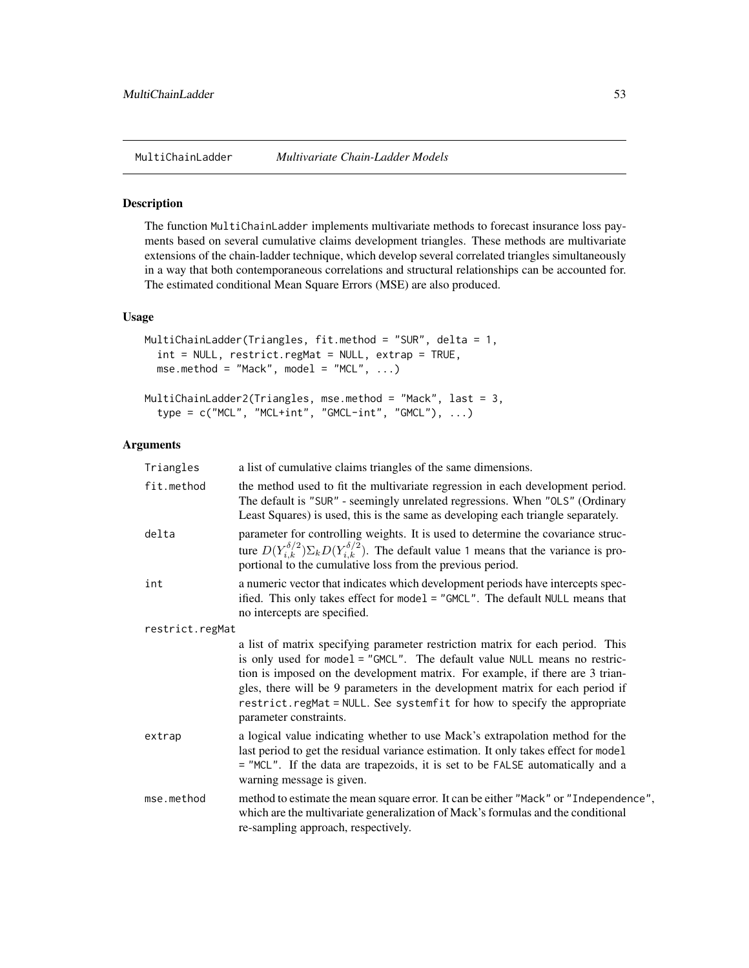<span id="page-52-0"></span>

#### Description

The function MultiChainLadder implements multivariate methods to forecast insurance loss payments based on several cumulative claims development triangles. These methods are multivariate extensions of the chain-ladder technique, which develop several correlated triangles simultaneously in a way that both contemporaneous correlations and structural relationships can be accounted for. The estimated conditional Mean Square Errors (MSE) are also produced.

## Usage

```
MultiChainLadder(Triangles, fit.method = "SUR", delta = 1,
  int = NULL, restrict.regMat = NULL, extrap = TRUE,
  mse.method = "Mack", model = "MCL", \dots)
MultiChainLadder2(Triangles, mse.method = "Mack", last = 3,
```
type = c("MCL", "MCL+int", "GMCL-int", "GMCL"), ...)

#### Arguments

| Triangles       | a list of cumulative claims triangles of the same dimensions.                                                                                                                                                                                                                                                                                                                                                                       |
|-----------------|-------------------------------------------------------------------------------------------------------------------------------------------------------------------------------------------------------------------------------------------------------------------------------------------------------------------------------------------------------------------------------------------------------------------------------------|
| fit.method      | the method used to fit the multivariate regression in each development period.<br>The default is "SUR" - seemingly unrelated regressions. When "OLS" (Ordinary<br>Least Squares) is used, this is the same as developing each triangle separately.                                                                                                                                                                                  |
| delta           | parameter for controlling weights. It is used to determine the covariance struc-<br>ture $D(Y_{i,k}^{\delta/2})\Sigma_k D(Y_{i,k}^{\delta/2})$ . The default value 1 means that the variance is pro-<br>portional to the cumulative loss from the previous period.                                                                                                                                                                  |
| int             | a numeric vector that indicates which development periods have intercepts spec-<br>ified. This only takes effect for model = "GMCL". The default NULL means that<br>no intercepts are specified.                                                                                                                                                                                                                                    |
| restrict.regMat |                                                                                                                                                                                                                                                                                                                                                                                                                                     |
|                 | a list of matrix specifying parameter restriction matrix for each period. This<br>is only used for model = "GMCL". The default value NULL means no restric-<br>tion is imposed on the development matrix. For example, if there are 3 trian-<br>gles, there will be 9 parameters in the development matrix for each period if<br>restrict.regMat = NULL. See systemfit for how to specify the appropriate<br>parameter constraints. |
| extrap          | a logical value indicating whether to use Mack's extrapolation method for the<br>last period to get the residual variance estimation. It only takes effect for model<br>= "MCL". If the data are trapezoids, it is set to be FALSE automatically and a<br>warning message is given.                                                                                                                                                 |
| mse.method      | method to estimate the mean square error. It can be either "Mack" or "Independence",<br>which are the multivariate generalization of Mack's formulas and the conditional<br>re-sampling approach, respectively.                                                                                                                                                                                                                     |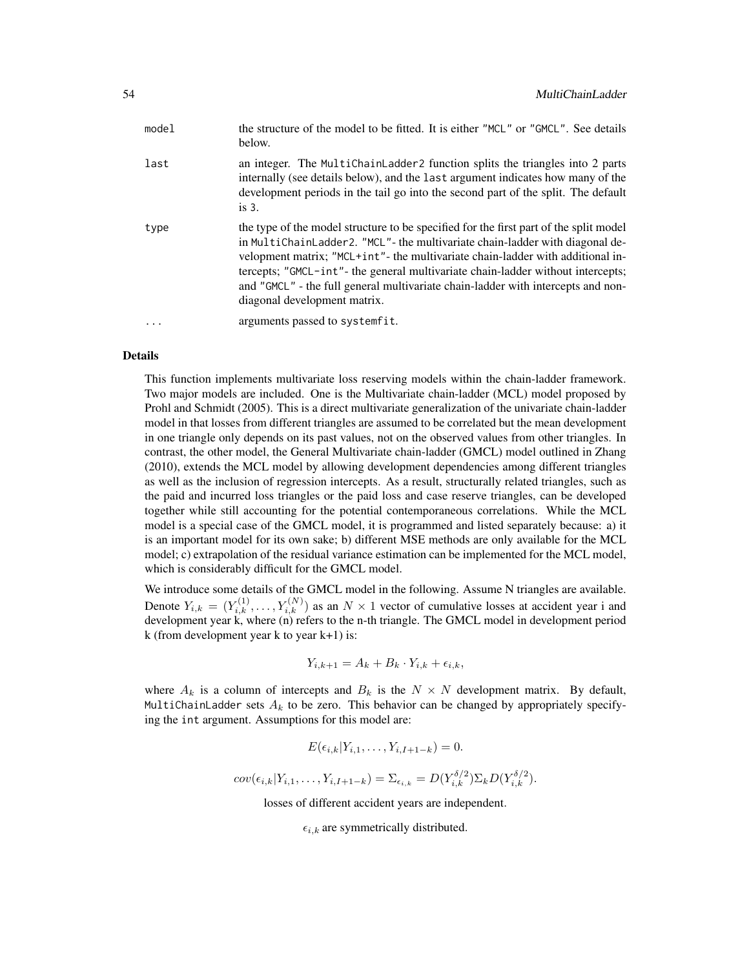| an integer. The MultichainLadder 2 function splits the triangles into 2 parts<br>last<br>internally (see details below), and the last argument indicates how many of the<br>development periods in the tail go into the second part of the split. The default<br>is $3.$                                                                                                                                                                                               |  |
|------------------------------------------------------------------------------------------------------------------------------------------------------------------------------------------------------------------------------------------------------------------------------------------------------------------------------------------------------------------------------------------------------------------------------------------------------------------------|--|
|                                                                                                                                                                                                                                                                                                                                                                                                                                                                        |  |
| the type of the model structure to be specified for the first part of the split model<br>type<br>in MultiChainLadder2. "MCL"- the multivariate chain-ladder with diagonal de-<br>velopment matrix; "MCL+int"- the multivariate chain-ladder with additional in-<br>tercepts; "GMCL-int"- the general multivariate chain-ladder without intercepts;<br>and "GMCL" - the full general multivariate chain-ladder with intercepts and non-<br>diagonal development matrix. |  |
| arguments passed to systemfit.                                                                                                                                                                                                                                                                                                                                                                                                                                         |  |

## Details

This function implements multivariate loss reserving models within the chain-ladder framework. Two major models are included. One is the Multivariate chain-ladder (MCL) model proposed by Prohl and Schmidt (2005). This is a direct multivariate generalization of the univariate chain-ladder model in that losses from different triangles are assumed to be correlated but the mean development in one triangle only depends on its past values, not on the observed values from other triangles. In contrast, the other model, the General Multivariate chain-ladder (GMCL) model outlined in Zhang (2010), extends the MCL model by allowing development dependencies among different triangles as well as the inclusion of regression intercepts. As a result, structurally related triangles, such as the paid and incurred loss triangles or the paid loss and case reserve triangles, can be developed together while still accounting for the potential contemporaneous correlations. While the MCL model is a special case of the GMCL model, it is programmed and listed separately because: a) it is an important model for its own sake; b) different MSE methods are only available for the MCL model; c) extrapolation of the residual variance estimation can be implemented for the MCL model, which is considerably difficult for the GMCL model.

We introduce some details of the GMCL model in the following. Assume N triangles are available. Denote  $Y_{i,k} = (Y_{i,k}^{(1)}, \ldots, Y_{i,k}^{(N)})$  as an  $N \times 1$  vector of cumulative losses at accident year i and development year  $k$ , where  $(n)$  refers to the n-th triangle. The GMCL model in development period k (from development year k to year  $k+1$ ) is:

$$
Y_{i,k+1} = A_k + B_k \cdot Y_{i,k} + \epsilon_{i,k},
$$

where  $A_k$  is a column of intercepts and  $B_k$  is the  $N \times N$  development matrix. By default, MultiChainLadder sets  $A_k$  to be zero. This behavior can be changed by appropriately specifying the int argument. Assumptions for this model are:

$$
E(\epsilon_{i,k}|Y_{i,1},\ldots,Y_{i,I+1-k})=0.
$$

 $cov(\epsilon_{i,k}|Y_{i,1},\ldots,Y_{i,I+1-k}) = \sum_{\epsilon_{i,k}} = D(Y_{i,k}^{\delta/2})\sum_{k}D(Y_{i,k}^{\delta/2}).$ 

losses of different accident years are independent.

 $\epsilon_{i,k}$  are symmetrically distributed.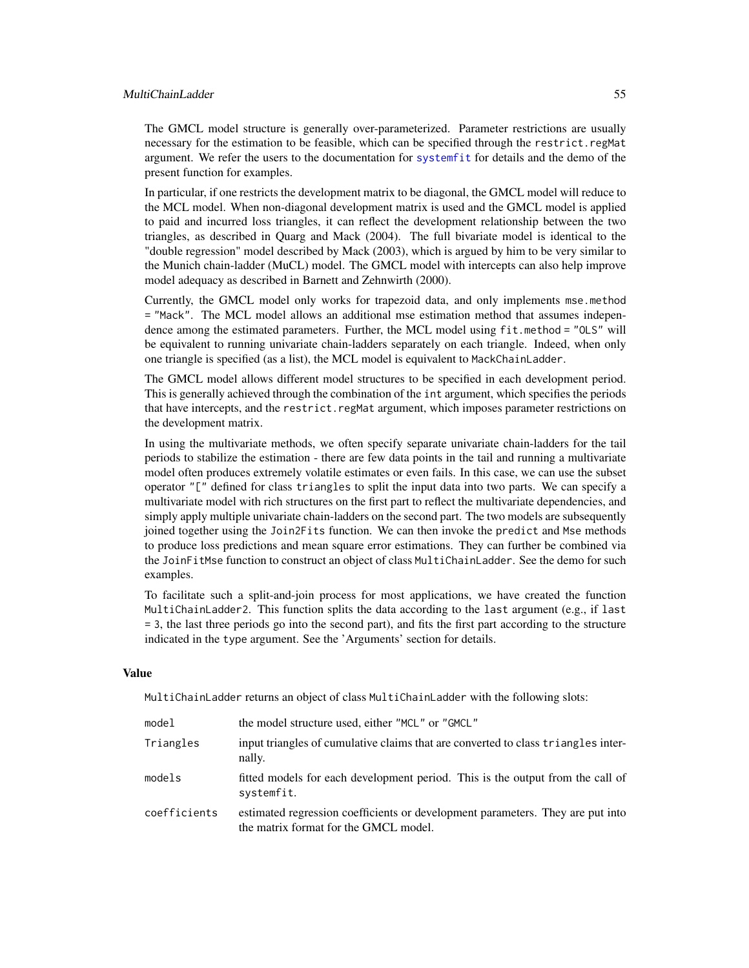## MultiChainLadder 55

The GMCL model structure is generally over-parameterized. Parameter restrictions are usually necessary for the estimation to be feasible, which can be specified through the restrict.regMat argument. We refer the users to the documentation for [systemfit](#page-0-0) for details and the demo of the present function for examples.

In particular, if one restricts the development matrix to be diagonal, the GMCL model will reduce to the MCL model. When non-diagonal development matrix is used and the GMCL model is applied to paid and incurred loss triangles, it can reflect the development relationship between the two triangles, as described in Quarg and Mack (2004). The full bivariate model is identical to the "double regression" model described by Mack (2003), which is argued by him to be very similar to the Munich chain-ladder (MuCL) model. The GMCL model with intercepts can also help improve model adequacy as described in Barnett and Zehnwirth (2000).

Currently, the GMCL model only works for trapezoid data, and only implements mse.method = "Mack". The MCL model allows an additional mse estimation method that assumes independence among the estimated parameters. Further, the MCL model using fit.method = "0LS" will be equivalent to running univariate chain-ladders separately on each triangle. Indeed, when only one triangle is specified (as a list), the MCL model is equivalent to MackChainLadder.

The GMCL model allows different model structures to be specified in each development period. This is generally achieved through the combination of the int argument, which specifies the periods that have intercepts, and the restrict.regMat argument, which imposes parameter restrictions on the development matrix.

In using the multivariate methods, we often specify separate univariate chain-ladders for the tail periods to stabilize the estimation - there are few data points in the tail and running a multivariate model often produces extremely volatile estimates or even fails. In this case, we can use the subset operator "[" defined for class triangles to split the input data into two parts. We can specify a multivariate model with rich structures on the first part to reflect the multivariate dependencies, and simply apply multiple univariate chain-ladders on the second part. The two models are subsequently joined together using the Join2Fits function. We can then invoke the predict and Mse methods to produce loss predictions and mean square error estimations. They can further be combined via the JoinFitMse function to construct an object of class MultiChainLadder. See the demo for such examples.

To facilitate such a split-and-join process for most applications, we have created the function MultiChainLadder2. This function splits the data according to the last argument (e.g., if last = 3, the last three periods go into the second part), and fits the first part according to the structure indicated in the type argument. See the 'Arguments' section for details.

#### Value

MultiChainLadder returns an object of class MultiChainLadder with the following slots:

| model        | the model structure used, either "MCL" or "GMCL"                                                                        |
|--------------|-------------------------------------------------------------------------------------------------------------------------|
| Triangles    | input triangles of cumulative claims that are converted to class triangles inter-<br>nally.                             |
| models       | fitted models for each development period. This is the output from the call of<br>systemfit.                            |
| coefficients | estimated regression coefficients or development parameters. They are put into<br>the matrix format for the GMCL model. |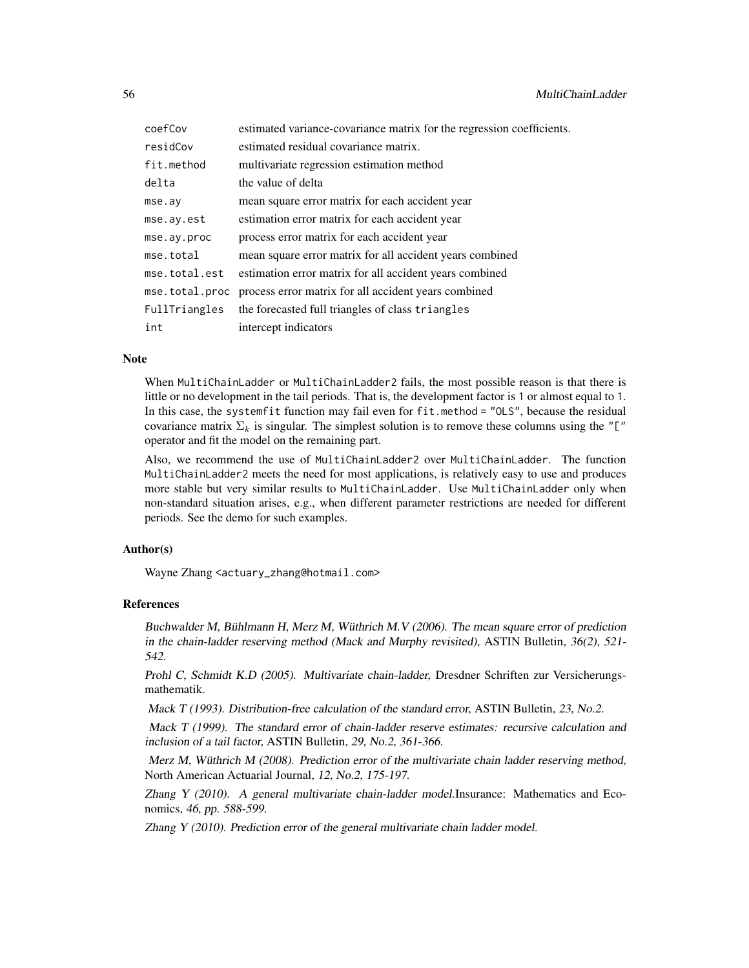| coefCov        | estimated variance-covariance matrix for the regression coefficients. |
|----------------|-----------------------------------------------------------------------|
| residCov       | estimated residual covariance matrix.                                 |
| fit.method     | multivariate regression estimation method                             |
| delta          | the value of delta                                                    |
| mse.ay         | mean square error matrix for each accident year                       |
| mse.ay.est     | estimation error matrix for each accident year                        |
| mse.ay.proc    | process error matrix for each accident year                           |
| mse.total      | mean square error matrix for all accident years combined              |
| mse.total.est  | estimation error matrix for all accident years combined               |
| mse.total.proc | process error matrix for all accident years combined                  |
| FullTriangles  | the forecasted full triangles of class triangles                      |
| int            | intercept indicators                                                  |

#### Note

When MultiChainLadder or MultiChainLadder2 fails, the most possible reason is that there is little or no development in the tail periods. That is, the development factor is 1 or almost equal to 1. In this case, the systemfit function may fail even for fit.method = "OLS", because the residual covariance matrix  $\Sigma_k$  is singular. The simplest solution is to remove these columns using the "[" operator and fit the model on the remaining part.

Also, we recommend the use of MultiChainLadder2 over MultiChainLadder. The function MultiChainLadder2 meets the need for most applications, is relatively easy to use and produces more stable but very similar results to MultiChainLadder. Use MultiChainLadder only when non-standard situation arises, e.g., when different parameter restrictions are needed for different periods. See the demo for such examples.

## Author(s)

Wayne Zhang <actuary\_zhang@hotmail.com>

## References

Buchwalder M, Bühlmann H, Merz M, Wüthrich M.V (2006). The mean square error of prediction in the chain-ladder reserving method (Mack and Murphy revisited), ASTIN Bulletin, 36(2), 521- 542.

Prohl C, Schmidt K.D (2005). Multivariate chain-ladder, Dresdner Schriften zur Versicherungsmathematik.

Mack T (1993). Distribution-free calculation of the standard error, ASTIN Bulletin, 23, No.2.

Mack T (1999). The standard error of chain-ladder reserve estimates: recursive calculation and inclusion of a tail factor, ASTIN Bulletin, 29, No.2, 361-366.

Merz M, Wüthrich M (2008). Prediction error of the multivariate chain ladder reserving method, North American Actuarial Journal, 12, No.2, 175-197.

Zhang Y (2010). A general multivariate chain-ladder model.Insurance: Mathematics and Economics, 46, pp. 588-599.

Zhang Y (2010). Prediction error of the general multivariate chain ladder model.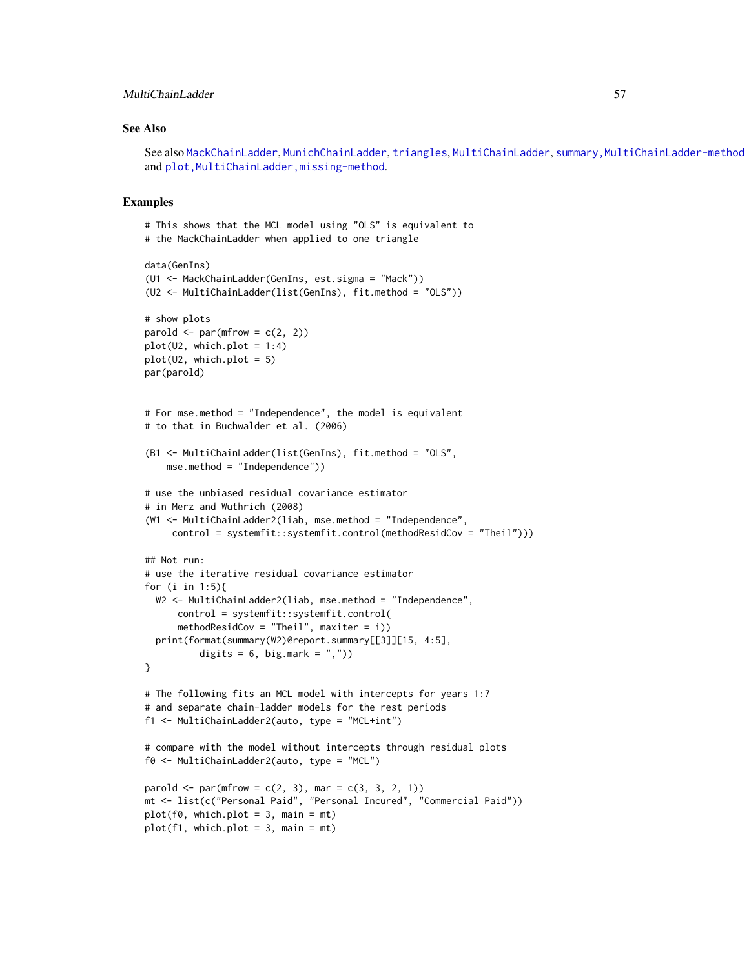## MultiChainLadder 57

#### See Also

See also [MackChainLadder](#page-44-0), [MunichChainLadder](#page-63-0), [triangles](#page-103-0), [MultiChainLadder](#page-57-0), summary, MultiChainLadder-method and plot, MultiChainLadder, missing-method.

#### Examples

```
# This shows that the MCL model using "OLS" is equivalent to
# the MackChainLadder when applied to one triangle
data(GenIns)
(U1 <- MackChainLadder(GenIns, est.sigma = "Mack"))
(U2 <- MultiChainLadder(list(GenIns), fit.method = "OLS"))
# show plots
parold \leq par(mfrow = c(2, 2))
plot(U2, which.plot = 1:4)plot(U2, which.plot = 5)
par(parold)
# For mse.method = "Independence", the model is equivalent
# to that in Buchwalder et al. (2006)
(B1 <- MultiChainLadder(list(GenIns), fit.method = "OLS",
    mse.method = "Independence"))
# use the unbiased residual covariance estimator
# in Merz and Wuthrich (2008)
(W1 <- MultiChainLadder2(liab, mse.method = "Independence",
     control = systemfit::systemfit.control(methodResidCov = "Theil")))
## Not run:
# use the iterative residual covariance estimator
for (i in 1:5){
  W2 <- MultiChainLadder2(liab, mse.method = "Independence",
      control = systemfit::systemfit.control(
      methodResidCov = "Theil", maxiter = i))
  print(format(summary(W2)@report.summary[[3]][15, 4:5],
          digits = 6, big.mark = ",")}
# The following fits an MCL model with intercepts for years 1:7
# and separate chain-ladder models for the rest periods
f1 <- MultiChainLadder2(auto, type = "MCL+int")
# compare with the model without intercepts through residual plots
f0 <- MultiChainLadder2(auto, type = "MCL")
parold \leq par(mfrow = c(2, 3), mar = c(3, 3, 2, 1))
mt <- list(c("Personal Paid", "Personal Incured", "Commercial Paid"))
plot(f0, which.plot = 3, main = mt)plot(f1, which.plot = 3, main = mt)
```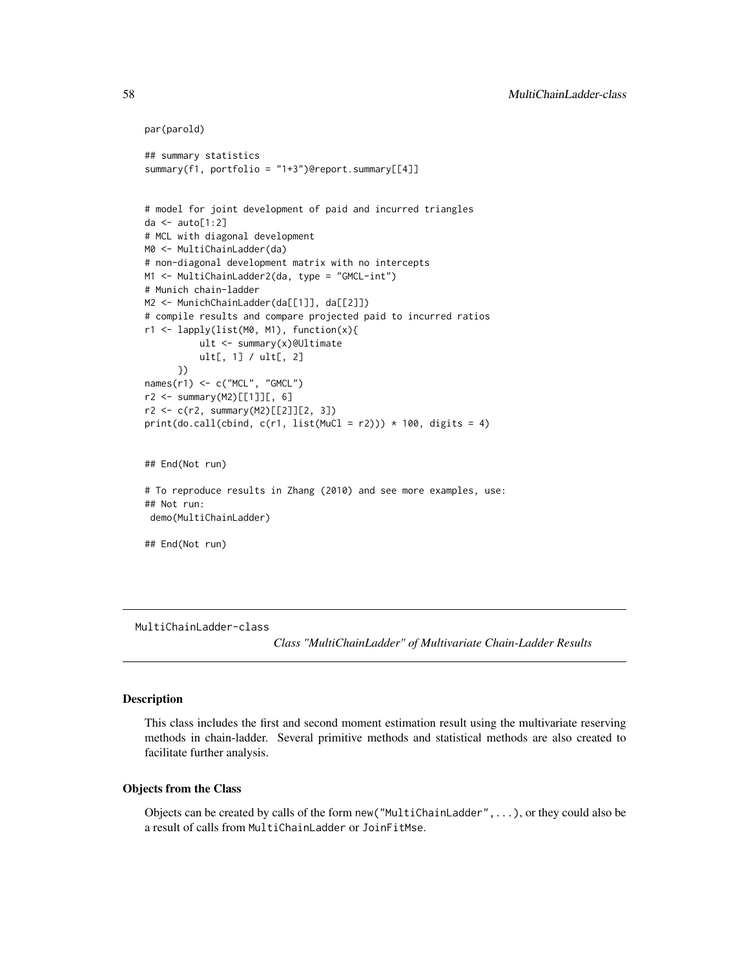```
par(parold)
## summary statistics
summary(f1, portfolio = "1+3")@report.summary[[4]]
# model for joint development of paid and incurred triangles
da \leq auto[1:2]
# MCL with diagonal development
M0 <- MultiChainLadder(da)
# non-diagonal development matrix with no intercepts
M1 <- MultiChainLadder2(da, type = "GMCL-int")
# Munich chain-ladder
M2 <- MunichChainLadder(da[[1]], da[[2]])
# compile results and compare projected paid to incurred ratios
r1 <- lapply(list(M0, M1), function(x){
          ult <- summary(x)@Ultimate
          ult[, 1] / ult[, 2]
      })
names(r1) <- c("MCL", "GMCL")
r2 <- summary(M2)[[1]][, 6]
r2 <- c(r2, summary(M2)[[2]][2, 3])
print(do-call(cbind, c(r1, list(MuCl = r2))) * 100, digits = 4)## End(Not run)
# To reproduce results in Zhang (2010) and see more examples, use:
## Not run:
 demo(MultiChainLadder)
## End(Not run)
```
<span id="page-57-0"></span>MultiChainLadder-class

*Class "MultiChainLadder" of Multivariate Chain-Ladder Results*

#### Description

This class includes the first and second moment estimation result using the multivariate reserving methods in chain-ladder. Several primitive methods and statistical methods are also created to facilitate further analysis.

#### Objects from the Class

Objects can be created by calls of the form new("MultiChainLadder",...), or they could also be a result of calls from MultiChainLadder or JoinFitMse.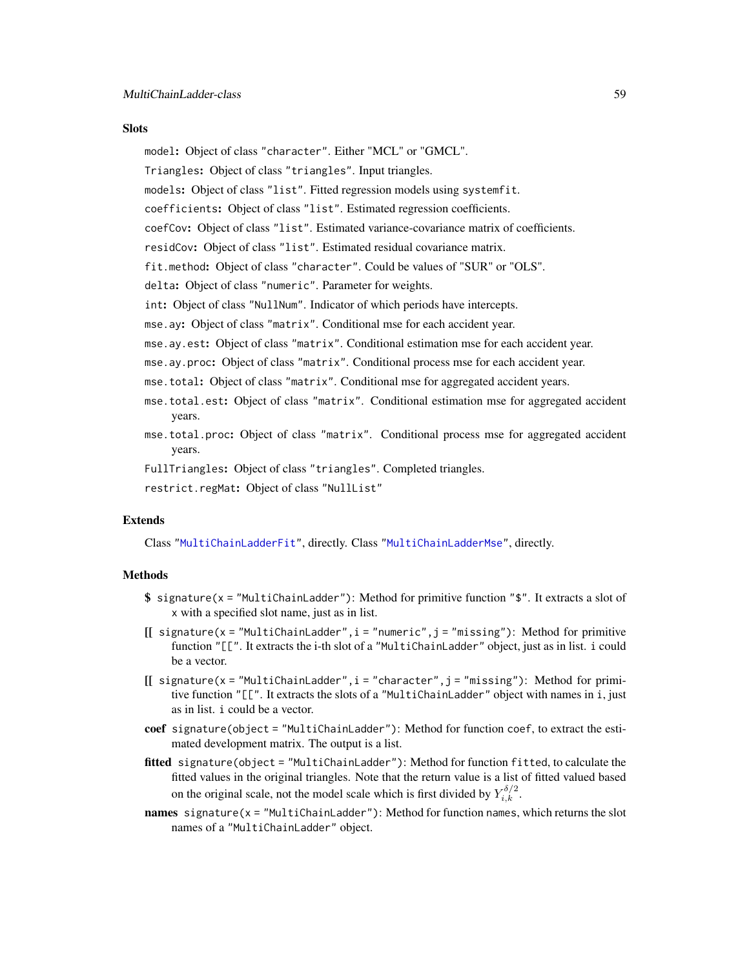### **Slots**

model: Object of class "character". Either "MCL" or "GMCL".

Triangles: Object of class "triangles". Input triangles.

- models: Object of class "list". Fitted regression models using systemfit.
- coefficients: Object of class "list". Estimated regression coefficients.
- coefCov: Object of class "list". Estimated variance-covariance matrix of coefficients.
- residCov: Object of class "list". Estimated residual covariance matrix.

fit.method: Object of class "character". Could be values of "SUR" or "OLS".

delta: Object of class "numeric". Parameter for weights.

int: Object of class "NullNum". Indicator of which periods have intercepts.

mse.ay: Object of class "matrix". Conditional mse for each accident year.

- mse.ay.est: Object of class "matrix". Conditional estimation mse for each accident year.
- mse.ay.proc: Object of class "matrix". Conditional process mse for each accident year.
- mse.total: Object of class "matrix". Conditional mse for aggregated accident years.
- mse.total.est: Object of class "matrix". Conditional estimation mse for aggregated accident years.
- mse.total.proc: Object of class "matrix". Conditional process mse for aggregated accident years.

FullTriangles: Object of class "triangles". Completed triangles.

restrict.regMat: Object of class "NullList"

#### Extends

Class ["MultiChainLadderFit"](#page-60-0), directly. Class ["MultiChainLadderMse"](#page-61-0), directly.

#### **Methods**

- \$ signature(x = "MultiChainLadder"): Method for primitive function "\$". It extracts a slot of x with a specified slot name, just as in list.
- $[[$  signature(x = "MultiChainLadder", i = "numeric", j = "missing"): Method for primitive function "[[". It extracts the i-th slot of a "MultiChainLadder" object, just as in list. i could be a vector.
- $[[$  signature(x = "MultiChainLadder", i = "character", j = "missing"): Method for primitive function "[[". It extracts the slots of a "MultiChainLadder" object with names in i, just as in list. i could be a vector.
- coef signature(object = "MultiChainLadder"): Method for function coef, to extract the estimated development matrix. The output is a list.
- fitted signature(object = "MultiChainLadder"): Method for function fitted, to calculate the fitted values in the original triangles. Note that the return value is a list of fitted valued based on the original scale, not the model scale which is first divided by  $Y_{i,k}^{\delta/2}$ .
- names signature(x = "MultiChainLadder"): Method for function names, which returns the slot names of a "MultiChainLadder" object.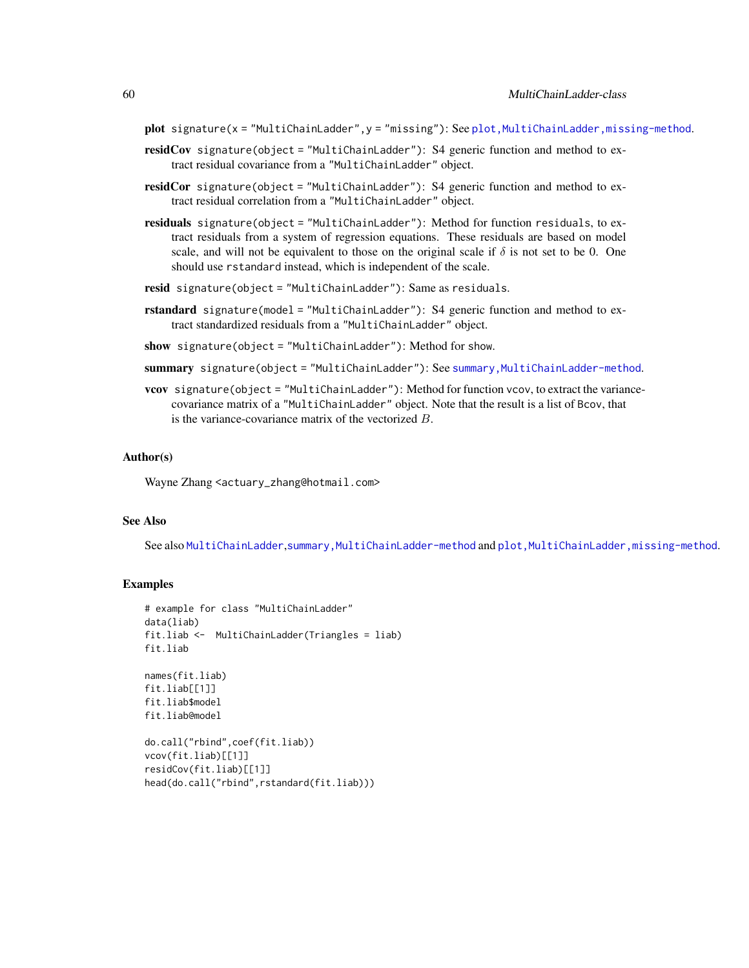- plot signature(x = "MultiChainLadder", y = "missing"): See plot, MultiChainLadder, missing-method.
- residCov signature(object = "MultiChainLadder"): S4 generic function and method to extract residual covariance from a "MultiChainLadder" object.
- residCor signature(object = "MultiChainLadder"): S4 generic function and method to extract residual correlation from a "MultiChainLadder" object.
- residuals signature(object = "MultiChainLadder"): Method for function residuals, to extract residuals from a system of regression equations. These residuals are based on model scale, and will not be equivalent to those on the original scale if  $\delta$  is not set to be 0. One should use rstandard instead, which is independent of the scale.
- resid signature(object = "MultiChainLadder"): Same as residuals.
- rstandard signature(model = "MultiChainLadder"): S4 generic function and method to extract standardized residuals from a "MultiChainLadder" object.
- show signature(object = "MultiChainLadder"): Method for show.
- summary signature(object = "MultiChainLadder"): See summary, MultiChainLadder-method.
- vcov signature(object = "MultiChainLadder"): Method for function vcov, to extract the variancecovariance matrix of a "MultiChainLadder" object. Note that the result is a list of Bcov, that is the variance-covariance matrix of the vectorized B.

#### Author(s)

Wayne Zhang <actuary\_zhang@hotmail.com>

#### See Also

See also [MultiChainLadder](#page-52-0),[summary,MultiChainLadder-method](#page-0-0) and [plot,MultiChainLadder,missing-method](#page-0-0).

#### Examples

```
# example for class "MultiChainLadder"
data(liab)
fit.liab <- MultiChainLadder(Triangles = liab)
fit.liab
names(fit.liab)
fit.liab[[1]]
fit.liab$model
fit.liab@model
do.call("rbind",coef(fit.liab))
vcov(fit.liab)[[1]]
residCov(fit.liab)[[1]]
head(do.call("rbind",rstandard(fit.liab)))
```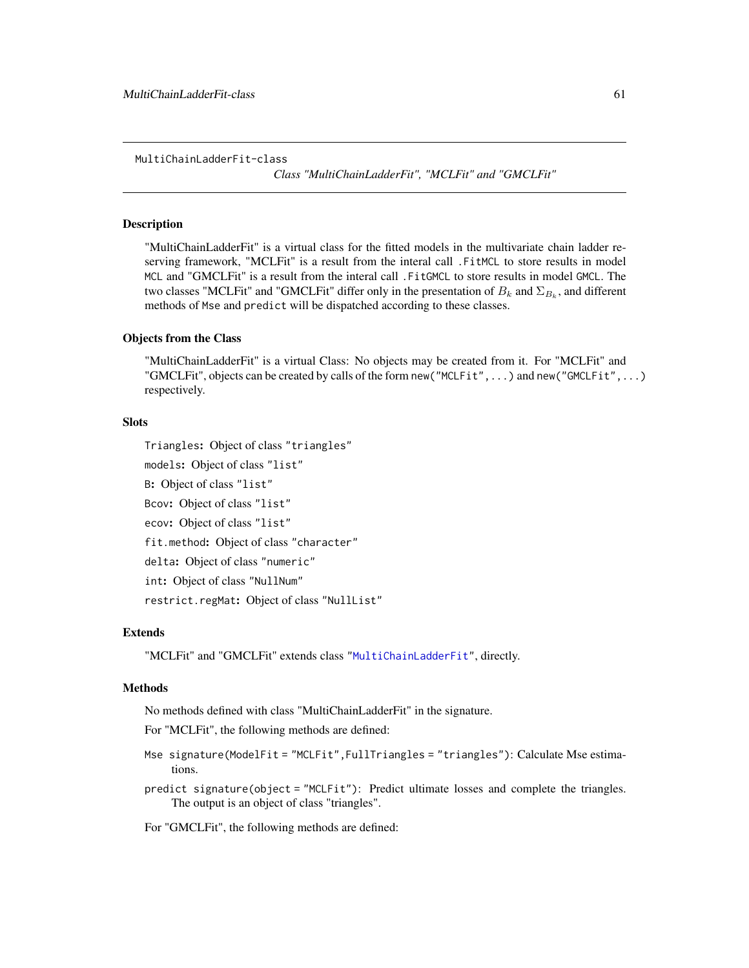<span id="page-60-0"></span>MultiChainLadderFit-class

*Class "MultiChainLadderFit", "MCLFit" and "GMCLFit"*

#### Description

"MultiChainLadderFit" is a virtual class for the fitted models in the multivariate chain ladder reserving framework, "MCLFit" is a result from the interal call .FitMCL to store results in model MCL and "GMCLFit" is a result from the interal call .FitGMCL to store results in model GMCL. The two classes "MCLFit" and "GMCLFit" differ only in the presentation of  $B_k$  and  $\Sigma_{B_k}$ , and different methods of Mse and predict will be dispatched according to these classes.

#### Objects from the Class

"MultiChainLadderFit" is a virtual Class: No objects may be created from it. For "MCLFit" and "GMCLFit", objects can be created by calls of the form new("MCLFit",...) and new("GMCLFit",...) respectively.

## **Slots**

Triangles: Object of class "triangles"

models: Object of class "list"

B: Object of class "list"

Bcov: Object of class "list"

ecov: Object of class "list"

fit.method: Object of class "character"

delta: Object of class "numeric"

int: Object of class "NullNum"

restrict.regMat: Object of class "NullList"

## Extends

"MCLFit" and "GMCLFit" extends class ["MultiChainLadderFit"](#page-60-0), directly.

#### Methods

No methods defined with class "MultiChainLadderFit" in the signature.

For "MCLFit", the following methods are defined:

- Mse signature(ModelFit = "MCLFit",FullTriangles = "triangles"): Calculate Mse estimations.
- predict signature(object = "MCLFit"): Predict ultimate losses and complete the triangles. The output is an object of class "triangles".

For "GMCLFit", the following methods are defined: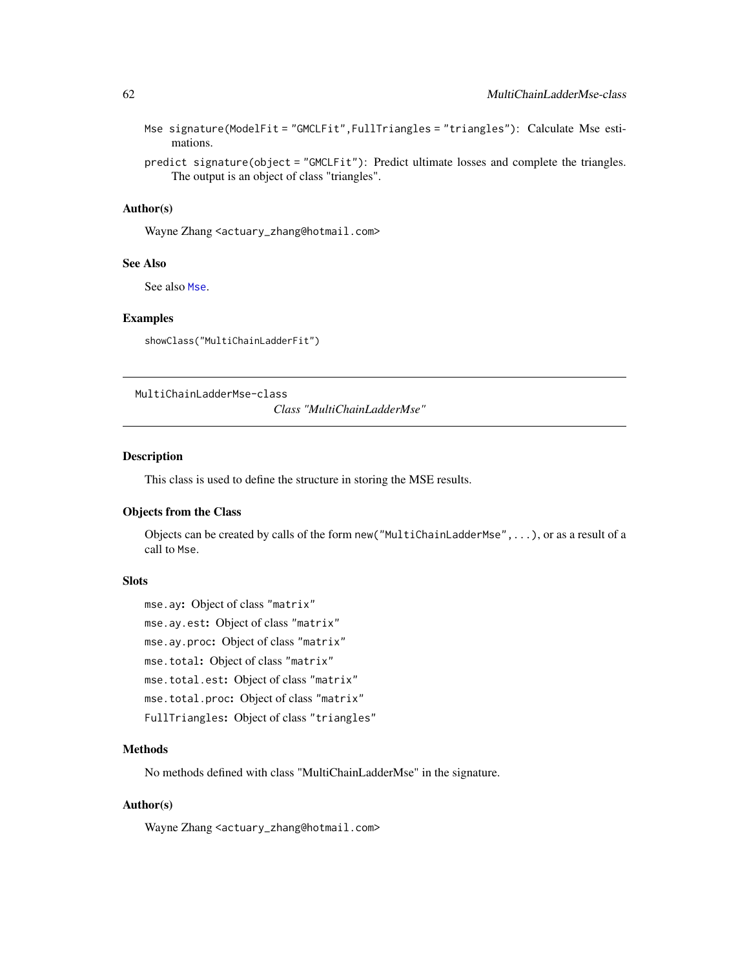|          | Mse signature(ModelFit = "GMCLFit",FullTriangles = "triangles"): Calculate Mse esti- |  |  |
|----------|--------------------------------------------------------------------------------------|--|--|
| mations. |                                                                                      |  |  |

predict signature(object = "GMCLFit"): Predict ultimate losses and complete the triangles. The output is an object of class "triangles".

## Author(s)

Wayne Zhang <actuary\_zhang@hotmail.com>

## See Also

See also [Mse](#page-50-0).

#### Examples

showClass("MultiChainLadderFit")

<span id="page-61-0"></span>MultiChainLadderMse-class

*Class "MultiChainLadderMse"*

#### Description

This class is used to define the structure in storing the MSE results.

## Objects from the Class

Objects can be created by calls of the form new("MultiChainLadderMse",...), or as a result of a call to Mse.

## Slots

mse.ay: Object of class "matrix"

mse.ay.est: Object of class "matrix"

mse.ay.proc: Object of class "matrix"

mse.total: Object of class "matrix"

mse.total.est: Object of class "matrix"

mse.total.proc: Object of class "matrix"

FullTriangles: Object of class "triangles"

## **Methods**

No methods defined with class "MultiChainLadderMse" in the signature.

#### Author(s)

Wayne Zhang <actuary\_zhang@hotmail.com>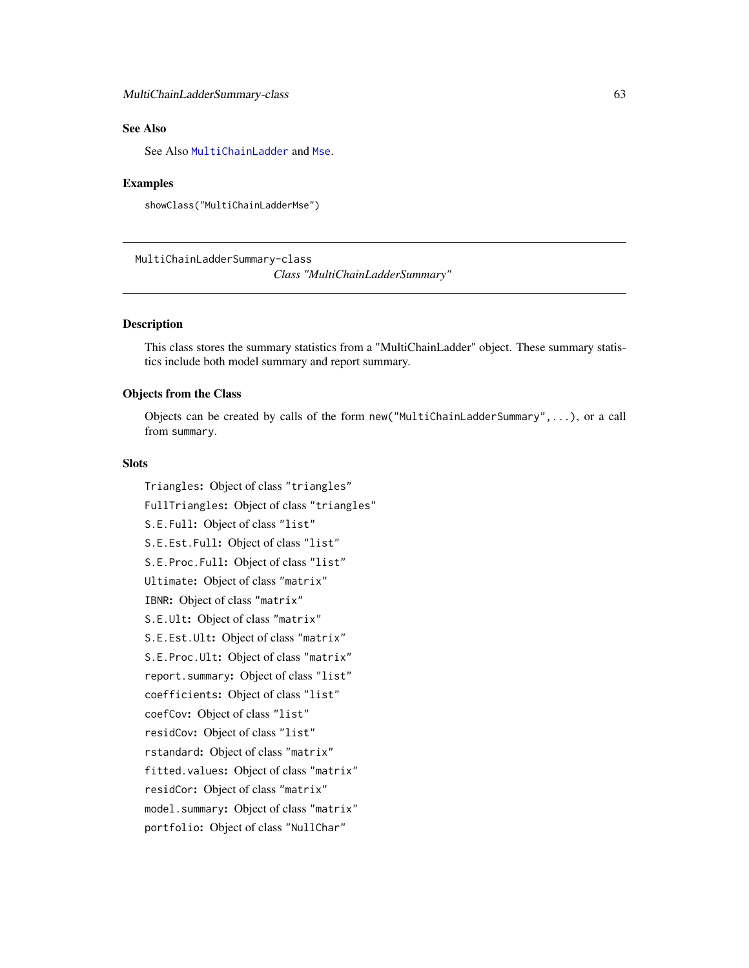# See Also

See Also [MultiChainLadder](#page-57-0) and [Mse](#page-50-0).

#### Examples

showClass("MultiChainLadderMse")

MultiChainLadderSummary-class

*Class "MultiChainLadderSummary"*

## Description

This class stores the summary statistics from a "MultiChainLadder" object. These summary statistics include both model summary and report summary.

## Objects from the Class

Objects can be created by calls of the form new("MultiChainLadderSummary",...), or a call from summary.

## Slots

Triangles: Object of class "triangles" FullTriangles: Object of class "triangles" S.E.Full: Object of class "list" S.E.Est.Full: Object of class "list" S.E.Proc.Full: Object of class "list" Ultimate: Object of class "matrix" IBNR: Object of class "matrix" S.E.Ult: Object of class "matrix" S.E.Est.Ult: Object of class "matrix" S.E.Proc.Ult: Object of class "matrix" report.summary: Object of class "list" coefficients: Object of class "list" coefCov: Object of class "list" residCov: Object of class "list" rstandard: Object of class "matrix" fitted.values: Object of class "matrix" residCor: Object of class "matrix" model.summary: Object of class "matrix" portfolio: Object of class "NullChar"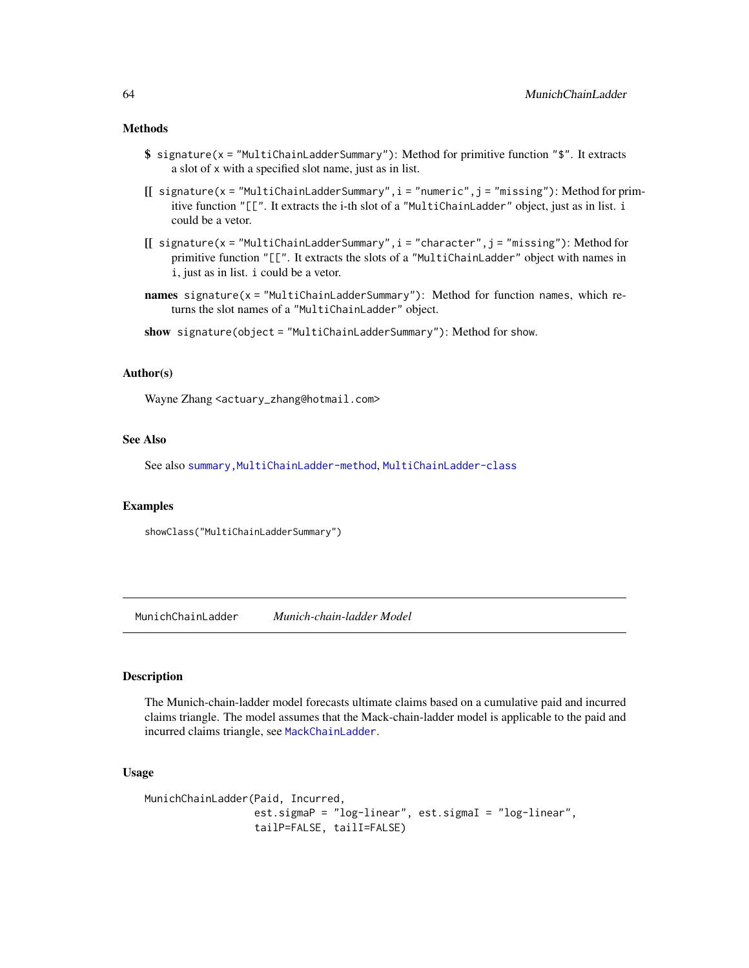## Methods

- \$ signature(x = "MultiChainLadderSummary"): Method for primitive function "\$". It extracts a slot of x with a specified slot name, just as in list.
- $[[$  signature(x = "MultiChainLadderSummary",  $i =$  "numeric",  $j =$  "missing"): Method for primitive function "[[". It extracts the i-th slot of a "MultiChainLadder" object, just as in list. i could be a vetor.
- [[ signature(x = "MultiChainLadderSummary",i = "character",j = "missing"): Method for primitive function "[[". It extracts the slots of a "MultiChainLadder" object with names in i, just as in list. i could be a vetor.
- names signature(x = "MultiChainLadderSummary"): Method for function names, which returns the slot names of a "MultiChainLadder" object.
- show signature(object = "MultiChainLadderSummary"): Method for show.

### Author(s)

Wayne Zhang <actuary\_zhang@hotmail.com>

#### See Also

See also summary, MultiChainLadder-method, [MultiChainLadder-class](#page-57-0)

#### Examples

showClass("MultiChainLadderSummary")

<span id="page-63-0"></span>MunichChainLadder *Munich-chain-ladder Model*

## Description

The Munich-chain-ladder model forecasts ultimate claims based on a cumulative paid and incurred claims triangle. The model assumes that the Mack-chain-ladder model is applicable to the paid and incurred claims triangle, see [MackChainLadder](#page-44-0).

## Usage

```
MunichChainLadder(Paid, Incurred,
                  est.sigmaP = "log-linear", est.sigmaI = "log-linear",
                  tailP=FALSE, tailI=FALSE)
```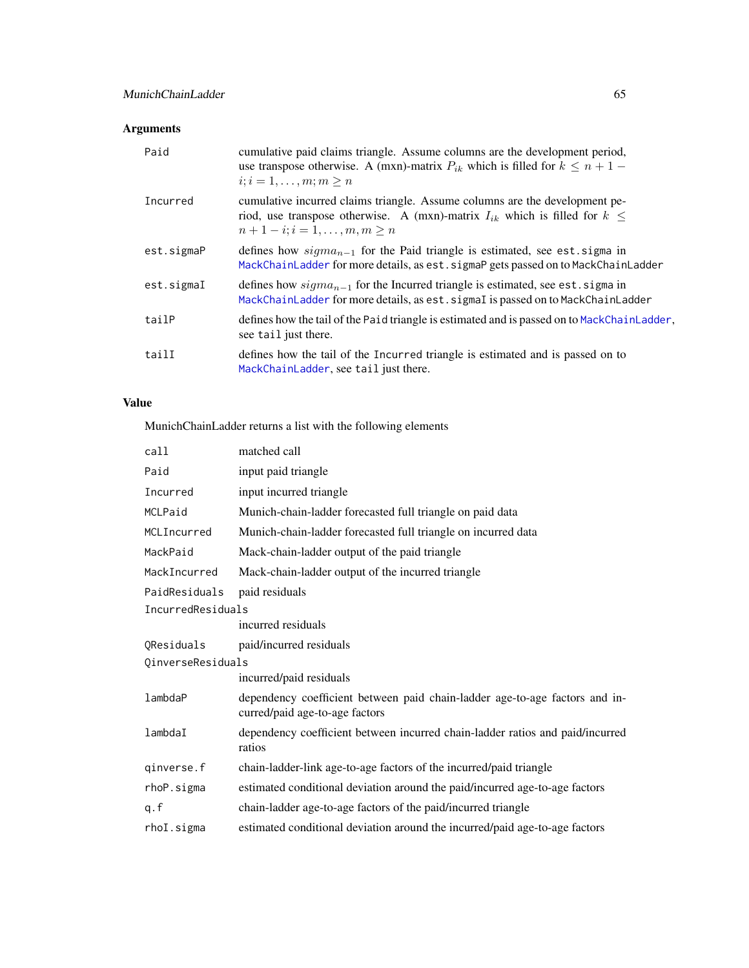# Arguments

| Paid       | cumulative paid claims triangle. Assume columns are the development period,<br>use transpose otherwise. A (mxn)-matrix $P_{ik}$ which is filled for $k \leq n+1$ –<br>$i; i = 1, \ldots, m; m > n$       |
|------------|----------------------------------------------------------------------------------------------------------------------------------------------------------------------------------------------------------|
| Incurred   | cumulative incurred claims triangle. Assume columns are the development pe-<br>riod, use transpose otherwise. A (mxn)-matrix $I_{ik}$ which is filled for $k \leq$<br>$n+1-i$ ; $i=1,\ldots,m, m \geq n$ |
| est.sigmaP | defines how $sigma_{n-1}$ for the Paid triangle is estimated, see est sigma in<br>MackChainLadder for more details, as est. sigmaP gets passed on to MackChainLadder                                     |
| est.sigmaI | defines how $sigma_{n-1}$ for the Incurred triangle is estimated, see est. sigma in<br>MackChainLadder for more details, as est. sigmaI is passed on to MackChainLadder                                  |
| tailP      | defines how the tail of the Paid triangle is estimated and is passed on to MackChainLadder,<br>see tail just there.                                                                                      |
| tailI      | defines how the tail of the Incurred triangle is estimated and is passed on to<br>MackChainLadder, see tail just there.                                                                                  |

# Value

MunichChainLadder returns a list with the following elements

| call              | matched call                                                                                                  |  |
|-------------------|---------------------------------------------------------------------------------------------------------------|--|
| Paid              | input paid triangle                                                                                           |  |
| Incurred          | input incurred triangle                                                                                       |  |
| MCLPaid           | Munich-chain-ladder forecasted full triangle on paid data                                                     |  |
| MCLIncurred       | Munich-chain-ladder forecasted full triangle on incurred data                                                 |  |
| MackPaid          | Mack-chain-ladder output of the paid triangle                                                                 |  |
| MackIncurred      | Mack-chain-ladder output of the incurred triangle                                                             |  |
| PaidResiduals     | paid residuals                                                                                                |  |
| IncurredResiduals |                                                                                                               |  |
|                   | incurred residuals                                                                                            |  |
| OResiduals        | paid/incurred residuals                                                                                       |  |
| QinverseResiduals |                                                                                                               |  |
|                   | incurred/paid residuals                                                                                       |  |
| lambdaP           | dependency coefficient between paid chain-ladder age-to-age factors and in-<br>curred/paid age-to-age factors |  |
| lambdaI           | dependency coefficient between incurred chain-ladder ratios and paid/incurred<br>ratios                       |  |
| qinverse.f        | chain-ladder-link age-to-age factors of the incurred/paid triangle                                            |  |
| rhoP.sigma        | estimated conditional deviation around the paid/incurred age-to-age factors                                   |  |
| q.f               | chain-ladder age-to-age factors of the paid/incurred triangle                                                 |  |
| rhoI.sigma        | estimated conditional deviation around the incurred/paid age-to-age factors                                   |  |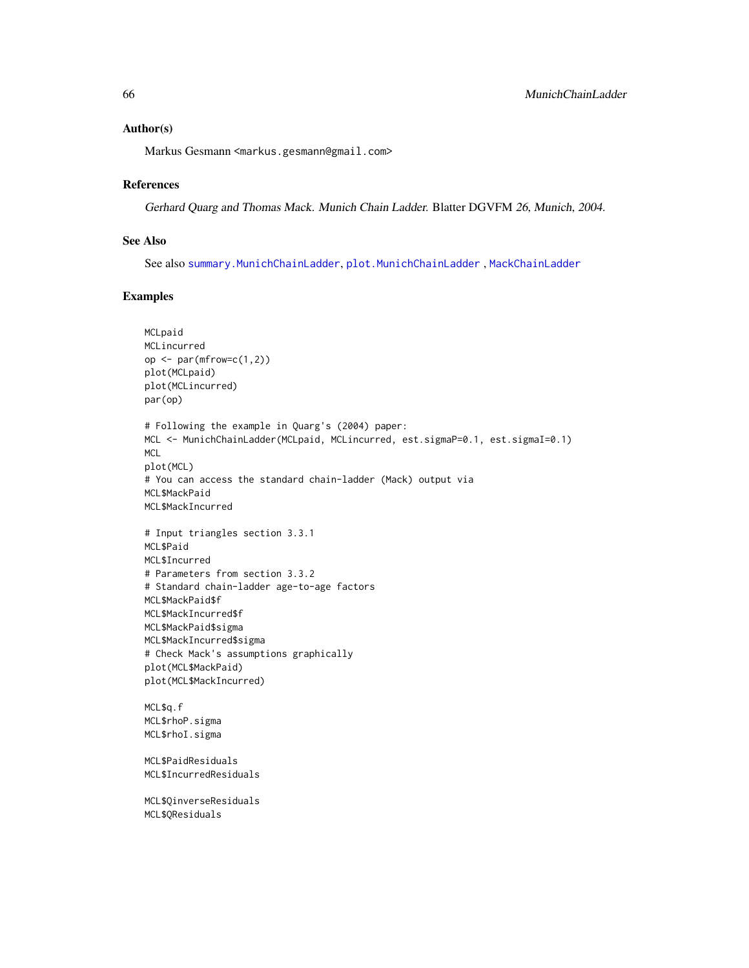#### Author(s)

Markus Gesmann <markus.gesmann@gmail.com>

## References

Gerhard Quarg and Thomas Mack. Munich Chain Ladder. Blatter DGVFM 26, Munich, 2004.

## See Also

See also [summary.MunichChainLadder](#page-99-0), [plot.MunichChainLadder](#page-77-0) , [MackChainLadder](#page-44-0)

## Examples

```
MCLpaid
MCLincurred
op <- par(mfrow=c(1,2))
plot(MCLpaid)
plot(MCLincurred)
par(op)
# Following the example in Quarg's (2004) paper:
MCL <- MunichChainLadder(MCLpaid, MCLincurred, est.sigmaP=0.1, est.sigmaI=0.1)
MCL
plot(MCL)
# You can access the standard chain-ladder (Mack) output via
MCL$MackPaid
MCL$MackIncurred
# Input triangles section 3.3.1
MCL$Paid
MCL$Incurred
# Parameters from section 3.3.2
# Standard chain-ladder age-to-age factors
MCL$MackPaid$f
MCL$MackIncurred$f
MCL$MackPaid$sigma
MCL$MackIncurred$sigma
# Check Mack's assumptions graphically
plot(MCL$MackPaid)
plot(MCL$MackIncurred)
MCL$q.f
MCL$rhoP.sigma
MCL$rhoI.sigma
MCL$PaidResiduals
MCL$IncurredResiduals
MCL$QinverseResiduals
MCL$QResiduals
```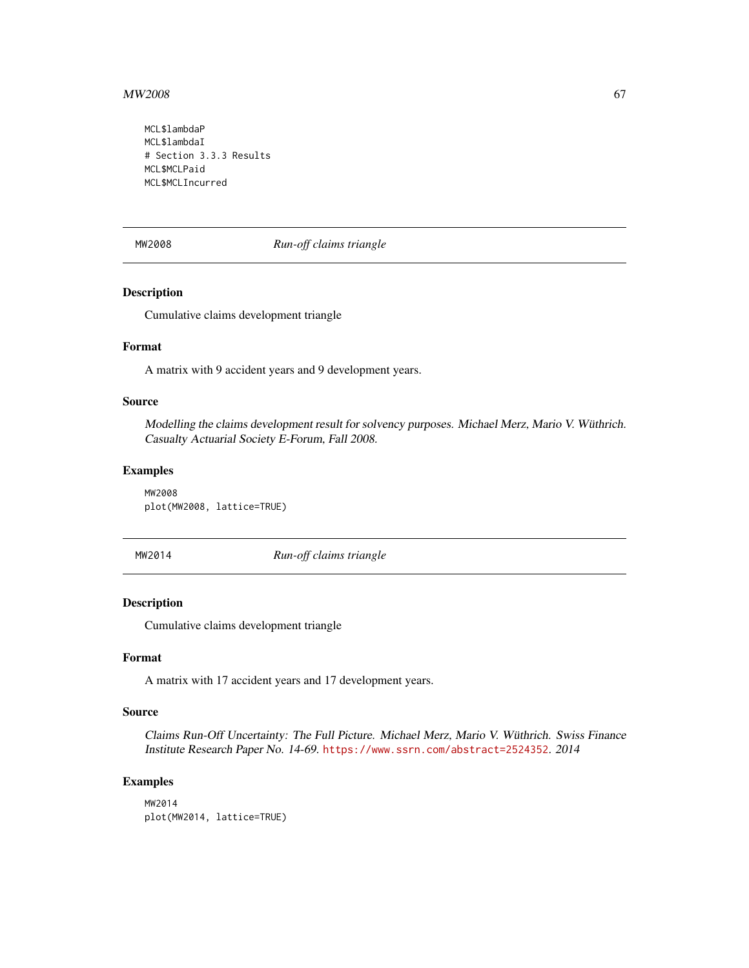#### $MW2008$  67

MCL\$lambdaP MCL\$lambdaI # Section 3.3.3 Results MCL\$MCLPaid MCL\$MCLIncurred

MW2008 *Run-off claims triangle*

## Description

Cumulative claims development triangle

## Format

A matrix with 9 accident years and 9 development years.

#### Source

Modelling the claims development result for solvency purposes. Michael Merz, Mario V. Wüthrich. Casualty Actuarial Society E-Forum, Fall 2008.

## Examples

MW2008 plot(MW2008, lattice=TRUE)

MW2014 *Run-off claims triangle*

#### Description

Cumulative claims development triangle

## Format

A matrix with 17 accident years and 17 development years.

#### Source

Claims Run-Off Uncertainty: The Full Picture. Michael Merz, Mario V. Wüthrich. Swiss Finance Institute Research Paper No. 14-69. <https://www.ssrn.com/abstract=2524352>. 2014

## Examples

MW2014 plot(MW2014, lattice=TRUE)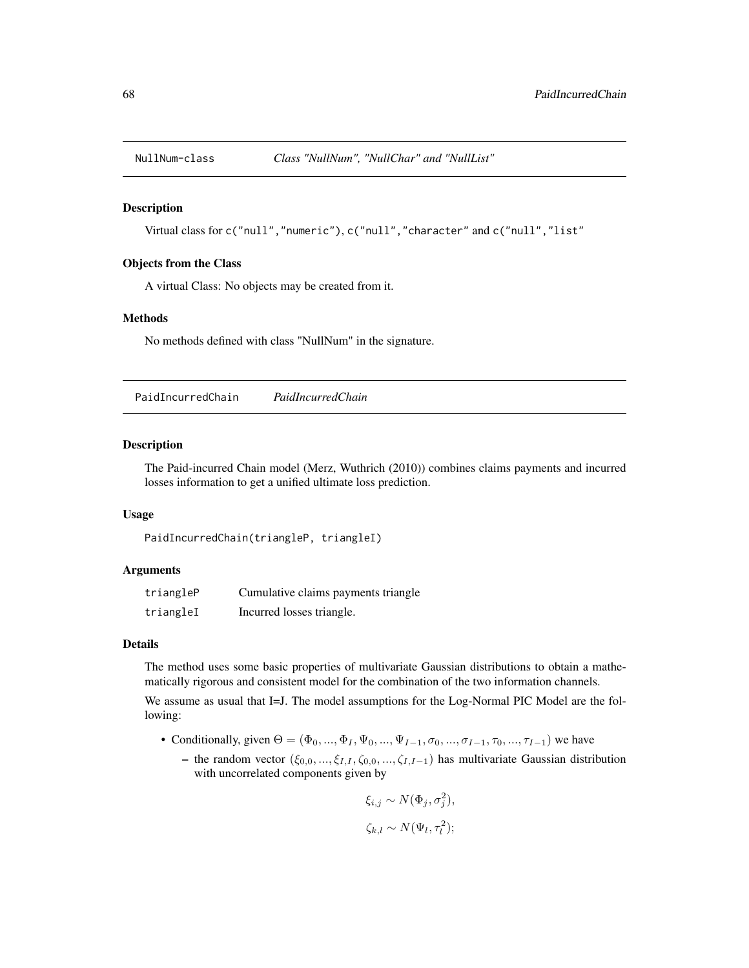## Description

Virtual class for c("null","numeric"), c("null","character" and c("null","list"

#### Objects from the Class

A virtual Class: No objects may be created from it.

#### Methods

No methods defined with class "NullNum" in the signature.

PaidIncurredChain *PaidIncurredChain*

#### Description

The Paid-incurred Chain model (Merz, Wuthrich (2010)) combines claims payments and incurred losses information to get a unified ultimate loss prediction.

## Usage

```
PaidIncurredChain(triangleP, triangleI)
```
#### Arguments

| triangleP | Cumulative claims payments triangle |
|-----------|-------------------------------------|
| triangleI | Incurred losses triangle.           |

## Details

The method uses some basic properties of multivariate Gaussian distributions to obtain a mathematically rigorous and consistent model for the combination of the two information channels.

We assume as usual that I=J. The model assumptions for the Log-Normal PIC Model are the following:

- Conditionally, given  $\Theta = (\Phi_0, ..., \Phi_I, \Psi_0, ..., \Psi_{I-1}, \sigma_0, ..., \sigma_{I-1}, \tau_0, ..., \tau_{I-1})$  we have
	- the random vector  $(\xi_{0,0}, ..., \xi_{I,I}, \zeta_{0,0}, ..., \zeta_{I,I-1})$  has multivariate Gaussian distribution with uncorrelated components given by

$$
\xi_{i,j} \sim N(\Phi_j, \sigma_j^2),
$$

$$
\zeta_{k,l} \sim N(\Psi_l, \tau_l^2);
$$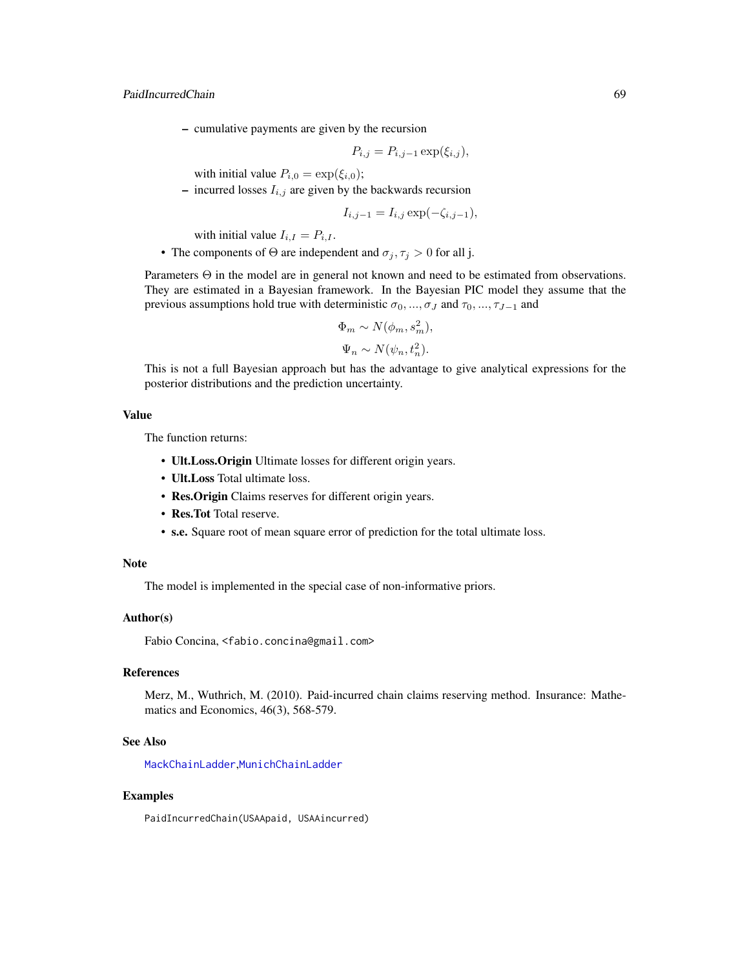## PaidIncurredChain 69

– cumulative payments are given by the recursion

$$
P_{i,j} = P_{i,j-1} \exp(\xi_{i,j}),
$$

with initial value  $P_{i,0} = \exp(\xi_{i,0});$ 

– incurred losses  $I_{i,j}$  are given by the backwards recursion

$$
I_{i,j-1} = I_{i,j} \exp(-\zeta_{i,j-1}),
$$

with initial value  $I_{i,I} = P_{i,I}$ .

• The components of  $\Theta$  are independent and  $\sigma_j, \tau_j > 0$  for all j.

Parameters Θ in the model are in general not known and need to be estimated from observations. They are estimated in a Bayesian framework. In the Bayesian PIC model they assume that the previous assumptions hold true with deterministic  $\sigma_0, ..., \sigma_J$  and  $\tau_0, ..., \tau_{J-1}$  and

$$
\Phi_m \sim N(\phi_m, s_m^2),
$$
  

$$
\Psi_n \sim N(\psi_n, t_n^2).
$$

This is not a full Bayesian approach but has the advantage to give analytical expressions for the posterior distributions and the prediction uncertainty.

#### Value

The function returns:

- Ult.Loss.Origin Ultimate losses for different origin years.
- Ult.Loss Total ultimate loss.
- Res.Origin Claims reserves for different origin years.
- Res. Tot Total reserve.
- s.e. Square root of mean square error of prediction for the total ultimate loss.

#### Note

The model is implemented in the special case of non-informative priors.

## Author(s)

Fabio Concina, <fabio.concina@gmail.com>

# References

Merz, M., Wuthrich, M. (2010). Paid-incurred chain claims reserving method. Insurance: Mathematics and Economics, 46(3), 568-579.

#### See Also

[MackChainLadder](#page-44-0),[MunichChainLadder](#page-63-0)

#### Examples

PaidIncurredChain(USAApaid, USAAincurred)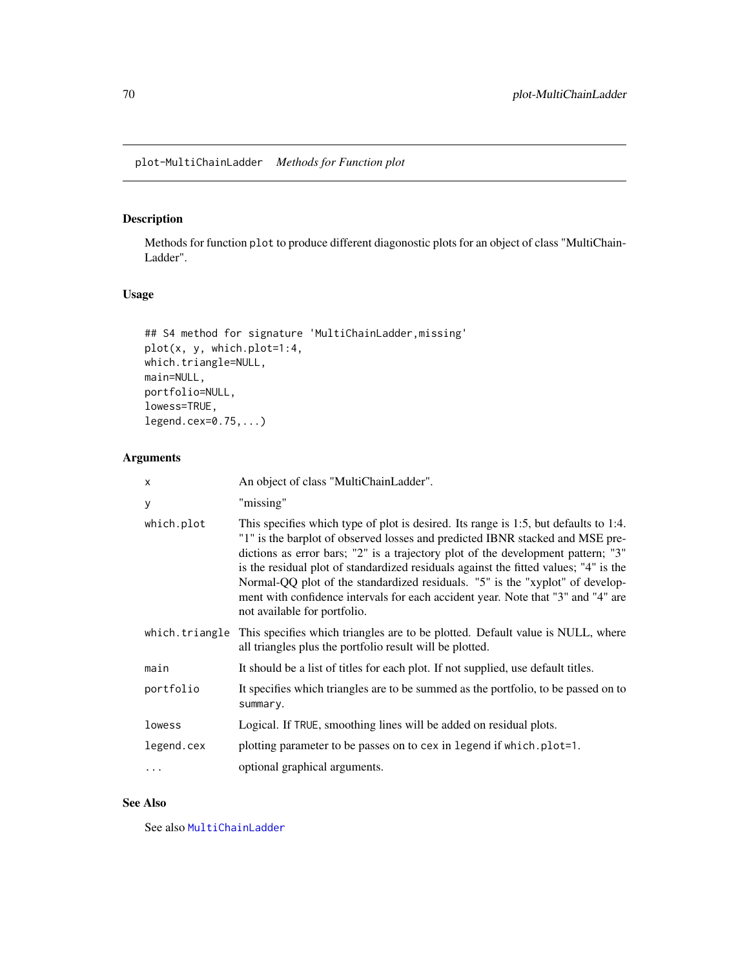# Description

Methods for function plot to produce different diagonostic plots for an object of class "MultiChain-Ladder".

## Usage

```
## S4 method for signature 'MultiChainLadder, missing'
plot(x, y, which.plot=1:4,
which.triangle=NULL,
main=NULL,
portfolio=NULL,
lowess=TRUE,
legend.cex=0.75,...)
```
# Arguments

| X              | An object of class "MultiChainLadder".                                                                                                                                                                                                                                                                                                                                                                                                                                                                                                                 |
|----------------|--------------------------------------------------------------------------------------------------------------------------------------------------------------------------------------------------------------------------------------------------------------------------------------------------------------------------------------------------------------------------------------------------------------------------------------------------------------------------------------------------------------------------------------------------------|
| y              | "missing"                                                                                                                                                                                                                                                                                                                                                                                                                                                                                                                                              |
| which.plot     | This specifies which type of plot is desired. Its range is 1:5, but defaults to 1:4.<br>"1" is the barplot of observed losses and predicted IBNR stacked and MSE pre-<br>dictions as error bars; "2" is a trajectory plot of the development pattern; "3"<br>is the residual plot of standardized residuals against the fitted values; "4" is the<br>Normal-QQ plot of the standardized residuals. "5" is the "xyplot" of develop-<br>ment with confidence intervals for each accident year. Note that "3" and "4" are<br>not available for portfolio. |
| which.triangle | This specifies which triangles are to be plotted. Default value is NULL, where<br>all triangles plus the portfolio result will be plotted.                                                                                                                                                                                                                                                                                                                                                                                                             |
| main           | It should be a list of titles for each plot. If not supplied, use default titles.                                                                                                                                                                                                                                                                                                                                                                                                                                                                      |
| portfolio      | It specifies which triangles are to be summed as the portfolio, to be passed on to<br>summary.                                                                                                                                                                                                                                                                                                                                                                                                                                                         |
| lowess         | Logical. If TRUE, smoothing lines will be added on residual plots.                                                                                                                                                                                                                                                                                                                                                                                                                                                                                     |
| legend.cex     | plotting parameter to be passes on to cex in legend if which.plot=1.                                                                                                                                                                                                                                                                                                                                                                                                                                                                                   |
| .              | optional graphical arguments.                                                                                                                                                                                                                                                                                                                                                                                                                                                                                                                          |
|                |                                                                                                                                                                                                                                                                                                                                                                                                                                                                                                                                                        |

## See Also

See also [MultiChainLadder](#page-52-0)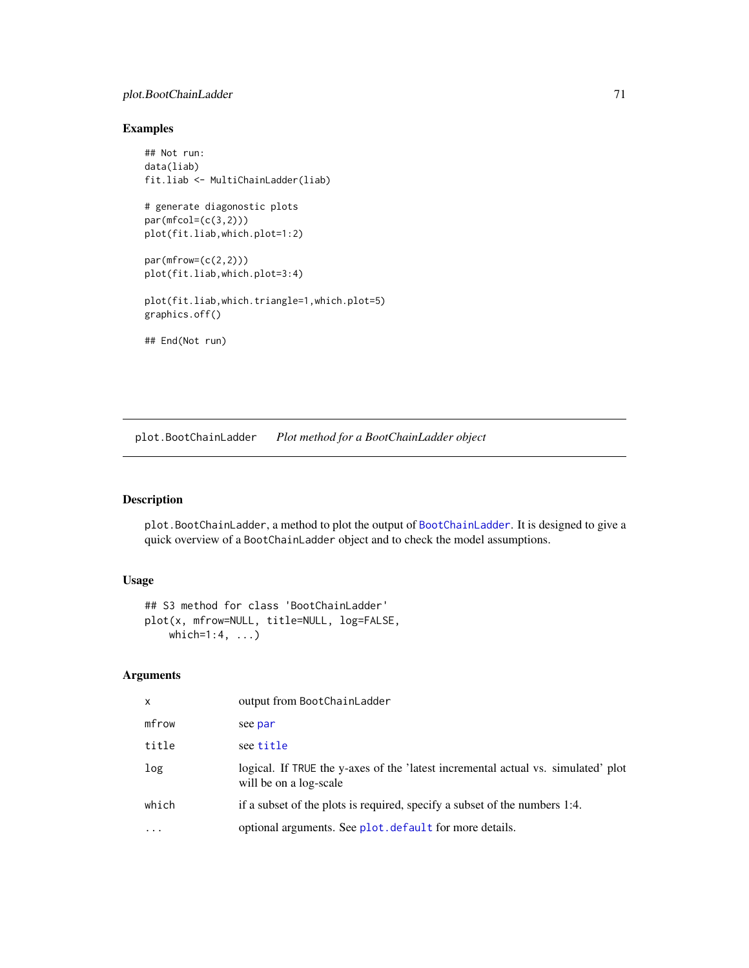## plot.BootChainLadder 71

## Examples

```
## Not run:
data(liab)
fit.liab <- MultiChainLadder(liab)
# generate diagonostic plots
par(mfcol=(c(3,2)))
plot(fit.liab,which.plot=1:2)
par(mfrow=(c(2,2)))plot(fit.liab,which.plot=3:4)
plot(fit.liab,which.triangle=1,which.plot=5)
graphics.off()
## End(Not run)
```
plot.BootChainLadder *Plot method for a BootChainLadder object*

## Description

plot.BootChainLadder, a method to plot the output of [BootChainLadder](#page-8-0). It is designed to give a quick overview of a BootChainLadder object and to check the model assumptions.

## Usage

```
## S3 method for class 'BootChainLadder'
plot(x, mfrow=NULL, title=NULL, log=FALSE,
   which=1:4, ...)
```
## Arguments

| x        | output from BootChainLadder                                                                                 |
|----------|-------------------------------------------------------------------------------------------------------------|
| mfrow    | see par                                                                                                     |
| title    | see title                                                                                                   |
| log      | logical. If TRUE the y-axes of the 'latest incremental actual vs. simulated' plot<br>will be on a log-scale |
| which    | if a subset of the plots is required, specify a subset of the numbers 1:4.                                  |
| $\cdots$ | optional arguments. See plot. default for more details.                                                     |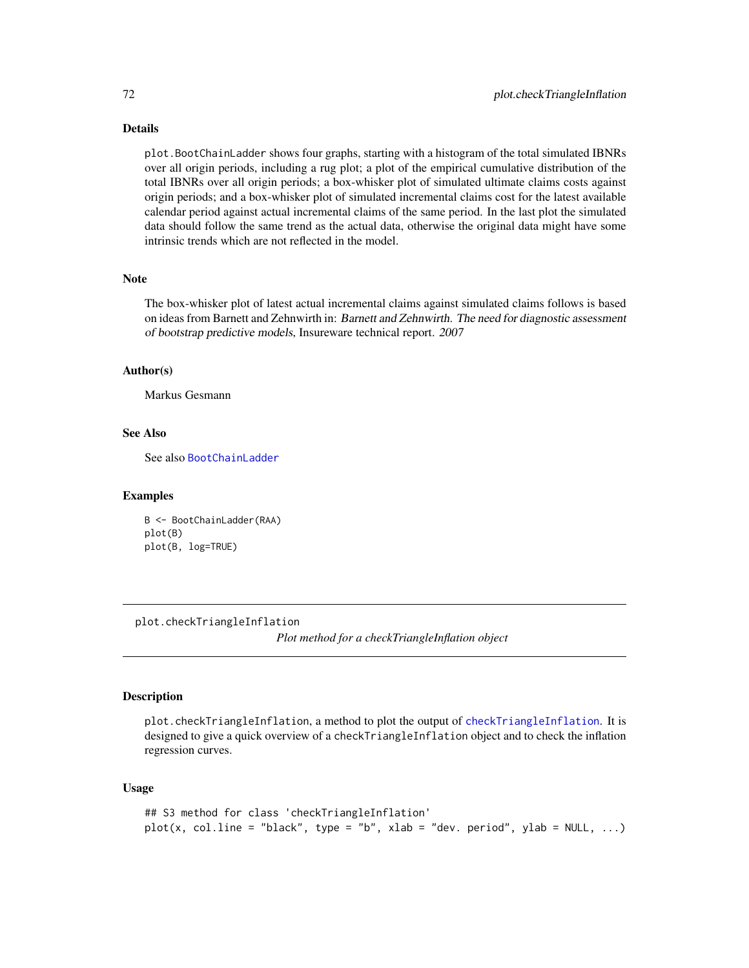#### Details

plot.BootChainLadder shows four graphs, starting with a histogram of the total simulated IBNRs over all origin periods, including a rug plot; a plot of the empirical cumulative distribution of the total IBNRs over all origin periods; a box-whisker plot of simulated ultimate claims costs against origin periods; and a box-whisker plot of simulated incremental claims cost for the latest available calendar period against actual incremental claims of the same period. In the last plot the simulated data should follow the same trend as the actual data, otherwise the original data might have some intrinsic trends which are not reflected in the model.

## Note

The box-whisker plot of latest actual incremental claims against simulated claims follows is based on ideas from Barnett and Zehnwirth in: Barnett and Zehnwirth. The need for diagnostic assessment of bootstrap predictive models, Insureware technical report. 2007

#### Author(s)

Markus Gesmann

#### See Also

See also [BootChainLadder](#page-8-0)

#### Examples

B <- BootChainLadder(RAA) plot(B) plot(B, log=TRUE)

plot.checkTriangleInflation

*Plot method for a checkTriangleInflation object*

#### Description

plot.checkTriangleInflation, a method to plot the output of [checkTriangleInflation](#page-16-0). It is designed to give a quick overview of a checkTriangleInflation object and to check the inflation regression curves.

#### Usage

```
## S3 method for class 'checkTriangleInflation'
plot(x, col.line = "black", type = "b", xlab = "dev. period", ylab = NULL, ...)
```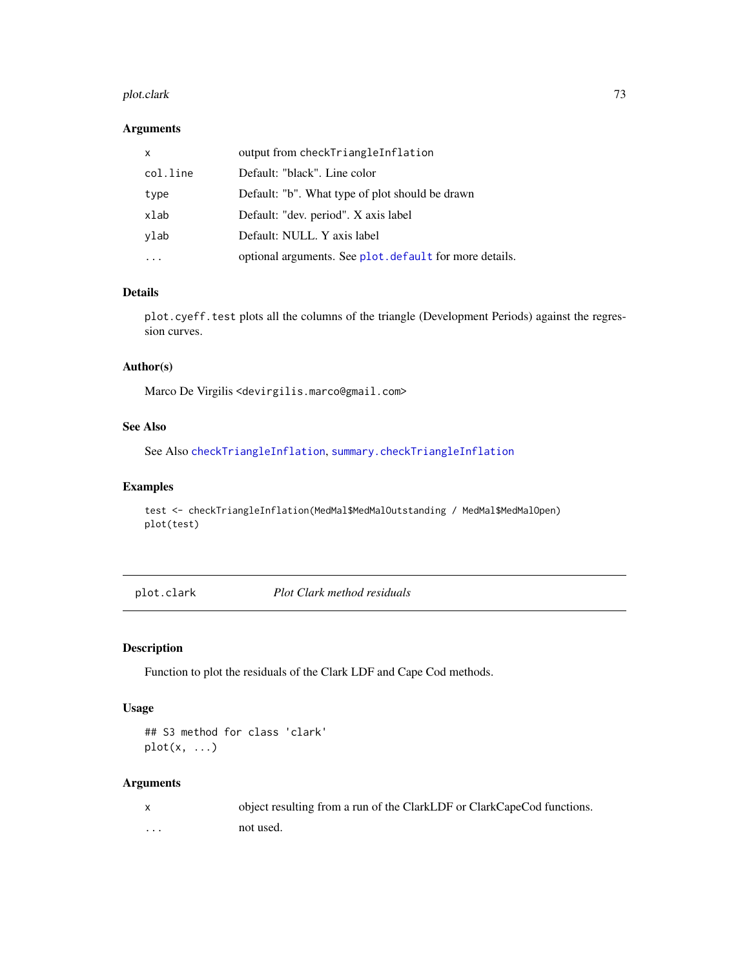#### plot.clark 73

## Arguments

| $\mathsf{x}$ | output from checkTriangleInflation                      |
|--------------|---------------------------------------------------------|
| col.line     | Default: "black". Line color                            |
| type         | Default: "b". What type of plot should be drawn         |
| xlab         | Default: "dev. period". X axis label                    |
| vlab         | Default: NULL. Y axis label                             |
|              | optional arguments. See plot. default for more details. |

# Details

plot.cyeff.test plots all the columns of the triangle (Development Periods) against the regression curves.

#### Author(s)

Marco De Virgilis <devirgilis.marco@gmail.com>

## See Also

See Also [checkTriangleInflation](#page-16-0), [summary.checkTriangleInflation](#page-94-0)

## Examples

test <- checkTriangleInflation(MedMal\$MedMalOutstanding / MedMal\$MedMalOpen) plot(test)

plot.clark *Plot Clark method residuals*

## Description

Function to plot the residuals of the Clark LDF and Cape Cod methods.

## Usage

```
## S3 method for class 'clark'
plot(x, \ldots)
```
#### Arguments

|   | object resulting from a run of the ClarkLDF or ClarkCapeCod functions. |
|---|------------------------------------------------------------------------|
| . | not used.                                                              |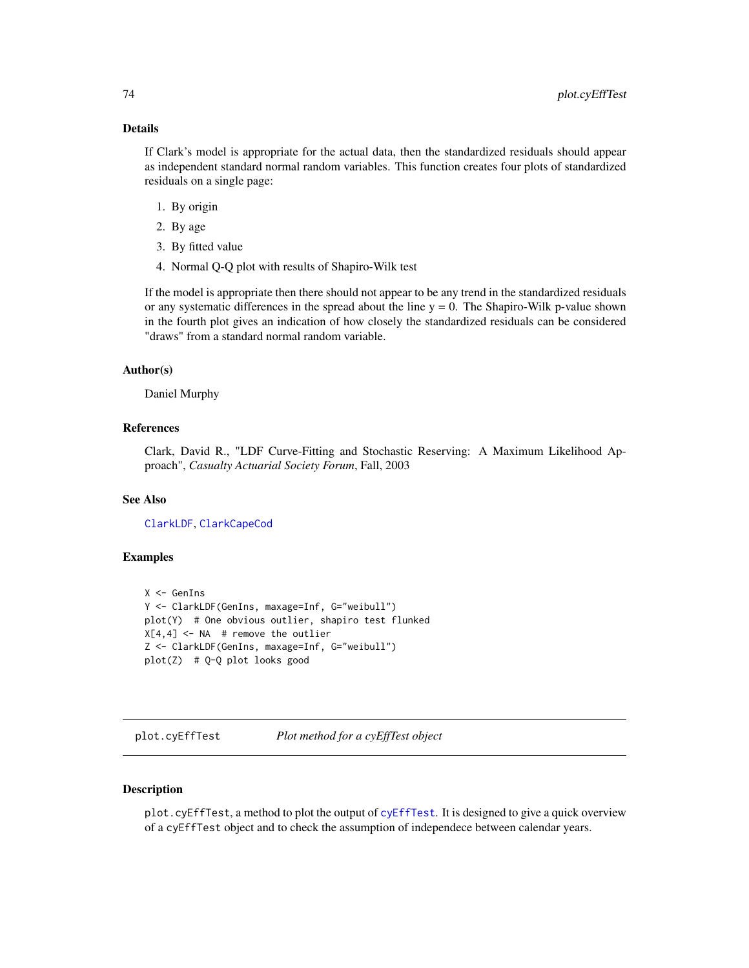## Details

If Clark's model is appropriate for the actual data, then the standardized residuals should appear as independent standard normal random variables. This function creates four plots of standardized residuals on a single page:

- 1. By origin
- 2. By age
- 3. By fitted value
- 4. Normal Q-Q plot with results of Shapiro-Wilk test

If the model is appropriate then there should not appear to be any trend in the standardized residuals or any systematic differences in the spread about the line  $y = 0$ . The Shapiro-Wilk p-value shown in the fourth plot gives an indication of how closely the standardized residuals can be considered "draws" from a standard normal random variable.

#### Author(s)

Daniel Murphy

## References

Clark, David R., "LDF Curve-Fitting and Stochastic Reserving: A Maximum Likelihood Approach", *Casualty Actuarial Society Forum*, Fall, 2003

#### See Also

[ClarkLDF](#page-22-0), [ClarkCapeCod](#page-18-0)

#### Examples

```
X <- GenIns
Y <- ClarkLDF(GenIns, maxage=Inf, G="weibull")
plot(Y) # One obvious outlier, shapiro test flunked
X[4,4] <- NA # remove the outlier
Z <- ClarkLDF(GenIns, maxage=Inf, G="weibull")
plot(Z) # Q-Q plot looks good
```
<span id="page-73-0"></span>plot.cyEffTest *Plot method for a cyEffTest object*

#### Description

plot.cyEffTest, a method to plot the output of [cyEffTest](#page-29-0). It is designed to give a quick overview of a cyEffTest object and to check the assumption of independece between calendar years.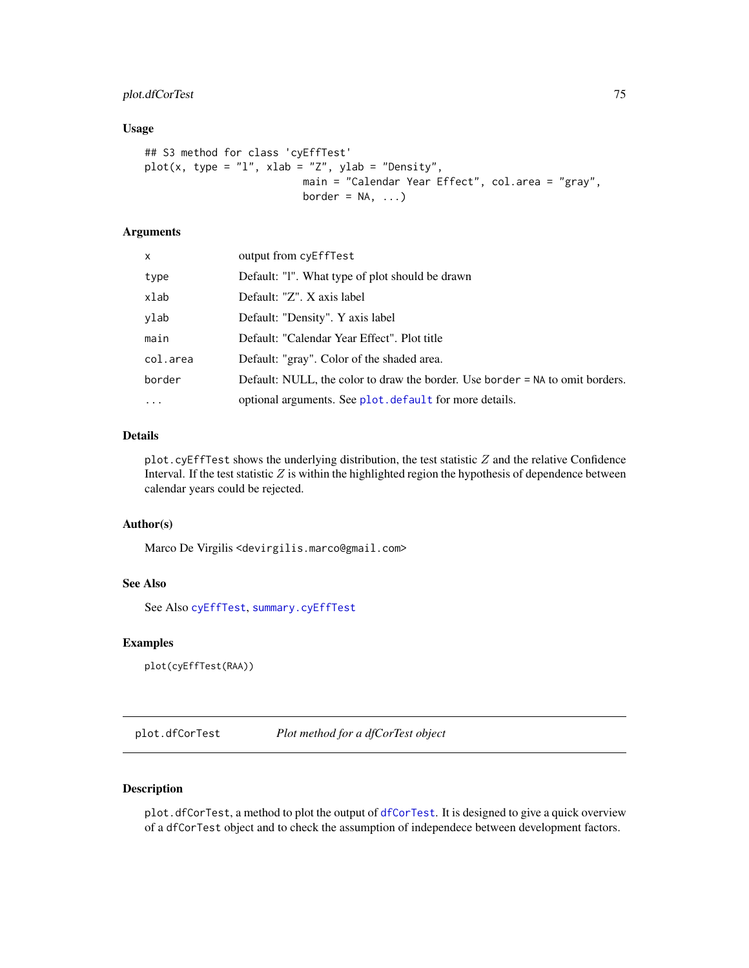## plot.dfCorTest 75

#### Usage

```
## S3 method for class 'cyEffTest'
plot(x, type = "l", xlab = "Z", ylab = "Density",
                          main = "Calendar Year Effect", col.area = "gray",
                          border = NA, ...)
```
## Arguments

| X          | output from cyEffTest                                                         |
|------------|-------------------------------------------------------------------------------|
| type       | Default: "I". What type of plot should be drawn                               |
| xlab       | Default: "Z". X axis label                                                    |
| ylab       | Default: "Density". Y axis label                                              |
| main       | Default: "Calendar Year Effect". Plot title                                   |
| col.area   | Default: "gray". Color of the shaded area.                                    |
| border     | Default: NULL, the color to draw the border. Use border = NA to omit borders. |
| $\ddots$ . | optional arguments. See plot. default for more details.                       |

#### Details

plot.cyEffTest shows the underlying distribution, the test statistic  $Z$  and the relative Confidence Interval. If the test statistic  $Z$  is within the highlighted region the hypothesis of dependence between calendar years could be rejected.

## Author(s)

Marco De Virgilis <devirgilis.marco@gmail.com>

#### See Also

See Also [cyEffTest](#page-29-0), [summary.cyEffTest](#page-96-0)

#### Examples

plot(cyEffTest(RAA))

<span id="page-74-0"></span>plot.dfCorTest *Plot method for a dfCorTest object*

## Description

plot.[dfCorTest](#page-31-0), a method to plot the output of dfCorTest. It is designed to give a quick overview of a dfCorTest object and to check the assumption of independece between development factors.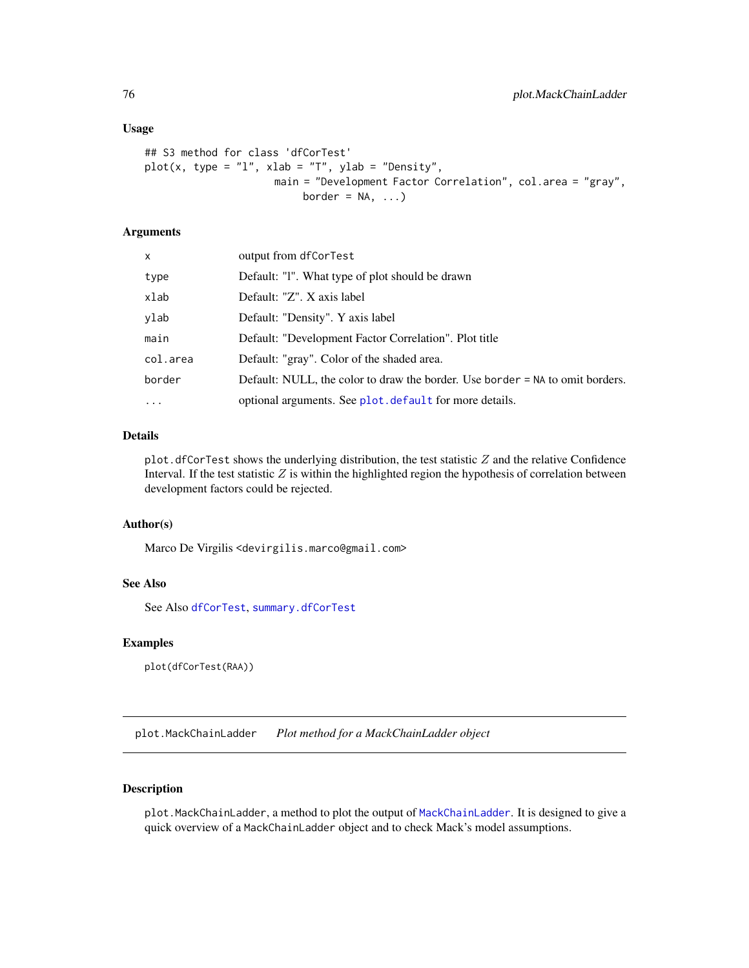#### Usage

```
## S3 method for class 'dfCorTest'
plot(x, type = "l", xlab = "T", ylab = "Density",main = "Development Factor Correlation", col.area = "gray",
                          border = NA, ...)
```
#### Arguments

| x          | output from dfCorTest                                                         |
|------------|-------------------------------------------------------------------------------|
| type       | Default: "I". What type of plot should be drawn                               |
| xlab       | Default: "Z". X axis label                                                    |
| ylab       | Default: "Density". Y axis label                                              |
| main       | Default: "Development Factor Correlation". Plot title                         |
| col.area   | Default: "gray". Color of the shaded area.                                    |
| border     | Default: NULL, the color to draw the border. Use border = NA to omit borders. |
| $\ddots$ . | optional arguments. See plot. default for more details.                       |
|            |                                                                               |

## Details

plot. dfCorTest shows the underlying distribution, the test statistic  $Z$  and the relative Confidence Interval. If the test statistic  $Z$  is within the highlighted region the hypothesis of correlation between development factors could be rejected.

## Author(s)

Marco De Virgilis <devirgilis.marco@gmail.com>

#### See Also

See Also [dfCorTest](#page-31-0), [summary.dfCorTest](#page-97-0)

#### Examples

plot(dfCorTest(RAA))

<span id="page-75-0"></span>plot.MackChainLadder *Plot method for a MackChainLadder object*

## Description

plot.MackChainLadder, a method to plot the output of [MackChainLadder](#page-44-0). It is designed to give a quick overview of a MackChainLadder object and to check Mack's model assumptions.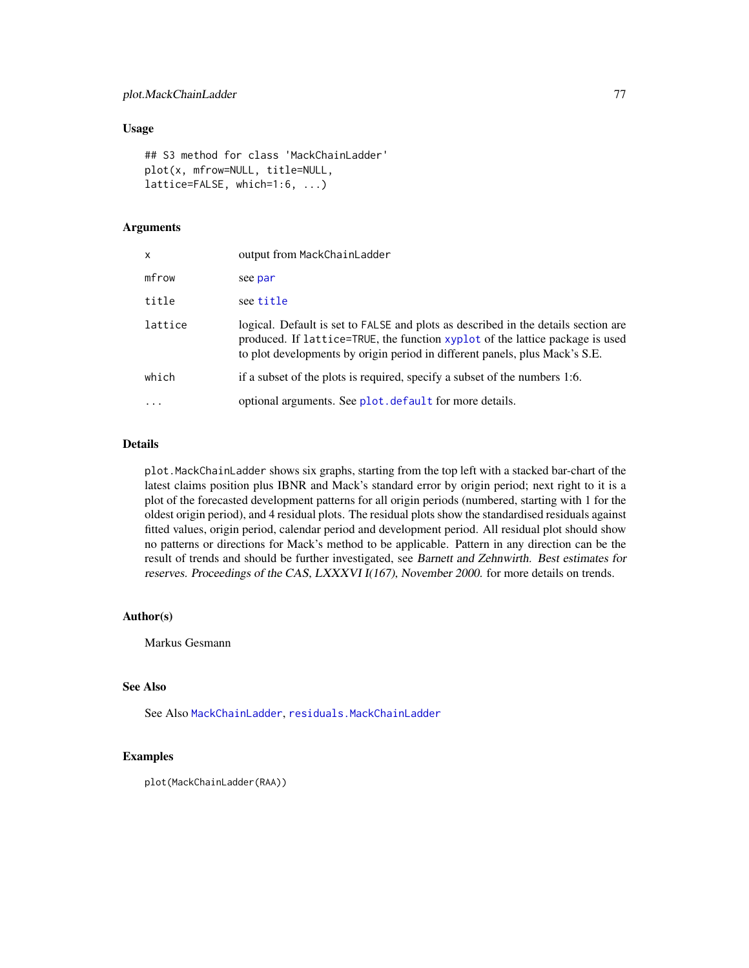## Usage

```
## S3 method for class 'MackChainLadder'
plot(x, mfrow=NULL, title=NULL,
lattice=FALSE, which=1:6, ...)
```
## Arguments

| $\mathsf{x}$ | output from MackChainLadder                                                                                                                                                                                                                        |
|--------------|----------------------------------------------------------------------------------------------------------------------------------------------------------------------------------------------------------------------------------------------------|
| mfrow        | see par                                                                                                                                                                                                                                            |
| title        | see title                                                                                                                                                                                                                                          |
| lattice      | logical. Default is set to FALSE and plots as described in the details section are<br>produced. If lattice=TRUE, the function xyplot of the lattice package is used<br>to plot developments by origin period in different panels, plus Mack's S.E. |
| which        | if a subset of the plots is required, specify a subset of the numbers 1:6.                                                                                                                                                                         |
|              | optional arguments. See plot. default for more details.                                                                                                                                                                                            |
|              |                                                                                                                                                                                                                                                    |

## Details

plot.MackChainLadder shows six graphs, starting from the top left with a stacked bar-chart of the latest claims position plus IBNR and Mack's standard error by origin period; next right to it is a plot of the forecasted development patterns for all origin periods (numbered, starting with 1 for the oldest origin period), and 4 residual plots. The residual plots show the standardised residuals against fitted values, origin period, calendar period and development period. All residual plot should show no patterns or directions for Mack's method to be applicable. Pattern in any direction can be the result of trends and should be further investigated, see Barnett and Zehnwirth. Best estimates for reserves. Proceedings of the CAS, LXXXVI I(167), November 2000. for more details on trends.

#### Author(s)

Markus Gesmann

#### See Also

See Also [MackChainLadder](#page-44-0), [residuals.MackChainLadder](#page-89-0)

#### Examples

```
plot(MackChainLadder(RAA))
```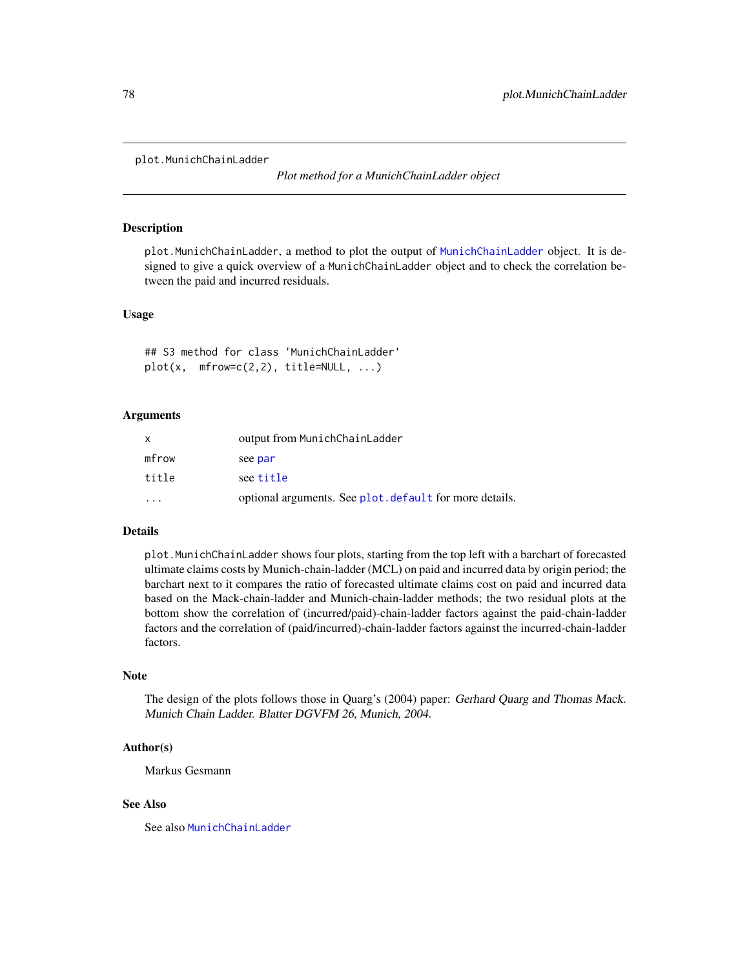<span id="page-77-0"></span>plot.MunichChainLadder

*Plot method for a MunichChainLadder object*

#### Description

plot.MunichChainLadder, a method to plot the output of [MunichChainLadder](#page-63-0) object. It is designed to give a quick overview of a MunichChainLadder object and to check the correlation between the paid and incurred residuals.

#### Usage

## S3 method for class 'MunichChainLadder'  $plot(x, mfrow=c(2,2), title=NULL, ...)$ 

#### Arguments

| $\mathsf{x}$ | output from MunichChainLadder                           |
|--------------|---------------------------------------------------------|
| mfrow        | see par                                                 |
| title        | see title                                               |
|              | optional arguments. See plot. default for more details. |

### Details

plot.MunichChainLadder shows four plots, starting from the top left with a barchart of forecasted ultimate claims costs by Munich-chain-ladder (MCL) on paid and incurred data by origin period; the barchart next to it compares the ratio of forecasted ultimate claims cost on paid and incurred data based on the Mack-chain-ladder and Munich-chain-ladder methods; the two residual plots at the bottom show the correlation of (incurred/paid)-chain-ladder factors against the paid-chain-ladder factors and the correlation of (paid/incurred)-chain-ladder factors against the incurred-chain-ladder factors.

#### Note

The design of the plots follows those in Quarg's (2004) paper: Gerhard Quarg and Thomas Mack. Munich Chain Ladder. Blatter DGVFM 26, Munich, 2004.

#### Author(s)

Markus Gesmann

#### See Also

See also [MunichChainLadder](#page-63-0)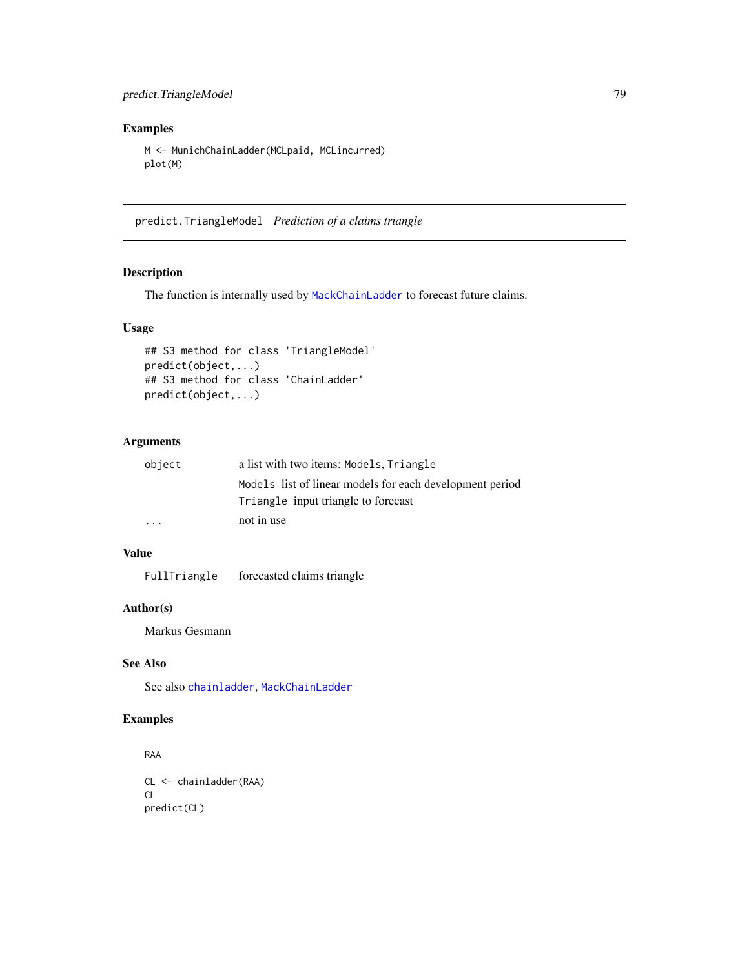## predict.TriangleModel 79

## Examples

```
M <- MunichChainLadder(MCLpaid, MCLincurred)
plot(M)
```
predict.TriangleModel *Prediction of a claims triangle*

## Description

The function is internally used by [MackChainLadder](#page-44-0) to forecast future claims.

#### Usage

```
## S3 method for class 'TriangleModel'
predict(object,...)
## S3 method for class 'ChainLadder'
predict(object,...)
```
#### Arguments

| object                  | a list with two items: Models, Triangle                  |
|-------------------------|----------------------------------------------------------|
|                         | Models list of linear models for each development period |
|                         | Triangle input triangle to forecast                      |
| $\cdot$ $\cdot$ $\cdot$ | not in use                                               |

# Value

FullTriangle forecasted claims triangle

## Author(s)

Markus Gesmann

# See Also

See also [chainladder](#page-14-0), [MackChainLadder](#page-44-0)

# Examples

```
RAA
CL <- chainladder(RAA)
CL
predict(CL)
```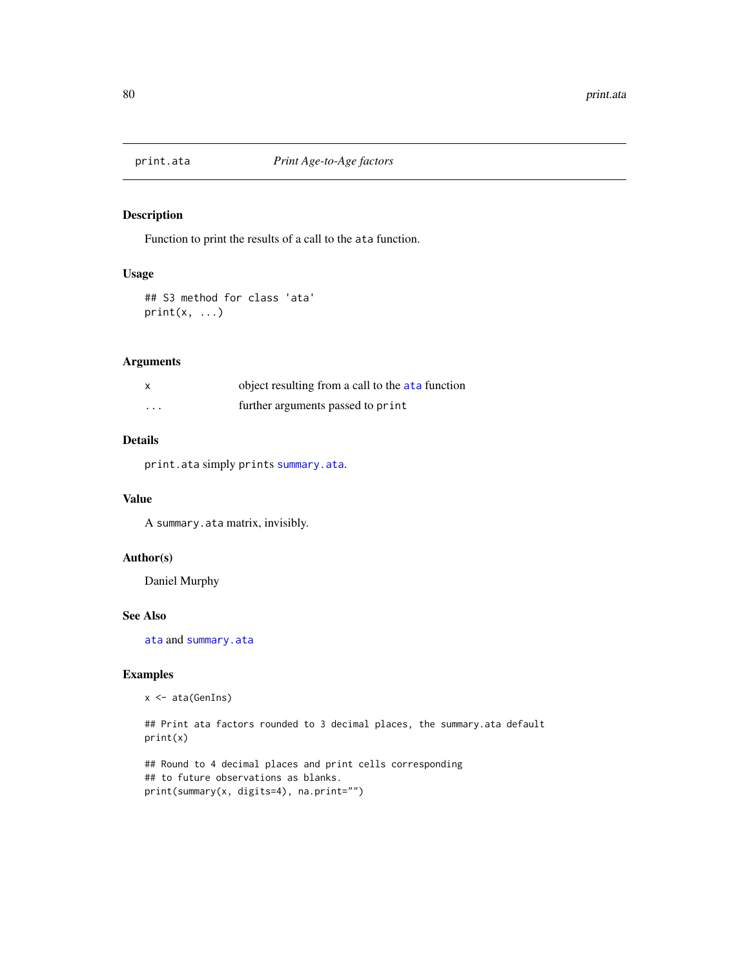<span id="page-79-0"></span>

# Description

Function to print the results of a call to the ata function.

#### Usage

```
## S3 method for class 'ata'
print(x, \ldots)
```
## Arguments

| X        | object resulting from a call to the ata function |
|----------|--------------------------------------------------|
| $\cdots$ | further arguments passed to print                |

## Details

print.ata simply prints [summary.ata](#page-92-0).

## Value

A summary.ata matrix, invisibly.

## Author(s)

Daniel Murphy

## See Also

[ata](#page-5-0) and [summary.ata](#page-92-0)

## Examples

x <- ata(GenIns)

## Print ata factors rounded to 3 decimal places, the summary.ata default print(x)

## Round to 4 decimal places and print cells corresponding ## to future observations as blanks. print(summary(x, digits=4), na.print="")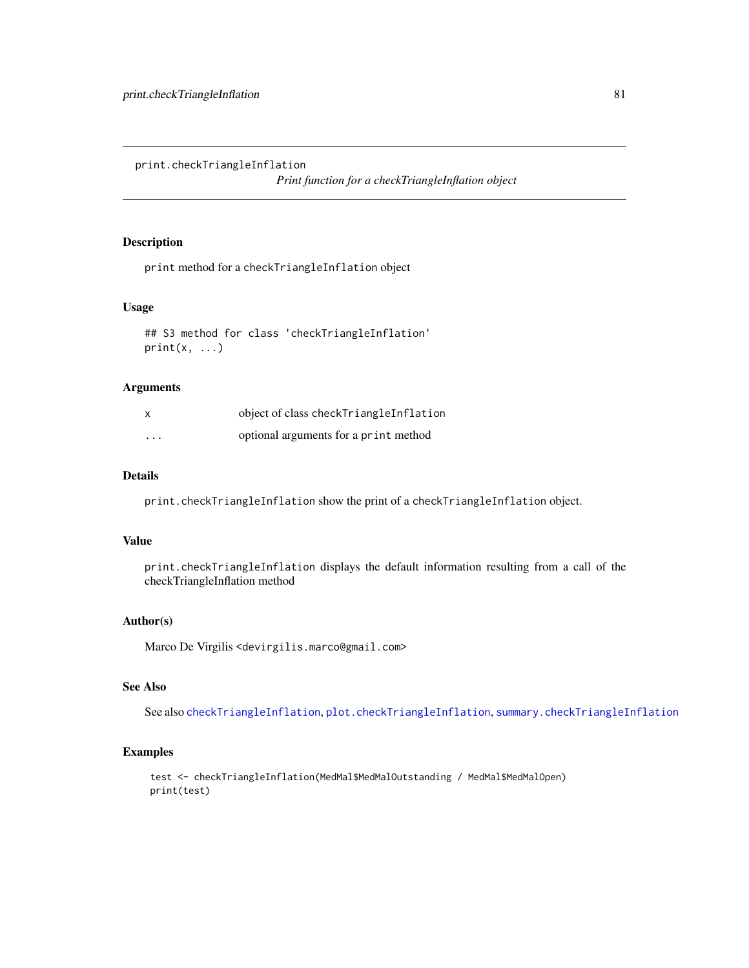print.checkTriangleInflation

*Print function for a checkTriangleInflation object*

## Description

print method for a checkTriangleInflation object

## Usage

```
## S3 method for class 'checkTriangleInflation'
print(x, \ldots)
```
#### Arguments

| $\mathsf{x}$ | object of class checkTriangleInflation |
|--------------|----------------------------------------|
| $\cdots$     | optional arguments for a print method  |

## Details

print.checkTriangleInflation show the print of a checkTriangleInflation object.

## Value

print.checkTriangleInflation displays the default information resulting from a call of the checkTriangleInflation method

## Author(s)

Marco De Virgilis <devirgilis.marco@gmail.com>

## See Also

See also [checkTriangleInflation](#page-16-0), [plot.checkTriangleInflation](#page-71-0), [summary.checkTriangleInflation](#page-94-0)

## Examples

```
test <- checkTriangleInflation(MedMal$MedMalOutstanding / MedMal$MedMalOpen)
print(test)
```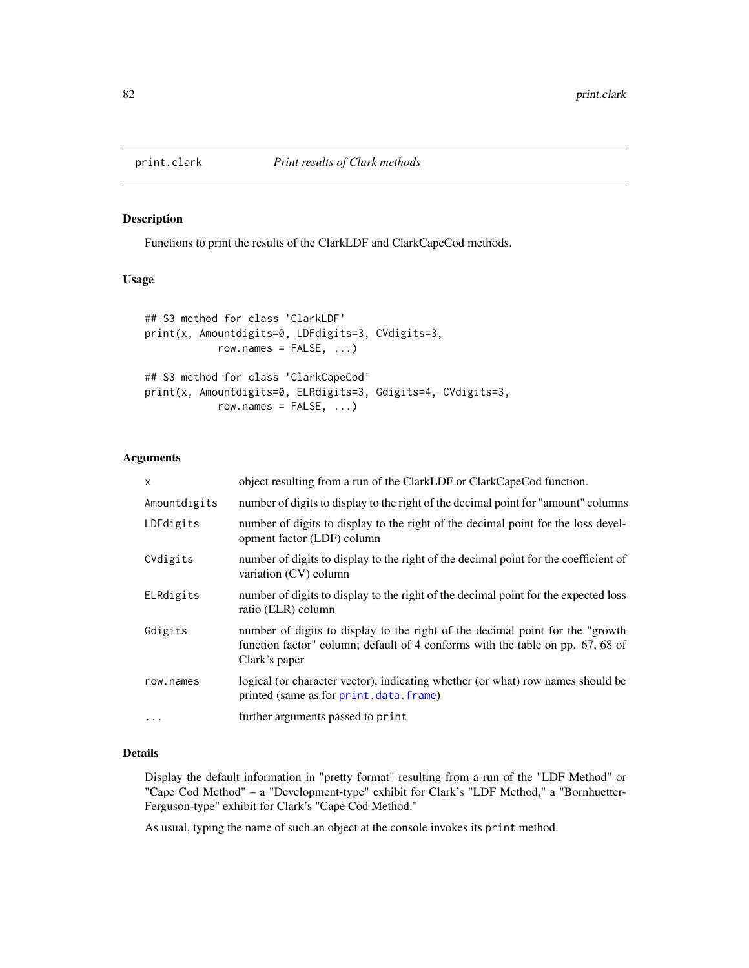#### Description

Functions to print the results of the ClarkLDF and ClarkCapeCod methods.

## Usage

```
## S3 method for class 'ClarkLDF'
print(x, Amountdigits=0, LDFdigits=3, CVdigits=3,
            row.names = FALSE, ...)## S3 method for class 'ClarkCapeCod'
print(x, Amountdigits=0, ELRdigits=3, Gdigits=4, CVdigits=3,
            row.names = FALSE, ...)
```
#### Arguments

| $\times$     | object resulting from a run of the ClarkLDF or ClarkCapeCod function.                                                                                                             |
|--------------|-----------------------------------------------------------------------------------------------------------------------------------------------------------------------------------|
| Amountdigits | number of digits to display to the right of the decimal point for "amount" columns                                                                                                |
| LDFdigits    | number of digits to display to the right of the decimal point for the loss devel-<br>opment factor (LDF) column                                                                   |
| CVdigits     | number of digits to display to the right of the decimal point for the coefficient of<br>variation (CV) column                                                                     |
| ELRdigits    | number of digits to display to the right of the decimal point for the expected loss<br>ratio (ELR) column                                                                         |
| Gdigits      | number of digits to display to the right of the decimal point for the "growth"<br>function factor" column; default of 4 conforms with the table on pp. 67, 68 of<br>Clark's paper |
| row.names    | logical (or character vector), indicating whether (or what) row names should be<br>printed (same as for print.data.frame)                                                         |
| $\ddotsc$    | further arguments passed to print                                                                                                                                                 |

# Details

Display the default information in "pretty format" resulting from a run of the "LDF Method" or "Cape Cod Method" – a "Development-type" exhibit for Clark's "LDF Method," a "Bornhuetter-Ferguson-type" exhibit for Clark's "Cape Cod Method."

As usual, typing the name of such an object at the console invokes its print method.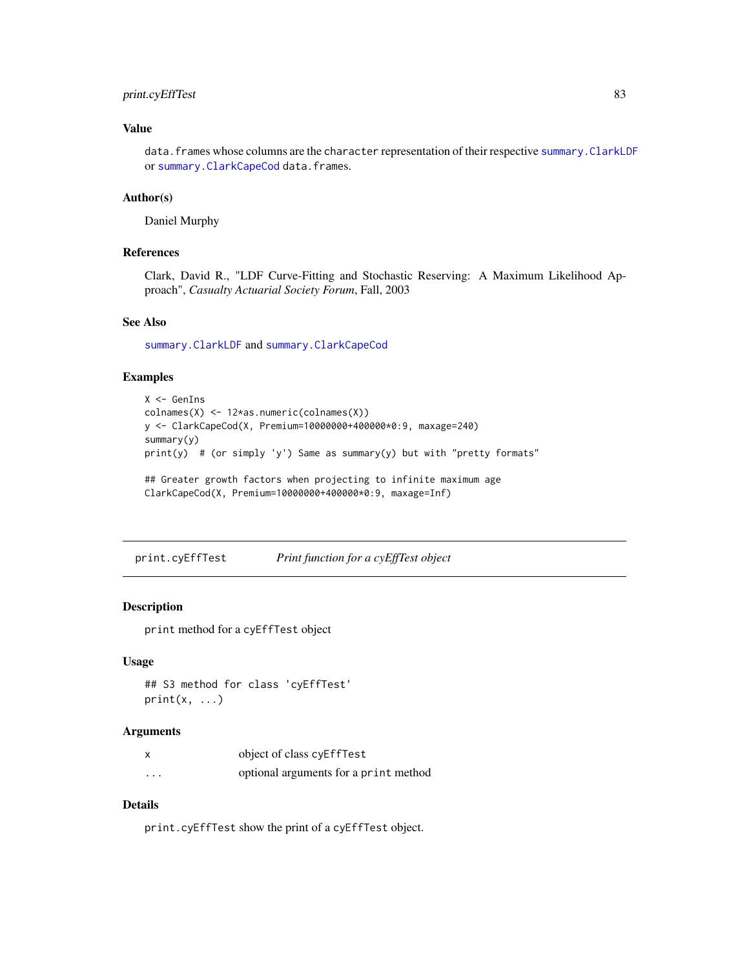## print.cyEffTest 83

## Value

data. frames whose columns are the character representation of their respective summary. ClarkLDF or [summary.ClarkCapeCod](#page-95-0) data.frames.

#### Author(s)

Daniel Murphy

#### References

Clark, David R., "LDF Curve-Fitting and Stochastic Reserving: A Maximum Likelihood Approach", *Casualty Actuarial Society Forum*, Fall, 2003

## See Also

[summary.ClarkLDF](#page-95-0) and [summary.ClarkCapeCod](#page-95-0)

#### Examples

```
X <- GenIns
colnames(X) <- 12*as.numeric(colnames(X))
y <- ClarkCapeCod(X, Premium=10000000+400000*0:9, maxage=240)
summary(y)
print(y) # (or simply 'y') Same as summary(y) but with "pretty formats"
## Greater growth factors when projecting to infinite maximum age
ClarkCapeCod(X, Premium=10000000+400000*0:9, maxage=Inf)
```
print.cyEffTest *Print function for a cyEffTest object*

#### Description

print method for a cyEffTest object

#### Usage

```
## S3 method for class 'cyEffTest'
print(x, \ldots)
```
#### Arguments

| X        | object of class cyEffTest             |
|----------|---------------------------------------|
| $\cdots$ | optional arguments for a print method |

## Details

print.cyEffTest show the print of a cyEffTest object.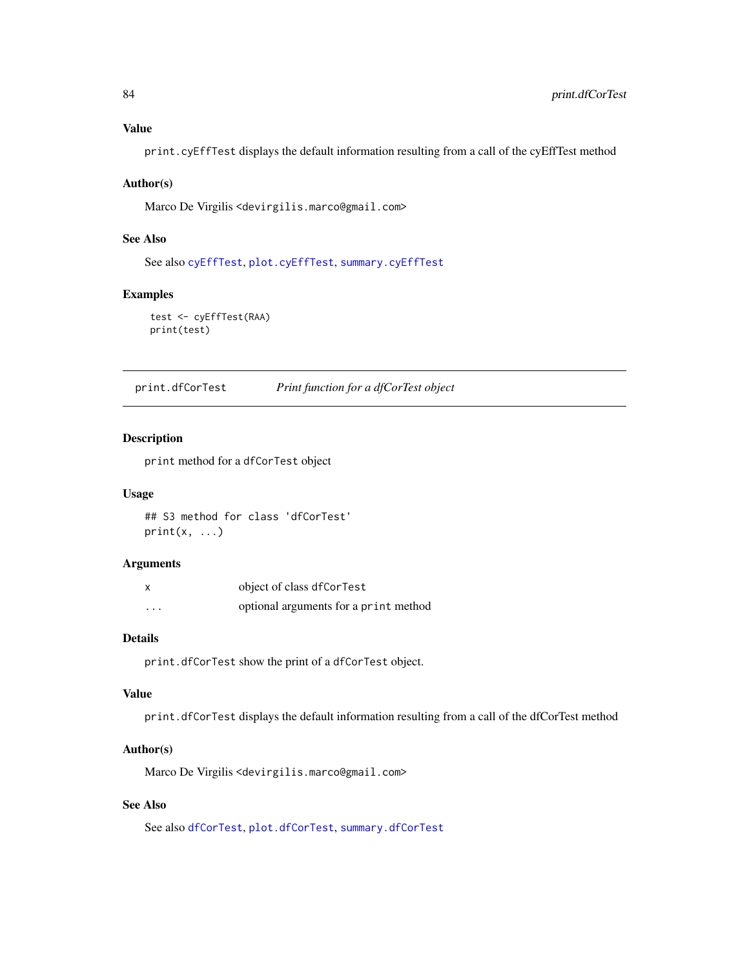# Value

print.cyEffTest displays the default information resulting from a call of the cyEffTest method

#### Author(s)

Marco De Virgilis <devirgilis.marco@gmail.com>

## See Also

See also [cyEffTest](#page-29-0), [plot.cyEffTest](#page-73-0), [summary.cyEffTest](#page-96-0)

## Examples

test <- cyEffTest(RAA) print(test)

print.dfCorTest *Print function for a dfCorTest object*

#### Description

print method for a dfCorTest object

#### Usage

## S3 method for class 'dfCorTest'  $print(x, \ldots)$ 

#### Arguments

|          | object of class dfCorTest             |
|----------|---------------------------------------|
| $\cdots$ | optional arguments for a print method |

## Details

print.dfCorTest show the print of a dfCorTest object.

## Value

print.dfCorTest displays the default information resulting from a call of the dfCorTest method

## Author(s)

Marco De Virgilis <devirgilis.marco@gmail.com>

# See Also

See also [dfCorTest](#page-31-0), [plot.dfCorTest](#page-74-0), [summary.dfCorTest](#page-97-0)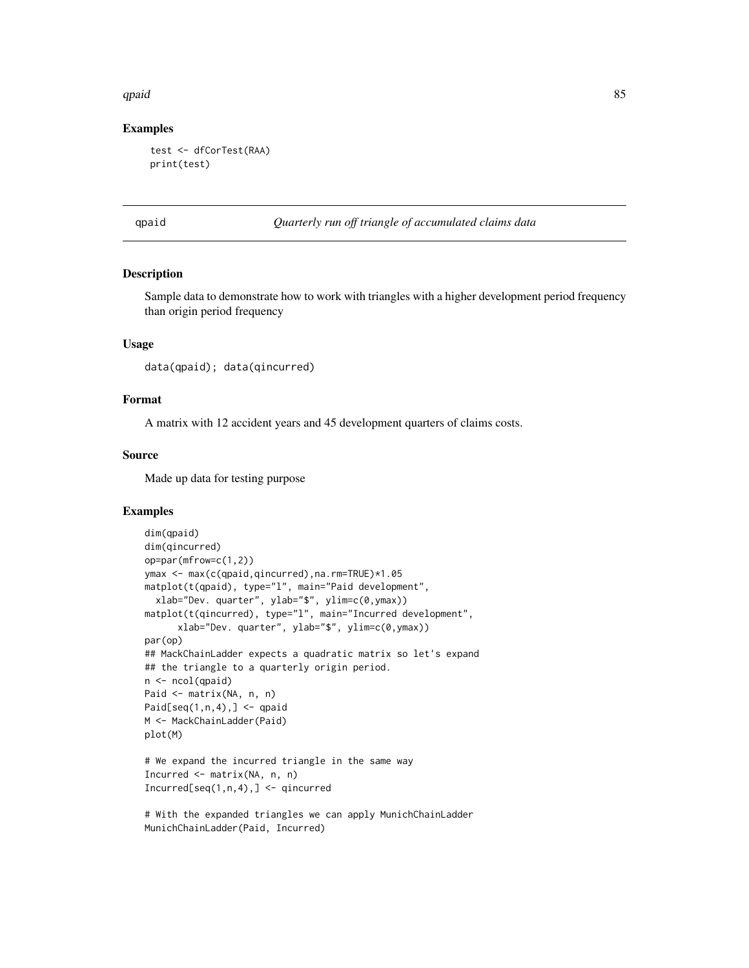#### $q$ paid  $\sim$  85

#### Examples

```
test <- dfCorTest(RAA)
print(test)
```
qpaid *Quarterly run off triangle of accumulated claims data*

#### Description

Sample data to demonstrate how to work with triangles with a higher development period frequency than origin period frequency

#### Usage

```
data(qpaid); data(qincurred)
```
## Format

A matrix with 12 accident years and 45 development quarters of claims costs.

#### Source

Made up data for testing purpose

## Examples

```
dim(qpaid)
dim(qincurred)
op=par(mfrow=c(1,2))
ymax <- max(c(qpaid,qincurred),na.rm=TRUE)*1.05
matplot(t(qpaid), type="l", main="Paid development",
  xlab="Dev. quarter", ylab="$", ylim=c(0,ymax))
matplot(t(qincurred), type="l", main="Incurred development",
      xlab="Dev. quarter", ylab="$", ylim=c(0,ymax))
par(op)
## MackChainLadder expects a quadratic matrix so let's expand
## the triangle to a quarterly origin period.
n <- ncol(qpaid)
Paid <- matrix(NA, n, n)
Paid[seq(1,n,4),] \leq qpaid
M <- MackChainLadder(Paid)
plot(M)
# We expand the incurred triangle in the same way
Incurred \leq matrix(NA, n, n)
Incurred[seq(1, n, 4), ] \leftarrow qincurred
```
# With the expanded triangles we can apply MunichChainLadder MunichChainLadder(Paid, Incurred)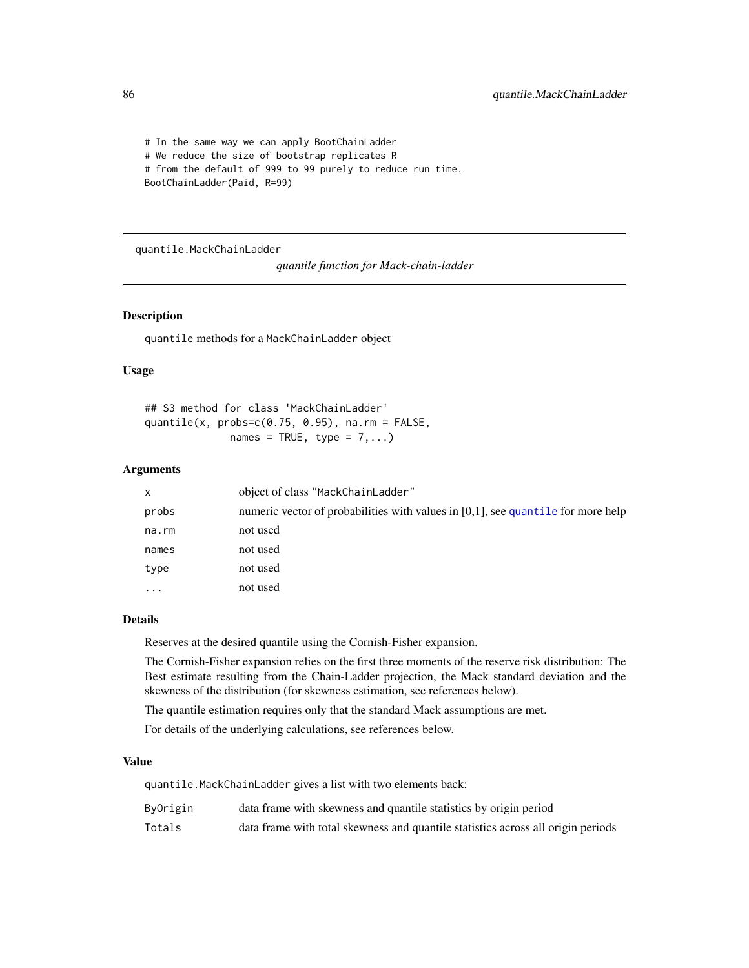```
# In the same way we can apply BootChainLadder
# We reduce the size of bootstrap replicates R
# from the default of 999 to 99 purely to reduce run time.
BootChainLadder(Paid, R=99)
```
<span id="page-85-0"></span>quantile.MackChainLadder

*quantile function for Mack-chain-ladder*

## Description

quantile methods for a MackChainLadder object

#### Usage

## S3 method for class 'MackChainLadder' quantile(x,  $probs=c(0.75, 0.95)$ , na.rm = FALSE, names = TRUE, type =  $7,...$ )

#### Arguments

| x        | object of class "MackChainLadder"                                                   |
|----------|-------------------------------------------------------------------------------------|
| probs    | numeric vector of probabilities with values in $[0,1]$ , see quantile for more help |
| na.rm    | not used                                                                            |
| names    | not used                                                                            |
| type     | not used                                                                            |
| $\cdots$ | not used                                                                            |

## Details

Reserves at the desired quantile using the Cornish-Fisher expansion.

The Cornish-Fisher expansion relies on the first three moments of the reserve risk distribution: The Best estimate resulting from the Chain-Ladder projection, the Mack standard deviation and the skewness of the distribution (for skewness estimation, see references below).

The quantile estimation requires only that the standard Mack assumptions are met.

For details of the underlying calculations, see references below.

#### Value

quantile.MackChainLadder gives a list with two elements back:

| ByOrigin | data frame with skewness and quantile statistics by origin period                |
|----------|----------------------------------------------------------------------------------|
| Totals   | data frame with total skewness and quantile statistics across all origin periods |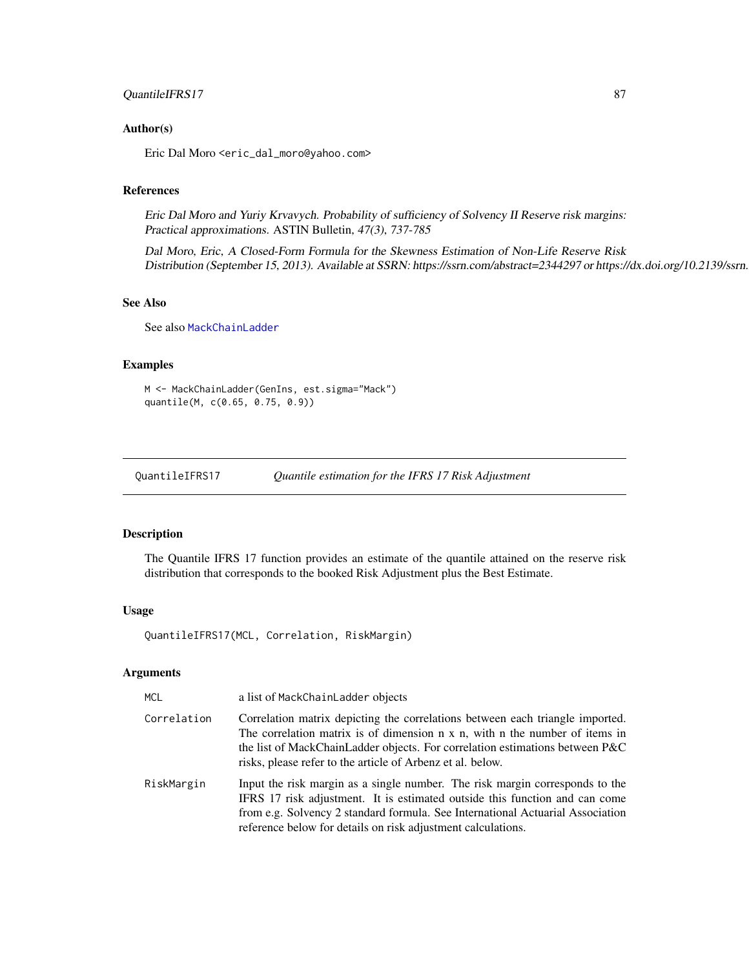## QuantileIFRS17 87

#### Author(s)

Eric Dal Moro <eric\_dal\_moro@yahoo.com>

#### References

Eric Dal Moro and Yuriy Krvavych. Probability of sufficiency of Solvency II Reserve risk margins: Practical approximations. ASTIN Bulletin, 47(3), 737-785

Dal Moro, Eric, A Closed-Form Formula for the Skewness Estimation of Non-Life Reserve Risk Distribution (September 15, 2013). Available at SSRN: https://ssrn.com/abstract=2344297 or https://dx.doi.org/10.2139/ssrn.

## See Also

See also [MackChainLadder](#page-44-0)

#### Examples

```
M <- MackChainLadder(GenIns, est.sigma="Mack")
quantile(M, c(0.65, 0.75, 0.9))
```
QuantileIFRS17 *Quantile estimation for the IFRS 17 Risk Adjustment*

#### Description

The Quantile IFRS 17 function provides an estimate of the quantile attained on the reserve risk distribution that corresponds to the booked Risk Adjustment plus the Best Estimate.

#### Usage

QuantileIFRS17(MCL, Correlation, RiskMargin)

## Arguments

| MCL         | a list of MackChainLadder objects                                                                                                                                                                                                                                                                                    |
|-------------|----------------------------------------------------------------------------------------------------------------------------------------------------------------------------------------------------------------------------------------------------------------------------------------------------------------------|
| Correlation | Correlation matrix depicting the correlations between each triangle imported.<br>The correlation matrix is of dimension $n \times n$ , with $n$ the number of items in<br>the list of MackChainLadder objects. For correlation estimations between P&C<br>risks, please refer to the article of Arbenz et al. below. |
| RiskMargin  | Input the risk margin as a single number. The risk margin corresponds to the<br>IFRS 17 risk adjustment. It is estimated outside this function and can come<br>from e.g. Solvency 2 standard formula. See International Actuarial Association<br>reference below for details on risk adjustment calculations.        |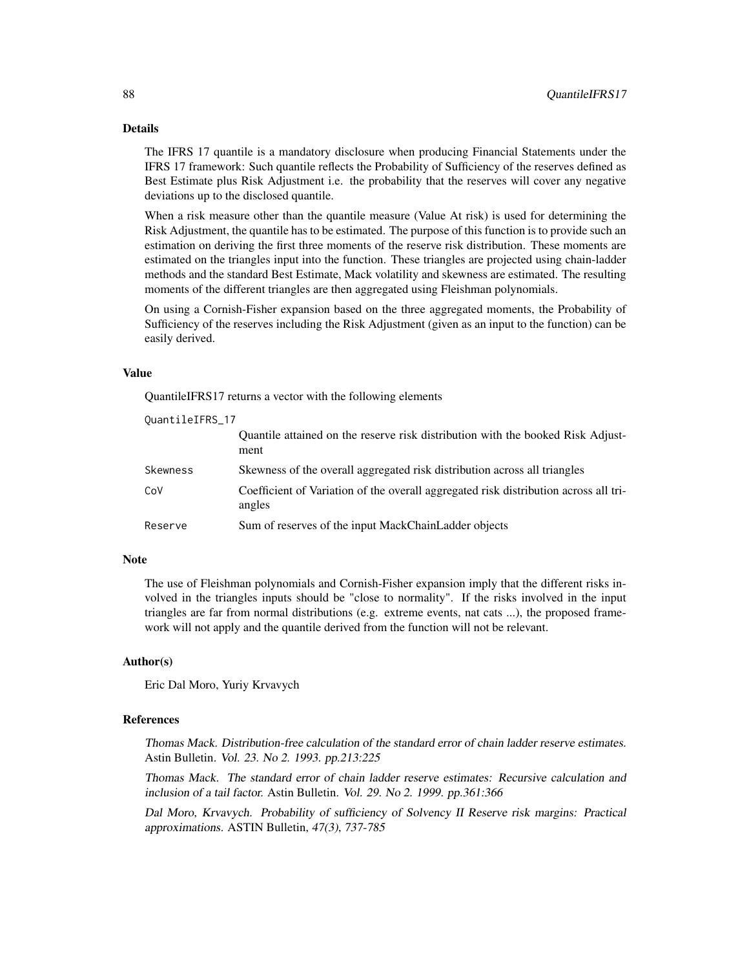#### Details

The IFRS 17 quantile is a mandatory disclosure when producing Financial Statements under the IFRS 17 framework: Such quantile reflects the Probability of Sufficiency of the reserves defined as Best Estimate plus Risk Adjustment i.e. the probability that the reserves will cover any negative deviations up to the disclosed quantile.

When a risk measure other than the quantile measure (Value At risk) is used for determining the Risk Adjustment, the quantile has to be estimated. The purpose of this function is to provide such an estimation on deriving the first three moments of the reserve risk distribution. These moments are estimated on the triangles input into the function. These triangles are projected using chain-ladder methods and the standard Best Estimate, Mack volatility and skewness are estimated. The resulting moments of the different triangles are then aggregated using Fleishman polynomials.

On using a Cornish-Fisher expansion based on the three aggregated moments, the Probability of Sufficiency of the reserves including the Risk Adjustment (given as an input to the function) can be easily derived.

#### Value

QuantileIFRS17 returns a vector with the following elements

| QuantileIFRS_17 |                                                                                                |
|-----------------|------------------------------------------------------------------------------------------------|
|                 | Quantile attained on the reserve risk distribution with the booked Risk Adjust-<br>ment        |
| Skewness        | Skewness of the overall aggregated risk distribution across all triangles                      |
| CoV             | Coefficient of Variation of the overall aggregated risk distribution across all tri-<br>angles |
| Reserve         | Sum of reserves of the input MackChainLadder objects                                           |

#### Note

The use of Fleishman polynomials and Cornish-Fisher expansion imply that the different risks involved in the triangles inputs should be "close to normality". If the risks involved in the input triangles are far from normal distributions (e.g. extreme events, nat cats ...), the proposed framework will not apply and the quantile derived from the function will not be relevant.

#### Author(s)

Eric Dal Moro, Yuriy Krvavych

#### References

Thomas Mack. Distribution-free calculation of the standard error of chain ladder reserve estimates. Astin Bulletin. Vol. 23. No 2. 1993. pp.213:225

Thomas Mack. The standard error of chain ladder reserve estimates: Recursive calculation and inclusion of a tail factor. Astin Bulletin. Vol. 29. No 2. 1999. pp.361:366

Dal Moro, Krvavych. Probability of sufficiency of Solvency II Reserve risk margins: Practical approximations. ASTIN Bulletin, 47(3), 737-785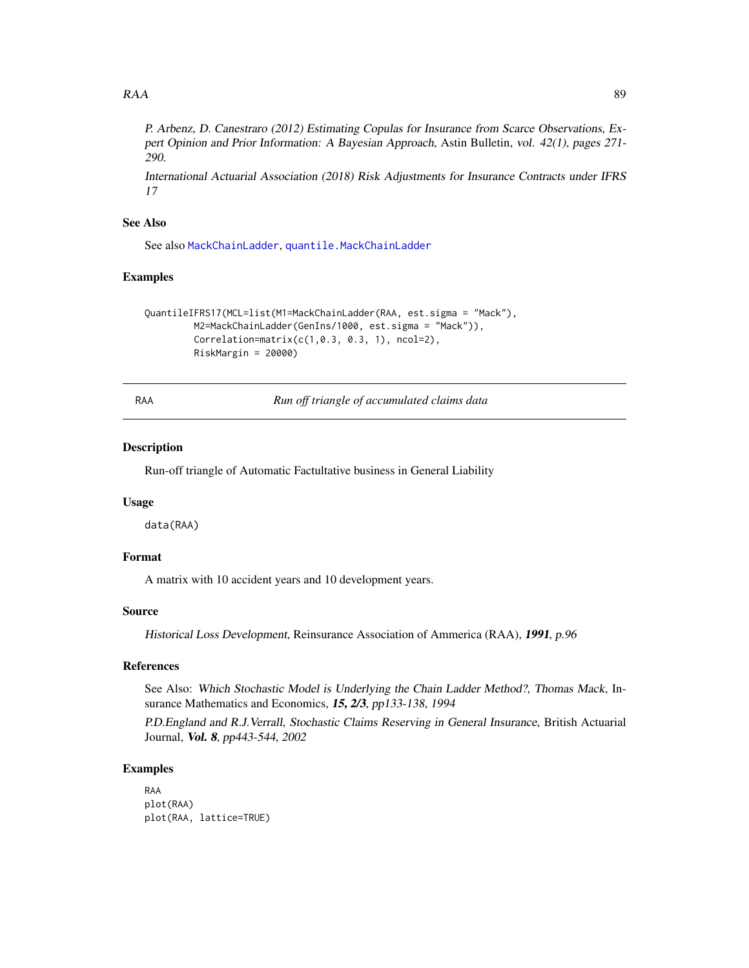#### $RAA$  89

P. Arbenz, D. Canestraro (2012) Estimating Copulas for Insurance from Scarce Observations, Expert Opinion and Prior Information: A Bayesian Approach, Astin Bulletin, vol. 42(1), pages 271- 290.

International Actuarial Association (2018) Risk Adjustments for Insurance Contracts under IFRS 17

#### See Also

See also [MackChainLadder](#page-44-0), [quantile.MackChainLadder](#page-85-0)

## Examples

```
QuantileIFRS17(MCL=list(M1=MackChainLadder(RAA, est.sigma = "Mack"),
         M2=MackChainLadder(GenIns/1000, est.sigma = "Mack")),
         Correlation = matrix(c(1, 0.3, 0.3, 1), ncol = 2),RiskMargin = 20000)
```
RAA *Run off triangle of accumulated claims data*

#### Description

Run-off triangle of Automatic Factultative business in General Liability

#### Usage

data(RAA)

## Format

A matrix with 10 accident years and 10 development years.

#### Source

Historical Loss Development, Reinsurance Association of Ammerica (RAA), 1991, p.96

## References

See Also: Which Stochastic Model is Underlying the Chain Ladder Method?, Thomas Mack, Insurance Mathematics and Economics, 15, 2/3, pp133-138, 1994

P.D.England and R.J.Verrall, Stochastic Claims Reserving in General Insurance, British Actuarial Journal, Vol. 8, pp443-544, 2002

#### Examples

```
RAA
plot(RAA)
plot(RAA, lattice=TRUE)
```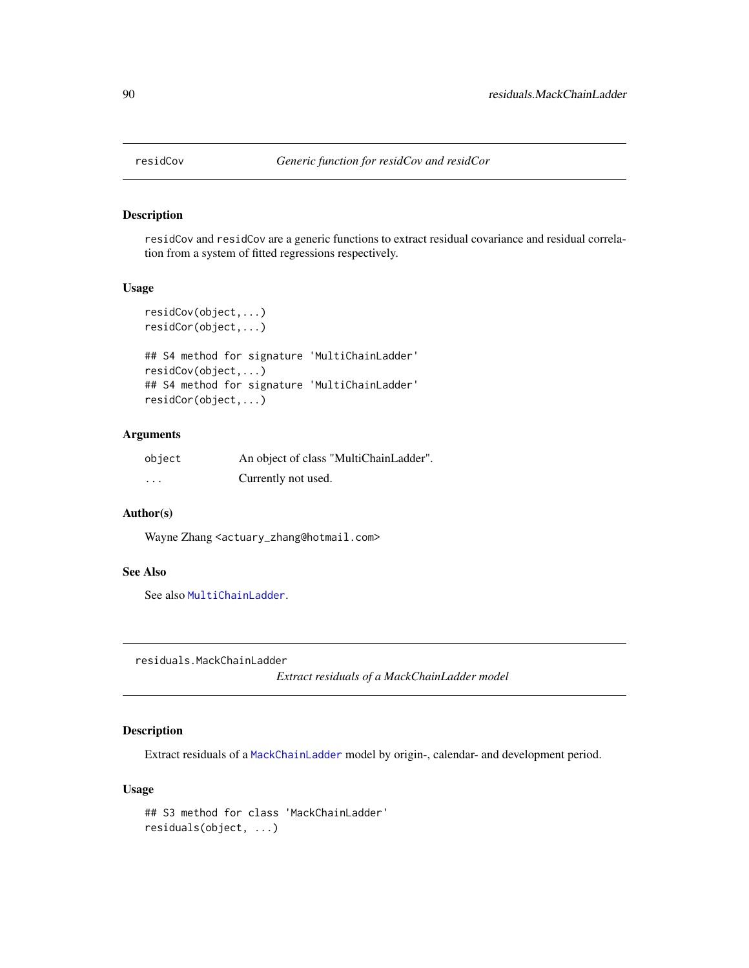## Description

residCov and residCov are a generic functions to extract residual covariance and residual correlation from a system of fitted regressions respectively.

## Usage

```
residCov(object,...)
residCor(object,...)
## S4 method for signature 'MultiChainLadder'
residCov(object,...)
## S4 method for signature 'MultiChainLadder'
residCor(object,...)
```
## Arguments

| object | An object of class "MultiChainLadder". |
|--------|----------------------------------------|
| .      | Currently not used.                    |

#### Author(s)

Wayne Zhang <actuary\_zhang@hotmail.com>

## See Also

See also [MultiChainLadder](#page-57-0).

<span id="page-89-0"></span>residuals.MackChainLadder

*Extract residuals of a MackChainLadder model*

## Description

Extract residuals of a [MackChainLadder](#page-44-0) model by origin-, calendar- and development period.

#### Usage

```
## S3 method for class 'MackChainLadder'
residuals(object, ...)
```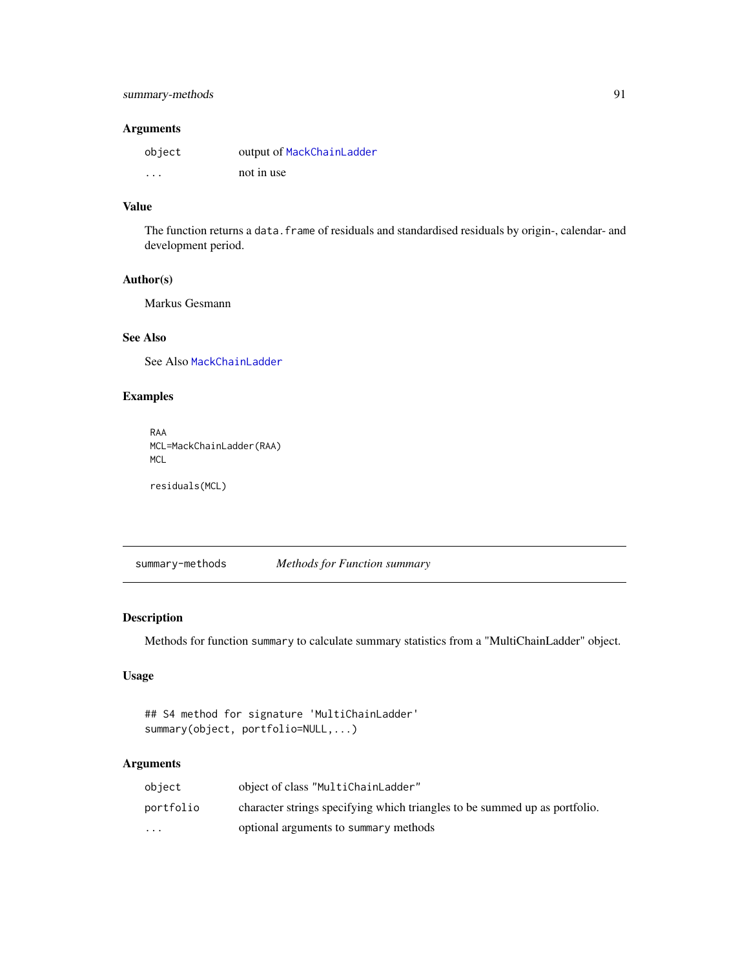# Arguments

| object               | output of MackChainLadder |
|----------------------|---------------------------|
| $\ddot{\phantom{0}}$ | not in use                |

#### Value

The function returns a data. frame of residuals and standardised residuals by origin-, calendar- and development period.

## Author(s)

Markus Gesmann

# See Also

See Also [MackChainLadder](#page-44-0)

## Examples

```
RAA
MCL=MackChainLadder(RAA)
MCL
```
residuals(MCL)

summary-methods *Methods for Function summary*

## Description

Methods for function summary to calculate summary statistics from a "MultiChainLadder" object.

## Usage

```
## S4 method for signature 'MultiChainLadder'
summary(object, portfolio=NULL,...)
```
## Arguments

| object                  | object of class "MultiChainLadder"                                         |
|-------------------------|----------------------------------------------------------------------------|
| portfolio               | character strings specifying which triangles to be summed up as portfolio. |
| $\cdot$ $\cdot$ $\cdot$ | optional arguments to summary methods                                      |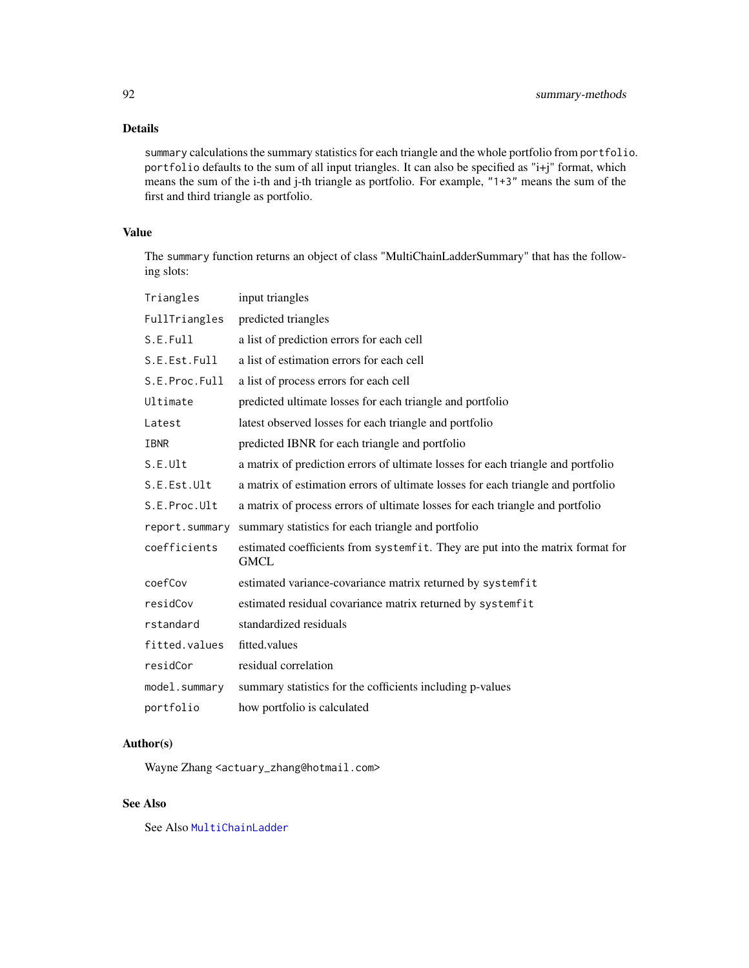# Details

summary calculations the summary statistics for each triangle and the whole portfolio from portfolio. portfolio defaults to the sum of all input triangles. It can also be specified as "i+j" format, which means the sum of the i-th and j-th triangle as portfolio. For example, "1+3" means the sum of the first and third triangle as portfolio.

## Value

The summary function returns an object of class "MultiChainLadderSummary" that has the following slots:

| Triangles      | input triangles                                                                               |
|----------------|-----------------------------------------------------------------------------------------------|
| FullTriangles  | predicted triangles                                                                           |
| S.E.Full       | a list of prediction errors for each cell                                                     |
| S.E.Est.Full   | a list of estimation errors for each cell                                                     |
| S.E.Proc.Full  | a list of process errors for each cell                                                        |
| Ultimate       | predicted ultimate losses for each triangle and portfolio                                     |
| Latest         | latest observed losses for each triangle and portfolio                                        |
| IBNR           | predicted IBNR for each triangle and portfolio                                                |
| S.E.Ult        | a matrix of prediction errors of ultimate losses for each triangle and portfolio              |
| S.E.Est.Ult    | a matrix of estimation errors of ultimate losses for each triangle and portfolio              |
| S.E.Proc.Ult   | a matrix of process errors of ultimate losses for each triangle and portfolio                 |
| report.summary | summary statistics for each triangle and portfolio                                            |
| coefficients   | estimated coefficients from systemfit. They are put into the matrix format for<br><b>GMCL</b> |
| coefCov        | estimated variance-covariance matrix returned by systemfit                                    |
| residCov       | estimated residual covariance matrix returned by systemfit                                    |
| rstandard      | standardized residuals                                                                        |
| fitted.values  | fitted.values                                                                                 |
| residCor       | residual correlation                                                                          |
| model.summary  | summary statistics for the cofficients including p-values                                     |
| portfolio      | how portfolio is calculated                                                                   |

## Author(s)

Wayne Zhang <actuary\_zhang@hotmail.com>

## See Also

See Also [MultiChainLadder](#page-52-0)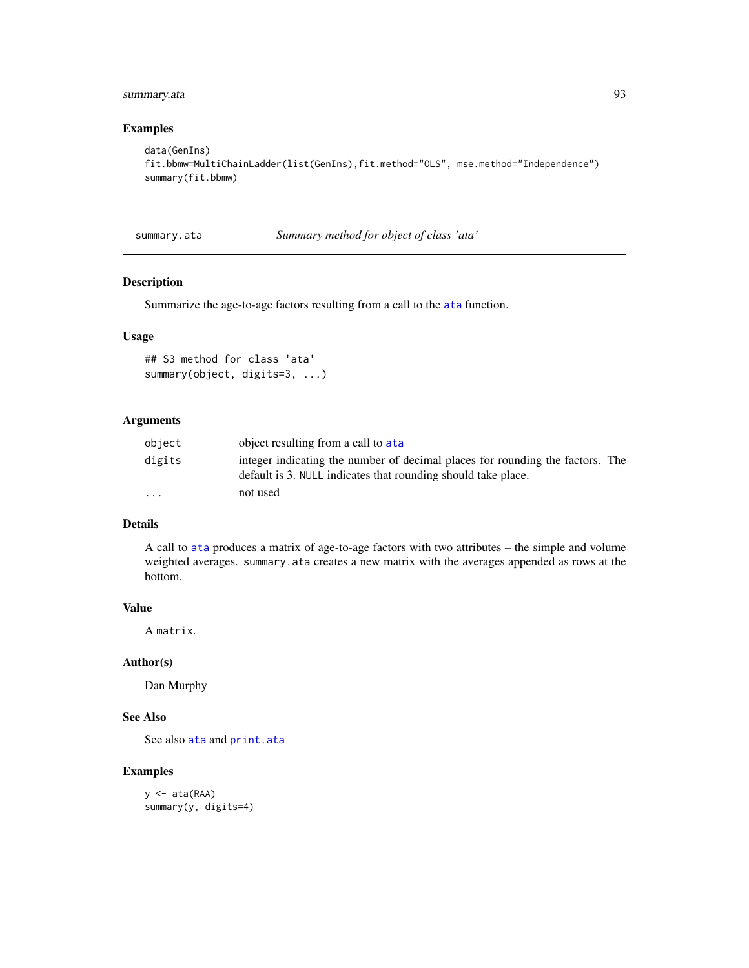## summary.ata 93

## Examples

```
data(GenIns)
fit.bbmw=MultiChainLadder(list(GenIns),fit.method="OLS", mse.method="Independence")
summary(fit.bbmw)
```
<span id="page-92-0"></span>summary.ata *Summary method for object of class 'ata'*

## Description

Summarize the age-to-age factors resulting from a call to the [ata](#page-5-0) function.

## Usage

```
## S3 method for class 'ata'
summary(object, digits=3, ...)
```
## Arguments

| object                  | object resulting from a call to at a                                                                                                           |
|-------------------------|------------------------------------------------------------------------------------------------------------------------------------------------|
| digits                  | integer indicating the number of decimal places for rounding the factors. The<br>default is 3. NULL indicates that rounding should take place. |
| $\cdot$ $\cdot$ $\cdot$ | not used                                                                                                                                       |

# Details

A call to [ata](#page-5-0) produces a matrix of age-to-age factors with two attributes – the simple and volume weighted averages. summary.ata creates a new matrix with the averages appended as rows at the bottom.

#### Value

A matrix.

## Author(s)

Dan Murphy

# See Also

See also [ata](#page-5-0) and [print.ata](#page-79-0)

#### Examples

```
y <- ata(RAA)
summary(y, digits=4)
```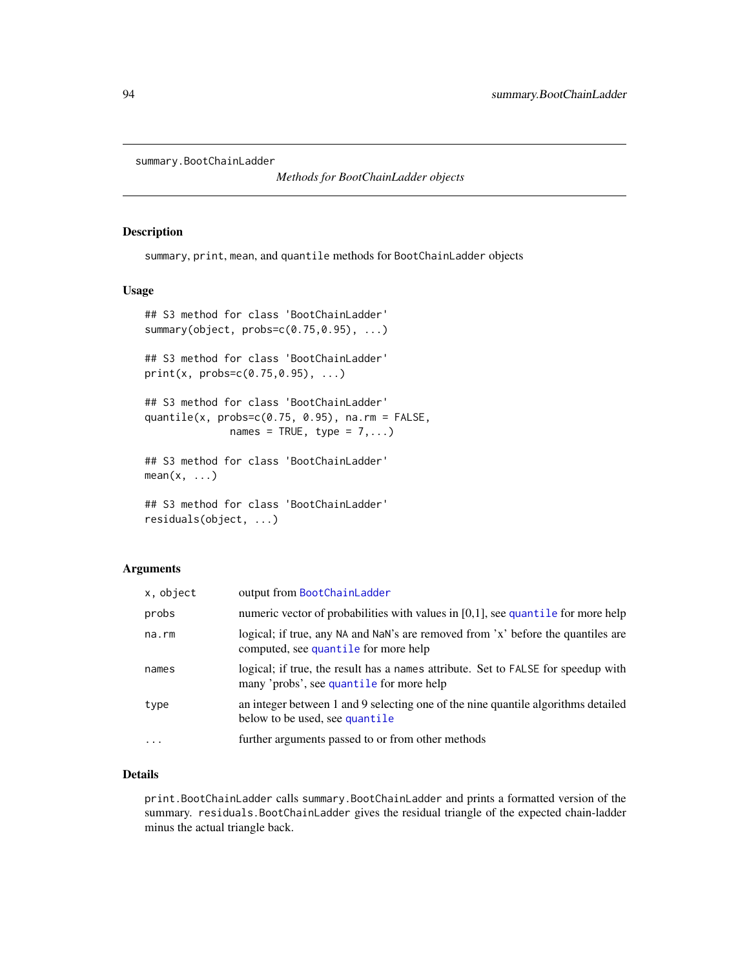```
summary.BootChainLadder
```
*Methods for BootChainLadder objects*

#### Description

summary, print, mean, and quantile methods for BootChainLadder objects

## Usage

```
## S3 method for class 'BootChainLadder'
summary(object, probs=c(0.75,0.95), ...)
## S3 method for class 'BootChainLadder'
print(x, probs=c(0.75, 0.95), ...)## S3 method for class 'BootChainLadder'
quantile(x, probs=c(0.75, 0.95), na.rm = FALSE,
              names = TRUE, type = 7,...)
## S3 method for class 'BootChainLadder'
mean(x, \ldots)## S3 method for class 'BootChainLadder'
residuals(object, ...)
```
## Arguments

| x, object         | output from BootChainLadder                                                                                                   |
|-------------------|-------------------------------------------------------------------------------------------------------------------------------|
| probs             | numeric vector of probabilities with values in $[0,1]$ , see quantile for more help                                           |
| $na$ . $rm$       | logical; if true, any NA and NaN's are removed from 'x' before the quantiles are<br>computed, see quantile for more help      |
| names             | logical; if true, the result has a names attribute. Set to FALSE for speedup with<br>many 'probs', see quantile for more help |
| type              | an integer between 1 and 9 selecting one of the nine quantile algorithms detailed<br>below to be used, see quantile           |
| $\cdot\cdot\cdot$ | further arguments passed to or from other methods                                                                             |

## Details

print.BootChainLadder calls summary.BootChainLadder and prints a formatted version of the summary. residuals.BootChainLadder gives the residual triangle of the expected chain-ladder minus the actual triangle back.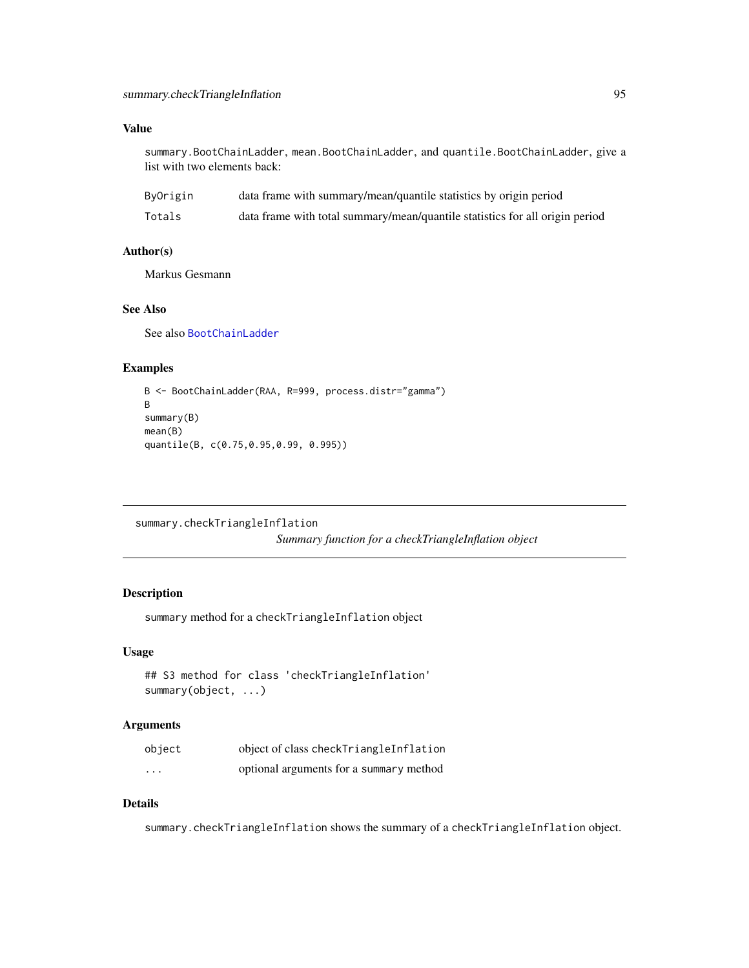## Value

summary.BootChainLadder, mean.BootChainLadder, and quantile.BootChainLadder, give a list with two elements back:

| ByOrigin | data frame with summary/mean/quantile statistics by origin period            |
|----------|------------------------------------------------------------------------------|
| Totals   | data frame with total summary/mean/quantile statistics for all origin period |

#### Author(s)

Markus Gesmann

## See Also

See also [BootChainLadder](#page-8-0)

#### Examples

```
B <- BootChainLadder(RAA, R=999, process.distr="gamma")
B
summary(B)
mean(B)
quantile(B, c(0.75,0.95,0.99, 0.995))
```
<span id="page-94-0"></span>summary.checkTriangleInflation

*Summary function for a checkTriangleInflation object*

## Description

summary method for a checkTriangleInflation object

## Usage

```
## S3 method for class 'checkTriangleInflation'
summary(object, ...)
```
## Arguments

| object                  | object of class checkTriangleInflation  |
|-------------------------|-----------------------------------------|
| $\cdot$ $\cdot$ $\cdot$ | optional arguments for a summary method |

#### Details

summary.checkTriangleInflation shows the summary of a checkTriangleInflation object.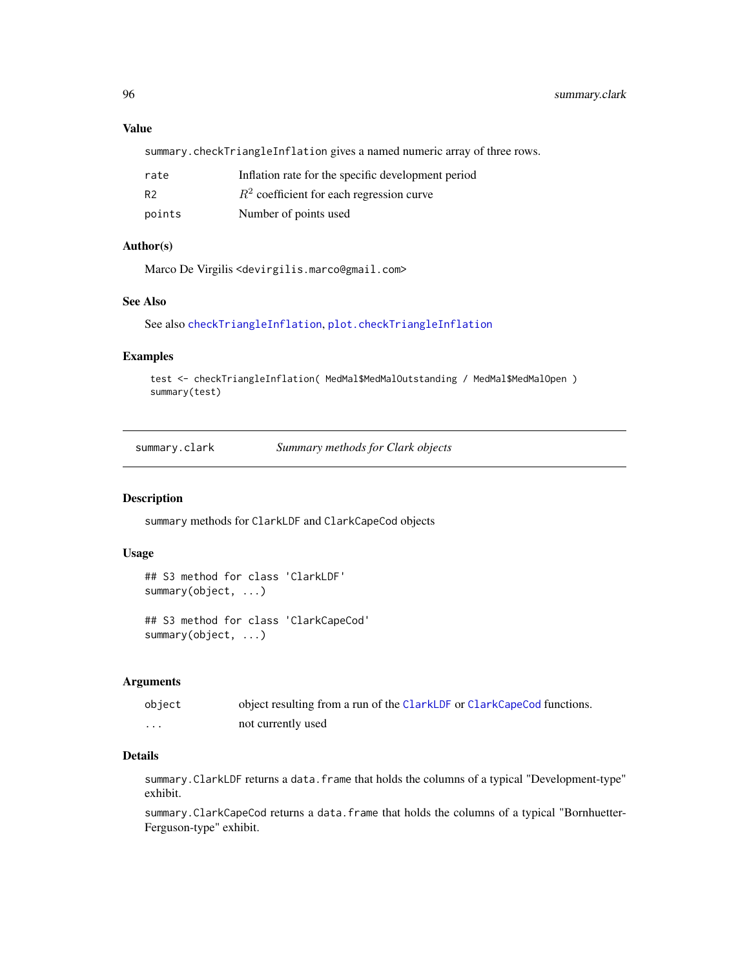## Value

summary.checkTriangleInflation gives a named numeric array of three rows.

| rate           | Inflation rate for the specific development period |
|----------------|----------------------------------------------------|
| R <sub>2</sub> | $R2$ coefficient for each regression curve         |
| points         | Number of points used                              |

## Author(s)

Marco De Virgilis <devirgilis.marco@gmail.com>

## See Also

See also [checkTriangleInflation](#page-16-0), [plot.checkTriangleInflation](#page-71-0)

## Examples

```
test <- checkTriangleInflation( MedMal$MedMalOutstanding / MedMal$MedMalOpen )
summary(test)
```
summary.clark *Summary methods for Clark objects*

#### <span id="page-95-0"></span>Description

summary methods for ClarkLDF and ClarkCapeCod objects

## Usage

```
## S3 method for class 'ClarkLDF'
summary(object, ...)
```
## S3 method for class 'ClarkCapeCod' summary(object, ...)

#### Arguments

| object | object resulting from a run of the ClarkLDF or ClarkCapeCod functions. |
|--------|------------------------------------------------------------------------|
| .      | not currently used                                                     |

## Details

summary.ClarkLDF returns a data.frame that holds the columns of a typical "Development-type" exhibit.

summary.ClarkCapeCod returns a data.frame that holds the columns of a typical "Bornhuetter-Ferguson-type" exhibit.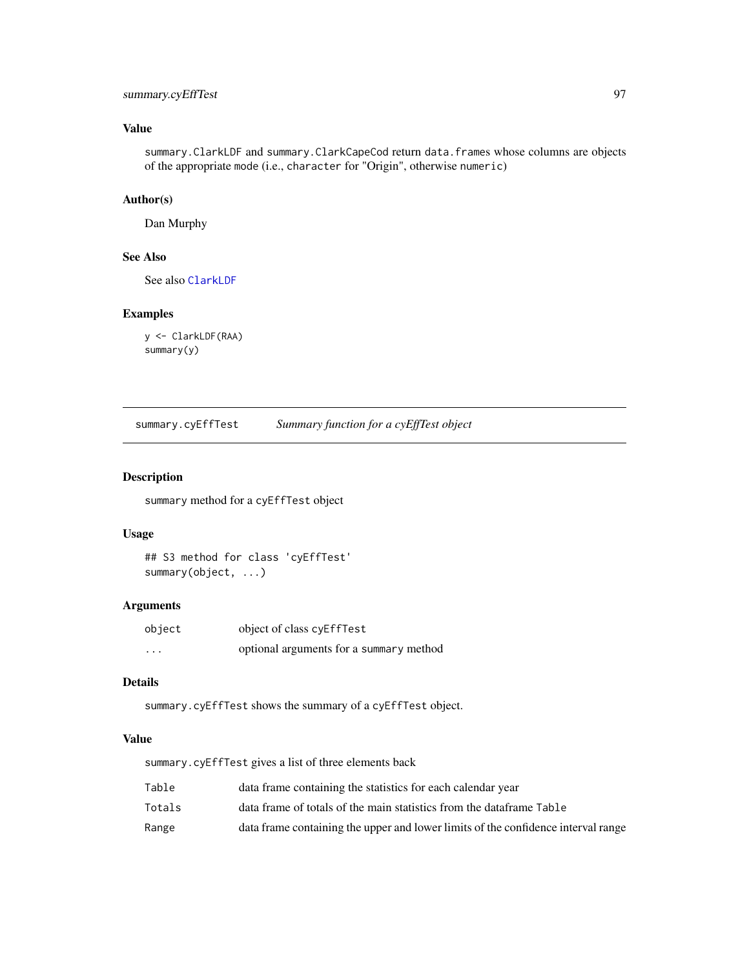## summary.cyEffTest 97

# Value

summary.ClarkLDF and summary.ClarkCapeCod return data.frames whose columns are objects of the appropriate mode (i.e., character for "Origin", otherwise numeric)

## Author(s)

Dan Murphy

## See Also

See also [ClarkLDF](#page-22-0)

## Examples

y <- ClarkLDF(RAA) summary(y)

<span id="page-96-0"></span>summary.cyEffTest *Summary function for a cyEffTest object*

## Description

summary method for a cyEffTest object

## Usage

```
## S3 method for class 'cyEffTest'
summary(object, ...)
```
## Arguments

| object                  | object of class cyEffTest               |
|-------------------------|-----------------------------------------|
| $\cdot$ $\cdot$ $\cdot$ | optional arguments for a summary method |

## Details

summary.cyEffTest shows the summary of a cyEffTest object.

#### Value

summary.cyEffTest gives a list of three elements back

| Table  | data frame containing the statistics for each calendar year                       |
|--------|-----------------------------------------------------------------------------------|
| Totals | data frame of totals of the main statistics from the dataframe Table              |
| Range  | data frame containing the upper and lower limits of the confidence interval range |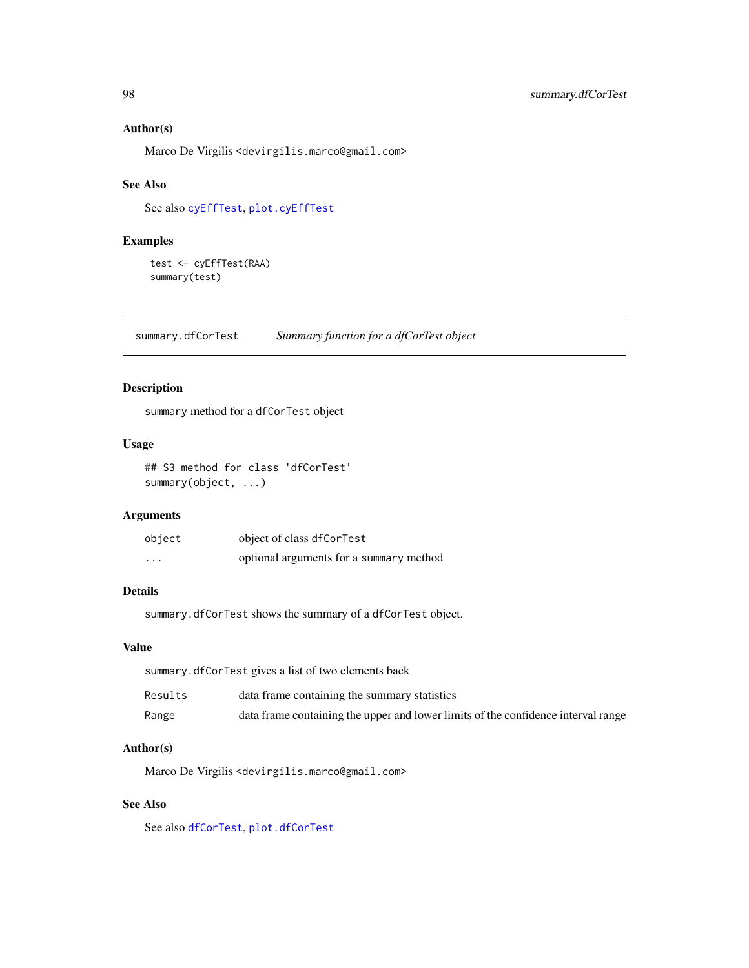#### Author(s)

Marco De Virgilis <devirgilis.marco@gmail.com>

## See Also

See also [cyEffTest](#page-29-0), [plot.cyEffTest](#page-73-0)

## Examples

```
test <- cyEffTest(RAA)
summary(test)
```
<span id="page-97-0"></span>summary.dfCorTest *Summary function for a dfCorTest object*

## Description

summary method for a dfCorTest object

## Usage

```
## S3 method for class 'dfCorTest'
summary(object, ...)
```
## Arguments

| object                  | object of class dfCorTest               |
|-------------------------|-----------------------------------------|
| $\cdot$ $\cdot$ $\cdot$ | optional arguments for a summary method |

## Details

summary.dfCorTest shows the summary of a dfCorTest object.

#### Value

summary.dfCorTest gives a list of two elements back

| Results | data frame containing the summary statistics                                      |
|---------|-----------------------------------------------------------------------------------|
| Range   | data frame containing the upper and lower limits of the confidence interval range |

#### Author(s)

Marco De Virgilis <devirgilis.marco@gmail.com>

## See Also

See also [dfCorTest](#page-31-0), [plot.dfCorTest](#page-74-0)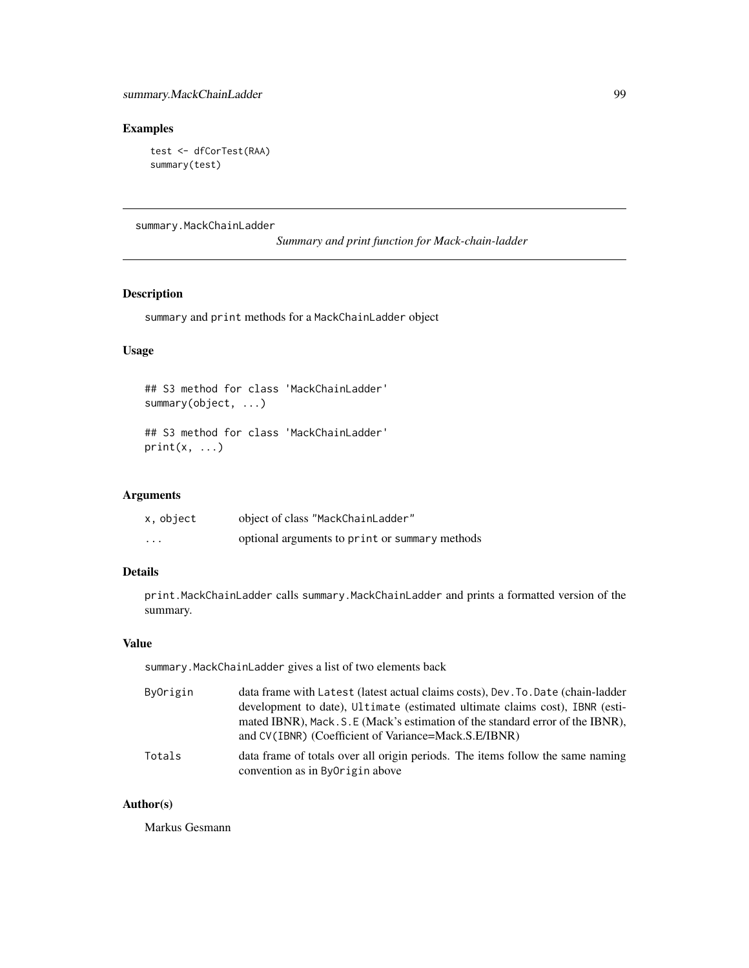## Examples

```
test <- dfCorTest(RAA)
summary(test)
```
summary.MackChainLadder

*Summary and print function for Mack-chain-ladder*

## Description

summary and print methods for a MackChainLadder object

## Usage

```
## S3 method for class 'MackChainLadder'
summary(object, ...)
## S3 method for class 'MackChainLadder'
```
 $print(x, \ldots)$ 

#### Arguments

| x, object | object of class "MackChainLadder"              |
|-----------|------------------------------------------------|
| $\cdot$   | optional arguments to print or summary methods |

# Details

print.MackChainLadder calls summary.MackChainLadder and prints a formatted version of the summary.

## Value

summary.MackChainLadder gives a list of two elements back

| ByOrigin | data frame with Latest (latest actual claims costs), Dev. To Date (chain-ladder                                                        |
|----------|----------------------------------------------------------------------------------------------------------------------------------------|
|          | development to date), Ultimate (estimated ultimate claims cost), IBNR (esti-                                                           |
|          | mated IBNR), Mack. S. E (Mack's estimation of the standard error of the IBNR),<br>and CV(IBNR) (Coefficient of Variance=Mack.S.E/IBNR) |
|          |                                                                                                                                        |
| Totals   | data frame of totals over all origin periods. The items follow the same naming<br>convention as in ByOrigin above                      |

## Author(s)

Markus Gesmann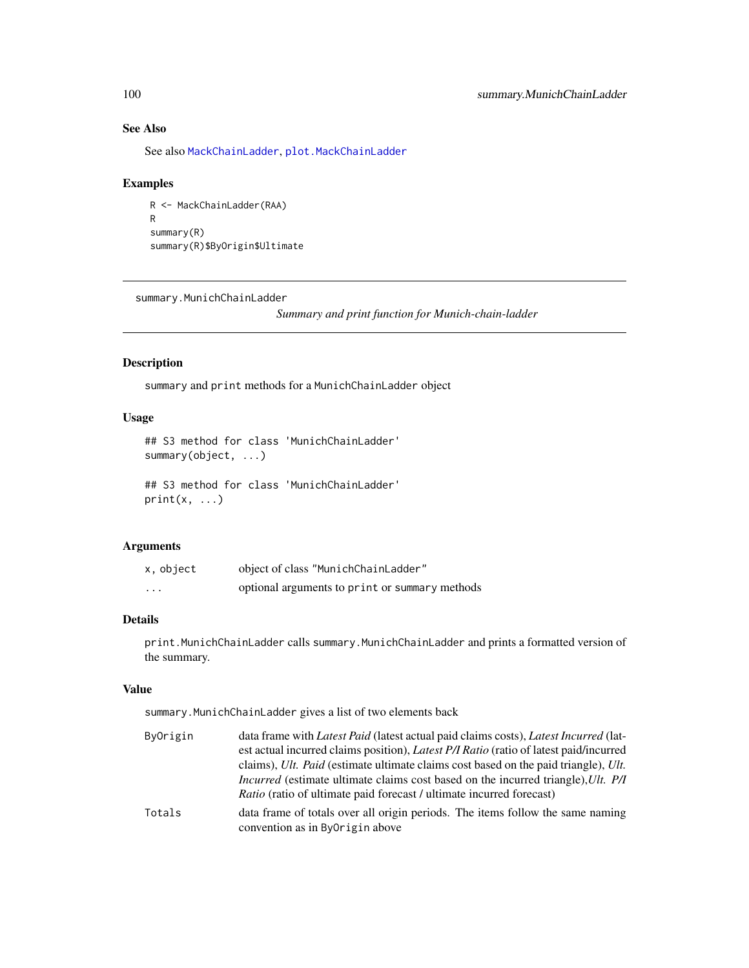# See Also

See also [MackChainLadder](#page-44-0), [plot.MackChainLadder](#page-75-0)

## Examples

```
R <- MackChainLadder(RAA)
R
summary(R)
summary(R)$ByOrigin$Ultimate
```
summary.MunichChainLadder

*Summary and print function for Munich-chain-ladder*

# Description

summary and print methods for a MunichChainLadder object

## Usage

```
## S3 method for class 'MunichChainLadder'
summary(object, ...)
```

```
## S3 method for class 'MunichChainLadder'
print(x, \ldots)
```
## Arguments

| x, object | object of class "MunichChainLadder"            |
|-----------|------------------------------------------------|
| $\cdots$  | optional arguments to print or summary methods |

## Details

print.MunichChainLadder calls summary.MunichChainLadder and prints a formatted version of the summary.

## Value

summary.MunichChainLadder gives a list of two elements back

| ByOrigin | data frame with <i>Latest Paid</i> (latest actual paid claims costs), <i>Latest Incurred</i> (lat-                |
|----------|-------------------------------------------------------------------------------------------------------------------|
|          | est actual incurred claims position), Latest P/I Ratio (ratio of latest paid/incurred                             |
|          | claims), Ult. Paid (estimate ultimate claims cost based on the paid triangle), Ult.                               |
|          | <i>Incurred</i> (estimate ultimate claims cost based on the incurred triangle), Ult. P/I                          |
|          | <i>Ratio</i> (ratio of ultimate paid forecast / ultimate incurred forecast)                                       |
| Totals   | data frame of totals over all origin periods. The items follow the same naming<br>convention as in ByOrigin above |
|          |                                                                                                                   |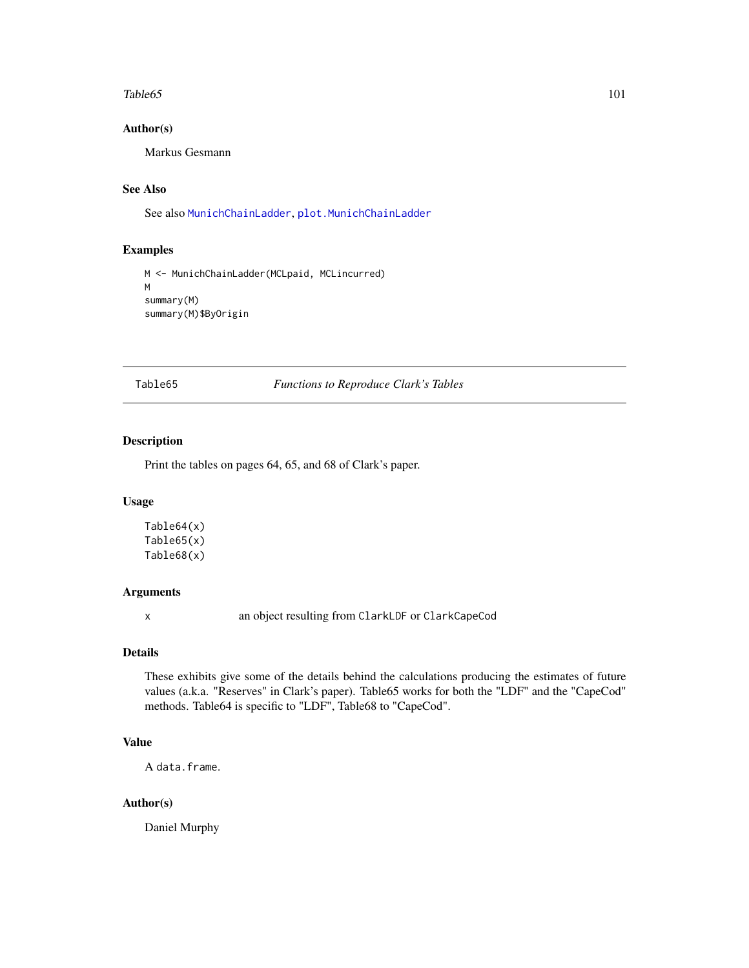#### Table65 101

#### Author(s)

Markus Gesmann

# See Also

See also [MunichChainLadder](#page-63-0), [plot.MunichChainLadder](#page-77-0)

## Examples

```
M <- MunichChainLadder(MCLpaid, MCLincurred)
M
summary(M)
summary(M)$ByOrigin
```
Table65 *Functions to Reproduce Clark's Tables*

## Description

Print the tables on pages 64, 65, and 68 of Clark's paper.

## Usage

Table64(x) Table65(x) Table68(x)

## Arguments

x an object resulting from ClarkLDF or ClarkCapeCod

## Details

These exhibits give some of the details behind the calculations producing the estimates of future values (a.k.a. "Reserves" in Clark's paper). Table65 works for both the "LDF" and the "CapeCod" methods. Table64 is specific to "LDF", Table68 to "CapeCod".

#### Value

A data.frame.

#### Author(s)

Daniel Murphy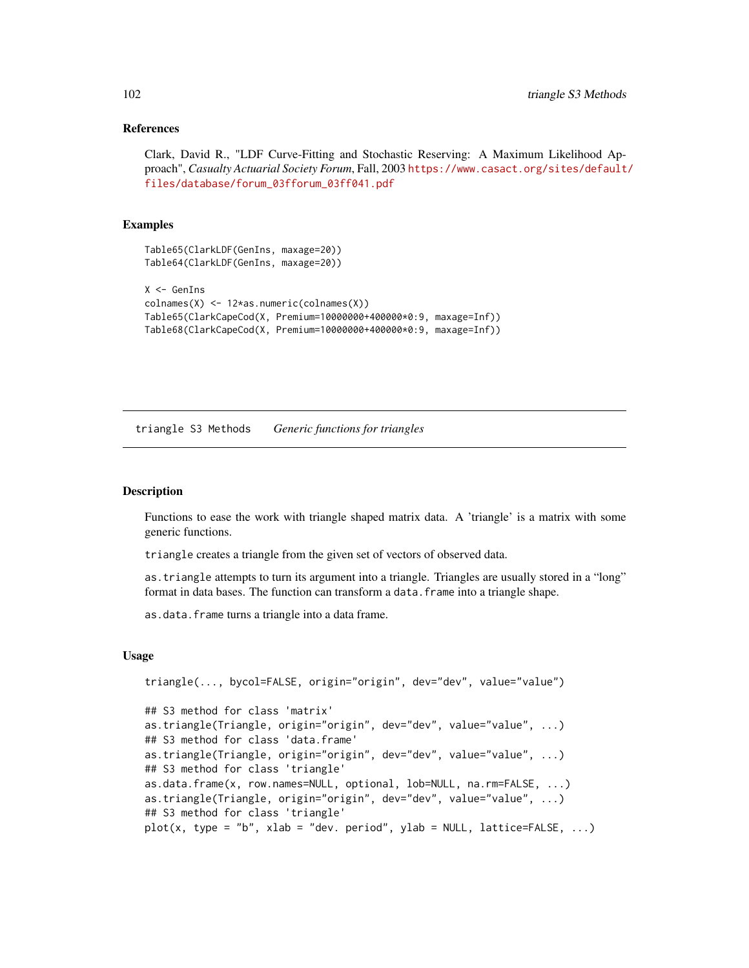#### References

Clark, David R., "LDF Curve-Fitting and Stochastic Reserving: A Maximum Likelihood Approach", *Casualty Actuarial Society Forum*, Fall, 2003 [https://www.casact.org/sites/default](https://www.casact.org/sites/default/files/database/forum_03fforum_03ff041.pdf)/ [files/database/forum\\_03fforum\\_03ff041.pdf](https://www.casact.org/sites/default/files/database/forum_03fforum_03ff041.pdf)

#### Examples

```
Table64(ClarkLDF(GenIns, maxage=20))
X <- GenIns
colnames(X) <- 12*as.numeric(colnames(X))
Table65(ClarkCapeCod(X, Premium=10000000+400000*0:9, maxage=Inf))
Table68(ClarkCapeCod(X, Premium=10000000+400000*0:9, maxage=Inf))
```
triangle S3 Methods *Generic functions for triangles*

Table65(ClarkLDF(GenIns, maxage=20))

#### <span id="page-101-0"></span>Description

Functions to ease the work with triangle shaped matrix data. A 'triangle' is a matrix with some generic functions.

triangle creates a triangle from the given set of vectors of observed data.

as.triangle attempts to turn its argument into a triangle. Triangles are usually stored in a "long" format in data bases. The function can transform a data. frame into a triangle shape.

as.data.frame turns a triangle into a data frame.

#### Usage

```
triangle(..., bycol=FALSE, origin="origin", dev="dev", value="value")
## S3 method for class 'matrix'
as.triangle(Triangle, origin="origin", dev="dev", value="value", ...)
## S3 method for class 'data.frame'
as.triangle(Triangle, origin="origin", dev="dev", value="value", ...)
## S3 method for class 'triangle'
as.data.frame(x, row.names=NULL, optional, lob=NULL, na.rm=FALSE, ...)
as.triangle(Triangle, origin="origin", dev="dev", value="value", ...)
## S3 method for class 'triangle'
plot(x, type = "b", xlab = "dev. period", ylab = NULL, lattice=FALSE, ...)
```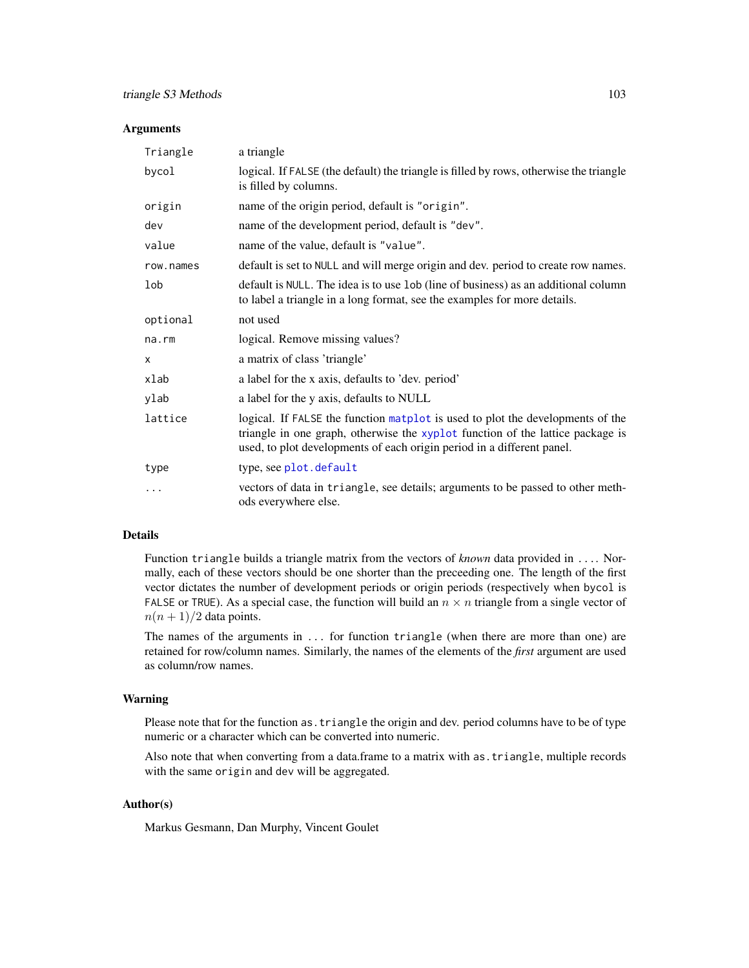#### Arguments

| Triangle  | a triangle                                                                                                                                                                                                                                 |
|-----------|--------------------------------------------------------------------------------------------------------------------------------------------------------------------------------------------------------------------------------------------|
| bycol     | logical. If FALSE (the default) the triangle is filled by rows, otherwise the triangle<br>is filled by columns.                                                                                                                            |
| origin    | name of the origin period, default is "origin".                                                                                                                                                                                            |
| dev       | name of the development period, default is "dev".                                                                                                                                                                                          |
| value     | name of the value, default is "value".                                                                                                                                                                                                     |
| row.names | default is set to NULL and will merge origin and dev. period to create row names.                                                                                                                                                          |
| lob       | default is NULL. The idea is to use lob (line of business) as an additional column<br>to label a triangle in a long format, see the examples for more details.                                                                             |
| optional  | not used                                                                                                                                                                                                                                   |
| na.rm     | logical. Remove missing values?                                                                                                                                                                                                            |
| X         | a matrix of class 'triangle'                                                                                                                                                                                                               |
| xlab      | a label for the x axis, defaults to 'dev. period'                                                                                                                                                                                          |
| ylab      | a label for the y axis, defaults to NULL                                                                                                                                                                                                   |
| lattice   | logical. If FALSE the function matplot is used to plot the developments of the<br>triangle in one graph, otherwise the xyplot function of the lattice package is<br>used, to plot developments of each origin period in a different panel. |
| type      | type, see plot.default                                                                                                                                                                                                                     |
| .         | vectors of data in triangle, see details; arguments to be passed to other meth-<br>ods everywhere else.                                                                                                                                    |

#### Details

Function triangle builds a triangle matrix from the vectors of *known* data provided in .... Normally, each of these vectors should be one shorter than the preceeding one. The length of the first vector dictates the number of development periods or origin periods (respectively when bycol is FALSE or TRUE). As a special case, the function will build an  $n \times n$  triangle from a single vector of  $n(n+1)/2$  data points.

The names of the arguments in ... for function triangle (when there are more than one) are retained for row/column names. Similarly, the names of the elements of the *first* argument are used as column/row names.

## Warning

Please note that for the function as.triangle the origin and dev. period columns have to be of type numeric or a character which can be converted into numeric.

Also note that when converting from a data.frame to a matrix with as.triangle, multiple records with the same origin and dev will be aggregated.

## Author(s)

Markus Gesmann, Dan Murphy, Vincent Goulet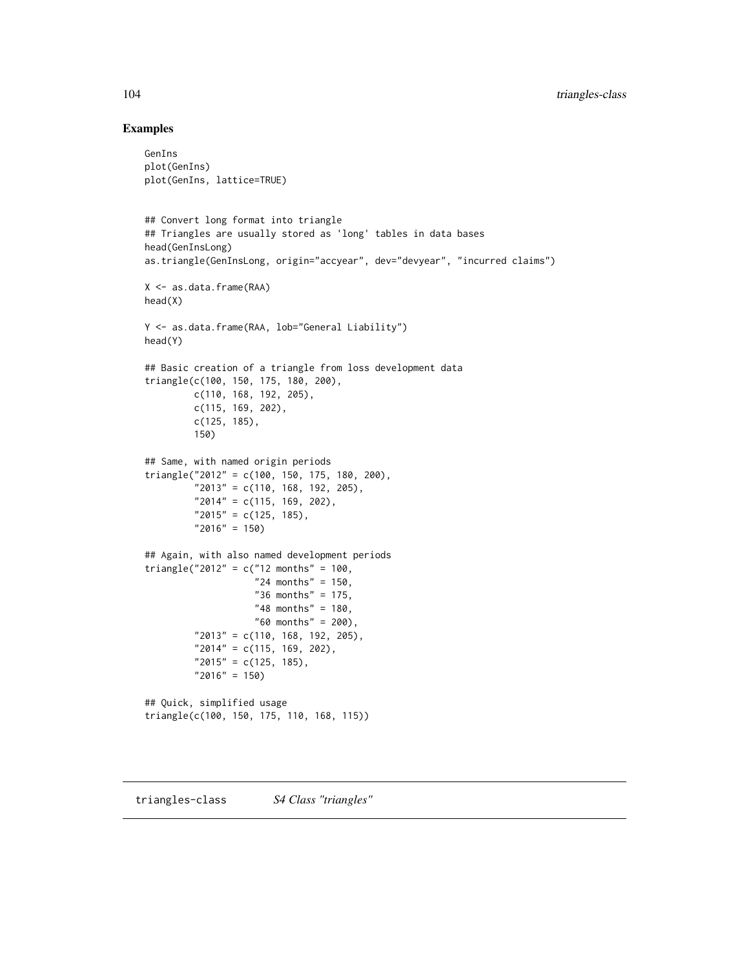#### Examples

```
GenIns
plot(GenIns)
plot(GenIns, lattice=TRUE)
## Convert long format into triangle
## Triangles are usually stored as 'long' tables in data bases
head(GenInsLong)
as.triangle(GenInsLong, origin="accyear", dev="devyear", "incurred claims")
X <- as.data.frame(RAA)
head(X)
Y <- as.data.frame(RAA, lob="General Liability")
head(Y)
## Basic creation of a triangle from loss development data
triangle(c(100, 150, 175, 180, 200),
         c(110, 168, 192, 205),
         c(115, 169, 202),
         c(125, 185),
         150)
## Same, with named origin periods
triangle("2012" = c(100, 150, 175, 180, 200),
         "2013" = c(110, 168, 192, 205),
         "2014" = c(115, 169, 202),
         "2015" = c(125, 185),
         "2016" = 150)
## Again, with also named development periods
triangle("2012" = c("12 months" = 100,"24 months" = 150,
                    "36 months" = 175,
                    "48 months" = 180,
                    "60 months" = 200),
         "2013" = c(110, 168, 192, 205),
         "2014" = c(115, 169, 202),
         "2015" = c(125, 185),
         "2016" = 150)
## Quick, simplified usage
triangle(c(100, 150, 175, 110, 168, 115))
```
triangles-class *S4 Class "triangles"*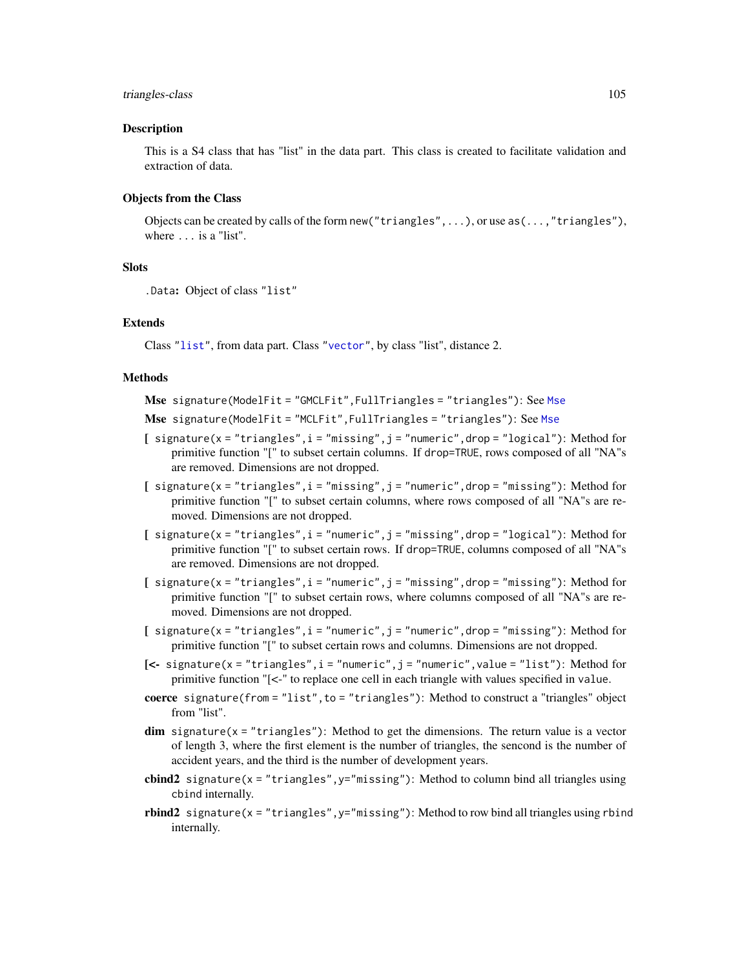#### triangles-class 105

#### Description

This is a S4 class that has "list" in the data part. This class is created to facilitate validation and extraction of data.

## Objects from the Class

Objects can be created by calls of the form new ("triangles", ...), or use as  $(\ldots,$  "triangles"), where ... is a "list".

## **Slots**

```
.Data: Object of class "list"
```
#### Extends

Class ["list"](#page-0-0), from data part. Class ["vector"](#page-0-0), by class "list", distance 2.

#### Methods

Mse signature(ModelFit = "GMCLFit",FullTriangles = "triangles"): See [Mse](#page-50-0)

- Mse signature(ModelFit = "MCLFit",FullTriangles = "triangles"): See [Mse](#page-50-0)
- $[$  signature(x = "triangles", i = "missing", j = "numeric", drop = "logical"): Method for primitive function "[" to subset certain columns. If drop=TRUE, rows composed of all "NA"s are removed. Dimensions are not dropped.
- $[$  signature(x = "triangles",  $i =$  "missing",  $j =$  "numeric", drop = "missing"): Method for primitive function "[" to subset certain columns, where rows composed of all "NA"s are removed. Dimensions are not dropped.
- $[$  signature(x = "triangles", i = "numeric", j = "missing", drop = "logical"): Method for primitive function "[" to subset certain rows. If drop=TRUE, columns composed of all "NA"s are removed. Dimensions are not dropped.
- [  $signature(x = "triangles", i = "numeric", j = "missing", drop = "missing");$  Method for primitive function "[" to subset certain rows, where columns composed of all "NA"s are removed. Dimensions are not dropped.
- $[$  signature(x = "triangles", i = "numeric", j = "numeric",drop = "missing"): Method for primitive function "[" to subset certain rows and columns. Dimensions are not dropped.
- [ $\leq$  signature( $x =$  "triangles",  $i =$  "numeric",  $j =$  "numeric", value = "list"): Method for primitive function "[<-" to replace one cell in each triangle with values specified in value.
- coerce signature(from = "list", to = "triangles"): Method to construct a "triangles" object from "list".
- $dim$  signature( $x = "triangles")$ : Method to get the dimensions. The return value is a vector of length 3, where the first element is the number of triangles, the sencond is the number of accident years, and the third is the number of development years.
- cbind2 signature( $x =$  "triangles",  $y =$  "missing"): Method to column bind all triangles using cbind internally.
- rbind2 signature( $x =$ "triangles",  $y =$ "missing"): Method to row bind all triangles using rbind internally.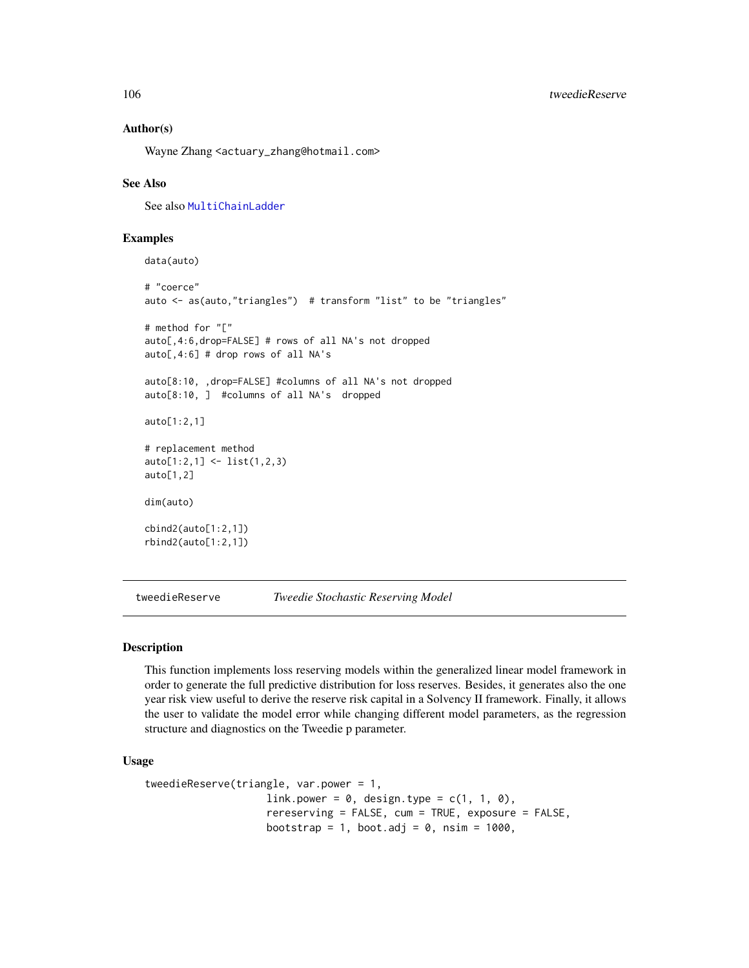#### Author(s)

Wayne Zhang <actuary\_zhang@hotmail.com>

## See Also

See also [MultiChainLadder](#page-52-0)

## Examples

data(auto)

```
# "coerce"
auto <- as(auto,"triangles") # transform "list" to be "triangles"
# method for "["
auto[,4:6,drop=FALSE] # rows of all NA's not dropped
auto[,4:6] # drop rows of all NA's
auto[8:10, ,drop=FALSE] #columns of all NA's not dropped
auto[8:10, ] #columns of all NA's dropped
auto[1:2,1]
# replacement method
auto[1:2,1] <- list(1,2,3)
auto[1,2]
dim(auto)
cbind2(auto[1:2,1])
rbind2(auto[1:2,1])
```
tweedieReserve *Tweedie Stochastic Reserving Model*

#### Description

This function implements loss reserving models within the generalized linear model framework in order to generate the full predictive distribution for loss reserves. Besides, it generates also the one year risk view useful to derive the reserve risk capital in a Solvency II framework. Finally, it allows the user to validate the model error while changing different model parameters, as the regression structure and diagnostics on the Tweedie p parameter.

#### Usage

```
tweedieReserve(triangle, var.power = 1,
                    link.power = 0, design.type = c(1, 1, 0),
                    rereserving = FALSE, cum = TRUE, exposure = FALSE,
                    bootstrap = 1, boot.adj = 0, nsim = 1000,
```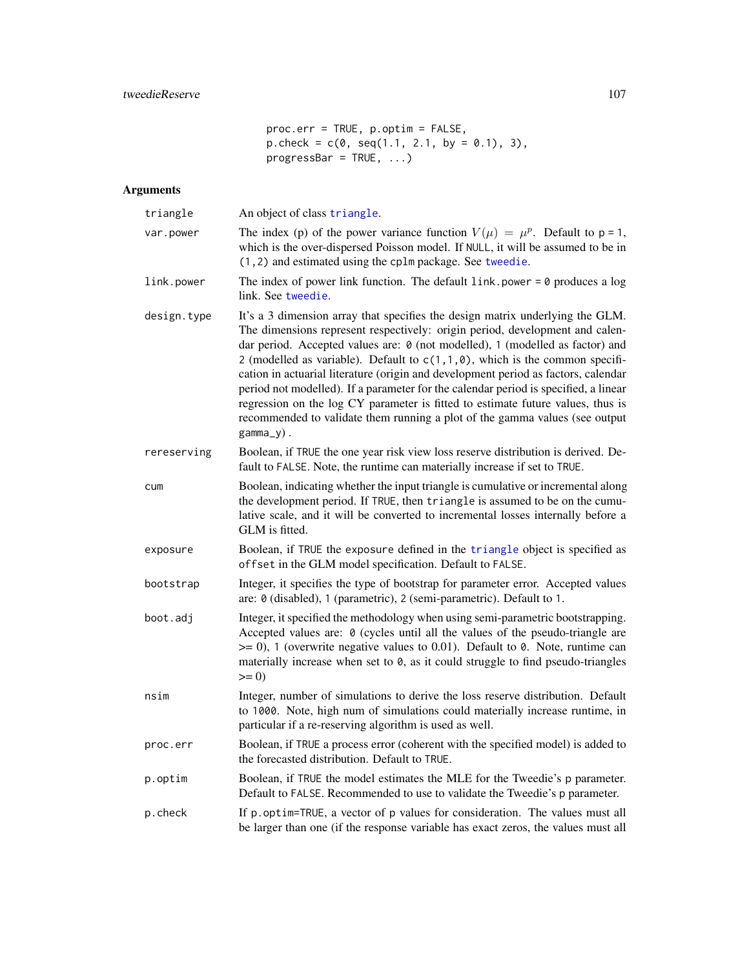proc.err = TRUE, p.optim = FALSE,  $p.\text{check} = c(0, \text{seq}(1.1, 2.1, \text{by } = 0.1), 3),$  $progressBar = TRUE, ...$ 

# Arguments

| triangle    | An object of class triangle.                                                                                                                                                                                                                                                                                                                                                                                                                                                                                                                                                                                                                                                                    |
|-------------|-------------------------------------------------------------------------------------------------------------------------------------------------------------------------------------------------------------------------------------------------------------------------------------------------------------------------------------------------------------------------------------------------------------------------------------------------------------------------------------------------------------------------------------------------------------------------------------------------------------------------------------------------------------------------------------------------|
| var.power   | The index (p) of the power variance function $V(\mu) = \mu^p$ . Default to p = 1,<br>which is the over-dispersed Poisson model. If NULL, it will be assumed to be in<br>(1,2) and estimated using the cplm package. See tweedie.                                                                                                                                                                                                                                                                                                                                                                                                                                                                |
| link.power  | The index of power link function. The default $link$ , power = 0 produces a log<br>link. See tweedie.                                                                                                                                                                                                                                                                                                                                                                                                                                                                                                                                                                                           |
| design.type | It's a 3 dimension array that specifies the design matrix underlying the GLM.<br>The dimensions represent respectively: origin period, development and calen-<br>dar period. Accepted values are: 0 (not modelled), 1 (modelled as factor) and<br>2 (modelled as variable). Default to $c(1,1,0)$ , which is the common specifi-<br>cation in actuarial literature (origin and development period as factors, calendar<br>period not modelled). If a parameter for the calendar period is specified, a linear<br>regression on the log CY parameter is fitted to estimate future values, thus is<br>recommended to validate them running a plot of the gamma values (see output<br>$gamma_y)$ . |
| rereserving | Boolean, if TRUE the one year risk view loss reserve distribution is derived. De-<br>fault to FALSE. Note, the runtime can materially increase if set to TRUE.                                                                                                                                                                                                                                                                                                                                                                                                                                                                                                                                  |
| cum         | Boolean, indicating whether the input triangle is cumulative or incremental along<br>the development period. If TRUE, then triangle is assumed to be on the cumu-<br>lative scale, and it will be converted to incremental losses internally before a<br>GLM is fitted.                                                                                                                                                                                                                                                                                                                                                                                                                         |
| exposure    | Boolean, if TRUE the exposure defined in the triangle object is specified as<br>offset in the GLM model specification. Default to FALSE.                                                                                                                                                                                                                                                                                                                                                                                                                                                                                                                                                        |
| bootstrap   | Integer, it specifies the type of bootstrap for parameter error. Accepted values<br>are: 0 (disabled), 1 (parametric), 2 (semi-parametric). Default to 1.                                                                                                                                                                                                                                                                                                                                                                                                                                                                                                                                       |
| boot.adj    | Integer, it specified the methodology when using semi-parametric bootstrapping.<br>Accepted values are: 0 (cycles until all the values of the pseudo-triangle are<br>$\ge$ = 0), 1 (overwrite negative values to 0.01). Default to 0. Note, runtime can<br>materially increase when set to $\theta$ , as it could struggle to find pseudo-triangles<br>$>= 0$                                                                                                                                                                                                                                                                                                                                   |
| nsim        | Integer, number of simulations to derive the loss reserve distribution. Default<br>to 1000. Note, high num of simulations could materially increase runtime, in<br>particular if a re-reserving algorithm is used as well.                                                                                                                                                                                                                                                                                                                                                                                                                                                                      |
| proc.err    | Boolean, if TRUE a process error (coherent with the specified model) is added to<br>the forecasted distribution. Default to TRUE.                                                                                                                                                                                                                                                                                                                                                                                                                                                                                                                                                               |
| p.optim     | Boolean, if TRUE the model estimates the MLE for the Tweedie's p parameter.<br>Default to FALSE. Recommended to use to validate the Tweedie's p parameter.                                                                                                                                                                                                                                                                                                                                                                                                                                                                                                                                      |
| p.check     | If p. optim=TRUE, a vector of p values for consideration. The values must all<br>be larger than one (if the response variable has exact zeros, the values must all                                                                                                                                                                                                                                                                                                                                                                                                                                                                                                                              |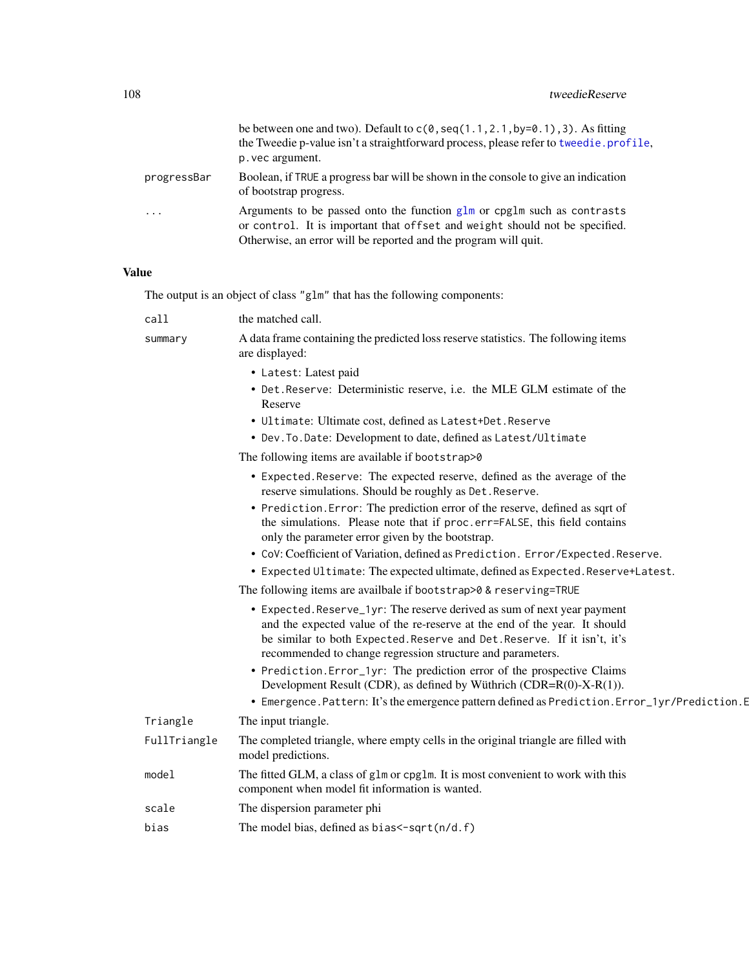|             | be between one and two). Default to $c(0, \text{seq}(1.1, 2.1, \text{by=0.1}), 3)$ . As fitting<br>the Tweedie p-value isn't a straightforward process, please refer to tweedie.profile,<br>p. vec argument.                |
|-------------|-----------------------------------------------------------------------------------------------------------------------------------------------------------------------------------------------------------------------------|
| progressBar | Boolean, if TRUE a progress bar will be shown in the console to give an indication<br>of bootstrap progress.                                                                                                                |
| $\cdots$    | Arguments to be passed onto the function $g1m$ or cpg1m such as contrasts<br>or control. It is important that offset and weight should not be specified.<br>Otherwise, an error will be reported and the program will quit. |

# Value

The output is an object of class "glm" that has the following components:

| call         | the matched call.                                                                                                                                                                                                                                                                                |
|--------------|--------------------------------------------------------------------------------------------------------------------------------------------------------------------------------------------------------------------------------------------------------------------------------------------------|
| summary      | A data frame containing the predicted loss reserve statistics. The following items<br>are displayed:                                                                                                                                                                                             |
|              | • Latest: Latest paid                                                                                                                                                                                                                                                                            |
|              | • Det. Reserve: Deterministic reserve, i.e. the MLE GLM estimate of the<br>Reserve                                                                                                                                                                                                               |
|              | • Ultimate: Ultimate cost, defined as Latest+Det. Reserve                                                                                                                                                                                                                                        |
|              | • Dev. To. Date: Development to date, defined as Latest/Ultimate                                                                                                                                                                                                                                 |
|              | The following items are available if bootstrap>0                                                                                                                                                                                                                                                 |
|              | • Expected. Reserve: The expected reserve, defined as the average of the<br>reserve simulations. Should be roughly as Det. Reserve.                                                                                                                                                              |
|              | • Prediction. Error: The prediction error of the reserve, defined as sqrt of<br>the simulations. Please note that if proc.err=FALSE, this field contains<br>only the parameter error given by the bootstrap.                                                                                     |
|              | • CoV: Coefficient of Variation, defined as Prediction. Error/Expected. Reserve.                                                                                                                                                                                                                 |
|              | • Expected Ultimate: The expected ultimate, defined as Expected. Reserve+Latest.                                                                                                                                                                                                                 |
|              | The following items are availbale if bootstrap>0 & reserving=TRUE                                                                                                                                                                                                                                |
|              | • Expected. Reserve_1yr: The reserve derived as sum of next year payment<br>and the expected value of the re-reserve at the end of the year. It should<br>be similar to both Expected. Reserve and Det. Reserve. If it isn't, it's<br>recommended to change regression structure and parameters. |
|              | • Prediction. Error_1yr: The prediction error of the prospective Claims<br>Development Result (CDR), as defined by Wüthrich (CDR=R(0)-X-R(1)).                                                                                                                                                   |
|              | • Emergence. Pattern: It's the emergence pattern defined as Prediction. Error_1yr/Prediction. E                                                                                                                                                                                                  |
| Triangle     | The input triangle.                                                                                                                                                                                                                                                                              |
| FullTriangle | The completed triangle, where empty cells in the original triangle are filled with<br>model predictions.                                                                                                                                                                                         |
| model        | The fitted GLM, a class of glm or cpglm. It is most convenient to work with this<br>component when model fit information is wanted.                                                                                                                                                              |
| scale        | The dispersion parameter phi                                                                                                                                                                                                                                                                     |
| bias         | The model bias, defined as bias $\leq$ -sqrt(n/d.f)                                                                                                                                                                                                                                              |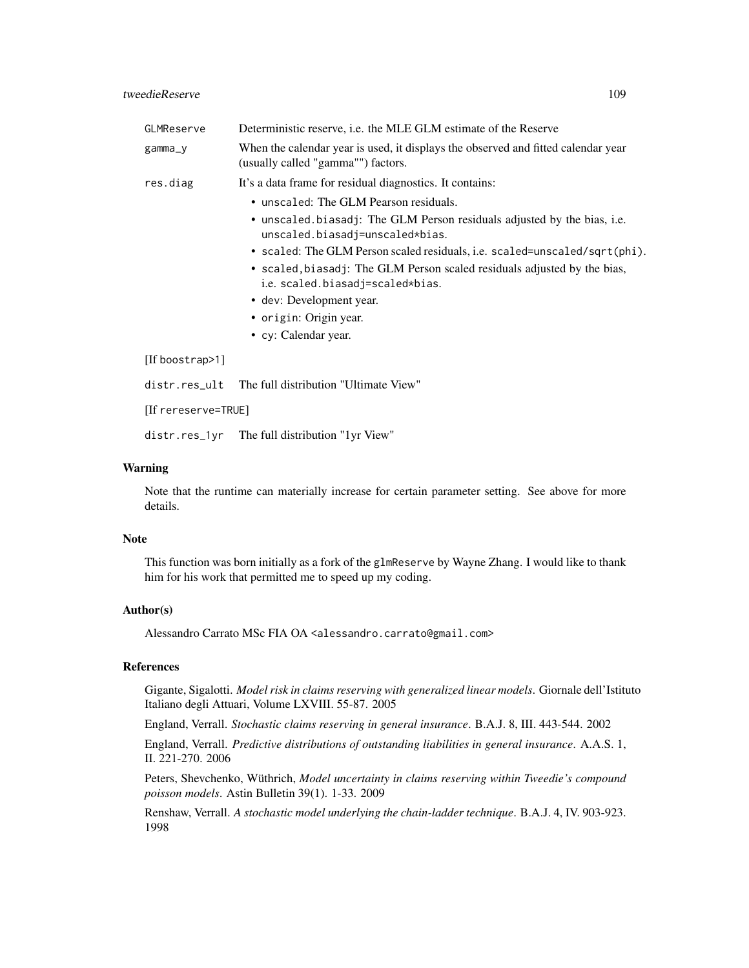# tweedieReserve 109

| GLMReserve          | Deterministic reserve, <i>i.e.</i> the MLE GLM estimate of the Reserve                                                  |  |
|---------------------|-------------------------------------------------------------------------------------------------------------------------|--|
| gamma_y             | When the calendar year is used, it displays the observed and fitted calendar year<br>(usually called "gamma"") factors. |  |
| res.diag            | It's a data frame for residual diagnostics. It contains:                                                                |  |
|                     | • unscaled: The GLM Pearson residuals.                                                                                  |  |
|                     | • unscaled biasadj: The GLM Person residuals adjusted by the bias, i.e.<br>unscaled.biasadj=unscaled*bias.              |  |
|                     | · scaled: The GLM Person scaled residuals, i.e. scaled=unscaled/sqrt(phi).                                              |  |
|                     | • scaled, biasadj: The GLM Person scaled residuals adjusted by the bias,<br>i.e. scaled.biasadj=scaled*bias.            |  |
|                     | • dev: Development year.                                                                                                |  |
|                     | • origin: Origin year.                                                                                                  |  |
|                     | • cy: Calendar year.                                                                                                    |  |
| [If boostrap>1]     |                                                                                                                         |  |
| distr.res_ult       | The full distribution "Ultimate View"                                                                                   |  |
| llf rereserve=TRUE1 |                                                                                                                         |  |

distr.res\_1yr The full distribution "1yr View"

## Warning

Note that the runtime can materially increase for certain parameter setting. See above for more details.

## Note

This function was born initially as a fork of the glmReserve by Wayne Zhang. I would like to thank him for his work that permitted me to speed up my coding.

## Author(s)

Alessandro Carrato MSc FIA OA <alessandro.carrato@gmail.com>

#### References

Gigante, Sigalotti. *Model risk in claims reserving with generalized linear models*. Giornale dell'Istituto Italiano degli Attuari, Volume LXVIII. 55-87. 2005

England, Verrall. *Stochastic claims reserving in general insurance*. B.A.J. 8, III. 443-544. 2002

England, Verrall. *Predictive distributions of outstanding liabilities in general insurance*. A.A.S. 1, II. 221-270. 2006

Peters, Shevchenko, Wüthrich, *Model uncertainty in claims reserving within Tweedie's compound poisson models*. Astin Bulletin 39(1). 1-33. 2009

Renshaw, Verrall. *A stochastic model underlying the chain-ladder technique*. B.A.J. 4, IV. 903-923. 1998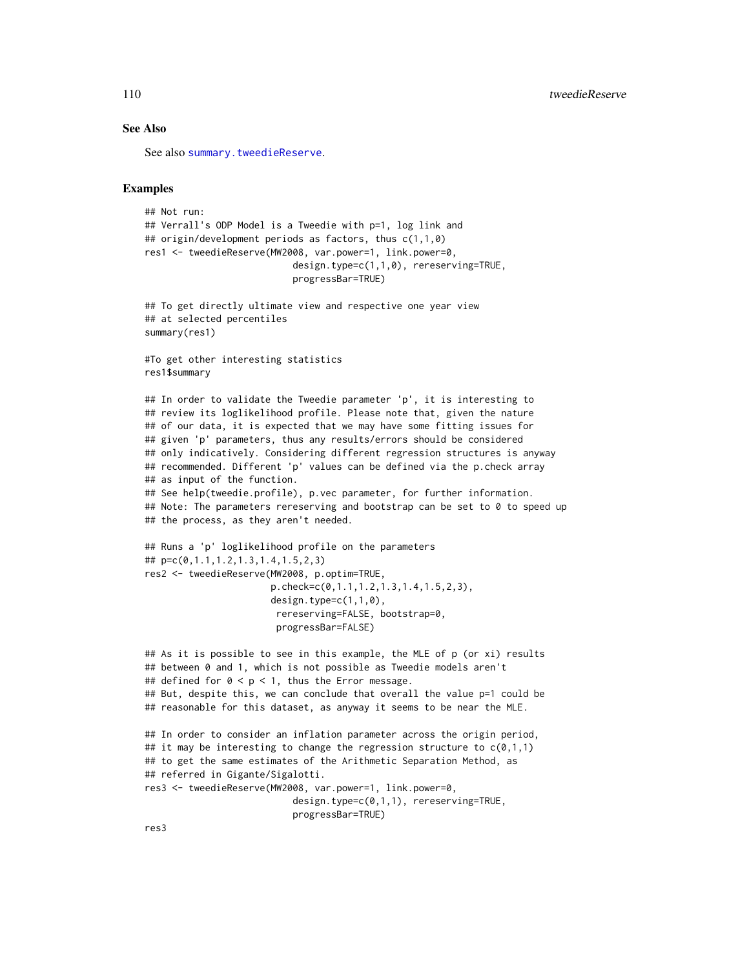## See Also

See also [summary.tweedieReserve](#page-110-0).

## Examples

```
## Not run:
## Verrall's ODP Model is a Tweedie with p=1, log link and
## origin/development periods as factors, thus c(1,1,0)
res1 <- tweedieReserve(MW2008, var.power=1, link.power=0,
                           design.type=c(1,1,0), rereserving=TRUE,
                           progressBar=TRUE)
## To get directly ultimate view and respective one year view
## at selected percentiles
summary(res1)
#To get other interesting statistics
res1$summary
## In order to validate the Tweedie parameter 'p', it is interesting to
## review its loglikelihood profile. Please note that, given the nature
## of our data, it is expected that we may have some fitting issues for
## given 'p' parameters, thus any results/errors should be considered
## only indicatively. Considering different regression structures is anyway
## recommended. Different 'p' values can be defined via the p.check array
## as input of the function.
## See help(tweedie.profile), p.vec parameter, for further information.
## Note: The parameters rereserving and bootstrap can be set to 0 to speed up
## the process, as they aren't needed.
## Runs a 'p' loglikelihood profile on the parameters
## p=c(0,1.1,1.2,1.3,1.4,1.5,2,3)
res2 <- tweedieReserve(MW2008, p.optim=TRUE,
                       p.check=c(0,1.1,1.2,1.3,1.4,1.5,2,3),
                       design.type=c(1,1,0),
                        rereserving=FALSE, bootstrap=0,
                        progressBar=FALSE)
## As it is possible to see in this example, the MLE of p (or xi) results
## between 0 and 1, which is not possible as Tweedie models aren't
## defined for 0 < p < 1, thus the Error message.
## But, despite this, we can conclude that overall the value p=1 could be
## reasonable for this dataset, as anyway it seems to be near the MLE.
## In order to consider an inflation parameter across the origin period,
## it may be interesting to change the regression structure to c(0,1,1)## to get the same estimates of the Arithmetic Separation Method, as
## referred in Gigante/Sigalotti.
res3 <- tweedieReserve(MW2008, var.power=1, link.power=0,
                           design.type=c(0,1,1), rereserving=TRUE,
                           progressBar=TRUE)
```
<span id="page-109-0"></span>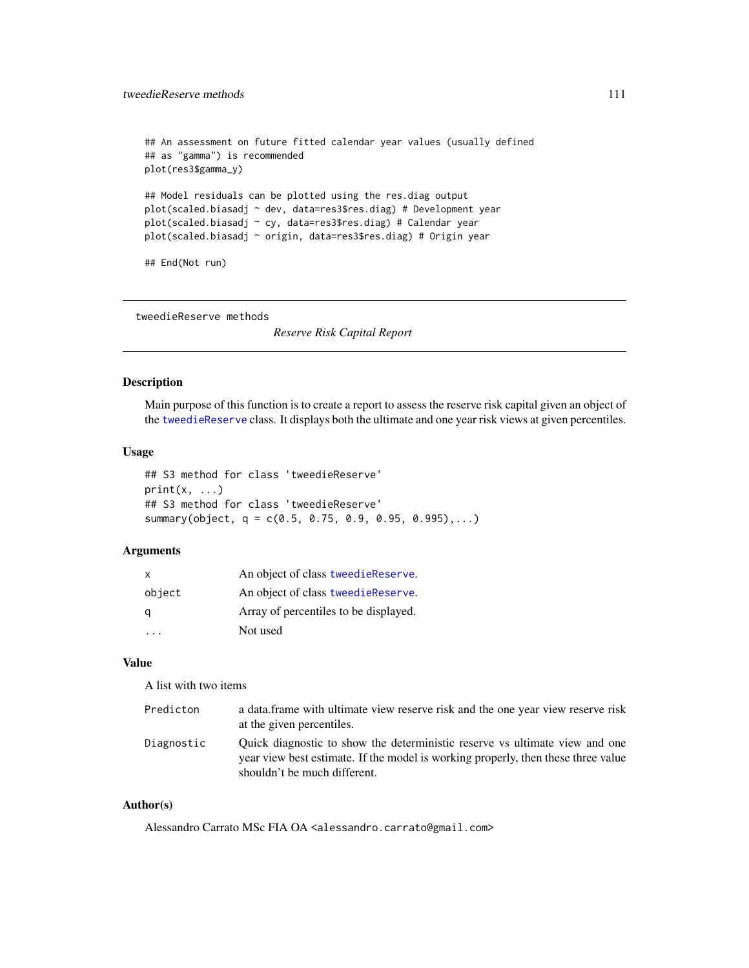## <span id="page-110-1"></span>tweedieReserve methods 111

```
## An assessment on future fitted calendar year values (usually defined
## as "gamma") is recommended
plot(res3$gamma_y)
## Model residuals can be plotted using the res.diag output
plot(scaled.biasadj ~ dev, data=res3$res.diag) # Development year
plot(scaled.biasadj ~ cy, data=res3$res.diag) # Calendar year
plot(scaled.biasadj ~ origin, data=res3$res.diag) # Origin year
## End(Not run)
```
tweedieReserve methods

*Reserve Risk Capital Report*

# <span id="page-110-0"></span>Description

Main purpose of this function is to create a report to assess the reserve risk capital given an object of the [tweedieReserve](#page-105-0) class. It displays both the ultimate and one year risk views at given percentiles.

# Usage

```
## S3 method for class 'tweedieReserve'
print(x, \ldots)## S3 method for class 'tweedieReserve'
summary(object, q = c(0.5, 0.75, 0.9, 0.95, 0.995), \ldots)
```
# Arguments

| X      | An object of class tweedie Reserve.   |
|--------|---------------------------------------|
| object | An object of class tweedie Reserve.   |
| a      | Array of percentiles to be displayed. |
|        | Not used                              |

## Value

A list with two items

| Predicton  | a data frame with ultimate view reserve risk and the one year view reserve risk<br>at the given percentiles.                                                                                     |
|------------|--------------------------------------------------------------------------------------------------------------------------------------------------------------------------------------------------|
| Diagnostic | Quick diagnostic to show the deterministic reserve vs ultimate view and one<br>year view best estimate. If the model is working properly, then these three value<br>shouldn't be much different. |

## Author(s)

Alessandro Carrato MSc FIA OA <alessandro.carrato@gmail.com>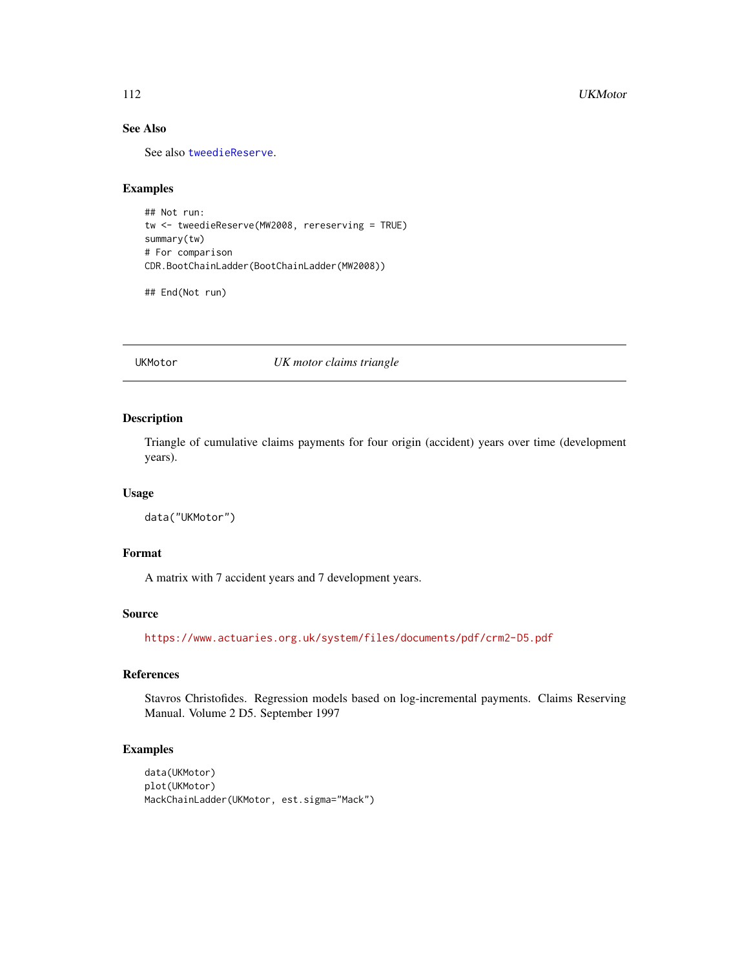#### <span id="page-111-0"></span>112 UKMotor

# See Also

See also [tweedieReserve](#page-105-0).

# Examples

```
## Not run:
tw <- tweedieReserve(MW2008, rereserving = TRUE)
summary(tw)
# For comparison
CDR.BootChainLadder(BootChainLadder(MW2008))
```
## End(Not run)

UKMotor *UK motor claims triangle*

## Description

Triangle of cumulative claims payments for four origin (accident) years over time (development years).

#### Usage

```
data("UKMotor")
```
# Format

A matrix with 7 accident years and 7 development years.

# Source

<https://www.actuaries.org.uk/system/files/documents/pdf/crm2-D5.pdf>

# References

Stavros Christofides. Regression models based on log-incremental payments. Claims Reserving Manual. Volume 2 D5. September 1997

# Examples

```
data(UKMotor)
plot(UKMotor)
MackChainLadder(UKMotor, est.sigma="Mack")
```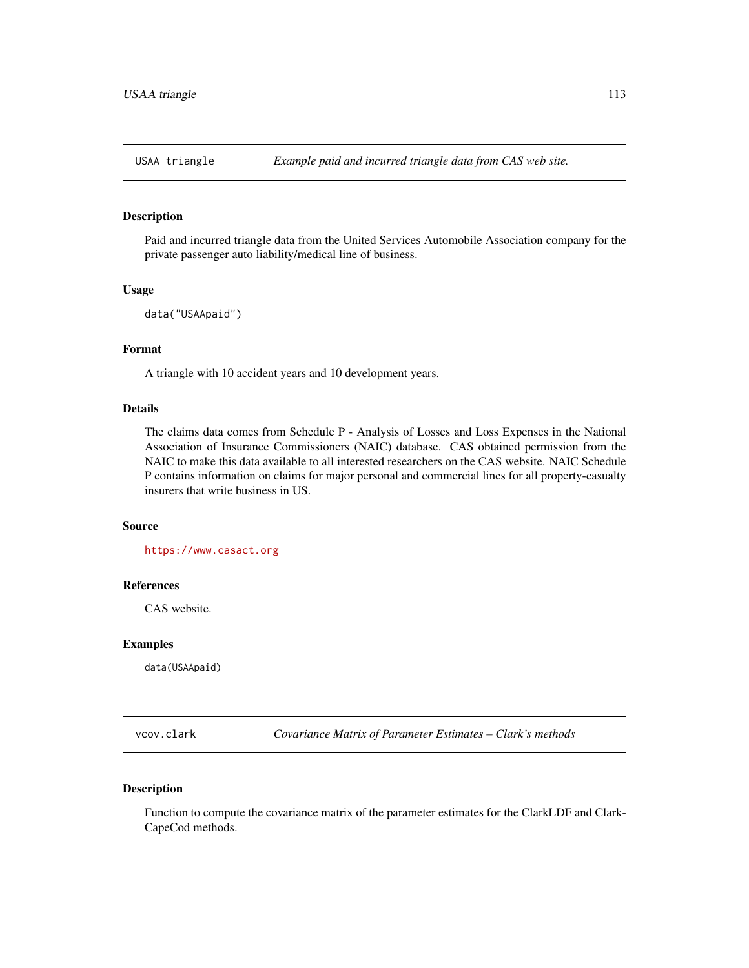# <span id="page-112-0"></span>Description

Paid and incurred triangle data from the United Services Automobile Association company for the private passenger auto liability/medical line of business.

### Usage

```
data("USAApaid")
```
# Format

A triangle with 10 accident years and 10 development years.

## Details

The claims data comes from Schedule P - Analysis of Losses and Loss Expenses in the National Association of Insurance Commissioners (NAIC) database. CAS obtained permission from the NAIC to make this data available to all interested researchers on the CAS website. NAIC Schedule P contains information on claims for major personal and commercial lines for all property-casualty insurers that write business in US.

#### Source

<https://www.casact.org>

# References

CAS website.

# Examples

data(USAApaid)

vcov.clark *Covariance Matrix of Parameter Estimates – Clark's methods*

## Description

Function to compute the covariance matrix of the parameter estimates for the ClarkLDF and Clark-CapeCod methods.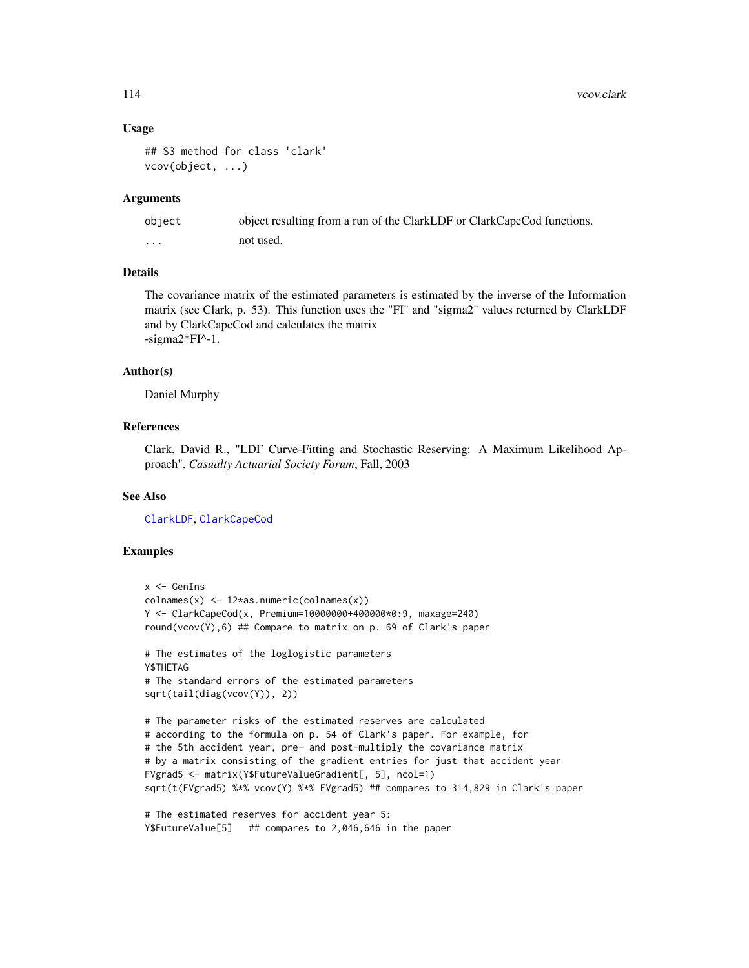## Usage

```
## S3 method for class 'clark'
vcov(object, ...)
```
#### Arguments

| object  | object resulting from a run of the ClarkLDF or ClarkCapeCod functions. |
|---------|------------------------------------------------------------------------|
| $\cdot$ | not used.                                                              |

## Details

The covariance matrix of the estimated parameters is estimated by the inverse of the Information matrix (see Clark, p. 53). This function uses the "FI" and "sigma2" values returned by ClarkLDF and by ClarkCapeCod and calculates the matrix -sigma2\*FI^-1.

#### Author(s)

Daniel Murphy

# References

Clark, David R., "LDF Curve-Fitting and Stochastic Reserving: A Maximum Likelihood Approach", *Casualty Actuarial Society Forum*, Fall, 2003

# See Also

[ClarkLDF](#page-22-0), [ClarkCapeCod](#page-18-0)

# Examples

```
x <- GenIns
colnames(x) <- 12*as.numeric(colnames(x))
Y <- ClarkCapeCod(x, Premium=10000000+400000*0:9, maxage=240)
round(vcov(Y),6) ## Compare to matrix on p. 69 of Clark's paper
# The estimates of the loglogistic parameters
Y$THETAG
# The standard errors of the estimated parameters
sqrt(tail(diag(vcov(Y)), 2))
# The parameter risks of the estimated reserves are calculated
# according to the formula on p. 54 of Clark's paper. For example, for
# the 5th accident year, pre- and post-multiply the covariance matrix
# by a matrix consisting of the gradient entries for just that accident year
FVgrad5 <- matrix(Y$FutureValueGradient[, 5], ncol=1)
sqrt(t(FVgrad5) %*% vcov(Y) %*% FVgrad5) ## compares to 314,829 in Clark's paper
```

```
# The estimated reserves for accident year 5:
Y$FutureValue[5] ## compares to 2,046,646 in the paper
```
<span id="page-113-0"></span>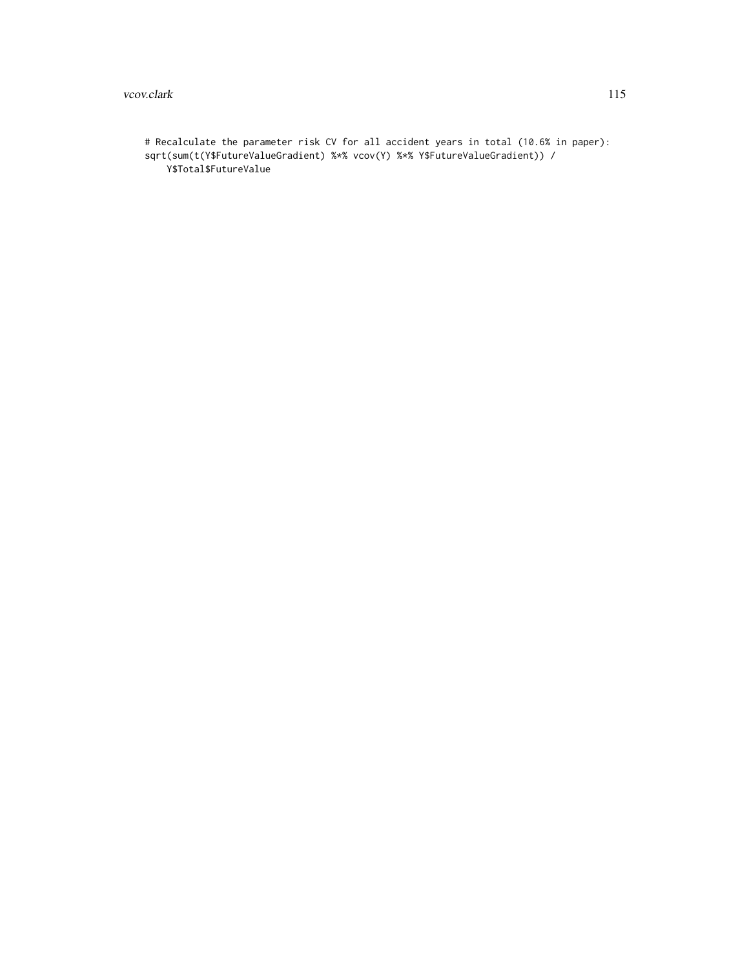#### vcov.clark 115

# Recalculate the parameter risk CV for all accident years in total (10.6% in paper): sqrt(sum(t(Y\$FutureValueGradient) %\*% vcov(Y) %\*% Y\$FutureValueGradient)) / Y\$Total\$FutureValue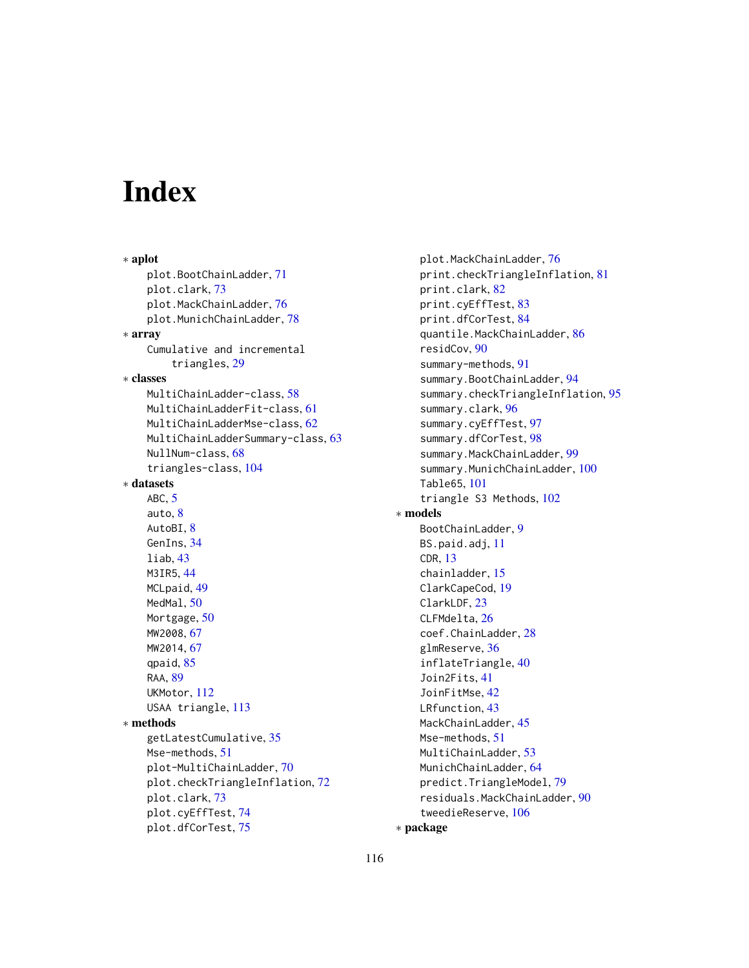# Index

∗ aplot plot.BootChainLadder, [71](#page-70-0) plot.clark, [73](#page-72-0) plot.MackChainLadder, [76](#page-75-0) plot.MunichChainLadder, [78](#page-77-0) ∗ array Cumulative and incremental triangles, [29](#page-28-0) ∗ classes MultiChainLadder-class, [58](#page-57-0) MultiChainLadderFit-class, [61](#page-60-0) MultiChainLadderMse-class, [62](#page-61-0) MultiChainLadderSummary-class, [63](#page-62-0) NullNum-class, [68](#page-67-0) triangles-class, [104](#page-103-0) ∗ datasets ABC, [5](#page-4-0) auto, [8](#page-7-0) AutoBI, [8](#page-7-0) GenIns, [34](#page-33-0) liab, [43](#page-42-0) M3IR5, [44](#page-43-0) MCLpaid, [49](#page-48-0) MedMal, [50](#page-49-0) Mortgage, [50](#page-49-0) MW2008, [67](#page-66-0) MW2014, [67](#page-66-0) qpaid, [85](#page-84-0) RAA, [89](#page-88-0) UKMotor, [112](#page-111-0) USAA triangle, [113](#page-112-0) ∗ methods getLatestCumulative, [35](#page-34-0) Mse-methods. [51](#page-50-0) plot-MultiChainLadder, [70](#page-69-0) plot.checkTriangleInflation, [72](#page-71-0) plot.clark, [73](#page-72-0) plot.cyEffTest, [74](#page-73-0) plot.dfCorTest, [75](#page-74-0)

plot.MackChainLadder, [76](#page-75-0) print.checkTriangleInflation, [81](#page-80-0) print.clark, [82](#page-81-0) print.cyEffTest, [83](#page-82-0) print.dfCorTest, [84](#page-83-0) quantile.MackChainLadder, [86](#page-85-0) residCov, [90](#page-89-0) summary-methods, [91](#page-90-0) summary.BootChainLadder, [94](#page-93-0) summary.checkTriangleInflation, [95](#page-94-0) summary.clark, [96](#page-95-0) summary.cyEffTest, [97](#page-96-0) summary.dfCorTest, [98](#page-97-0) summary.MackChainLadder, [99](#page-98-0) summary.MunichChainLadder, [100](#page-99-0) Table65, [101](#page-100-0) triangle S3 Methods, [102](#page-101-0) ∗ models BootChainLadder, [9](#page-8-0) BS.paid.adj, [11](#page-10-0) CDR, [13](#page-12-0) chainladder, [15](#page-14-0) ClarkCapeCod, [19](#page-18-1) ClarkLDF, [23](#page-22-1) CLFMdelta, [26](#page-25-0) coef.ChainLadder, [28](#page-27-0) glmReserve, [36](#page-35-0) inflateTriangle, [40](#page-39-0) Join2Fits, [41](#page-40-0) JoinFitMse, [42](#page-41-0) LRfunction, [43](#page-42-0) MackChainLadder, [45](#page-44-0) Mse-methods, [51](#page-50-0) MultiChainLadder, [53](#page-52-0) MunichChainLadder, [64](#page-63-0) predict.TriangleModel, [79](#page-78-0) residuals.MackChainLadder, [90](#page-89-0) tweedieReserve, [106](#page-105-1)

```
∗ package
```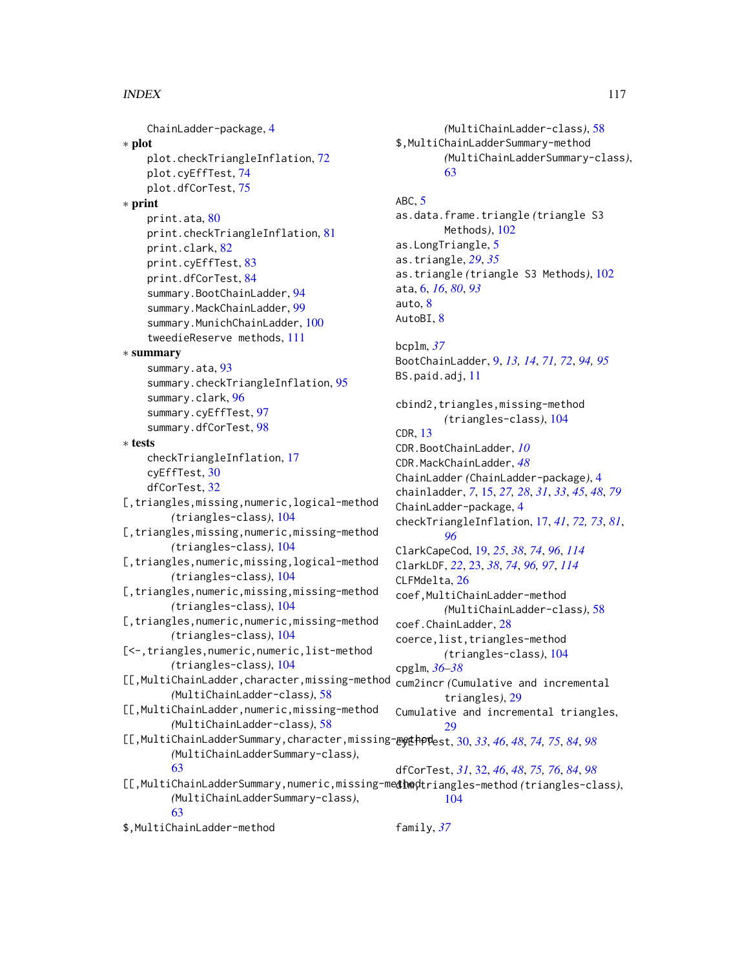ChainLadder-package, [4](#page-3-0) ∗ plot plot.checkTriangleInflation, [72](#page-71-0) plot.cyEffTest, [74](#page-73-0) plot.dfCorTest, [75](#page-74-0) ∗ print print.ata, [80](#page-79-0) print.checkTriangleInflation, [81](#page-80-0) print.clark, [82](#page-81-0) print.cyEffTest, [83](#page-82-0) print.dfCorTest, [84](#page-83-0) summary.BootChainLadder, [94](#page-93-0) summary.MackChainLadder, [99](#page-98-0) summary.MunichChainLadder, [100](#page-99-0) tweedieReserve methods, [111](#page-110-1) ∗ summary summary.ata, [93](#page-92-0) summary.checkTriangleInflation, [95](#page-94-0) summary.clark, [96](#page-95-0) summary.cyEffTest, [97](#page-96-0) summary.dfCorTest, [98](#page-97-0) ∗ tests checkTriangleInflation, [17](#page-16-0) cyEffTest, [30](#page-29-0) dfCorTest, [32](#page-31-0) [, triangles, missing, numeric, logical-method *(*triangles-class*)*, [104](#page-103-0) [, triangles, missing, numeric, missing-method *(*triangles-class*)*, [104](#page-103-0) [,triangles,numeric,missing,logical-method *(*triangles-class*)*, [104](#page-103-0) [, triangles, numeric, missing, missing-method *(*triangles-class*)*, [104](#page-103-0) [, triangles, numeric, numeric, missing-method *(*triangles-class*)*, [104](#page-103-0) [<-,triangles,numeric,numeric,list-method *(*triangles-class*)*, [104](#page-103-0) [[,MultiChainLadder,character,missing-method *(*MultiChainLadder-class*)*, [58](#page-57-0) [[,MultiChainLadder,numeric,missing-method *(*MultiChainLadder-class*)*, [58](#page-57-0) [[,MultiChainLadderSummary,character,missing-method cyEffTest, [30,](#page-29-0) *[33](#page-32-0)*, *[46](#page-45-0)*, *[48](#page-47-0)*, *[74,](#page-73-0) [75](#page-74-0)*, *[84](#page-83-0)*, *[98](#page-97-0) (*MultiChainLadderSummary-class*)*, [63](#page-62-0) [[,MultiChainLadderSummary,numeric,missing-medthodtriangles-method (triangles-class), *(*MultiChainLadderSummary-class*)*, [63](#page-62-0) dfCorTest, *[31](#page-30-0)*, [32,](#page-31-0) *[46](#page-45-0)*, *[48](#page-47-0)*, *[75,](#page-74-0) [76](#page-75-0)*, *[84](#page-83-0)*, *[98](#page-97-0)* family, *[37](#page-36-0)*

\$,MultiChainLadder-method

*(*MultiChainLadder-class*)*, [58](#page-57-0) \$,MultiChainLadderSummary-method *(*MultiChainLadderSummary-class*)*, [63](#page-62-0) ABC, [5](#page-4-0) as.data.frame.triangle *(*triangle S3 Methods*)*, [102](#page-101-0) as.LongTriangle, [5](#page-4-0) as.triangle, *[29](#page-28-0)*, *[35](#page-34-0)* as.triangle *(*triangle S3 Methods*)*, [102](#page-101-0) ata, [6,](#page-5-0) *[16](#page-15-0)*, *[80](#page-79-0)*, *[93](#page-92-0)* auto, [8](#page-7-0) AutoBI, [8](#page-7-0) bcplm, *[37](#page-36-0)* BootChainLadder, [9,](#page-8-0) *[13,](#page-12-0) [14](#page-13-0)*, *[71,](#page-70-0) [72](#page-71-0)*, *[94,](#page-93-0) [95](#page-94-0)* BS.paid.adj, [11](#page-10-0) cbind2,triangles,missing-method *(*triangles-class*)*, [104](#page-103-0) CDR, [13](#page-12-0) CDR.BootChainLadder, *[10](#page-9-0)* CDR.MackChainLadder, *[48](#page-47-0)* ChainLadder *(*ChainLadder-package*)*, [4](#page-3-0) chainladder, *[7](#page-6-0)*, [15,](#page-14-0) *[27,](#page-26-0) [28](#page-27-0)*, *[31](#page-30-0)*, *[33](#page-32-0)*, *[45](#page-44-0)*, *[48](#page-47-0)*, *[79](#page-78-0)* ChainLadder-package, [4](#page-3-0) checkTriangleInflation, [17,](#page-16-0) *[41](#page-40-0)*, *[72,](#page-71-0) [73](#page-72-0)*, *[81](#page-80-0)*, *[96](#page-95-0)* ClarkCapeCod, [19,](#page-18-1) *[25](#page-24-0)*, *[38](#page-37-0)*, *[74](#page-73-0)*, *[96](#page-95-0)*, *[114](#page-113-0)* ClarkLDF, *[22](#page-21-0)*, [23,](#page-22-1) *[38](#page-37-0)*, *[74](#page-73-0)*, *[96,](#page-95-0) [97](#page-96-0)*, *[114](#page-113-0)* CLFMdelta, [26](#page-25-0) coef,MultiChainLadder-method *(*MultiChainLadder-class*)*, [58](#page-57-0) coef.ChainLadder, [28](#page-27-0) coerce,list,triangles-method *(*triangles-class*)*, [104](#page-103-0) cpglm, *[36](#page-35-0)[–38](#page-37-0)* cum2incr *(*Cumulative and incremental triangles*)*, [29](#page-28-0) Cumulative and incremental triangles,  $29$ 

[104](#page-103-0)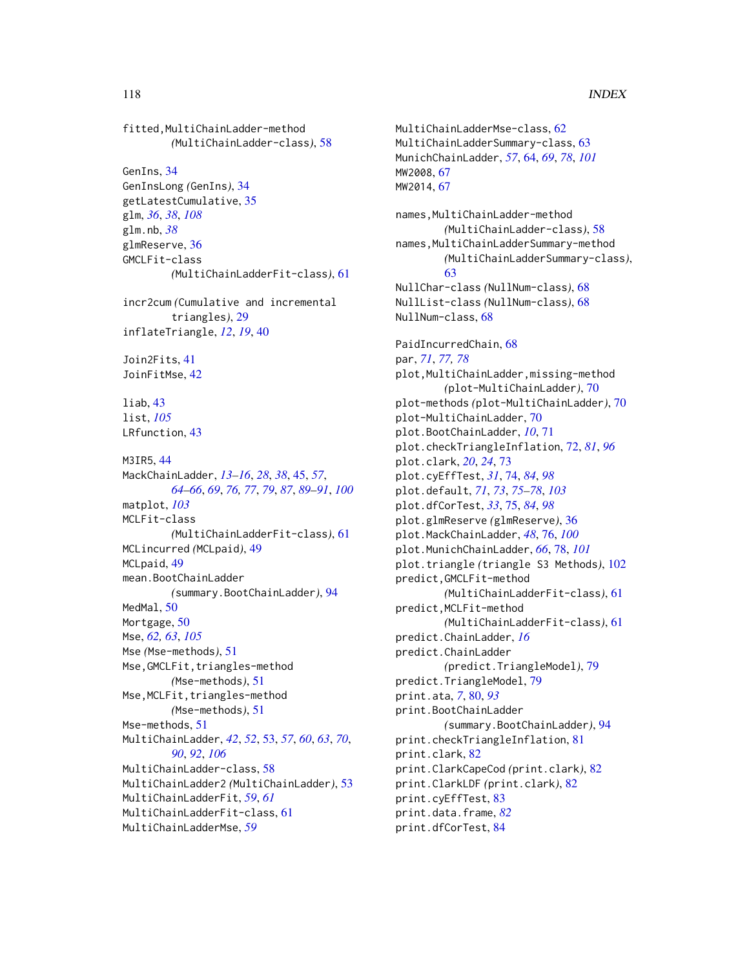fitted,MultiChainLadder-method *(*MultiChainLadder-class*)*, [58](#page-57-0) GenIns, [34](#page-33-0) GenInsLong *(*GenIns*)*, [34](#page-33-0) getLatestCumulative, [35](#page-34-0) glm, *[36](#page-35-0)*, *[38](#page-37-0)*, *[108](#page-107-0)* glm.nb, *[38](#page-37-0)* glmReserve, [36](#page-35-0) GMCLFit-class *(*MultiChainLadderFit-class*)*, [61](#page-60-0) incr2cum *(*Cumulative and incremental triangles*)*, [29](#page-28-0) inflateTriangle, *[12](#page-11-0)*, *[19](#page-18-1)*, [40](#page-39-0) Join2Fits, [41](#page-40-0) JoinFitMse, [42](#page-41-0) liab, [43](#page-42-0) list, *[105](#page-104-0)* LRfunction, [43](#page-42-0) M3IR5, [44](#page-43-0) MackChainLadder, *[13](#page-12-0)[–16](#page-15-0)*, *[28](#page-27-0)*, *[38](#page-37-0)*, [45,](#page-44-0) *[57](#page-56-0)*, *[64](#page-63-0)[–66](#page-65-0)*, *[69](#page-68-0)*, *[76,](#page-75-0) [77](#page-76-0)*, *[79](#page-78-0)*, *[87](#page-86-0)*, *[89](#page-88-0)[–91](#page-90-0)*, *[100](#page-99-0)* matplot, *[103](#page-102-0)* MCLFit-class *(*MultiChainLadderFit-class*)*, [61](#page-60-0) MCLincurred *(*MCLpaid*)*, [49](#page-48-0) MCLpaid, [49](#page-48-0) mean.BootChainLadder *(*summary.BootChainLadder*)*, [94](#page-93-0) MedMal. [50](#page-49-0) Mortgage, [50](#page-49-0) Mse, *[62,](#page-61-0) [63](#page-62-0)*, *[105](#page-104-0)* Mse *(*Mse-methods*)*, [51](#page-50-0) Mse, GMCLFit, triangles-method *(*Mse-methods*)*, [51](#page-50-0) Mse, MCLFit, triangles-method *(*Mse-methods*)*, [51](#page-50-0) Mse-methods, [51](#page-50-0) MultiChainLadder, *[42](#page-41-0)*, *[52](#page-51-0)*, [53,](#page-52-0) *[57](#page-56-0)*, *[60](#page-59-0)*, *[63](#page-62-0)*, *[70](#page-69-0)*, *[90](#page-89-0)*, *[92](#page-91-0)*, *[106](#page-105-1)* MultiChainLadder-class, [58](#page-57-0) MultiChainLadder2 *(*MultiChainLadder*)*, [53](#page-52-0) MultiChainLadderFit, *[59](#page-58-0)*, *[61](#page-60-0)* MultiChainLadderFit-class, [61](#page-60-0) MultiChainLadderMse, *[59](#page-58-0)*

MultiChainLadderMse-class, [62](#page-61-0) MultiChainLadderSummary-class, [63](#page-62-0) MunichChainLadder, *[57](#page-56-0)*, [64,](#page-63-0) *[69](#page-68-0)*, *[78](#page-77-0)*, *[101](#page-100-0)* MW2008, [67](#page-66-0) MW2014, [67](#page-66-0) names,MultiChainLadder-method *(*MultiChainLadder-class*)*, [58](#page-57-0) names,MultiChainLadderSummary-method *(*MultiChainLadderSummary-class*)*, [63](#page-62-0) NullChar-class *(*NullNum-class*)*, [68](#page-67-0) NullList-class *(*NullNum-class*)*, [68](#page-67-0) NullNum-class, [68](#page-67-0) PaidIncurredChain, [68](#page-67-0) par, *[71](#page-70-0)*, *[77,](#page-76-0) [78](#page-77-0)* plot,MultiChainLadder,missing-method *(*plot-MultiChainLadder*)*, [70](#page-69-0) plot-methods *(*plot-MultiChainLadder*)*, [70](#page-69-0) plot-MultiChainLadder, [70](#page-69-0) plot.BootChainLadder, *[10](#page-9-0)*, [71](#page-70-0) plot.checkTriangleInflation, [72,](#page-71-0) *[81](#page-80-0)*, *[96](#page-95-0)* plot.clark, *[20](#page-19-0)*, *[24](#page-23-0)*, [73](#page-72-0) plot.cyEffTest, *[31](#page-30-0)*, [74,](#page-73-0) *[84](#page-83-0)*, *[98](#page-97-0)* plot.default, *[71](#page-70-0)*, *[73](#page-72-0)*, *[75](#page-74-0)[–78](#page-77-0)*, *[103](#page-102-0)* plot.dfCorTest, *[33](#page-32-0)*, [75,](#page-74-0) *[84](#page-83-0)*, *[98](#page-97-0)* plot.glmReserve *(*glmReserve*)*, [36](#page-35-0) plot.MackChainLadder, *[48](#page-47-0)*, [76,](#page-75-0) *[100](#page-99-0)* plot.MunichChainLadder, *[66](#page-65-0)*, [78,](#page-77-0) *[101](#page-100-0)* plot.triangle *(*triangle S3 Methods*)*, [102](#page-101-0) predict,GMCLFit-method *(*MultiChainLadderFit-class*)*, [61](#page-60-0) predict,MCLFit-method *(*MultiChainLadderFit-class*)*, [61](#page-60-0) predict.ChainLadder, *[16](#page-15-0)* predict.ChainLadder *(*predict.TriangleModel*)*, [79](#page-78-0) predict.TriangleModel, [79](#page-78-0) print.ata, *[7](#page-6-0)*, [80,](#page-79-0) *[93](#page-92-0)* print.BootChainLadder *(*summary.BootChainLadder*)*, [94](#page-93-0) print.checkTriangleInflation, [81](#page-80-0) print.clark, [82](#page-81-0) print.ClarkCapeCod *(*print.clark*)*, [82](#page-81-0) print.ClarkLDF *(*print.clark*)*, [82](#page-81-0) print.cyEffTest, [83](#page-82-0) print.data.frame, *[82](#page-81-0)* print.dfCorTest, [84](#page-83-0)